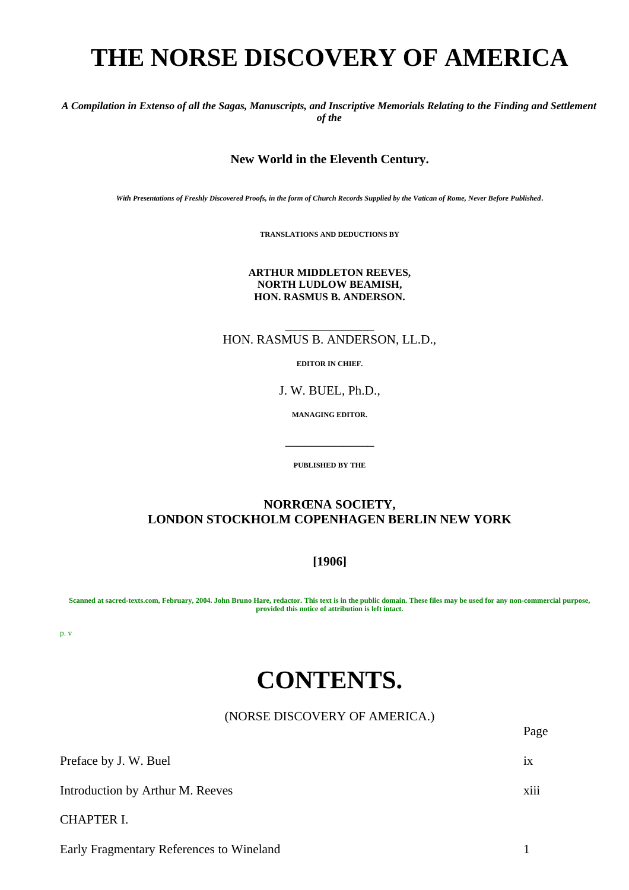# **THE NORSE DISCOVERY OF AMERICA**

#### *A Compilation in Extenso of all the Sagas, Manuscripts, and Inscriptive Memorials Relating to the Finding and Settlement of the*

### **New World in the Eleventh Century.**

*With Presentations of Freshly Discovered Proofs, in the form of Church Records Supplied by the Vatican of Rome, Never Before Published***.**

**TRANSLATIONS AND DEDUCTIONS BY**

#### **ARTHUR MIDDLETON REEVES, NORTH LUDLOW BEAMISH, HON. RASMUS B. ANDERSON.**

\_\_\_\_\_\_\_\_\_\_\_\_\_\_ HON. RASMUS B. ANDERSON, LL.D.,

**EDITOR IN CHIEF.**

J. W. BUEL, Ph.D.,

**MANAGING EDITOR.**

\_\_\_\_\_\_\_\_\_\_\_\_\_\_

**PUBLISHED BY THE**

### **NORRŒNA SOCIETY, LONDON STOCKHOLM COPENHAGEN BERLIN NEW YORK**

**[1906]**

**Scanned at sacred-texts.com, February, 2004. John Bruno Hare, redactor. This text is in the public domain. These files may be used for any non-commercial purpose, provided this notice of attribution is left intact.**

p. v

## **CONTENTS.**

#### (NORSE DISCOVERY OF AMERICA.)

Preface by J. W. Buel ix Introduction by Arthur M. Reeves xiii CHAPTER I.

Early Fragmentary References to Wineland 1

Page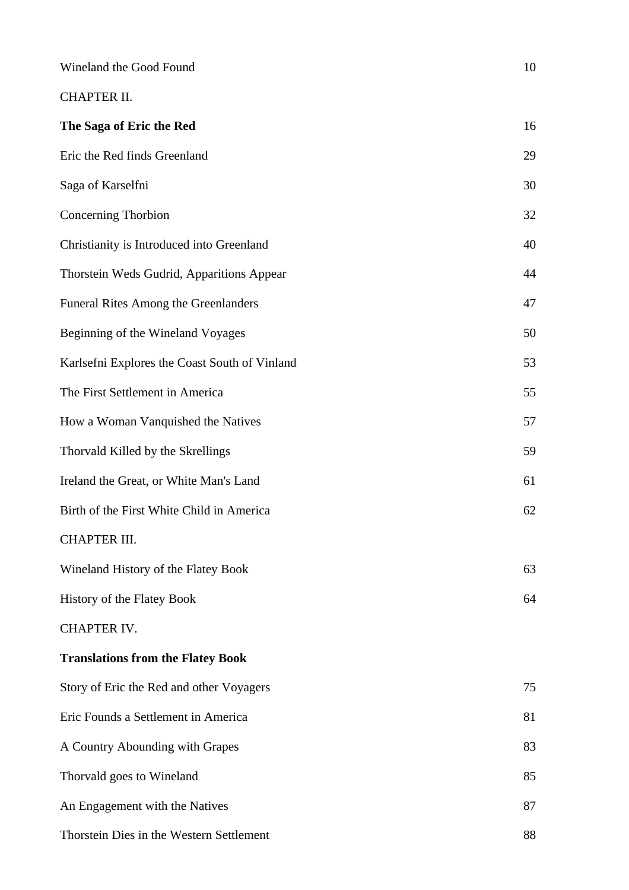| Wineland the Good Found                       | 10 |
|-----------------------------------------------|----|
| <b>CHAPTER II.</b>                            |    |
| The Saga of Eric the Red                      | 16 |
| Eric the Red finds Greenland                  | 29 |
| Saga of Karselfni                             | 30 |
| <b>Concerning Thorbion</b>                    | 32 |
| Christianity is Introduced into Greenland     | 40 |
| Thorstein Weds Gudrid, Apparitions Appear     | 44 |
| <b>Funeral Rites Among the Greenlanders</b>   | 47 |
| Beginning of the Wineland Voyages             | 50 |
| Karlsefni Explores the Coast South of Vinland | 53 |
| The First Settlement in America               | 55 |
| How a Woman Vanquished the Natives            | 57 |
| Thorvald Killed by the Skrellings             | 59 |
| Ireland the Great, or White Man's Land        | 61 |
| Birth of the First White Child in America     | 62 |
| CHAPTER III.                                  |    |
| Wineland History of the Flatey Book           | 63 |
| History of the Flatey Book                    | 64 |
| CHAPTER IV.                                   |    |
| <b>Translations from the Flatey Book</b>      |    |
| Story of Eric the Red and other Voyagers      | 75 |
| Eric Founds a Settlement in America           | 81 |
| A Country Abounding with Grapes               | 83 |
| Thorvald goes to Wineland                     | 85 |
| An Engagement with the Natives                | 87 |
| Thorstein Dies in the Western Settlement      | 88 |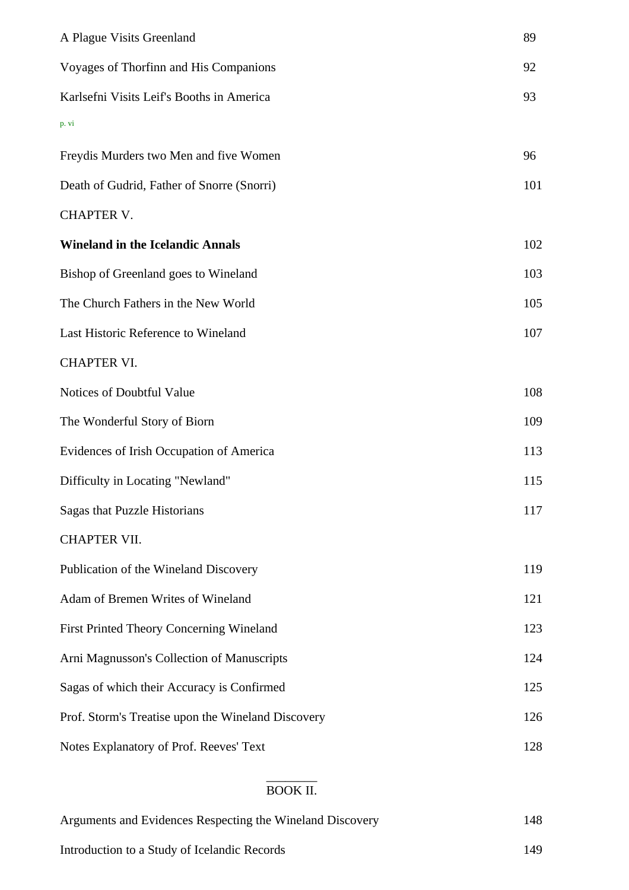| A Plague Visits Greenland                          | 89  |
|----------------------------------------------------|-----|
| Voyages of Thorfinn and His Companions             | 92  |
| Karlsefni Visits Leif's Booths in America          | 93  |
| p. vi                                              |     |
| Freydis Murders two Men and five Women             | 96  |
| Death of Gudrid, Father of Snorre (Snorri)         | 101 |
| <b>CHAPTER V.</b>                                  |     |
| <b>Wineland in the Icelandic Annals</b>            | 102 |
| Bishop of Greenland goes to Wineland               | 103 |
| The Church Fathers in the New World                | 105 |
| Last Historic Reference to Wineland                | 107 |
| <b>CHAPTER VI.</b>                                 |     |
| Notices of Doubtful Value                          | 108 |
| The Wonderful Story of Biorn                       | 109 |
| Evidences of Irish Occupation of America           | 113 |
| Difficulty in Locating "Newland"                   | 115 |
| Sagas that Puzzle Historians                       | 117 |
| <b>CHAPTER VII.</b>                                |     |
| Publication of the Wineland Discovery              | 119 |
| Adam of Bremen Writes of Wineland                  | 121 |
| <b>First Printed Theory Concerning Wineland</b>    | 123 |
| Arni Magnusson's Collection of Manuscripts         | 124 |
| Sagas of which their Accuracy is Confirmed         | 125 |
| Prof. Storm's Treatise upon the Wineland Discovery | 126 |
| Notes Explanatory of Prof. Reeves' Text            | 128 |

#### $\overline{\phantom{a}}$ BOOK II.

| Arguments and Evidences Respecting the Wineland Discovery | 148 |
|-----------------------------------------------------------|-----|
| Introduction to a Study of Icelandic Records              | 149 |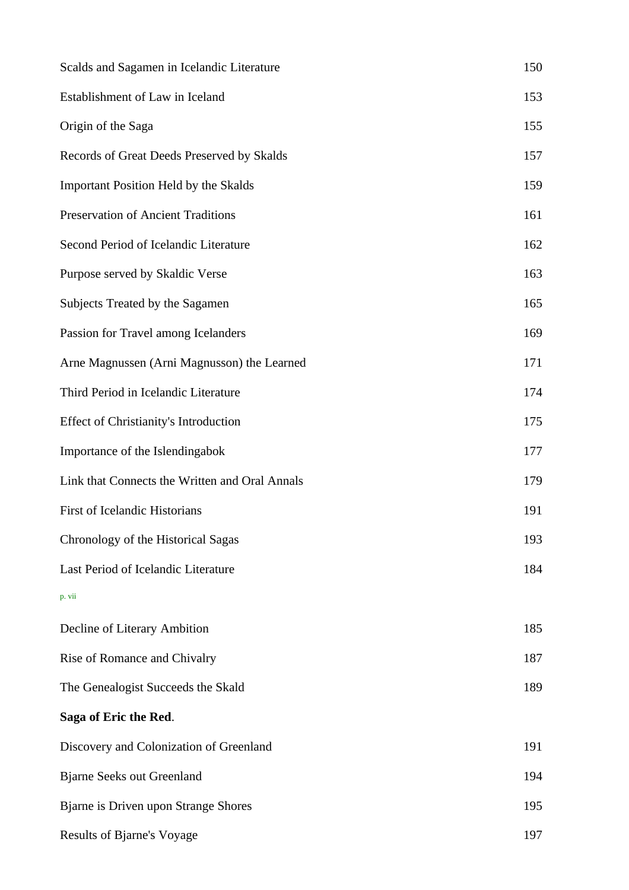| Scalds and Sagamen in Icelandic Literature     | 150 |
|------------------------------------------------|-----|
| Establishment of Law in Iceland                | 153 |
| Origin of the Saga                             | 155 |
| Records of Great Deeds Preserved by Skalds     | 157 |
| <b>Important Position Held by the Skalds</b>   | 159 |
| <b>Preservation of Ancient Traditions</b>      | 161 |
| Second Period of Icelandic Literature          | 162 |
| Purpose served by Skaldic Verse                | 163 |
| Subjects Treated by the Sagamen                | 165 |
| Passion for Travel among Icelanders            | 169 |
| Arne Magnussen (Arni Magnusson) the Learned    | 171 |
| Third Period in Icelandic Literature           | 174 |
| <b>Effect of Christianity's Introduction</b>   | 175 |
| Importance of the Islendingabok                | 177 |
| Link that Connects the Written and Oral Annals | 179 |
| <b>First of Icelandic Historians</b>           | 191 |
| Chronology of the Historical Sagas             | 193 |
| Last Period of Icelandic Literature            | 184 |
| p. vii                                         |     |
| Decline of Literary Ambition                   | 185 |
| Rise of Romance and Chivalry                   | 187 |
| The Genealogist Succeeds the Skald             | 189 |
| Saga of Eric the Red.                          |     |
| Discovery and Colonization of Greenland        | 191 |
| <b>Bjarne Seeks out Greenland</b>              | 194 |
| Bjarne is Driven upon Strange Shores           | 195 |
| Results of Bjarne's Voyage                     | 197 |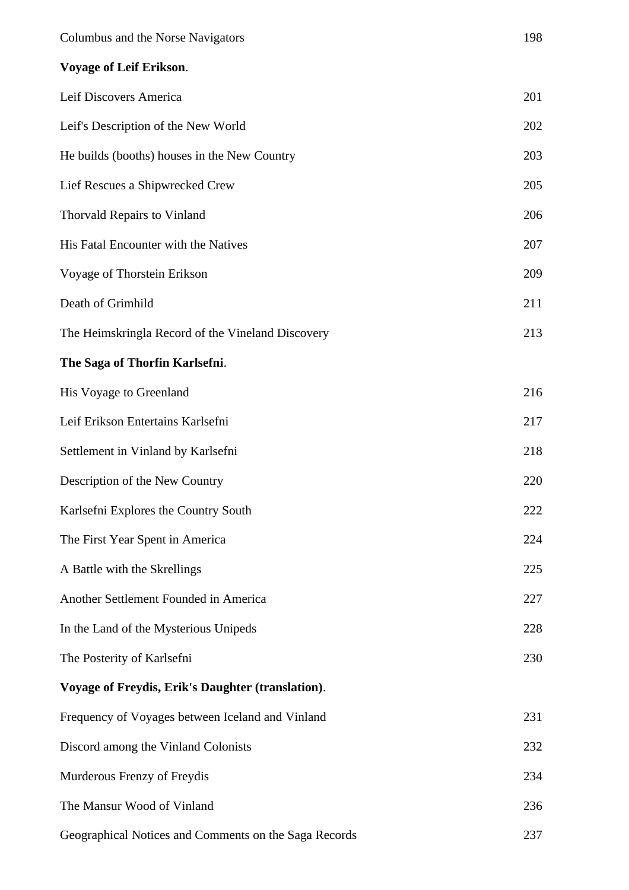| Columbus and the Norse Navigators                     | 198 |
|-------------------------------------------------------|-----|
| <b>Voyage of Leif Erikson.</b>                        |     |
| Leif Discovers America                                | 201 |
| Leif's Description of the New World                   | 202 |
| He builds (booths) houses in the New Country          | 203 |
| Lief Rescues a Shipwrecked Crew                       | 205 |
| Thorvald Repairs to Vinland                           | 206 |
| His Fatal Encounter with the Natives                  | 207 |
| Voyage of Thorstein Erikson                           | 209 |
| Death of Grimhild                                     | 211 |
| The Heimskringla Record of the Vineland Discovery     | 213 |
| The Saga of Thorfin Karlsefni.                        |     |
| His Voyage to Greenland                               | 216 |
| Leif Erikson Entertains Karlsefni                     | 217 |
| Settlement in Vinland by Karlsefni                    | 218 |
| Description of the New Country                        | 220 |
| Karlsefni Explores the Country South                  | 222 |
| The First Year Spent in America                       | 224 |
| A Battle with the Skrellings                          | 225 |
| Another Settlement Founded in America                 | 227 |
| In the Land of the Mysterious Unipeds                 | 228 |
| The Posterity of Karlsefni                            | 230 |
| Voyage of Freydis, Erik's Daughter (translation).     |     |
| Frequency of Voyages between Iceland and Vinland      | 231 |
| Discord among the Vinland Colonists                   | 232 |
| Murderous Frenzy of Freydis                           | 234 |
| The Mansur Wood of Vinland                            | 236 |
| Geographical Notices and Comments on the Saga Records | 237 |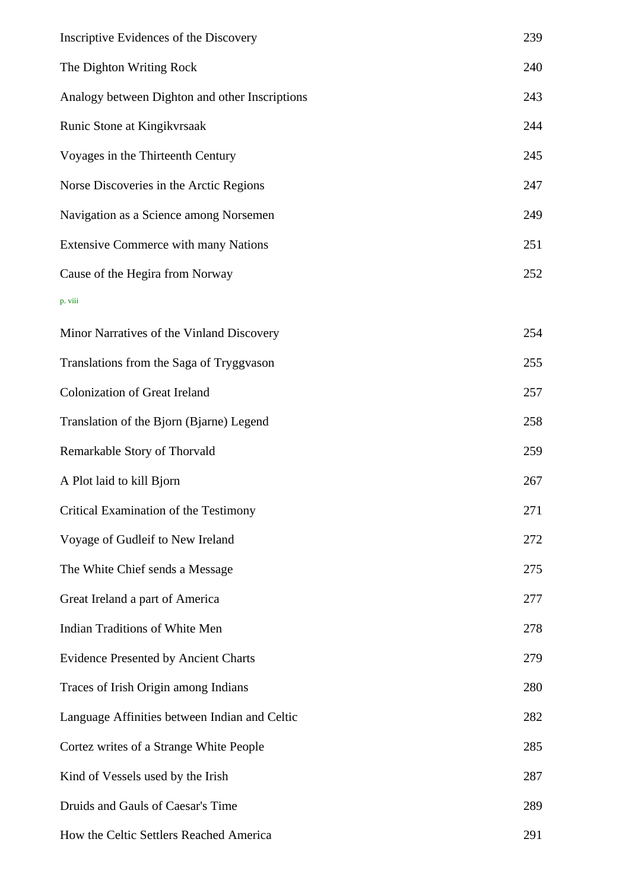| <b>Inscriptive Evidences of the Discovery</b>  | 239 |
|------------------------------------------------|-----|
| The Dighton Writing Rock                       | 240 |
| Analogy between Dighton and other Inscriptions | 243 |
| Runic Stone at Kingikvrsaak                    | 244 |
| Voyages in the Thirteenth Century              | 245 |
| Norse Discoveries in the Arctic Regions        | 247 |
| Navigation as a Science among Norsemen         | 249 |
| <b>Extensive Commerce with many Nations</b>    | 251 |
| Cause of the Hegira from Norway                | 252 |
| p. viii                                        |     |
| Minor Narratives of the Vinland Discovery      | 254 |
| Translations from the Saga of Tryggvason       | 255 |
| <b>Colonization of Great Ireland</b>           | 257 |
| Translation of the Bjorn (Bjarne) Legend       | 258 |
| Remarkable Story of Thorvald                   | 259 |
| A Plot laid to kill Bjorn                      | 267 |
| <b>Critical Examination of the Testimony</b>   | 271 |
| Voyage of Gudleif to New Ireland               | 272 |
| The White Chief sends a Message                | 275 |
| Great Ireland a part of America                | 277 |
| <b>Indian Traditions of White Men</b>          | 278 |
| <b>Evidence Presented by Ancient Charts</b>    | 279 |
| Traces of Irish Origin among Indians           | 280 |
| Language Affinities between Indian and Celtic  | 282 |
| Cortez writes of a Strange White People        | 285 |
| Kind of Vessels used by the Irish              | 287 |
| Druids and Gauls of Caesar's Time              | 289 |
| How the Celtic Settlers Reached America        | 291 |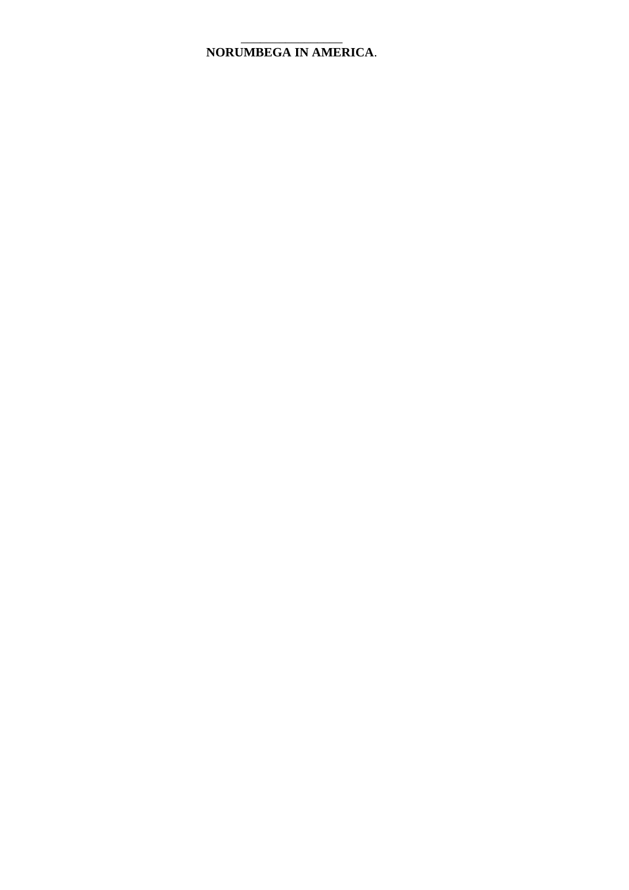### $\overline{\phantom{a}}$  , where  $\overline{\phantom{a}}$ **NORUMBEGA IN AMERICA**.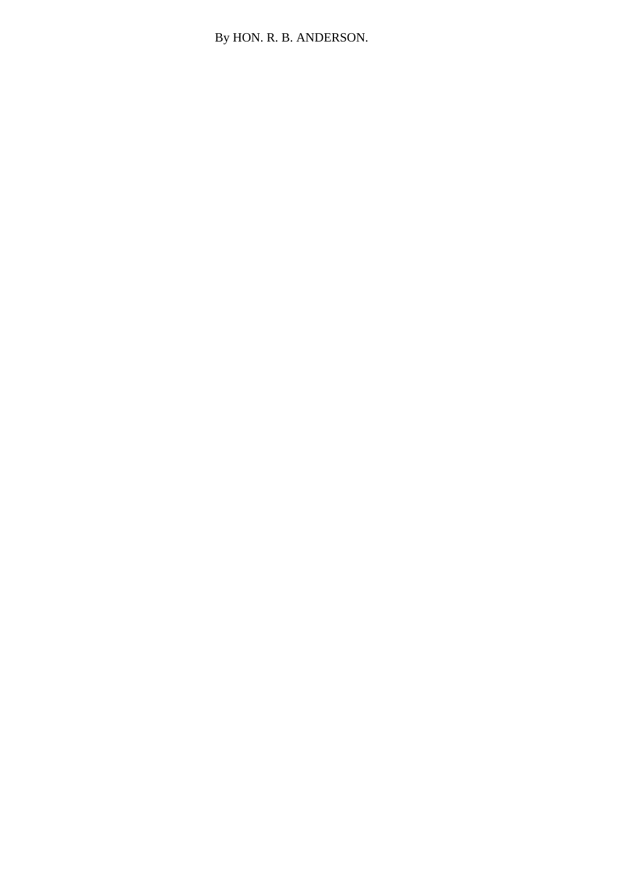## By HON. R. B. ANDERSON.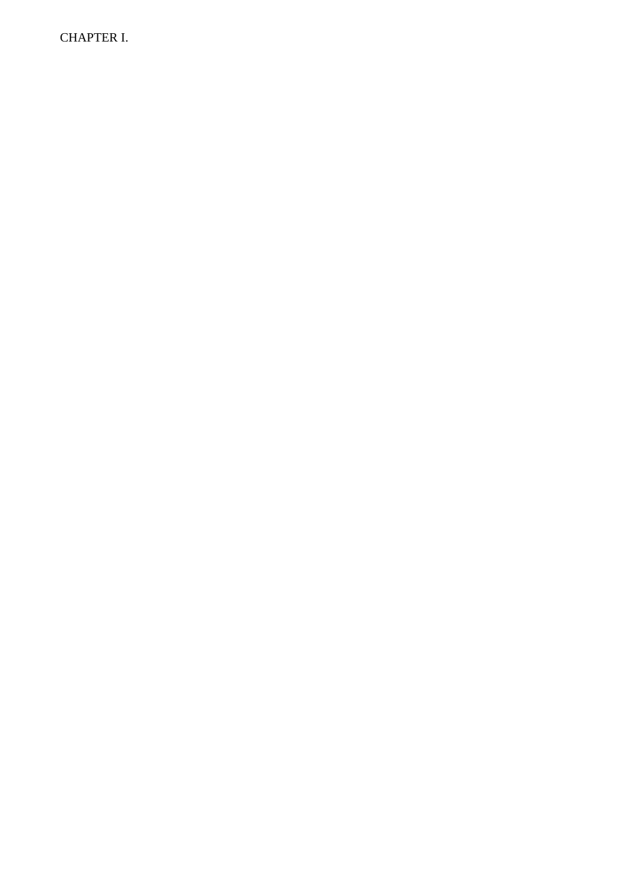CHAPTER I.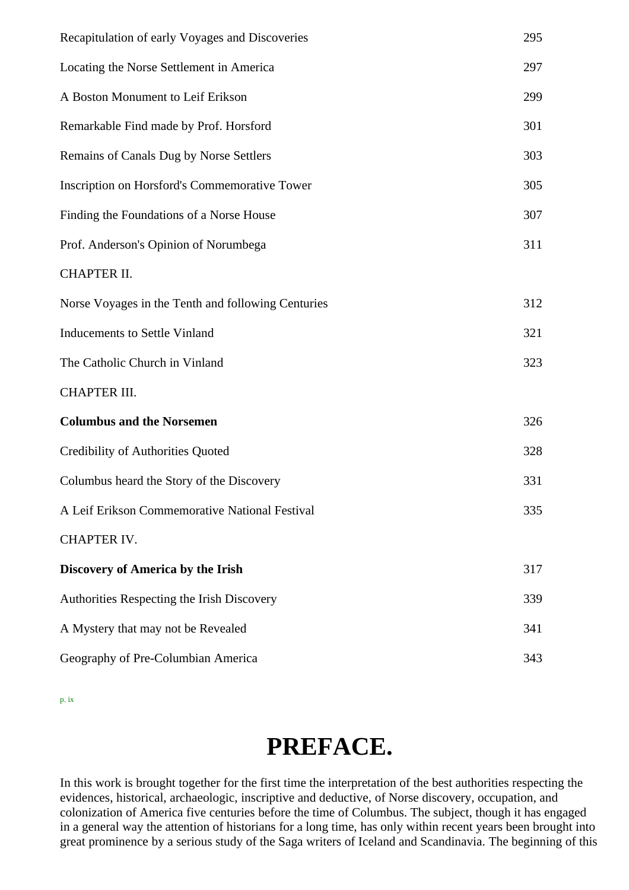| Recapitulation of early Voyages and Discoveries      | 295 |
|------------------------------------------------------|-----|
| Locating the Norse Settlement in America             | 297 |
| A Boston Monument to Leif Erikson                    | 299 |
| Remarkable Find made by Prof. Horsford               | 301 |
| Remains of Canals Dug by Norse Settlers              | 303 |
| <b>Inscription on Horsford's Commemorative Tower</b> | 305 |
| Finding the Foundations of a Norse House             | 307 |
| Prof. Anderson's Opinion of Norumbega                | 311 |
| CHAPTER II.                                          |     |
| Norse Voyages in the Tenth and following Centuries   | 312 |
| <b>Inducements to Settle Vinland</b>                 | 321 |
| The Catholic Church in Vinland                       | 323 |
| CHAPTER III.                                         |     |
| <b>Columbus and the Norsemen</b>                     | 326 |
| <b>Credibility of Authorities Quoted</b>             | 328 |
| Columbus heard the Story of the Discovery            | 331 |
| A Leif Erikson Commemorative National Festival       | 335 |
| CHAPTER IV.                                          |     |
| <b>Discovery of America by the Irish</b>             | 317 |
| Authorities Respecting the Irish Discovery           | 339 |
| A Mystery that may not be Revealed                   | 341 |
| Geography of Pre-Columbian America                   | 343 |

p. ix

# **PREFACE.**

In this work is brought together for the first time the interpretation of the best authorities respecting the evidences, historical, archaeologic, inscriptive and deductive, of Norse discovery, occupation, and colonization of America five centuries before the time of Columbus. The subject, though it has engaged in a general way the attention of historians for a long time, has only within recent years been brought into great prominence by a serious study of the Saga writers of Iceland and Scandinavia. The beginning of this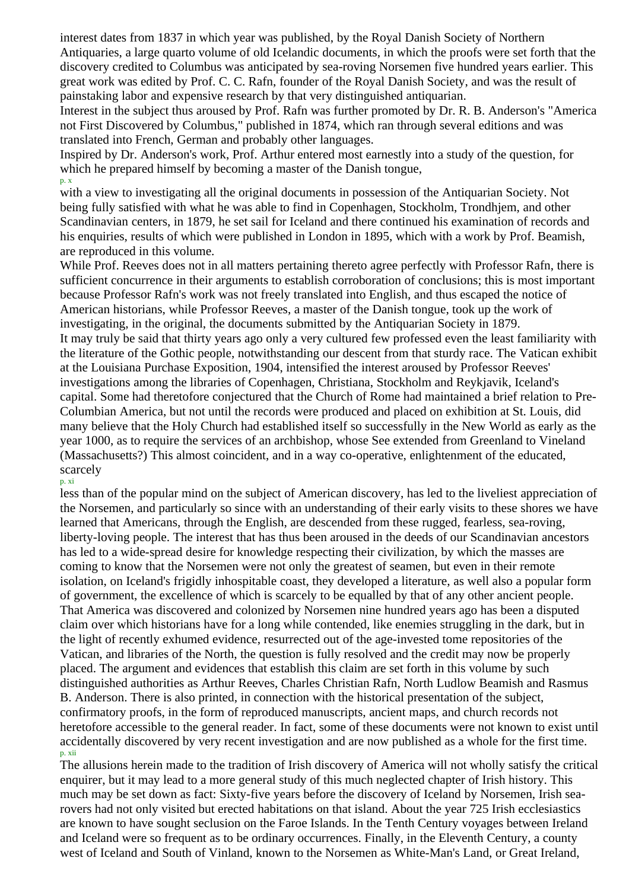interest dates from 1837 in which year was published, by the Royal Danish Society of Northern Antiquaries, a large quarto volume of old Icelandic documents, in which the proofs were set forth that the discovery credited to Columbus was anticipated by sea-roving Norsemen five hundred years earlier. This great work was edited by Prof. C. C. Rafn, founder of the Royal Danish Society, and was the result of painstaking labor and expensive research by that very distinguished antiquarian.

Interest in the subject thus aroused by Prof. Rafn was further promoted by Dr. R. B. Anderson's "America not First Discovered by Columbus," published in 1874, which ran through several editions and was translated into French, German and probably other languages.

Inspired by Dr. Anderson's work, Prof. Arthur entered most earnestly into a study of the question, for which he prepared himself by becoming a master of the Danish tongue, p. x

with a view to investigating all the original documents in possession of the Antiquarian Society. Not being fully satisfied with what he was able to find in Copenhagen, Stockholm, Trondhjem, and other Scandinavian centers, in 1879, he set sail for Iceland and there continued his examination of records and his enquiries, results of which were published in London in 1895, which with a work by Prof. Beamish, are reproduced in this volume.

While Prof. Reeves does not in all matters pertaining thereto agree perfectly with Professor Rafn, there is sufficient concurrence in their arguments to establish corroboration of conclusions; this is most important because Professor Rafn's work was not freely translated into English, and thus escaped the notice of American historians, while Professor Reeves, a master of the Danish tongue, took up the work of investigating, in the original, the documents submitted by the Antiquarian Society in 1879. It may truly be said that thirty years ago only a very cultured few professed even the least familiarity with the literature of the Gothic people, notwithstanding our descent from that sturdy race. The Vatican exhibit at the Louisiana Purchase Exposition, 1904, intensified the interest aroused by Professor Reeves' investigations among the libraries of Copenhagen, Christiana, Stockholm and Reykjavik, Iceland's capital. Some had theretofore conjectured that the Church of Rome had maintained a brief relation to Pre-Columbian America, but not until the records were produced and placed on exhibition at St. Louis, did many believe that the Holy Church had established itself so successfully in the New World as early as the year 1000, as to require the services of an archbishop, whose See extended from Greenland to Vineland (Massachusetts?) This almost coincident, and in a way co-operative, enlightenment of the educated, scarcely p. xi

less than of the popular mind on the subject of American discovery, has led to the liveliest appreciation of the Norsemen, and particularly so since with an understanding of their early visits to these shores we have learned that Americans, through the English, are descended from these rugged, fearless, sea-roving, liberty-loving people. The interest that has thus been aroused in the deeds of our Scandinavian ancestors has led to a wide-spread desire for knowledge respecting their civilization, by which the masses are coming to know that the Norsemen were not only the greatest of seamen, but even in their remote isolation, on Iceland's frigidly inhospitable coast, they developed a literature, as well also a popular form of government, the excellence of which is scarcely to be equalled by that of any other ancient people. That America was discovered and colonized by Norsemen nine hundred years ago has been a disputed claim over which historians have for a long while contended, like enemies struggling in the dark, but in the light of recently exhumed evidence, resurrected out of the age-invested tome repositories of the Vatican, and libraries of the North, the question is fully resolved and the credit may now be properly placed. The argument and evidences that establish this claim are set forth in this volume by such distinguished authorities as Arthur Reeves, Charles Christian Rafn, North Ludlow Beamish and Rasmus B. Anderson. There is also printed, in connection with the historical presentation of the subject, confirmatory proofs, in the form of reproduced manuscripts, ancient maps, and church records not heretofore accessible to the general reader. In fact, some of these documents were not known to exist until accidentally discovered by very recent investigation and are now published as a whole for the first time. p. xii

The allusions herein made to the tradition of Irish discovery of America will not wholly satisfy the critical enquirer, but it may lead to a more general study of this much neglected chapter of Irish history. This much may be set down as fact: Sixty-five years before the discovery of Iceland by Norsemen, Irish searovers had not only visited but erected habitations on that island. About the year 725 Irish ecclesiastics are known to have sought seclusion on the Faroe Islands. In the Tenth Century voyages between Ireland and Iceland were so frequent as to be ordinary occurrences. Finally, in the Eleventh Century, a county west of Iceland and South of Vinland, known to the Norsemen as White-Man's Land, or Great Ireland,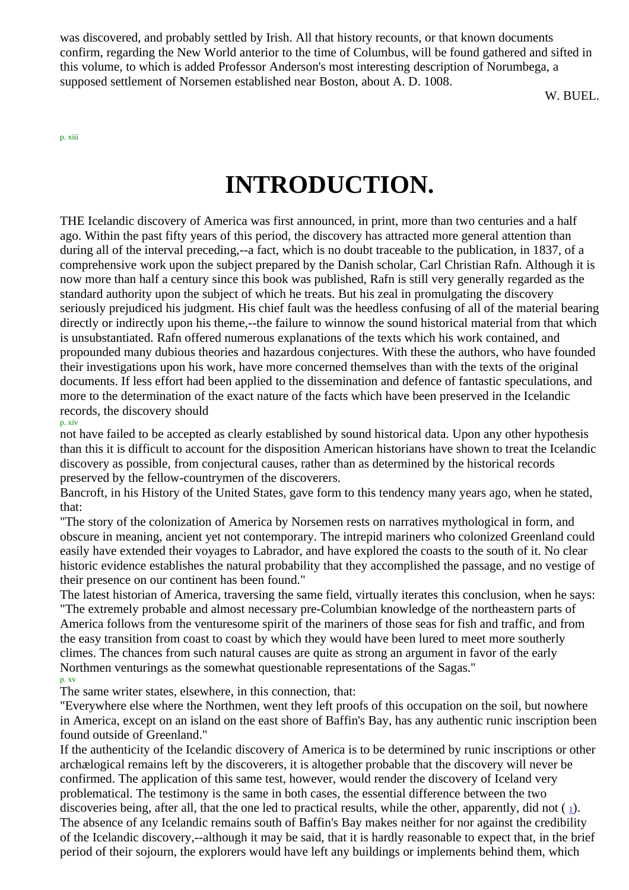was discovered, and probably settled by Irish. All that history recounts, or that known documents confirm, regarding the New World anterior to the time of Columbus, will be found gathered and sifted in this volume, to which is added Professor Anderson's most interesting description of Norumbega, a supposed settlement of Norsemen established near Boston, about A. D. 1008.

W. BUEL.

p. xiii

# **INTRODUCTION.**

THE Icelandic discovery of America was first announced, in print, more than two centuries and a half ago. Within the past fifty years of this period, the discovery has attracted more general attention than during all of the interval preceding,--a fact, which is no doubt traceable to the publication, in 1837, of a comprehensive work upon the subject prepared by the Danish scholar, Carl Christian Rafn. Although it is now more than half a century since this book was published, Rafn is still very generally regarded as the standard authority upon the subject of which he treats. But his zeal in promulgating the discovery seriously prejudiced his judgment. His chief fault was the heedless confusing of all of the material bearing directly or indirectly upon his theme,--the failure to winnow the sound historical material from that which is unsubstantiated. Rafn offered numerous explanations of the texts which his work contained, and propounded many dubious theories and hazardous conjectures. With these the authors, who have founded their investigations upon his work, have more concerned themselves than with the texts of the original documents. If less effort had been applied to the dissemination and defence of fantastic speculations, and more to the determination of the exact nature of the facts which have been preserved in the Icelandic records, the discovery should

#### p. xiv

not have failed to be accepted as clearly established by sound historical data. Upon any other hypothesis than this it is difficult to account for the disposition American historians have shown to treat the Icelandic discovery as possible, from conjectural causes, rather than as determined by the historical records preserved by the fellow-countrymen of the discoverers.

Bancroft, in his History of the United States, gave form to this tendency many years ago, when he stated, that:

"The story of the colonization of America by Norsemen rests on narratives mythological in form, and obscure in meaning, ancient yet not contemporary. The intrepid mariners who colonized Greenland could easily have extended their voyages to Labrador, and have explored the coasts to the south of it. No clear historic evidence establishes the natural probability that they accomplished the passage, and no vestige of their presence on our continent has been found."

The latest historian of America, traversing the same field, virtually iterates this conclusion, when he says: "The extremely probable and almost necessary pre-Columbian knowledge of the northeastern parts of America follows from the venturesome spirit of the mariners of those seas for fish and traffic, and from the easy transition from coast to coast by which they would have been lured to meet more southerly climes. The chances from such natural causes are quite as strong an argument in favor of the early Northmen venturings as the somewhat questionable representations of the Sagas."

p. xv

The same writer states, elsewhere, in this connection, that:

"Everywhere else where the Northmen, went they left proofs of this occupation on the soil, but nowhere in America, except on an island on the east shore of Baffin's Bay, has any authentic runic inscription been found outside of Greenland."

If the authenticity of the Icelandic discovery of America is to be determined by runic inscriptions or other archælogical remains left by the discoverers, it is altogether probable that the discovery will never be confirmed. The application of this same test, however, would render the discovery of Iceland very problematical. The testimony is the same in both cases, the essential difference between the two discoveries being, after all, that the one led to practical results, while the other, apparently, did not  $(1)$  $(1)$  $(1)$ . The absence of any Icelandic remains south of Baffin's Bay makes neither for nor against the credibility of the Icelandic discovery,--although it may be said, that it is hardly reasonable to expect that, in the brief period of their sojourn, the explorers would have left any buildings or implements behind them, which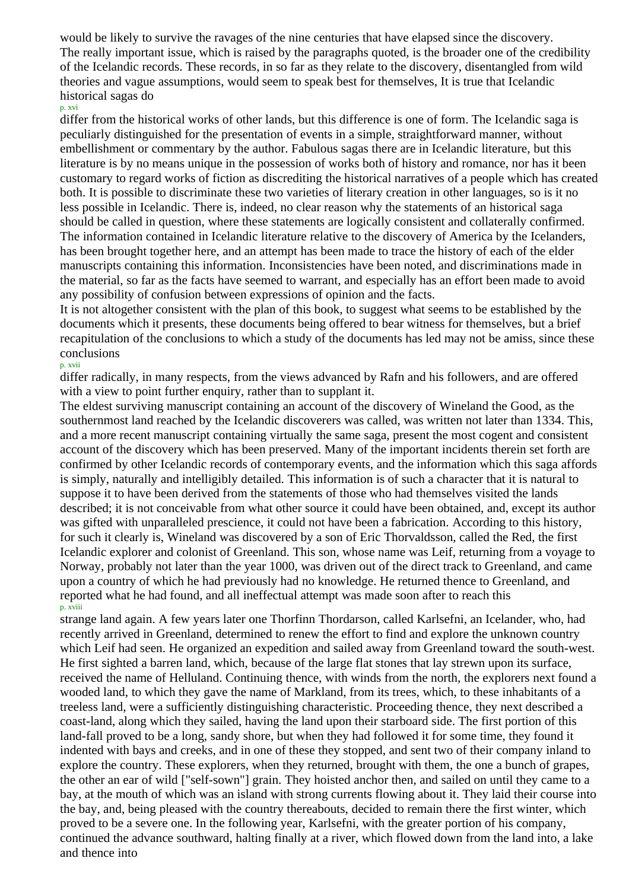would be likely to survive the ravages of the nine centuries that have elapsed since the discovery. The really important issue, which is raised by the paragraphs quoted, is the broader one of the credibility of the Icelandic records. These records, in so far as they relate to the discovery, disentangled from wild theories and vague assumptions, would seem to speak best for themselves, It is true that Icelandic historical sagas do

#### p. xvi

differ from the historical works of other lands, but this difference is one of form. The Icelandic saga is peculiarly distinguished for the presentation of events in a simple, straightforward manner, without embellishment or commentary by the author. Fabulous sagas there are in Icelandic literature, but this literature is by no means unique in the possession of works both of history and romance, nor has it been customary to regard works of fiction as discrediting the historical narratives of a people which has created both. It is possible to discriminate these two varieties of literary creation in other languages, so is it no less possible in Icelandic. There is, indeed, no clear reason why the statements of an historical saga should be called in question, where these statements are logically consistent and collaterally confirmed. The information contained in Icelandic literature relative to the discovery of America by the Icelanders, has been brought together here, and an attempt has been made to trace the history of each of the elder manuscripts containing this information. Inconsistencies have been noted, and discriminations made in the material, so far as the facts have seemed to warrant, and especially has an effort been made to avoid any possibility of confusion between expressions of opinion and the facts.

It is not altogether consistent with the plan of this book, to suggest what seems to be established by the documents which it presents, these documents being offered to bear witness for themselves, but a brief recapitulation of the conclusions to which a study of the documents has led may not be amiss, since these conclusions

#### p. xvii

differ radically, in many respects, from the views advanced by Rafn and his followers, and are offered with a view to point further enquiry, rather than to supplant it.

The eldest surviving manuscript containing an account of the discovery of Wineland the Good, as the southernmost land reached by the Icelandic discoverers was called, was written not later than 1334. This, and a more recent manuscript containing virtually the same saga, present the most cogent and consistent account of the discovery which has been preserved. Many of the important incidents therein set forth are confirmed by other Icelandic records of contemporary events, and the information which this saga affords is simply, naturally and intelligibly detailed. This information is of such a character that it is natural to suppose it to have been derived from the statements of those who had themselves visited the lands described; it is not conceivable from what other source it could have been obtained, and, except its author was gifted with unparalleled prescience, it could not have been a fabrication. According to this history, for such it clearly is, Wineland was discovered by a son of Eric Thorvaldsson, called the Red, the first Icelandic explorer and colonist of Greenland. This son, whose name was Leif, returning from a voyage to Norway, probably not later than the year 1000, was driven out of the direct track to Greenland, and came upon a country of which he had previously had no knowledge. He returned thence to Greenland, and reported what he had found, and all ineffectual attempt was made soon after to reach this p. xviii

strange land again. A few years later one Thorfinn Thordarson, called Karlsefni, an Icelander, who, had recently arrived in Greenland, determined to renew the effort to find and explore the unknown country which Leif had seen. He organized an expedition and sailed away from Greenland toward the south-west. He first sighted a barren land, which, because of the large flat stones that lay strewn upon its surface, received the name of Helluland. Continuing thence, with winds from the north, the explorers next found a wooded land, to which they gave the name of Markland, from its trees, which, to these inhabitants of a treeless land, were a sufficiently distinguishing characteristic. Proceeding thence, they next described a coast-land, along which they sailed, having the land upon their starboard side. The first portion of this land-fall proved to be a long, sandy shore, but when they had followed it for some time, they found it indented with bays and creeks, and in one of these they stopped, and sent two of their company inland to explore the country. These explorers, when they returned, brought with them, the one a bunch of grapes, the other an ear of wild ["self-sown"] grain. They hoisted anchor then, and sailed on until they came to a bay, at the mouth of which was an island with strong currents flowing about it. They laid their course into the bay, and, being pleased with the country thereabouts, decided to remain there the first winter, which proved to be a severe one. In the following year, Karlsefni, with the greater portion of his company, continued the advance southward, halting finally at a river, which flowed down from the land into, a lake and thence into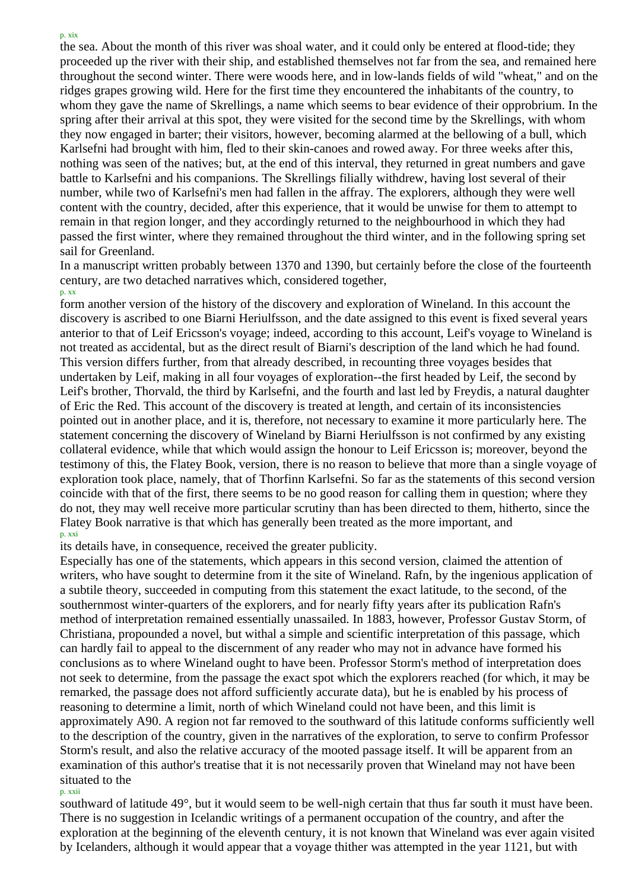the sea. About the month of this river was shoal water, and it could only be entered at flood-tide; they proceeded up the river with their ship, and established themselves not far from the sea, and remained here throughout the second winter. There were woods here, and in low-lands fields of wild "wheat," and on the ridges grapes growing wild. Here for the first time they encountered the inhabitants of the country, to whom they gave the name of Skrellings, a name which seems to bear evidence of their opprobrium. In the spring after their arrival at this spot, they were visited for the second time by the Skrellings, with whom they now engaged in barter; their visitors, however, becoming alarmed at the bellowing of a bull, which Karlsefni had brought with him, fled to their skin-canoes and rowed away. For three weeks after this, nothing was seen of the natives; but, at the end of this interval, they returned in great numbers and gave battle to Karlsefni and his companions. The Skrellings filially withdrew, having lost several of their number, while two of Karlsefni's men had fallen in the affray. The explorers, although they were well content with the country, decided, after this experience, that it would be unwise for them to attempt to remain in that region longer, and they accordingly returned to the neighbourhood in which they had passed the first winter, where they remained throughout the third winter, and in the following spring set sail for Greenland.

In a manuscript written probably between 1370 and 1390, but certainly before the close of the fourteenth century, are two detached narratives which, considered together, p. xx

form another version of the history of the discovery and exploration of Wineland. In this account the discovery is ascribed to one Biarni Heriulfsson, and the date assigned to this event is fixed several years anterior to that of Leif Ericsson's voyage; indeed, according to this account, Leif's voyage to Wineland is not treated as accidental, but as the direct result of Biarni's description of the land which he had found. This version differs further, from that already described, in recounting three voyages besides that undertaken by Leif, making in all four voyages of exploration--the first headed by Leif, the second by Leif's brother, Thorvald, the third by Karlsefni, and the fourth and last led by Freydis, a natural daughter of Eric the Red. This account of the discovery is treated at length, and certain of its inconsistencies pointed out in another place, and it is, therefore, not necessary to examine it more particularly here. The statement concerning the discovery of Wineland by Biarni Heriulfsson is not confirmed by any existing collateral evidence, while that which would assign the honour to Leif Ericsson is; moreover, beyond the testimony of this, the Flatey Book, version, there is no reason to believe that more than a single voyage of exploration took place, namely, that of Thorfinn Karlsefni. So far as the statements of this second version coincide with that of the first, there seems to be no good reason for calling them in question; where they do not, they may well receive more particular scrutiny than has been directed to them, hitherto, since the Flatey Book narrative is that which has generally been treated as the more important, and p. xxi

its details have, in consequence, received the greater publicity.

Especially has one of the statements, which appears in this second version, claimed the attention of writers, who have sought to determine from it the site of Wineland. Rafn, by the ingenious application of a subtile theory, succeeded in computing from this statement the exact latitude, to the second, of the southernmost winter-quarters of the explorers, and for nearly fifty years after its publication Rafn's method of interpretation remained essentially unassailed. In 1883, however, Professor Gustav Storm, of Christiana, propounded a novel, but withal a simple and scientific interpretation of this passage, which can hardly fail to appeal to the discernment of any reader who may not in advance have formed his conclusions as to where Wineland ought to have been. Professor Storm's method of interpretation does not seek to determine, from the passage the exact spot which the explorers reached (for which, it may be remarked, the passage does not afford sufficiently accurate data), but he is enabled by his process of reasoning to determine a limit, north of which Wineland could not have been, and this limit is approximately A90. A region not far removed to the southward of this latitude conforms sufficiently well to the description of the country, given in the narratives of the exploration, to serve to confirm Professor Storm's result, and also the relative accuracy of the mooted passage itself. It will be apparent from an examination of this author's treatise that it is not necessarily proven that Wineland may not have been situated to the p. xxii

southward of latitude 49°, but it would seem to be well-nigh certain that thus far south it must have been. There is no suggestion in Icelandic writings of a permanent occupation of the country, and after the exploration at the beginning of the eleventh century, it is not known that Wineland was ever again visited by Icelanders, although it would appear that a voyage thither was attempted in the year 1121, but with

#### p. xix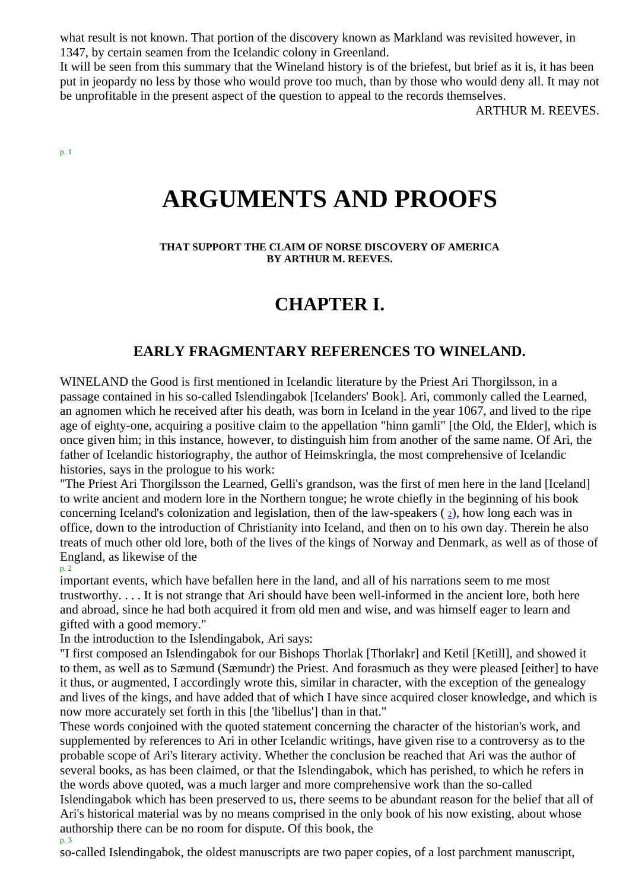what result is not known. That portion of the discovery known as Markland was revisited however, in 1347, by certain seamen from the Icelandic colony in Greenland.

It will be seen from this summary that the Wineland history is of the briefest, but brief as it is, it has been put in jeopardy no less by those who would prove too much, than by those who would deny all. It may not be unprofitable in the present aspect of the question to appeal to the records themselves.

ARTHUR M. REEVES.

p. 1

# **ARGUMENTS AND PROOFS**

#### **THAT SUPPORT THE CLAIM OF NORSE DISCOVERY OF AMERICA BY ARTHUR M. REEVES.**

## **CHAPTER I.**

## **EARLY FRAGMENTARY REFERENCES TO WINELAND.**

WINELAND the Good is first mentioned in Icelandic literature by the Priest Ari Thorgilsson, in a passage contained in his so-called Islendingabok [Icelanders' Book]. Ari, commonly called the Learned, an agnomen which he received after his death, was born in Iceland in the year 1067, and lived to the ripe age of eighty-one, acquiring a positive claim to the appellation "hinn gamli" [the Old, the Elder], which is once given him; in this instance, however, to distinguish him from another of the same name. Of Ari, the father of Icelandic historiography, the author of Heimskringla, the most comprehensive of Icelandic histories, says in the prologue to his work:

"The Priest Ari Thorgilsson the Learned, Gelli's grandson, was the first of men here in the land [Iceland] to write ancient and modern lore in the Northern tongue; he wrote chiefly in the beginning of his book concerning Iceland's colonization and legislation, then of the law-speakers ( [2](http://www.sacred-texts.com/neu/nda/nda12.htm#xref_2)), how long each was in office, down to the introduction of Christianity into Iceland, and then on to his own day. Therein he also treats of much other old lore, both of the lives of the kings of Norway and Denmark, as well as of those of England, as likewise of the

p. 2

important events, which have befallen here in the land, and all of his narrations seem to me most trustworthy. . . . It is not strange that Ari should have been well-informed in the ancient lore, both here and abroad, since he had both acquired it from old men and wise, and was himself eager to learn and gifted with a good memory."

In the introduction to the Islendingabok, Ari says:

"I first composed an Islendingabok for our Bishops Thorlak [Thorlakr] and Ketil [Ketill], and showed it to them, as well as to Sæmund (Sæmundr) the Priest. And forasmuch as they were pleased [either] to have it thus, or augmented, I accordingly wrote this, similar in character, with the exception of the genealogy and lives of the kings, and have added that of which I have since acquired closer knowledge, and which is now more accurately set forth in this [the 'libellus'] than in that."

These words conjoined with the quoted statement concerning the character of the historian's work, and supplemented by references to Ari in other Icelandic writings, have given rise to a controversy as to the probable scope of Ari's literary activity. Whether the conclusion be reached that Ari was the author of several books, as has been claimed, or that the Islendingabok, which has perished, to which he refers in the words above quoted, was a much larger and more comprehensive work than the so-called Islendingabok which has been preserved to us, there seems to be abundant reason for the belief that all of Ari's historical material was by no means comprised in the only book of his now existing, about whose authorship there can be no room for dispute. Of this book, the p. 3

so-called Islendingabok, the oldest manuscripts are two paper copies, of a lost parchment manuscript,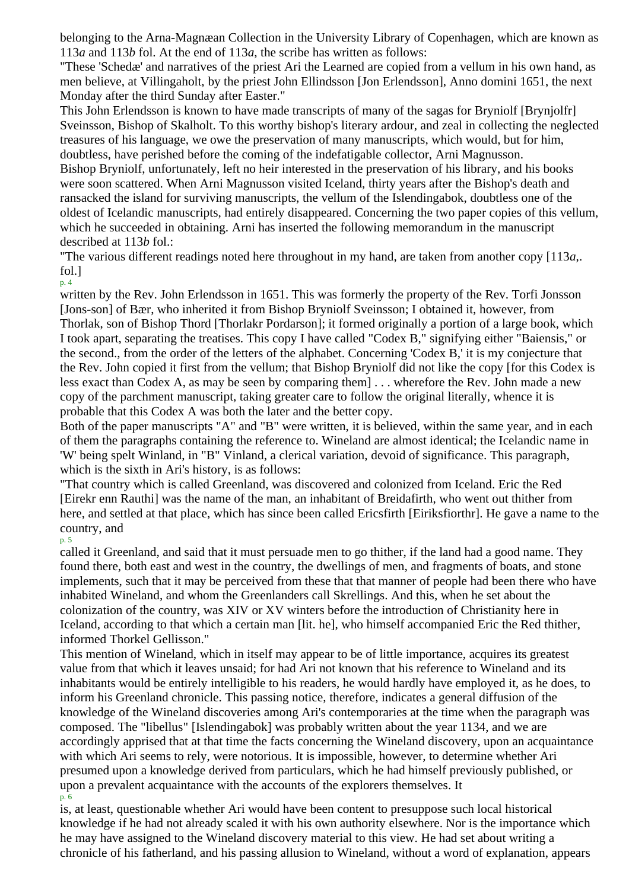belonging to the Arna-Magnæan Collection in the University Library of Copenhagen, which are known as 113*a* and 113*b* fol. At the end of 113*a*, the scribe has written as follows:

"These 'Schedæ' and narratives of the priest Ari the Learned are copied from a vellum in his own hand, as men believe, at Villingaholt, by the priest John Ellindsson [Jon Erlendsson], Anno domini 1651, the next Monday after the third Sunday after Easter."

This John Erlendsson is known to have made transcripts of many of the sagas for Bryniolf [Brynjolfr] Sveinsson, Bishop of Skalholt. To this worthy bishop's literary ardour, and zeal in collecting the neglected treasures of his language, we owe the preservation of many manuscripts, which would, but for him, doubtless, have perished before the coming of the indefatigable collector, Arni Magnusson.

Bishop Bryniolf, unfortunately, left no heir interested in the preservation of his library, and his books were soon scattered. When Arni Magnusson visited Iceland, thirty years after the Bishop's death and ransacked the island for surviving manuscripts, the vellum of the Islendingabok, doubtless one of the oldest of Icelandic manuscripts, had entirely disappeared. Concerning the two paper copies of this vellum, which he succeeded in obtaining. Arni has inserted the following memorandum in the manuscript described at 113*b* fol.:

"The various different readings noted here throughout in my hand, are taken from another copy [113*a*,. fol.] p. 4

written by the Rev. John Erlendsson in 1651. This was formerly the property of the Rev. Torfi Jonsson [Jons-son] of Bær, who inherited it from Bishop Bryniolf Sveinsson; I obtained it, however, from Thorlak, son of Bishop Thord [Thorlakr Pordarson]; it formed originally a portion of a large book, which I took apart, separating the treatises. This copy I have called "Codex B," signifying either "Baiensis," or the second., from the order of the letters of the alphabet. Concerning 'Codex B,' it is my conjecture that the Rev. John copied it first from the vellum; that Bishop Bryniolf did not like the copy [for this Codex is less exact than Codex A, as may be seen by comparing them] . . . wherefore the Rev. John made a new copy of the parchment manuscript, taking greater care to follow the original literally, whence it is probable that this Codex A was both the later and the better copy.

Both of the paper manuscripts "A" and "B" were written, it is believed, within the same year, and in each of them the paragraphs containing the reference to. Wineland are almost identical; the Icelandic name in 'W' being spelt Winland, in "B" Vinland, a clerical variation, devoid of significance. This paragraph, which is the sixth in Ari's history, is as follows:

"That country which is called Greenland, was discovered and colonized from Iceland. Eric the Red [Eirekr enn Rauthi] was the name of the man, an inhabitant of Breidafirth, who went out thither from here, and settled at that place, which has since been called Ericsfirth [Eiriksfiorthr]. He gave a name to the country, and p. 5

called it Greenland, and said that it must persuade men to go thither, if the land had a good name. They found there, both east and west in the country, the dwellings of men, and fragments of boats, and stone implements, such that it may be perceived from these that that manner of people had been there who have inhabited Wineland, and whom the Greenlanders call Skrellings. And this, when he set about the colonization of the country, was XIV or XV winters before the introduction of Christianity here in Iceland, according to that which a certain man [lit. he], who himself accompanied Eric the Red thither, informed Thorkel Gellisson."

This mention of Wineland, which in itself may appear to be of little importance, acquires its greatest value from that which it leaves unsaid; for had Ari not known that his reference to Wineland and its inhabitants would be entirely intelligible to his readers, he would hardly have employed it, as he does, to inform his Greenland chronicle. This passing notice, therefore, indicates a general diffusion of the knowledge of the Wineland discoveries among Ari's contemporaries at the time when the paragraph was composed. The "libellus" [Islendingabok] was probably written about the year 1134, and we are accordingly apprised that at that time the facts concerning the Wineland discovery, upon an acquaintance with which Ari seems to rely, were notorious. It is impossible, however, to determine whether Ari presumed upon a knowledge derived from particulars, which he had himself previously published, or upon a prevalent acquaintance with the accounts of the explorers themselves. It p. 6

is, at least, questionable whether Ari would have been content to presuppose such local historical knowledge if he had not already scaled it with his own authority elsewhere. Nor is the importance which he may have assigned to the Wineland discovery material to this view. He had set about writing a chronicle of his fatherland, and his passing allusion to Wineland, without a word of explanation, appears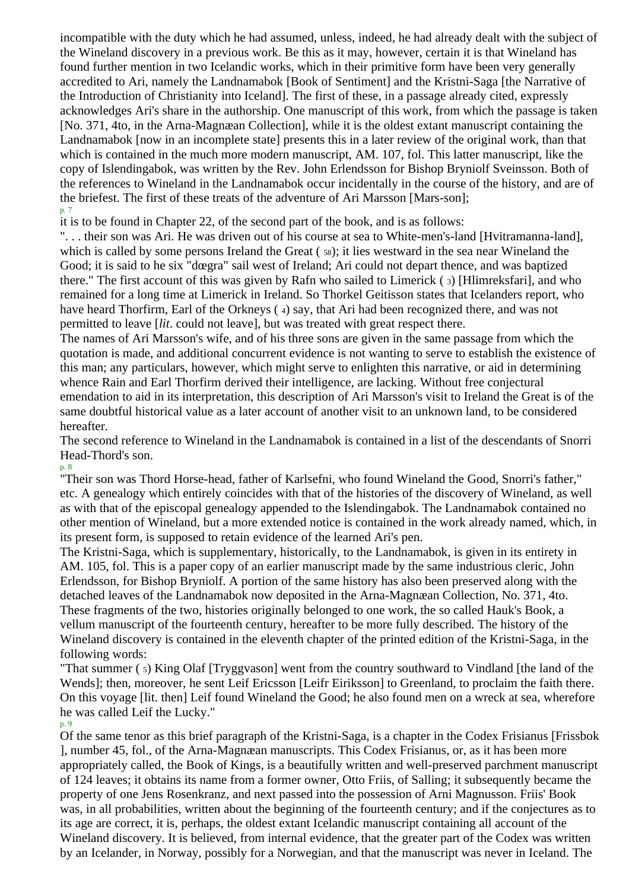incompatible with the duty which he had assumed, unless, indeed, he had already dealt with the subject of the Wineland discovery in a previous work. Be this as it may, however, certain it is that Wineland has found further mention in two Icelandic works, which in their primitive form have been very generally accredited to Ari, namely the Landnamabok [Book of Sentiment] and the Kristni-Saga [the Narrative of the Introduction of Christianity into Iceland]. The first of these, in a passage already cited, expressly acknowledges Ari's share in the authorship. One manuscript of this work, from which the passage is taken [No. 371, 4to, in the Arna-Magnæan Collection], while it is the oldest extant manuscript containing the Landnamabok [now in an incomplete state] presents this in a later review of the original work, than that which is contained in the much more modern manuscript, AM. 107, fol. This latter manuscript, like the copy of Islendingabok, was written by the Rev. John Erlendsson for Bishop Bryniolf Sveinsson. Both of the references to Wineland in the Landnamabok occur incidentally in the course of the history, and are of the briefest. The first of these treats of the adventure of Ari Marsson [Mars-son]; p. 7

it is to be found in Chapter 22, of the second part of the book, and is as follows:

". . . their son was Ari. He was driven out of his course at sea to White-men's-land [Hvitramanna-land], which is called by some persons Ireland the Great ( <sup>58</sup>); it lies westward in the sea near Wineland the Good; it is said to he six "dœgra" sail west of Ireland; Ari could not depart thence, and was baptized there." The first account of this was given by Rafn who sailed to Limerick ( <sup>3</sup>) [Hlimreksfari], and who remained for a long time at Limerick in Ireland. So Thorkel Geitisson states that Icelanders report, who have heard Thorfirm, Earl of the Orkneys (4) say, that Ari had been recognized there, and was not permitted to leave [*lit*. could not leave], but was treated with great respect there.

The names of Ari Marsson's wife, and of his three sons are given in the same passage from which the quotation is made, and additional concurrent evidence is not wanting to serve to establish the existence of this man; any particulars, however, which might serve to enlighten this narrative, or aid in determining whence Rain and Earl Thorfirm derived their intelligence, are lacking. Without free conjectural emendation to aid in its interpretation, this description of Ari Marsson's visit to Ireland the Great is of the same doubtful historical value as a later account of another visit to an unknown land, to be considered hereafter.

The second reference to Wineland in the Landnamabok is contained in a list of the descendants of Snorri Head-Thord's son. p. 8

"Their son was Thord Horse-head, father of Karlsefni, who found Wineland the Good, Snorri's father," etc. A genealogy which entirely coincides with that of the histories of the discovery of Wineland, as well as with that of the episcopal genealogy appended to the Islendingabok. The Landnamabok contained no other mention of Wineland, but a more extended notice is contained in the work already named, which, in its present form, is supposed to retain evidence of the learned Ari's pen.

The Kristni-Saga, which is supplementary, historically, to the Landnamabok, is given in its entirety in AM. 105, fol. This is a paper copy of an earlier manuscript made by the same industrious cleric, John Erlendsson, for Bishop Bryniolf. A portion of the same history has also been preserved along with the detached leaves of the Landnamabok now deposited in the Arna-Magnæan Collection, No. 371, 4to. These fragments of the two, histories originally belonged to one work, the so called Hauk's Book, a vellum manuscript of the fourteenth century, hereafter to be more fully described. The history of the Wineland discovery is contained in the eleventh chapter of the printed edition of the Kristni-Saga, in the following words:

"That summer ( <sup>5</sup>) King Olaf [Tryggvason] went from the country southward to Vindland [the land of the Wends]; then, moreover, he sent Leif Ericsson [Leifr Eiriksson] to Greenland, to proclaim the faith there. On this voyage [lit. then] Leif found Wineland the Good; he also found men on a wreck at sea, wherefore he was called Leif the Lucky."

#### p. 9

Of the same tenor as this brief paragraph of the Kristni-Saga, is a chapter in the Codex Frisianus [Frissbok ], number 45, fol., of the Arna-Magnæan manuscripts. This Codex Frisianus, or, as it has been more appropriately called, the Book of Kings, is a beautifully written and well-preserved parchment manuscript of 124 leaves; it obtains its name from a former owner, Otto Friis, of Salling; it subsequently became the property of one Jens Rosenkranz, and next passed into the possession of Arni Magnusson. Friis' Book was, in all probabilities, written about the beginning of the fourteenth century; and if the conjectures as to its age are correct, it is, perhaps, the oldest extant Icelandic manuscript containing all account of the Wineland discovery. It is believed, from internal evidence, that the greater part of the Codex was written by an Icelander, in Norway, possibly for a Norwegian, and that the manuscript was never in Iceland. The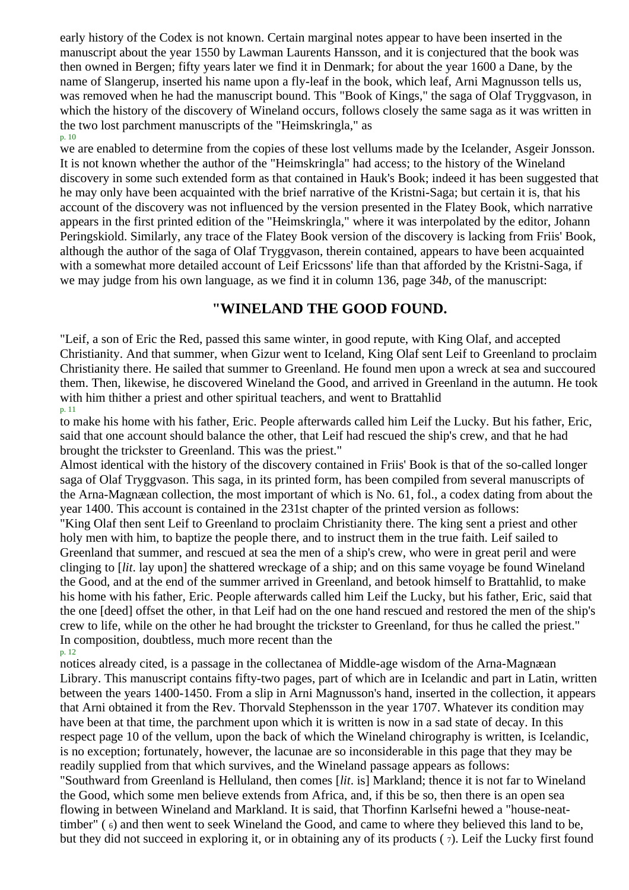early history of the Codex is not known. Certain marginal notes appear to have been inserted in the manuscript about the year 1550 by Lawman Laurents Hansson, and it is conjectured that the book was then owned in Bergen; fifty years later we find it in Denmark; for about the year 1600 a Dane, by the name of Slangerup, inserted his name upon a fly-leaf in the book, which leaf, Arni Magnusson tells us, was removed when he had the manuscript bound. This "Book of Kings," the saga of Olaf Tryggvason, in which the history of the discovery of Wineland occurs, follows closely the same saga as it was written in the two lost parchment manuscripts of the "Heimskringla," as p. 10

we are enabled to determine from the copies of these lost vellums made by the Icelander, Asgeir Jonsson. It is not known whether the author of the "Heimskringla" had access; to the history of the Wineland discovery in some such extended form as that contained in Hauk's Book; indeed it has been suggested that he may only have been acquainted with the brief narrative of the Kristni-Saga; but certain it is, that his account of the discovery was not influenced by the version presented in the Flatey Book, which narrative appears in the first printed edition of the "Heimskringla," where it was interpolated by the editor, Johann Peringskiold. Similarly, any trace of the Flatey Book version of the discovery is lacking from Friis' Book, although the author of the saga of Olaf Tryggvason, therein contained, appears to have been acquainted with a somewhat more detailed account of Leif Ericssons' life than that afforded by the Kristni-Saga, if we may judge from his own language, as we find it in column 136, page 34*b*, of the manuscript:

## **"WINELAND THE GOOD FOUND.**

"Leif, a son of Eric the Red, passed this same winter, in good repute, with King Olaf, and accepted Christianity. And that summer, when Gizur went to Iceland, King Olaf sent Leif to Greenland to proclaim Christianity there. He sailed that summer to Greenland. He found men upon a wreck at sea and succoured them. Then, likewise, he discovered Wineland the Good, and arrived in Greenland in the autumn. He took with him thither a priest and other spiritual teachers, and went to Brattahlid p. 11

to make his home with his father, Eric. People afterwards called him Leif the Lucky. But his father, Eric, said that one account should balance the other, that Leif had rescued the ship's crew, and that he had brought the trickster to Greenland. This was the priest."

Almost identical with the history of the discovery contained in Friis' Book is that of the so-called longer saga of Olaf Tryggvason. This saga, in its printed form, has been compiled from several manuscripts of the Arna-Magnæan collection, the most important of which is No. 61, fol., a codex dating from about the year 1400. This account is contained in the 231st chapter of the printed version as follows:

"King Olaf then sent Leif to Greenland to proclaim Christianity there. The king sent a priest and other holy men with him, to baptize the people there, and to instruct them in the true faith. Leif sailed to Greenland that summer, and rescued at sea the men of a ship's crew, who were in great peril and were clinging to [*lit*. lay upon] the shattered wreckage of a ship; and on this same voyage be found Wineland the Good, and at the end of the summer arrived in Greenland, and betook himself to Brattahlid, to make his home with his father, Eric. People afterwards called him Leif the Lucky, but his father, Eric, said that the one [deed] offset the other, in that Leif had on the one hand rescued and restored the men of the ship's crew to life, while on the other he had brought the trickster to Greenland, for thus he called the priest." In composition, doubtless, much more recent than the p. 12

notices already cited, is a passage in the collectanea of Middle-age wisdom of the Arna-Magnæan Library. This manuscript contains fifty-two pages, part of which are in Icelandic and part in Latin, written between the years 1400-1450. From a slip in Arni Magnusson's hand, inserted in the collection, it appears that Arni obtained it from the Rev. Thorvald Stephensson in the year 1707. Whatever its condition may have been at that time, the parchment upon which it is written is now in a sad state of decay. In this respect page 10 of the vellum, upon the back of which the Wineland chirography is written, is Icelandic, is no exception; fortunately, however, the lacunae are so inconsiderable in this page that they may be readily supplied from that which survives, and the Wineland passage appears as follows:

"Southward from Greenland is Helluland, then comes [*lit*. is] Markland; thence it is not far to Wineland the Good, which some men believe extends from Africa, and, if this be so, then there is an open sea flowing in between Wineland and Markland. It is said, that Thorfinn Karlsefni hewed a "house-neattimber" ( <sup>6</sup>) and then went to seek Wineland the Good, and came to where they believed this land to be, but they did not succeed in exploring it, or in obtaining any of its products ( <sup>7</sup>). Leif the Lucky first found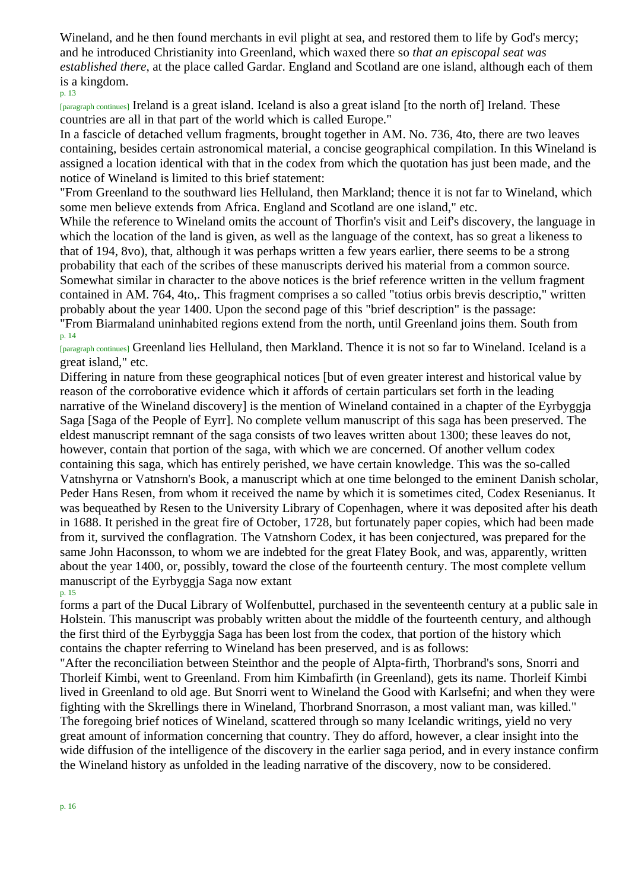Wineland, and he then found merchants in evil plight at sea, and restored them to life by God's mercy; and he introduced Christianity into Greenland, which waxed there so *that an episcopal seat was established there*, at the place called Gardar. England and Scotland are one island, although each of them is a kingdom. p. 13

[paragraph continues] Ireland is a great island. Iceland is also a great island [to the north of] Ireland. These countries are all in that part of the world which is called Europe."

In a fascicle of detached vellum fragments, brought together in AM. No. 736, 4to, there are two leaves containing, besides certain astronomical material, a concise geographical compilation. In this Wineland is assigned a location identical with that in the codex from which the quotation has just been made, and the notice of Wineland is limited to this brief statement:

"From Greenland to the southward lies Helluland, then Markland; thence it is not far to Wineland, which some men believe extends from Africa. England and Scotland are one island," etc.

While the reference to Wineland omits the account of Thorfin's visit and Leif's discovery, the language in which the location of the land is given, as well as the language of the context, has so great a likeness to that of 194, 8vo), that, although it was perhaps written a few years earlier, there seems to be a strong probability that each of the scribes of these manuscripts derived his material from a common source. Somewhat similar in character to the above notices is the brief reference written in the vellum fragment contained in AM. 764, 4to,. This fragment comprises a so called "totius orbis brevis descriptio," written probably about the year 1400. Upon the second page of this "brief description" is the passage: "From Biarmaland uninhabited regions extend from the north, until Greenland joins them. South from p. 14

[paragraph continues] Greenland lies Helluland, then Markland. Thence it is not so far to Wineland. Iceland is a great island," etc.

Differing in nature from these geographical notices [but of even greater interest and historical value by reason of the corroborative evidence which it affords of certain particulars set forth in the leading narrative of the Wineland discovery] is the mention of Wineland contained in a chapter of the Eyrbyggja Saga [Saga of the People of Eyrr]. No complete vellum manuscript of this saga has been preserved. The eldest manuscript remnant of the saga consists of two leaves written about 1300; these leaves do not, however, contain that portion of the saga, with which we are concerned. Of another vellum codex containing this saga, which has entirely perished, we have certain knowledge. This was the so-called Vatnshyrna or Vatnshorn's Book, a manuscript which at one time belonged to the eminent Danish scholar, Peder Hans Resen, from whom it received the name by which it is sometimes cited, Codex Resenianus. It was bequeathed by Resen to the University Library of Copenhagen, where it was deposited after his death in 1688. It perished in the great fire of October, 1728, but fortunately paper copies, which had been made from it, survived the conflagration. The Vatnshorn Codex, it has been conjectured, was prepared for the same John Haconsson, to whom we are indebted for the great Flatey Book, and was, apparently, written about the year 1400, or, possibly, toward the close of the fourteenth century. The most complete vellum manuscript of the Eyrbyggja Saga now extant p. 15

forms a part of the Ducal Library of Wolfenbuttel, purchased in the seventeenth century at a public sale in Holstein. This manuscript was probably written about the middle of the fourteenth century, and although the first third of the Eyrbyggja Saga has been lost from the codex, that portion of the history which contains the chapter referring to Wineland has been preserved, and is as follows:

"After the reconciliation between Steinthor and the people of Alpta-firth, Thorbrand's sons, Snorri and Thorleif Kimbi, went to Greenland. From him Kimbafirth (in Greenland), gets its name. Thorleif Kimbi lived in Greenland to old age. But Snorri went to Wineland the Good with Karlsefni; and when they were fighting with the Skrellings there in Wineland, Thorbrand Snorrason, a most valiant man, was killed." The foregoing brief notices of Wineland, scattered through so many Icelandic writings, yield no very great amount of information concerning that country. They do afford, however, a clear insight into the wide diffusion of the intelligence of the discovery in the earlier saga period, and in every instance confirm the Wineland history as unfolded in the leading narrative of the discovery, now to be considered.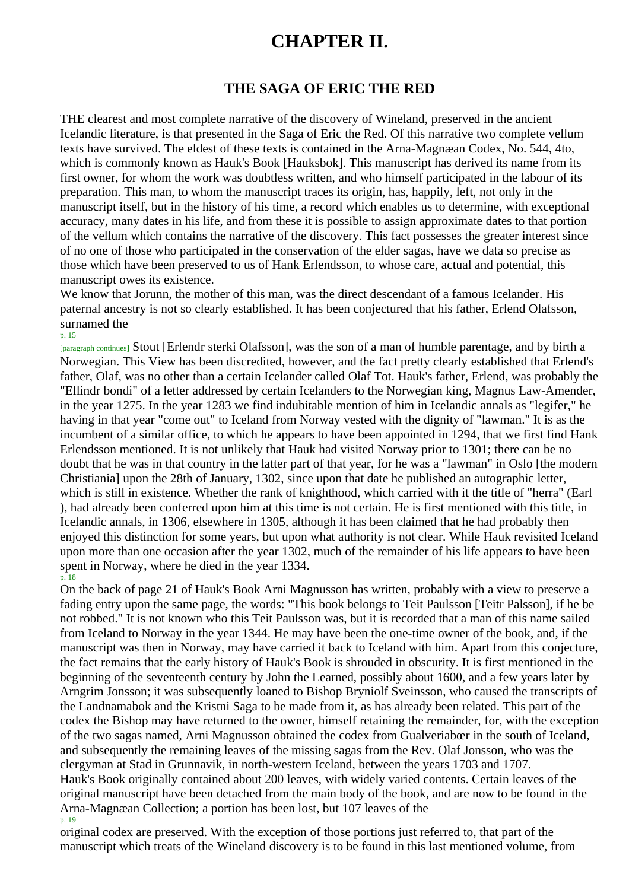## **CHAPTER II.**

## **THE SAGA OF ERIC THE RED**

THE clearest and most complete narrative of the discovery of Wineland, preserved in the ancient Icelandic literature, is that presented in the Saga of Eric the Red. Of this narrative two complete vellum texts have survived. The eldest of these texts is contained in the Arna-Magnæan Codex, No. 544, 4to, which is commonly known as Hauk's Book [Hauksbok]. This manuscript has derived its name from its first owner, for whom the work was doubtless written, and who himself participated in the labour of its preparation. This man, to whom the manuscript traces its origin, has, happily, left, not only in the manuscript itself, but in the history of his time, a record which enables us to determine, with exceptional accuracy, many dates in his life, and from these it is possible to assign approximate dates to that portion of the vellum which contains the narrative of the discovery. This fact possesses the greater interest since of no one of those who participated in the conservation of the elder sagas, have we data so precise as those which have been preserved to us of Hank Erlendsson, to whose care, actual and potential, this manuscript owes its existence.

We know that Jorunn, the mother of this man, was the direct descendant of a famous Icelander. His paternal ancestry is not so clearly established. It has been conjectured that his father, Erlend Olafsson, surnamed the p. 15

[paragraph continues] Stout [Erlendr sterki Olafsson], was the son of a man of humble parentage, and by birth a Norwegian. This View has been discredited, however, and the fact pretty clearly established that Erlend's father, Olaf, was no other than a certain Icelander called Olaf Tot. Hauk's father, Erlend, was probably the "Ellindr bondi" of a letter addressed by certain Icelanders to the Norwegian king, Magnus Law-Amender, in the year 1275. In the year 1283 we find indubitable mention of him in Icelandic annals as "legifer," he having in that year "come out" to Iceland from Norway vested with the dignity of "lawman." It is as the incumbent of a similar office, to which he appears to have been appointed in 1294, that we first find Hank Erlendsson mentioned. It is not unlikely that Hauk had visited Norway prior to 1301; there can be no doubt that he was in that country in the latter part of that year, for he was a "lawman" in Oslo [the modern Christiania] upon the 28th of January, 1302, since upon that date he published an autographic letter, which is still in existence. Whether the rank of knighthood, which carried with it the title of "herra" (Earl ), had already been conferred upon him at this time is not certain. He is first mentioned with this title, in Icelandic annals, in 1306, elsewhere in 1305, although it has been claimed that he had probably then enjoyed this distinction for some years, but upon what authority is not clear. While Hauk revisited Iceland upon more than one occasion after the year 1302, much of the remainder of his life appears to have been spent in Norway, where he died in the year 1334. p. 18

On the back of page 21 of Hauk's Book Arni Magnusson has written, probably with a view to preserve a fading entry upon the same page, the words: "This book belongs to Teit Paulsson [Teitr Palsson], if he be not robbed." It is not known who this Teit Paulsson was, but it is recorded that a man of this name sailed from Iceland to Norway in the year 1344. He may have been the one-time owner of the book, and, if the manuscript was then in Norway, may have carried it back to Iceland with him. Apart from this conjecture, the fact remains that the early history of Hauk's Book is shrouded in obscurity. It is first mentioned in the beginning of the seventeenth century by John the Learned, possibly about 1600, and a few years later by Arngrim Jonsson; it was subsequently loaned to Bishop Bryniolf Sveinsson, who caused the transcripts of the Landnamabok and the Kristni Saga to be made from it, as has already been related. This part of the codex the Bishop may have returned to the owner, himself retaining the remainder, for, with the exception of the two sagas named, Arni Magnusson obtained the codex from Gualveriabœr in the south of Iceland, and subsequently the remaining leaves of the missing sagas from the Rev. Olaf Jonsson, who was the clergyman at Stad in Grunnavik, in north-western Iceland, between the years 1703 and 1707. Hauk's Book originally contained about 200 leaves, with widely varied contents. Certain leaves of the original manuscript have been detached from the main body of the book, and are now to be found in the Arna-Magnæan Collection; a portion has been lost, but 107 leaves of the p. 19

original codex are preserved. With the exception of those portions just referred to, that part of the manuscript which treats of the Wineland discovery is to be found in this last mentioned volume, from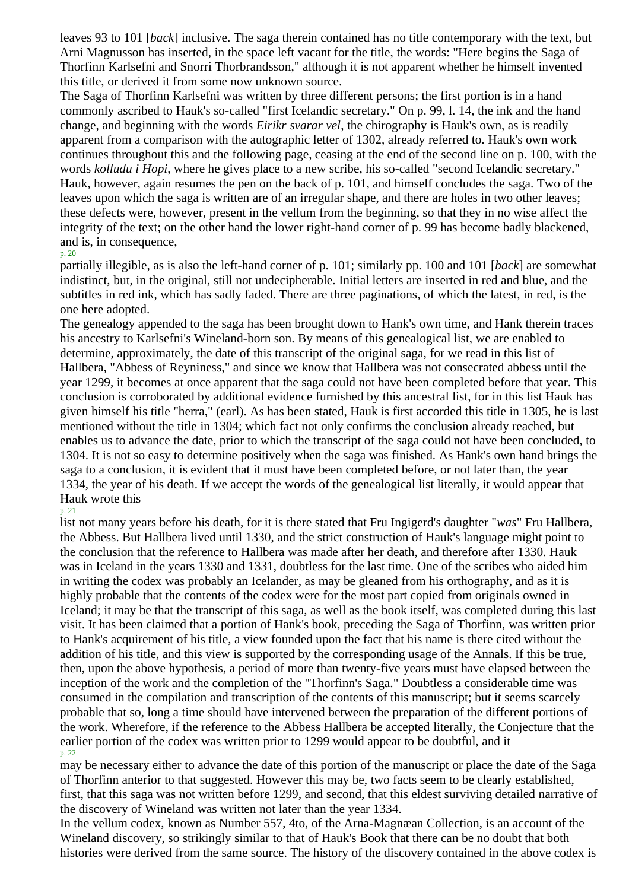leaves 93 to 101 [*back*] inclusive. The saga therein contained has no title contemporary with the text, but Arni Magnusson has inserted, in the space left vacant for the title, the words: "Here begins the Saga of Thorfinn Karlsefni and Snorri Thorbrandsson," although it is not apparent whether he himself invented this title, or derived it from some now unknown source.

The Saga of Thorfinn Karlsefni was written by three different persons; the first portion is in a hand commonly ascribed to Hauk's so-called "first Icelandic secretary." On p. 99, l. 14, the ink and the hand change, and beginning with the words *Eirikr svarar vel*, the chirography is Hauk's own, as is readily apparent from a comparison with the autographic letter of 1302, already referred to. Hauk's own work continues throughout this and the following page, ceasing at the end of the second line on p. 100, with the words *kolludu i Hopi*, where he gives place to a new scribe, his so-called "second Icelandic secretary." Hauk, however, again resumes the pen on the back of p. 101, and himself concludes the saga. Two of the leaves upon which the saga is written are of an irregular shape, and there are holes in two other leaves; these defects were, however, present in the vellum from the beginning, so that they in no wise affect the integrity of the text; on the other hand the lower right-hand corner of p. 99 has become badly blackened, and is, in consequence,

### p. 20

partially illegible, as is also the left-hand corner of p. 101; similarly pp. 100 and 101 [*back*] are somewhat indistinct, but, in the original, still not undecipherable. Initial letters are inserted in red and blue, and the subtitles in red ink, which has sadly faded. There are three paginations, of which the latest, in red, is the one here adopted.

The genealogy appended to the saga has been brought down to Hank's own time, and Hank therein traces his ancestry to Karlsefni's Wineland-born son. By means of this genealogical list, we are enabled to determine, approximately, the date of this transcript of the original saga, for we read in this list of Hallbera, "Abbess of Reyniness," and since we know that Hallbera was not consecrated abbess until the year 1299, it becomes at once apparent that the saga could not have been completed before that year. This conclusion is corroborated by additional evidence furnished by this ancestral list, for in this list Hauk has given himself his title "herra," (earl). As has been stated, Hauk is first accorded this title in 1305, he is last mentioned without the title in 1304; which fact not only confirms the conclusion already reached, but enables us to advance the date, prior to which the transcript of the saga could not have been concluded, to 1304. It is not so easy to determine positively when the saga was finished. As Hank's own hand brings the saga to a conclusion, it is evident that it must have been completed before, or not later than, the year 1334, the year of his death. If we accept the words of the genealogical list literally, it would appear that Hauk wrote this

### p. 21

list not many years before his death, for it is there stated that Fru Ingigerd's daughter "*was*" Fru Hallbera, the Abbess. But Hallbera lived until 1330, and the strict construction of Hauk's language might point to the conclusion that the reference to Hallbera was made after her death, and therefore after 1330. Hauk was in Iceland in the years 1330 and 1331, doubtless for the last time. One of the scribes who aided him in writing the codex was probably an Icelander, as may be gleaned from his orthography, and as it is highly probable that the contents of the codex were for the most part copied from originals owned in Iceland; it may be that the transcript of this saga, as well as the book itself, was completed during this last visit. It has been claimed that a portion of Hank's book, preceding the Saga of Thorfinn, was written prior to Hank's acquirement of his title, a view founded upon the fact that his name is there cited without the addition of his title, and this view is supported by the corresponding usage of the Annals. If this be true, then, upon the above hypothesis, a period of more than twenty-five years must have elapsed between the inception of the work and the completion of the "Thorfinn's Saga." Doubtless a considerable time was consumed in the compilation and transcription of the contents of this manuscript; but it seems scarcely probable that so, long a time should have intervened between the preparation of the different portions of the work. Wherefore, if the reference to the Abbess Hallbera be accepted literally, the Conjecture that the earlier portion of the codex was written prior to 1299 would appear to be doubtful, and it p. 22

may be necessary either to advance the date of this portion of the manuscript or place the date of the Saga of Thorfinn anterior to that suggested. However this may be, two facts seem to be clearly established, first, that this saga was not written before 1299, and second, that this eldest surviving detailed narrative of the discovery of Wineland was written not later than the year 1334.

In the vellum codex, known as Number 557, 4to, of the Arna-Magnæan Collection, is an account of the Wineland discovery, so strikingly similar to that of Hauk's Book that there can be no doubt that both histories were derived from the same source. The history of the discovery contained in the above codex is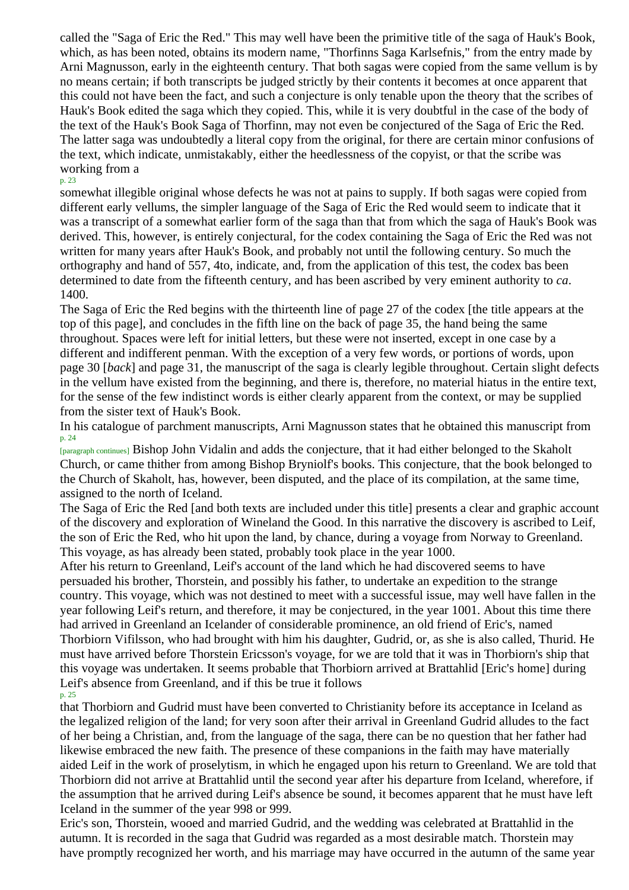called the "Saga of Eric the Red." This may well have been the primitive title of the saga of Hauk's Book, which, as has been noted, obtains its modern name, "Thorfinns Saga Karlsefnis," from the entry made by Arni Magnusson, early in the eighteenth century. That both sagas were copied from the same vellum is by no means certain; if both transcripts be judged strictly by their contents it becomes at once apparent that this could not have been the fact, and such a conjecture is only tenable upon the theory that the scribes of Hauk's Book edited the saga which they copied. This, while it is very doubtful in the case of the body of the text of the Hauk's Book Saga of Thorfinn, may not even be conjectured of the Saga of Eric the Red. The latter saga was undoubtedly a literal copy from the original, for there are certain minor confusions of the text, which indicate, unmistakably, either the heedlessness of the copyist, or that the scribe was working from a p. 23

somewhat illegible original whose defects he was not at pains to supply. If both sagas were copied from different early vellums, the simpler language of the Saga of Eric the Red would seem to indicate that it was a transcript of a somewhat earlier form of the saga than that from which the saga of Hauk's Book was derived. This, however, is entirely conjectural, for the codex containing the Saga of Eric the Red was not written for many years after Hauk's Book, and probably not until the following century. So much the orthography and hand of 557, 4to, indicate, and, from the application of this test, the codex bas been determined to date from the fifteenth century, and has been ascribed by very eminent authority to *ca*. 1400.

The Saga of Eric the Red begins with the thirteenth line of page 27 of the codex [the title appears at the top of this page], and concludes in the fifth line on the back of page 35, the hand being the same throughout. Spaces were left for initial letters, but these were not inserted, except in one case by a different and indifferent penman. With the exception of a very few words, or portions of words, upon page 30 [*back*] and page 31, the manuscript of the saga is clearly legible throughout. Certain slight defects in the vellum have existed from the beginning, and there is, therefore, no material hiatus in the entire text, for the sense of the few indistinct words is either clearly apparent from the context, or may be supplied from the sister text of Hauk's Book.

In his catalogue of parchment manuscripts, Arni Magnusson states that he obtained this manuscript from p. 24

[paragraph continues] Bishop John Vidalin and adds the conjecture, that it had either belonged to the Skaholt Church, or came thither from among Bishop Bryniolf's books. This conjecture, that the book belonged to the Church of Skaholt, has, however, been disputed, and the place of its compilation, at the same time, assigned to the north of Iceland.

The Saga of Eric the Red [and both texts are included under this title] presents a clear and graphic account of the discovery and exploration of Wineland the Good. In this narrative the discovery is ascribed to Leif, the son of Eric the Red, who hit upon the land, by chance, during a voyage from Norway to Greenland. This voyage, as has already been stated, probably took place in the year 1000.

After his return to Greenland, Leif's account of the land which he had discovered seems to have persuaded his brother, Thorstein, and possibly his father, to undertake an expedition to the strange country. This voyage, which was not destined to meet with a successful issue, may well have fallen in the year following Leif's return, and therefore, it may be conjectured, in the year 1001. About this time there had arrived in Greenland an Icelander of considerable prominence, an old friend of Eric's, named Thorbiorn Vifilsson, who had brought with him his daughter, Gudrid, or, as she is also called, Thurid. He must have arrived before Thorstein Ericsson's voyage, for we are told that it was in Thorbiorn's ship that this voyage was undertaken. It seems probable that Thorbiorn arrived at Brattahlid [Eric's home] during Leif's absence from Greenland, and if this be true it follows p. 25

that Thorbiorn and Gudrid must have been converted to Christianity before its acceptance in Iceland as the legalized religion of the land; for very soon after their arrival in Greenland Gudrid alludes to the fact of her being a Christian, and, from the language of the saga, there can be no question that her father had likewise embraced the new faith. The presence of these companions in the faith may have materially aided Leif in the work of proselytism, in which he engaged upon his return to Greenland. We are told that Thorbiorn did not arrive at Brattahlid until the second year after his departure from Iceland, wherefore, if the assumption that he arrived during Leif's absence be sound, it becomes apparent that he must have left Iceland in the summer of the year 998 or 999.

Eric's son, Thorstein, wooed and married Gudrid, and the wedding was celebrated at Brattahlid in the autumn. It is recorded in the saga that Gudrid was regarded as a most desirable match. Thorstein may have promptly recognized her worth, and his marriage may have occurred in the autumn of the same year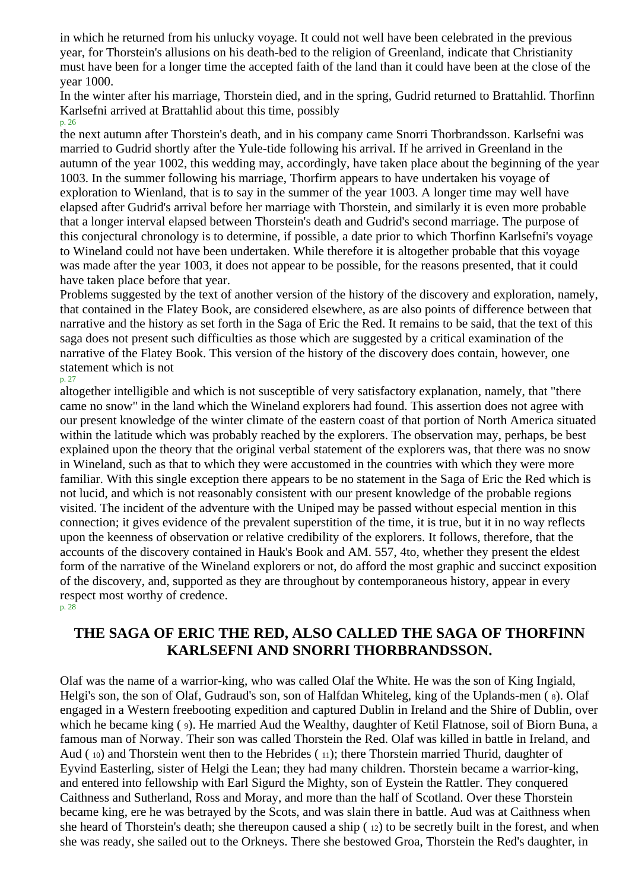in which he returned from his unlucky voyage. It could not well have been celebrated in the previous year, for Thorstein's allusions on his death-bed to the religion of Greenland, indicate that Christianity must have been for a longer time the accepted faith of the land than it could have been at the close of the year 1000.

In the winter after his marriage, Thorstein died, and in the spring, Gudrid returned to Brattahlid. Thorfinn Karlsefni arrived at Brattahlid about this time, possibly

p. 26

the next autumn after Thorstein's death, and in his company came Snorri Thorbrandsson. Karlsefni was married to Gudrid shortly after the Yule-tide following his arrival. If he arrived in Greenland in the autumn of the year 1002, this wedding may, accordingly, have taken place about the beginning of the year 1003. In the summer following his marriage, Thorfirm appears to have undertaken his voyage of exploration to Wienland, that is to say in the summer of the year 1003. A longer time may well have elapsed after Gudrid's arrival before her marriage with Thorstein, and similarly it is even more probable that a longer interval elapsed between Thorstein's death and Gudrid's second marriage. The purpose of this conjectural chronology is to determine, if possible, a date prior to which Thorfinn Karlsefni's voyage to Wineland could not have been undertaken. While therefore it is altogether probable that this voyage was made after the year 1003, it does not appear to be possible, for the reasons presented, that it could have taken place before that year.

Problems suggested by the text of another version of the history of the discovery and exploration, namely, that contained in the Flatey Book, are considered elsewhere, as are also points of difference between that narrative and the history as set forth in the Saga of Eric the Red. It remains to be said, that the text of this saga does not present such difficulties as those which are suggested by a critical examination of the narrative of the Flatey Book. This version of the history of the discovery does contain, however, one statement which is not

## p. 27

altogether intelligible and which is not susceptible of very satisfactory explanation, namely, that "there came no snow" in the land which the Wineland explorers had found. This assertion does not agree with our present knowledge of the winter climate of the eastern coast of that portion of North America situated within the latitude which was probably reached by the explorers. The observation may, perhaps, be best explained upon the theory that the original verbal statement of the explorers was, that there was no snow in Wineland, such as that to which they were accustomed in the countries with which they were more familiar. With this single exception there appears to be no statement in the Saga of Eric the Red which is not lucid, and which is not reasonably consistent with our present knowledge of the probable regions visited. The incident of the adventure with the Uniped may be passed without especial mention in this connection; it gives evidence of the prevalent superstition of the time, it is true, but it in no way reflects upon the keenness of observation or relative credibility of the explorers. It follows, therefore, that the accounts of the discovery contained in Hauk's Book and AM. 557, 4to, whether they present the eldest form of the narrative of the Wineland explorers or not, do afford the most graphic and succinct exposition of the discovery, and, supported as they are throughout by contemporaneous history, appear in every respect most worthy of credence. p. 28

## **THE SAGA OF ERIC THE RED, ALSO CALLED THE SAGA OF THORFINN KARLSEFNI AND SNORRI THORBRANDSSON.**

Olaf was the name of a warrior-king, who was called Olaf the White. He was the son of King Ingiald, Helgi's son, the son of Olaf, Gudraud's son, son of Halfdan Whiteleg, king of the Uplands-men ( <sup>8</sup>). Olaf engaged in a Western freebooting expedition and captured Dublin in Ireland and the Shire of Dublin, over which he became king ( <sup>9</sup>). He married Aud the Wealthy, daughter of Ketil Flatnose, soil of Biorn Buna, a famous man of Norway. Their son was called Thorstein the Red. Olaf was killed in battle in Ireland, and Aud ( <sup>10</sup>) and Thorstein went then to the Hebrides ( <sup>11</sup>); there Thorstein married Thurid, daughter of Eyvind Easterling, sister of Helgi the Lean; they had many children. Thorstein became a warrior-king, and entered into fellowship with Earl Sigurd the Mighty, son of Eystein the Rattler. They conquered Caithness and Sutherland, Ross and Moray, and more than the half of Scotland. Over these Thorstein became king, ere he was betrayed by the Scots, and was slain there in battle. Aud was at Caithness when she heard of Thorstein's death; she thereupon caused a ship ( <sup>12</sup>) to be secretly built in the forest, and when she was ready, she sailed out to the Orkneys. There she bestowed Groa, Thorstein the Red's daughter, in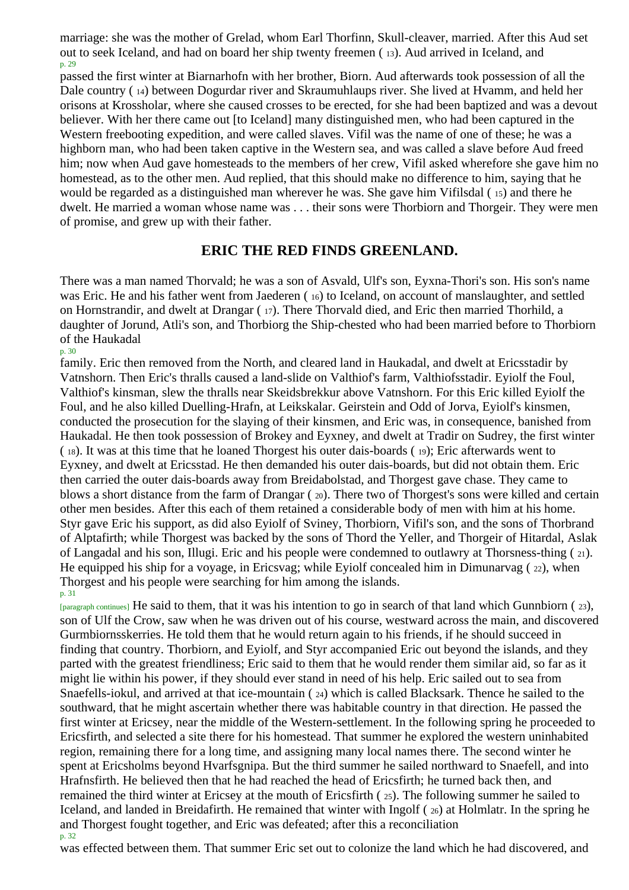marriage: she was the mother of Grelad, whom Earl Thorfinn, Skull-cleaver, married. After this Aud set out to seek Iceland, and had on board her ship twenty freemen ( <sup>13</sup>). Aud arrived in Iceland, and p. 29

passed the first winter at Biarnarhofn with her brother, Biorn. Aud afterwards took possession of all the Dale country ( <sup>14</sup>) between Dogurdar river and Skraumuhlaups river. She lived at Hvamm, and held her orisons at Krossholar, where she caused crosses to be erected, for she had been baptized and was a devout believer. With her there came out [to Iceland] many distinguished men, who had been captured in the Western freebooting expedition, and were called slaves. Vifil was the name of one of these; he was a highborn man, who had been taken captive in the Western sea, and was called a slave before Aud freed him; now when Aud gave homesteads to the members of her crew, Vifil asked wherefore she gave him no homestead, as to the other men. Aud replied, that this should make no difference to him, saying that he would be regarded as a distinguished man wherever he was. She gave him Vifilsdal ( <sup>15</sup>) and there he dwelt. He married a woman whose name was . . . their sons were Thorbiorn and Thorgeir. They were men of promise, and grew up with their father.

## **ERIC THE RED FINDS GREENLAND.**

There was a man named Thorvald; he was a son of Asvald, Ulf's son, Eyxna-Thori's son. His son's name was Eric. He and his father went from Jaederen ( <sup>16</sup>) to Iceland, on account of manslaughter, and settled on Hornstrandir, and dwelt at Drangar ( <sup>17</sup>). There Thorvald died, and Eric then married Thorhild, a daughter of Jorund, Atli's son, and Thorbiorg the Ship-chested who had been married before to Thorbiorn of the Haukadal p. 30

family. Eric then removed from the North, and cleared land in Haukadal, and dwelt at Ericsstadir by Vatnshorn. Then Eric's thralls caused a land-slide on Valthiof's farm, Valthiofsstadir. Eyiolf the Foul, Valthiof's kinsman, slew the thralls near Skeidsbrekkur above Vatnshorn. For this Eric killed Eyiolf the Foul, and he also killed Duelling-Hrafn, at Leikskalar. Geirstein and Odd of Jorva, Eyiolf's kinsmen, conducted the prosecution for the slaying of their kinsmen, and Eric was, in consequence, banished from Haukadal. He then took possession of Brokey and Eyxney, and dwelt at Tradir on Sudrey, the first winter ( <sup>18</sup>). It was at this time that he loaned Thorgest his outer dais-boards ( <sup>19</sup>); Eric afterwards went to Eyxney, and dwelt at Ericsstad. He then demanded his outer dais-boards, but did not obtain them. Eric then carried the outer dais-boards away from Breidabolstad, and Thorgest gave chase. They came to blows a short distance from the farm of Drangar ( <sup>20</sup>). There two of Thorgest's sons were killed and certain other men besides. After this each of them retained a considerable body of men with him at his home. Styr gave Eric his support, as did also Eyiolf of Sviney, Thorbiorn, Vifil's son, and the sons of Thorbrand of Alptafirth; while Thorgest was backed by the sons of Thord the Yeller, and Thorgeir of Hitardal, Aslak of Langadal and his son, Illugi. Eric and his people were condemned to outlawry at Thorsness-thing ( <sup>21</sup>). He equipped his ship for a voyage, in Ericsvag; while Eyiolf concealed him in Dimunarvag ( <sup>22</sup>), when Thorgest and his people were searching for him among the islands. p. 31

[paragraph continues] He said to them, that it was his intention to go in search of that land which Gunnbiorn ( <sup>23</sup>), son of Ulf the Crow, saw when he was driven out of his course, westward across the main, and discovered Gurmbiornsskerries. He told them that he would return again to his friends, if he should succeed in finding that country. Thorbiorn, and Eyiolf, and Styr accompanied Eric out beyond the islands, and they parted with the greatest friendliness; Eric said to them that he would render them similar aid, so far as it might lie within his power, if they should ever stand in need of his help. Eric sailed out to sea from Snaefells-iokul, and arrived at that ice-mountain ( <sup>24</sup>) which is called Blacksark. Thence he sailed to the southward, that he might ascertain whether there was habitable country in that direction. He passed the first winter at Ericsey, near the middle of the Western-settlement. In the following spring he proceeded to Ericsfirth, and selected a site there for his homestead. That summer he explored the western uninhabited region, remaining there for a long time, and assigning many local names there. The second winter he spent at Ericsholms beyond Hvarfsgnipa. But the third summer he sailed northward to Snaefell, and into Hrafnsfirth. He believed then that he had reached the head of Ericsfirth; he turned back then, and remained the third winter at Ericsey at the mouth of Ericsfirth ( <sup>25</sup>). The following summer he sailed to Iceland, and landed in Breidafirth. He remained that winter with Ingolf ( <sup>26</sup>) at Holmlatr. In the spring he and Thorgest fought together, and Eric was defeated; after this a reconciliation p. 32

was effected between them. That summer Eric set out to colonize the land which he had discovered, and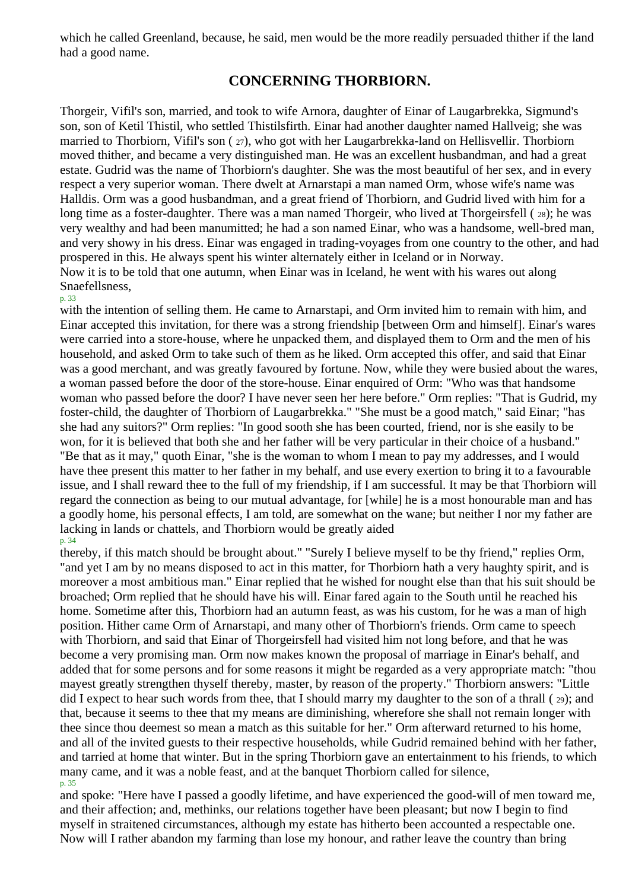which he called Greenland, because, he said, men would be the more readily persuaded thither if the land had a good name.

## **CONCERNING THORBIORN.**

Thorgeir, Vifil's son, married, and took to wife Arnora, daughter of Einar of Laugarbrekka, Sigmund's son, son of Ketil Thistil, who settled Thistilsfirth. Einar had another daughter named Hallveig; she was married to Thorbiorn, Vifil's son ( <sup>27</sup>), who got with her Laugarbrekka-land on Hellisvellir. Thorbiorn moved thither, and became a very distinguished man. He was an excellent husbandman, and had a great estate. Gudrid was the name of Thorbiorn's daughter. She was the most beautiful of her sex, and in every respect a very superior woman. There dwelt at Arnarstapi a man named Orm, whose wife's name was Halldis. Orm was a good husbandman, and a great friend of Thorbiorn, and Gudrid lived with him for a long time as a foster-daughter. There was a man named Thorgeir, who lived at Thorgeirsfell (28); he was very wealthy and had been manumitted; he had a son named Einar, who was a handsome, well-bred man, and very showy in his dress. Einar was engaged in trading-voyages from one country to the other, and had prospered in this. He always spent his winter alternately either in Iceland or in Norway. Now it is to be told that one autumn, when Einar was in Iceland, he went with his wares out along Snaefellsness,

### p. 33

with the intention of selling them. He came to Arnarstapi, and Orm invited him to remain with him, and Einar accepted this invitation, for there was a strong friendship [between Orm and himself]. Einar's wares were carried into a store-house, where he unpacked them, and displayed them to Orm and the men of his household, and asked Orm to take such of them as he liked. Orm accepted this offer, and said that Einar was a good merchant, and was greatly favoured by fortune. Now, while they were busied about the wares, a woman passed before the door of the store-house. Einar enquired of Orm: "Who was that handsome woman who passed before the door? I have never seen her here before." Orm replies: "That is Gudrid, my foster-child, the daughter of Thorbiorn of Laugarbrekka." "She must be a good match," said Einar; "has she had any suitors?" Orm replies: "In good sooth she has been courted, friend, nor is she easily to be won, for it is believed that both she and her father will be very particular in their choice of a husband." "Be that as it may," quoth Einar, "she is the woman to whom I mean to pay my addresses, and I would have thee present this matter to her father in my behalf, and use every exertion to bring it to a favourable issue, and I shall reward thee to the full of my friendship, if I am successful. It may be that Thorbiorn will regard the connection as being to our mutual advantage, for [while] he is a most honourable man and has a goodly home, his personal effects, I am told, are somewhat on the wane; but neither I nor my father are lacking in lands or chattels, and Thorbiorn would be greatly aided p. 34

thereby, if this match should be brought about." "Surely I believe myself to be thy friend," replies Orm, "and yet I am by no means disposed to act in this matter, for Thorbiorn hath a very haughty spirit, and is moreover a most ambitious man." Einar replied that he wished for nought else than that his suit should be broached; Orm replied that he should have his will. Einar fared again to the South until he reached his home. Sometime after this, Thorbiorn had an autumn feast, as was his custom, for he was a man of high position. Hither came Orm of Arnarstapi, and many other of Thorbiorn's friends. Orm came to speech with Thorbiorn, and said that Einar of Thorgeirsfell had visited him not long before, and that he was become a very promising man. Orm now makes known the proposal of marriage in Einar's behalf, and added that for some persons and for some reasons it might be regarded as a very appropriate match: "thou mayest greatly strengthen thyself thereby, master, by reason of the property." Thorbiorn answers: "Little did I expect to hear such words from thee, that I should marry my daughter to the son of a thrall ( <sup>29</sup>); and that, because it seems to thee that my means are diminishing, wherefore she shall not remain longer with thee since thou deemest so mean a match as this suitable for her." Orm afterward returned to his home, and all of the invited guests to their respective households, while Gudrid remained behind with her father, and tarried at home that winter. But in the spring Thorbiorn gave an entertainment to his friends, to which many came, and it was a noble feast, and at the banquet Thorbiorn called for silence, p. 35

and spoke: "Here have I passed a goodly lifetime, and have experienced the good-will of men toward me, and their affection; and, methinks, our relations together have been pleasant; but now I begin to find myself in straitened circumstances, although my estate has hitherto been accounted a respectable one. Now will I rather abandon my farming than lose my honour, and rather leave the country than bring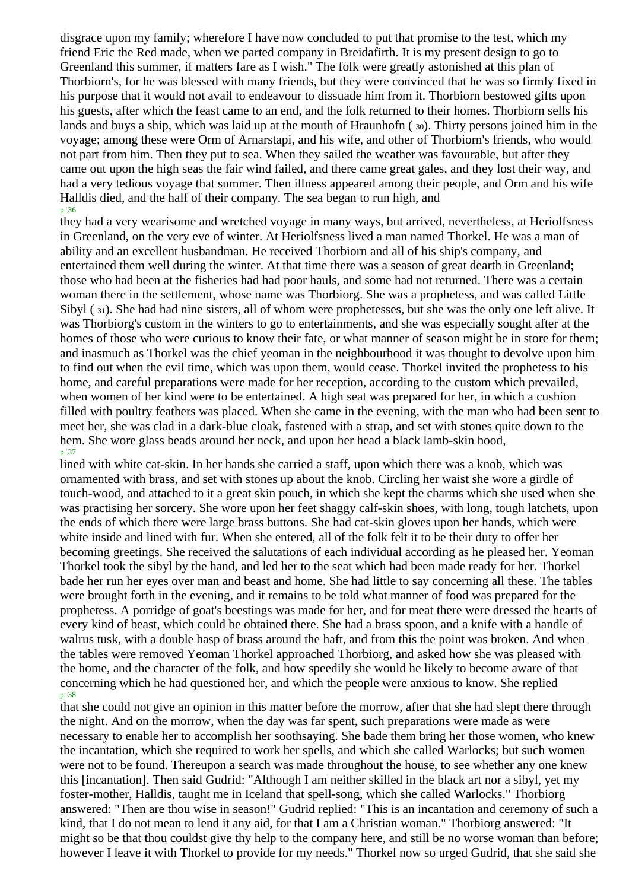disgrace upon my family; wherefore I have now concluded to put that promise to the test, which my friend Eric the Red made, when we parted company in Breidafirth. It is my present design to go to Greenland this summer, if matters fare as I wish." The folk were greatly astonished at this plan of Thorbiorn's, for he was blessed with many friends, but they were convinced that he was so firmly fixed in his purpose that it would not avail to endeavour to dissuade him from it. Thorbiorn bestowed gifts upon his guests, after which the feast came to an end, and the folk returned to their homes. Thorbiorn sells his lands and buys a ship, which was laid up at the mouth of Hraunhofn ( <sup>30</sup>). Thirty persons joined him in the voyage; among these were Orm of Arnarstapi, and his wife, and other of Thorbiorn's friends, who would not part from him. Then they put to sea. When they sailed the weather was favourable, but after they came out upon the high seas the fair wind failed, and there came great gales, and they lost their way, and had a very tedious voyage that summer. Then illness appeared among their people, and Orm and his wife Halldis died, and the half of their company. The sea began to run high, and p. 36

they had a very wearisome and wretched voyage in many ways, but arrived, nevertheless, at Heriolfsness in Greenland, on the very eve of winter. At Heriolfsness lived a man named Thorkel. He was a man of ability and an excellent husbandman. He received Thorbiorn and all of his ship's company, and entertained them well during the winter. At that time there was a season of great dearth in Greenland; those who had been at the fisheries had had poor hauls, and some had not returned. There was a certain woman there in the settlement, whose name was Thorbiorg. She was a prophetess, and was called Little Sibyl ( <sup>31</sup>). She had had nine sisters, all of whom were prophetesses, but she was the only one left alive. It was Thorbiorg's custom in the winters to go to entertainments, and she was especially sought after at the homes of those who were curious to know their fate, or what manner of season might be in store for them; and inasmuch as Thorkel was the chief yeoman in the neighbourhood it was thought to devolve upon him to find out when the evil time, which was upon them, would cease. Thorkel invited the prophetess to his home, and careful preparations were made for her reception, according to the custom which prevailed, when women of her kind were to be entertained. A high seat was prepared for her, in which a cushion filled with poultry feathers was placed. When she came in the evening, with the man who had been sent to meet her, she was clad in a dark-blue cloak, fastened with a strap, and set with stones quite down to the hem. She wore glass beads around her neck, and upon her head a black lamb-skin hood, p. 37

lined with white cat-skin. In her hands she carried a staff, upon which there was a knob, which was ornamented with brass, and set with stones up about the knob. Circling her waist she wore a girdle of touch-wood, and attached to it a great skin pouch, in which she kept the charms which she used when she was practising her sorcery. She wore upon her feet shaggy calf-skin shoes, with long, tough latchets, upon the ends of which there were large brass buttons. She had cat-skin gloves upon her hands, which were white inside and lined with fur. When she entered, all of the folk felt it to be their duty to offer her becoming greetings. She received the salutations of each individual according as he pleased her. Yeoman Thorkel took the sibyl by the hand, and led her to the seat which had been made ready for her. Thorkel bade her run her eyes over man and beast and home. She had little to say concerning all these. The tables were brought forth in the evening, and it remains to be told what manner of food was prepared for the prophetess. A porridge of goat's beestings was made for her, and for meat there were dressed the hearts of every kind of beast, which could be obtained there. She had a brass spoon, and a knife with a handle of walrus tusk, with a double hasp of brass around the haft, and from this the point was broken. And when the tables were removed Yeoman Thorkel approached Thorbiorg, and asked how she was pleased with the home, and the character of the folk, and how speedily she would he likely to become aware of that concerning which he had questioned her, and which the people were anxious to know. She replied p. 38

that she could not give an opinion in this matter before the morrow, after that she had slept there through the night. And on the morrow, when the day was far spent, such preparations were made as were necessary to enable her to accomplish her soothsaying. She bade them bring her those women, who knew the incantation, which she required to work her spells, and which she called Warlocks; but such women were not to be found. Thereupon a search was made throughout the house, to see whether any one knew this [incantation]. Then said Gudrid: "Although I am neither skilled in the black art nor a sibyl, yet my foster-mother, Halldis, taught me in Iceland that spell-song, which she called Warlocks." Thorbiorg answered: "Then are thou wise in season!" Gudrid replied: "This is an incantation and ceremony of such a kind, that I do not mean to lend it any aid, for that I am a Christian woman." Thorbiorg answered: "It might so be that thou couldst give thy help to the company here, and still be no worse woman than before; however I leave it with Thorkel to provide for my needs." Thorkel now so urged Gudrid, that she said she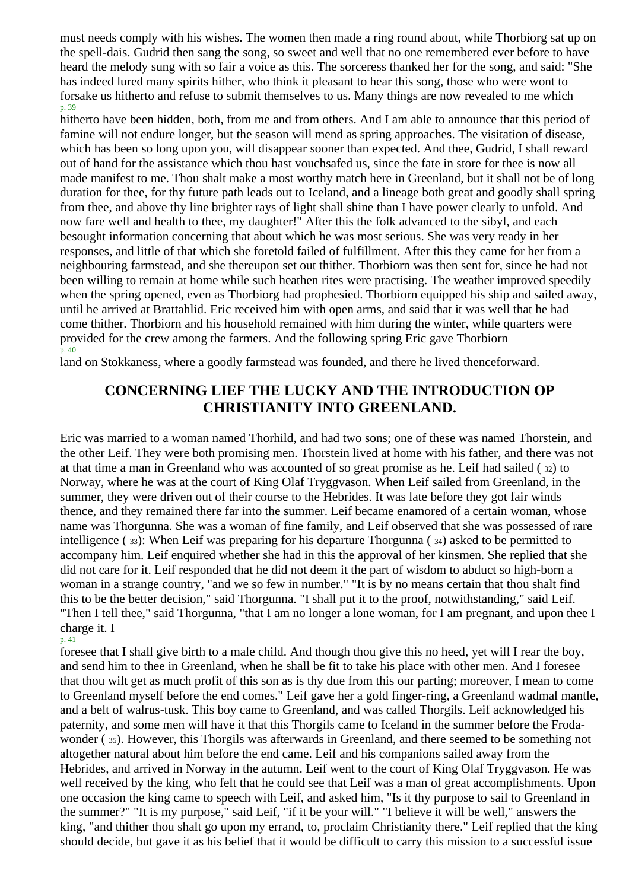must needs comply with his wishes. The women then made a ring round about, while Thorbiorg sat up on the spell-dais. Gudrid then sang the song, so sweet and well that no one remembered ever before to have heard the melody sung with so fair a voice as this. The sorceress thanked her for the song, and said: "She has indeed lured many spirits hither, who think it pleasant to hear this song, those who were wont to forsake us hitherto and refuse to submit themselves to us. Many things are now revealed to me which p. 39

hitherto have been hidden, both, from me and from others. And I am able to announce that this period of famine will not endure longer, but the season will mend as spring approaches. The visitation of disease, which has been so long upon you, will disappear sooner than expected. And thee, Gudrid, I shall reward out of hand for the assistance which thou hast vouchsafed us, since the fate in store for thee is now all made manifest to me. Thou shalt make a most worthy match here in Greenland, but it shall not be of long duration for thee, for thy future path leads out to Iceland, and a lineage both great and goodly shall spring from thee, and above thy line brighter rays of light shall shine than I have power clearly to unfold. And now fare well and health to thee, my daughter!" After this the folk advanced to the sibyl, and each besought information concerning that about which he was most serious. She was very ready in her responses, and little of that which she foretold failed of fulfillment. After this they came for her from a neighbouring farmstead, and she thereupon set out thither. Thorbiorn was then sent for, since he had not been willing to remain at home while such heathen rites were practising. The weather improved speedily when the spring opened, even as Thorbiorg had prophesied. Thorbiorn equipped his ship and sailed away, until he arrived at Brattahlid. Eric received him with open arms, and said that it was well that he had come thither. Thorbiorn and his household remained with him during the winter, while quarters were provided for the crew among the farmers. And the following spring Eric gave Thorbiorn p. 40

land on Stokkaness, where a goodly farmstead was founded, and there he lived thenceforward.

## **CONCERNING LIEF THE LUCKY AND THE INTRODUCTION OP CHRISTIANITY INTO GREENLAND.**

Eric was married to a woman named Thorhild, and had two sons; one of these was named Thorstein, and the other Leif. They were both promising men. Thorstein lived at home with his father, and there was not at that time a man in Greenland who was accounted of so great promise as he. Leif had sailed ( <sup>32</sup>) to Norway, where he was at the court of King Olaf Tryggvason. When Leif sailed from Greenland, in the summer, they were driven out of their course to the Hebrides. It was late before they got fair winds thence, and they remained there far into the summer. Leif became enamored of a certain woman, whose name was Thorgunna. She was a woman of fine family, and Leif observed that she was possessed of rare intelligence ( <sup>33</sup>): When Leif was preparing for his departure Thorgunna ( <sup>34</sup>) asked to be permitted to accompany him. Leif enquired whether she had in this the approval of her kinsmen. She replied that she did not care for it. Leif responded that he did not deem it the part of wisdom to abduct so high-born a woman in a strange country, "and we so few in number." "It is by no means certain that thou shalt find this to be the better decision," said Thorgunna. "I shall put it to the proof, notwithstanding," said Leif. "Then I tell thee," said Thorgunna, "that I am no longer a lone woman, for I am pregnant, and upon thee I charge it. I p. 41

foresee that I shall give birth to a male child. And though thou give this no heed, yet will I rear the boy, and send him to thee in Greenland, when he shall be fit to take his place with other men. And I foresee that thou wilt get as much profit of this son as is thy due from this our parting; moreover, I mean to come to Greenland myself before the end comes." Leif gave her a gold finger-ring, a Greenland wadmal mantle, and a belt of walrus-tusk. This boy came to Greenland, and was called Thorgils. Leif acknowledged his paternity, and some men will have it that this Thorgils came to Iceland in the summer before the Frodawonder ( <sup>35</sup>). However, this Thorgils was afterwards in Greenland, and there seemed to be something not altogether natural about him before the end came. Leif and his companions sailed away from the Hebrides, and arrived in Norway in the autumn. Leif went to the court of King Olaf Tryggvason. He was well received by the king, who felt that he could see that Leif was a man of great accomplishments. Upon one occasion the king came to speech with Leif, and asked him, "Is it thy purpose to sail to Greenland in the summer?" "It is my purpose," said Leif, "if it be your will." "I believe it will be well," answers the king, "and thither thou shalt go upon my errand, to, proclaim Christianity there." Leif replied that the king should decide, but gave it as his belief that it would be difficult to carry this mission to a successful issue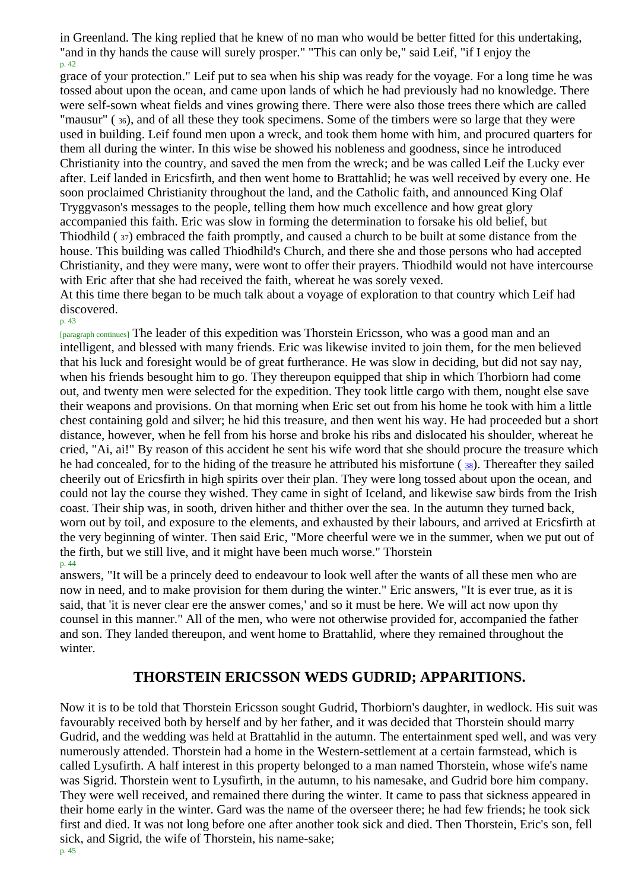in Greenland. The king replied that he knew of no man who would be better fitted for this undertaking, "and in thy hands the cause will surely prosper." "This can only be," said Leif, "if I enjoy the p. 42

grace of your protection." Leif put to sea when his ship was ready for the voyage. For a long time he was tossed about upon the ocean, and came upon lands of which he had previously had no knowledge. There were self-sown wheat fields and vines growing there. There were also those trees there which are called "mausur" ( <sup>36</sup>), and of all these they took specimens. Some of the timbers were so large that they were used in building. Leif found men upon a wreck, and took them home with him, and procured quarters for them all during the winter. In this wise be showed his nobleness and goodness, since he introduced Christianity into the country, and saved the men from the wreck; and be was called Leif the Lucky ever after. Leif landed in Ericsfirth, and then went home to Brattahlid; he was well received by every one. He soon proclaimed Christianity throughout the land, and the Catholic faith, and announced King Olaf Tryggvason's messages to the people, telling them how much excellence and how great glory accompanied this faith. Eric was slow in forming the determination to forsake his old belief, but Thiodhild ( <sup>37</sup>) embraced the faith promptly, and caused a church to be built at some distance from the house. This building was called Thiodhild's Church, and there she and those persons who had accepted Christianity, and they were many, were wont to offer their prayers. Thiodhild would not have intercourse with Eric after that she had received the faith, whereat he was sorely vexed.

At this time there began to be much talk about a voyage of exploration to that country which Leif had discovered. p. 43

[paragraph continues] The leader of this expedition was Thorstein Ericsson, who was a good man and an intelligent, and blessed with many friends. Eric was likewise invited to join them, for the men believed that his luck and foresight would be of great furtherance. He was slow in deciding, but did not say nay, when his friends besought him to go. They thereupon equipped that ship in which Thorbiorn had come out, and twenty men were selected for the expedition. They took little cargo with them, nought else save their weapons and provisions. On that morning when Eric set out from his home he took with him a little chest containing gold and silver; he hid this treasure, and then went his way. He had proceeded but a short distance, however, when he fell from his horse and broke his ribs and dislocated his shoulder, whereat he cried, "Ai, ai!" By reason of this accident he sent his wife word that she should procure the treasure which he had concealed, for to the hiding of the treasure he attributed his misfortune ([38](http://www.sacred-texts.com/neu/nda/nda12.htm#xref_38)). Thereafter they sailed cheerily out of Ericsfirth in high spirits over their plan. They were long tossed about upon the ocean, and could not lay the course they wished. They came in sight of Iceland, and likewise saw birds from the Irish coast. Their ship was, in sooth, driven hither and thither over the sea. In the autumn they turned back, worn out by toil, and exposure to the elements, and exhausted by their labours, and arrived at Ericsfirth at the very beginning of winter. Then said Eric, "More cheerful were we in the summer, when we put out of the firth, but we still live, and it might have been much worse." Thorstein p. 44

answers, "It will be a princely deed to endeavour to look well after the wants of all these men who are now in need, and to make provision for them during the winter." Eric answers, "It is ever true, as it is said, that 'it is never clear ere the answer comes,' and so it must be here. We will act now upon thy counsel in this manner." All of the men, who were not otherwise provided for, accompanied the father and son. They landed thereupon, and went home to Brattahlid, where they remained throughout the winter.

## **THORSTEIN ERICSSON WEDS GUDRID; APPARITIONS.**

Now it is to be told that Thorstein Ericsson sought Gudrid, Thorbiorn's daughter, in wedlock. His suit was favourably received both by herself and by her father, and it was decided that Thorstein should marry Gudrid, and the wedding was held at Brattahlid in the autumn. The entertainment sped well, and was very numerously attended. Thorstein had a home in the Western-settlement at a certain farmstead, which is called Lysufirth. A half interest in this property belonged to a man named Thorstein, whose wife's name was Sigrid. Thorstein went to Lysufirth, in the autumn, to his namesake, and Gudrid bore him company. They were well received, and remained there during the winter. It came to pass that sickness appeared in their home early in the winter. Gard was the name of the overseer there; he had few friends; he took sick first and died. It was not long before one after another took sick and died. Then Thorstein, Eric's son, fell sick, and Sigrid, the wife of Thorstein, his name-sake; p. 45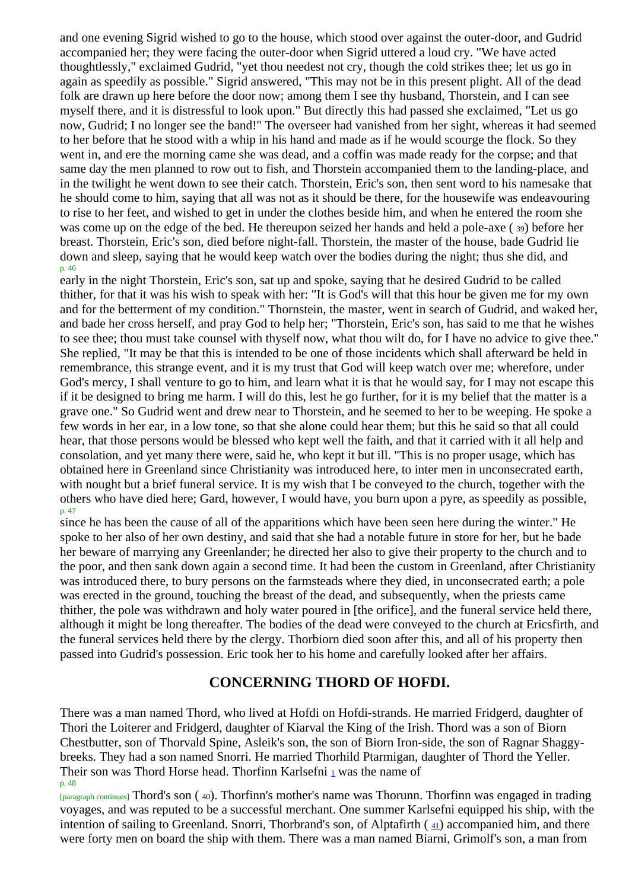and one evening Sigrid wished to go to the house, which stood over against the outer-door, and Gudrid accompanied her; they were facing the outer-door when Sigrid uttered a loud cry. "We have acted thoughtlessly," exclaimed Gudrid, "yet thou needest not cry, though the cold strikes thee; let us go in again as speedily as possible." Sigrid answered, "This may not be in this present plight. All of the dead folk are drawn up here before the door now; among them I see thy husband, Thorstein, and I can see myself there, and it is distressful to look upon." But directly this had passed she exclaimed, "Let us go now, Gudrid; I no longer see the band!" The overseer had vanished from her sight, whereas it had seemed to her before that he stood with a whip in his hand and made as if he would scourge the flock. So they went in, and ere the morning came she was dead, and a coffin was made ready for the corpse; and that same day the men planned to row out to fish, and Thorstein accompanied them to the landing-place, and in the twilight he went down to see their catch. Thorstein, Eric's son, then sent word to his namesake that he should come to him, saying that all was not as it should be there, for the housewife was endeavouring to rise to her feet, and wished to get in under the clothes beside him, and when he entered the room she was come up on the edge of the bed. He thereupon seized her hands and held a pole-axe ( <sup>39</sup>) before her breast. Thorstein, Eric's son, died before night-fall. Thorstein, the master of the house, bade Gudrid lie down and sleep, saying that he would keep watch over the bodies during the night; thus she did, and p. 46

early in the night Thorstein, Eric's son, sat up and spoke, saying that he desired Gudrid to be called thither, for that it was his wish to speak with her: "It is God's will that this hour be given me for my own and for the betterment of my condition." Thornstein, the master, went in search of Gudrid, and waked her, and bade her cross herself, and pray God to help her; "Thorstein, Eric's son, has said to me that he wishes to see thee; thou must take counsel with thyself now, what thou wilt do, for I have no advice to give thee." She replied, "It may be that this is intended to be one of those incidents which shall afterward be held in remembrance, this strange event, and it is my trust that God will keep watch over me; wherefore, under God's mercy, I shall venture to go to him, and learn what it is that he would say, for I may not escape this if it be designed to bring me harm. I will do this, lest he go further, for it is my belief that the matter is a grave one." So Gudrid went and drew near to Thorstein, and he seemed to her to be weeping. He spoke a few words in her ear, in a low tone, so that she alone could hear them; but this he said so that all could hear, that those persons would be blessed who kept well the faith, and that it carried with it all help and consolation, and yet many there were, said he, who kept it but ill. "This is no proper usage, which has obtained here in Greenland since Christianity was introduced here, to inter men in unconsecrated earth, with nought but a brief funeral service. It is my wish that I be conveyed to the church, together with the others who have died here; Gard, however, I would have, you burn upon a pyre, as speedily as possible, p. 47

since he has been the cause of all of the apparitions which have been seen here during the winter." He spoke to her also of her own destiny, and said that she had a notable future in store for her, but he bade her beware of marrying any Greenlander; he directed her also to give their property to the church and to the poor, and then sank down again a second time. It had been the custom in Greenland, after Christianity was introduced there, to bury persons on the farmsteads where they died, in unconsecrated earth; a pole was erected in the ground, touching the breast of the dead, and subsequently, when the priests came thither, the pole was withdrawn and holy water poured in [the orifice], and the funeral service held there, although it might be long thereafter. The bodies of the dead were conveyed to the church at Ericsfirth, and the funeral services held there by the clergy. Thorbiorn died soon after this, and all of his property then passed into Gudrid's possession. Eric took her to his home and carefully looked after her affairs.

## **CONCERNING THORD OF HOFDI.**

There was a man named Thord, who lived at Hofdi on Hofdi-strands. He married Fridgerd, daughter of Thori the Loiterer and Fridgerd, daughter of Kiarval the King of the Irish. Thord was a son of Biorn Chestbutter, son of Thorvald Spine, Asleik's son, the son of Biorn Iron-side, the son of Ragnar Shaggybreeks. They had a son named Snorri. He married Thorhild Ptarmigan, daughter of Thord the Yeller. Their son was Thord Horse head. Thorfinn Karlsefni [1](http://www.sacred-texts.com/neu/nda/#fn_0) was the name of p. 48

[paragraph continues] Thord's son ( <sup>40</sup>). Thorfinn's mother's name was Thorunn. Thorfinn was engaged in trading voyages, and was reputed to be a successful merchant. One summer Karlsefni equipped his ship, with the intention of sailing to Greenland. Snorri, Thorbrand's son, of Alptafirth  $(41)$  $(41)$  $(41)$  accompanied him, and there were forty men on board the ship with them. There was a man named Biarni, Grimolf's son, a man from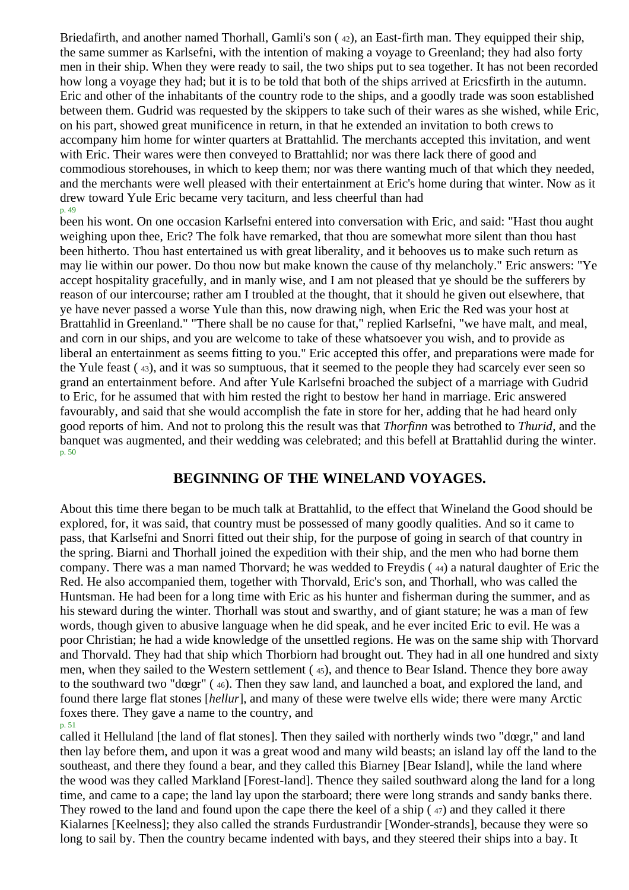Briedafirth, and another named Thorhall, Gamli's son  $(42)$ , an East-firth man. They equipped their ship, the same summer as Karlsefni, with the intention of making a voyage to Greenland; they had also forty men in their ship. When they were ready to sail, the two ships put to sea together. It has not been recorded how long a voyage they had; but it is to be told that both of the ships arrived at Ericsfirth in the autumn. Eric and other of the inhabitants of the country rode to the ships, and a goodly trade was soon established between them. Gudrid was requested by the skippers to take such of their wares as she wished, while Eric, on his part, showed great munificence in return, in that he extended an invitation to both crews to accompany him home for winter quarters at Brattahlid. The merchants accepted this invitation, and went with Eric. Their wares were then conveyed to Brattahlid; nor was there lack there of good and commodious storehouses, in which to keep them; nor was there wanting much of that which they needed, and the merchants were well pleased with their entertainment at Eric's home during that winter. Now as it drew toward Yule Eric became very taciturn, and less cheerful than had p. 49

been his wont. On one occasion Karlsefni entered into conversation with Eric, and said: "Hast thou aught weighing upon thee, Eric? The folk have remarked, that thou are somewhat more silent than thou hast been hitherto. Thou hast entertained us with great liberality, and it behooves us to make such return as may lie within our power. Do thou now but make known the cause of thy melancholy." Eric answers: "Ye accept hospitality gracefully, and in manly wise, and I am not pleased that ye should be the sufferers by reason of our intercourse; rather am I troubled at the thought, that it should he given out elsewhere, that ye have never passed a worse Yule than this, now drawing nigh, when Eric the Red was your host at Brattahlid in Greenland." "There shall be no cause for that," replied Karlsefni, "we have malt, and meal, and corn in our ships, and you are welcome to take of these whatsoever you wish, and to provide as liberal an entertainment as seems fitting to you." Eric accepted this offer, and preparations were made for the Yule feast ( <sup>43</sup>), and it was so sumptuous, that it seemed to the people they had scarcely ever seen so grand an entertainment before. And after Yule Karlsefni broached the subject of a marriage with Gudrid to Eric, for he assumed that with him rested the right to bestow her hand in marriage. Eric answered favourably, and said that she would accomplish the fate in store for her, adding that he had heard only good reports of him. And not to prolong this the result was that *Thorfinn* was betrothed to *Thurid*, and the banquet was augmented, and their wedding was celebrated; and this befell at Brattahlid during the winter. p. 50

### **BEGINNING OF THE WINELAND VOYAGES.**

About this time there began to be much talk at Brattahlid, to the effect that Wineland the Good should be explored, for, it was said, that country must be possessed of many goodly qualities. And so it came to pass, that Karlsefni and Snorri fitted out their ship, for the purpose of going in search of that country in the spring. Biarni and Thorhall joined the expedition with their ship, and the men who had borne them company. There was a man named Thorvard; he was wedded to Freydis ( <sup>44</sup>) a natural daughter of Eric the Red. He also accompanied them, together with Thorvald, Eric's son, and Thorhall, who was called the Huntsman. He had been for a long time with Eric as his hunter and fisherman during the summer, and as his steward during the winter. Thorhall was stout and swarthy, and of giant stature; he was a man of few words, though given to abusive language when he did speak, and he ever incited Eric to evil. He was a poor Christian; he had a wide knowledge of the unsettled regions. He was on the same ship with Thorvard and Thorvald. They had that ship which Thorbiorn had brought out. They had in all one hundred and sixty men, when they sailed to the Western settlement ( <sup>45</sup>), and thence to Bear Island. Thence they bore away to the southward two "dœgr" ( <sup>46</sup>). Then they saw land, and launched a boat, and explored the land, and found there large flat stones [*hellur*], and many of these were twelve ells wide; there were many Arctic foxes there. They gave a name to the country, and p. 51

called it Helluland [the land of flat stones]. Then they sailed with northerly winds two "dœgr," and land then lay before them, and upon it was a great wood and many wild beasts; an island lay off the land to the southeast, and there they found a bear, and they called this Biarney [Bear Island], while the land where the wood was they called Markland [Forest-land]. Thence they sailed southward along the land for a long time, and came to a cape; the land lay upon the starboard; there were long strands and sandy banks there. They rowed to the land and found upon the cape there the keel of a ship  $(47)$  and they called it there Kialarnes [Keelness]; they also called the strands Furdustrandir [Wonder-strands], because they were so long to sail by. Then the country became indented with bays, and they steered their ships into a bay. It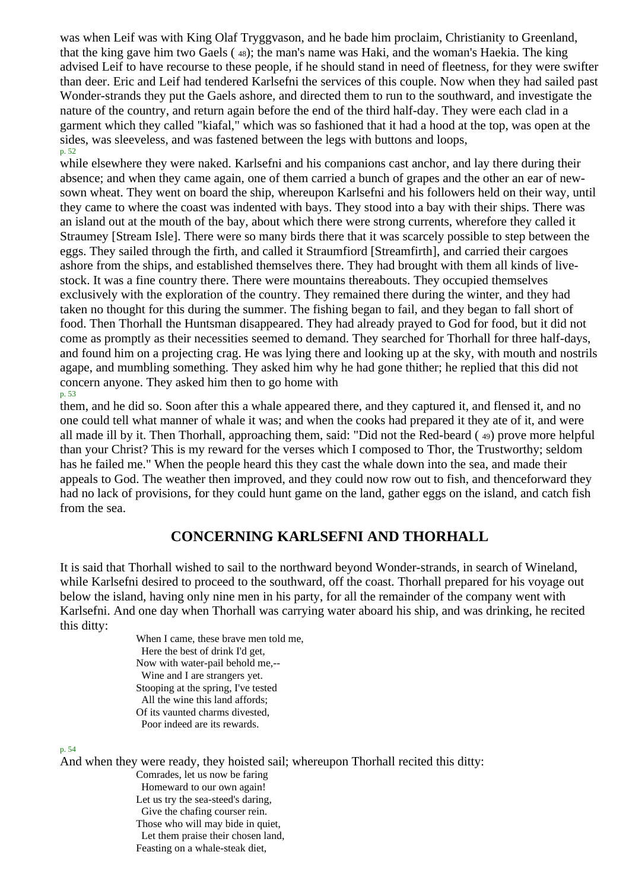was when Leif was with King Olaf Tryggvason, and he bade him proclaim, Christianity to Greenland, that the king gave him two Gaels ( <sup>48</sup>); the man's name was Haki, and the woman's Haekia. The king advised Leif to have recourse to these people, if he should stand in need of fleetness, for they were swifter than deer. Eric and Leif had tendered Karlsefni the services of this couple. Now when they had sailed past Wonder-strands they put the Gaels ashore, and directed them to run to the southward, and investigate the nature of the country, and return again before the end of the third half-day. They were each clad in a garment which they called "kiafal," which was so fashioned that it had a hood at the top, was open at the sides, was sleeveless, and was fastened between the legs with buttons and loops, p. 52

while elsewhere they were naked. Karlsefni and his companions cast anchor, and lay there during their absence; and when they came again, one of them carried a bunch of grapes and the other an ear of newsown wheat. They went on board the ship, whereupon Karlsefni and his followers held on their way, until they came to where the coast was indented with bays. They stood into a bay with their ships. There was an island out at the mouth of the bay, about which there were strong currents, wherefore they called it Straumey [Stream Isle]. There were so many birds there that it was scarcely possible to step between the eggs. They sailed through the firth, and called it Straumfiord [Streamfirth], and carried their cargoes ashore from the ships, and established themselves there. They had brought with them all kinds of livestock. It was a fine country there. There were mountains thereabouts. They occupied themselves exclusively with the exploration of the country. They remained there during the winter, and they had taken no thought for this during the summer. The fishing began to fail, and they began to fall short of food. Then Thorhall the Huntsman disappeared. They had already prayed to God for food, but it did not come as promptly as their necessities seemed to demand. They searched for Thorhall for three half-days, and found him on a projecting crag. He was lying there and looking up at the sky, with mouth and nostrils agape, and mumbling something. They asked him why he had gone thither; he replied that this did not concern anyone. They asked him then to go home with p. 53

them, and he did so. Soon after this a whale appeared there, and they captured it, and flensed it, and no one could tell what manner of whale it was; and when the cooks had prepared it they ate of it, and were all made ill by it. Then Thorhall, approaching them, said: "Did not the Red-beard ( <sup>49</sup>) prove more helpful than your Christ? This is my reward for the verses which I composed to Thor, the Trustworthy; seldom has he failed me." When the people heard this they cast the whale down into the sea, and made their appeals to God. The weather then improved, and they could now row out to fish, and thenceforward they had no lack of provisions, for they could hunt game on the land, gather eggs on the island, and catch fish from the sea.

## **CONCERNING KARLSEFNI AND THORHALL**

It is said that Thorhall wished to sail to the northward beyond Wonder-strands, in search of Wineland, while Karlsefni desired to proceed to the southward, off the coast. Thorhall prepared for his voyage out below the island, having only nine men in his party, for all the remainder of the company went with Karlsefni. And one day when Thorhall was carrying water aboard his ship, and was drinking, he recited this ditty:

> When I came, these brave men told me, Here the best of drink I'd get, Now with water-pail behold me,-- Wine and I are strangers yet. Stooping at the spring, I've tested All the wine this land affords; Of its vaunted charms divested, Poor indeed are its rewards.

#### p. 54

And when they were ready, they hoisted sail; whereupon Thorhall recited this ditty:

Comrades, let us now be faring

Homeward to our own again!

Let us try the sea-steed's daring,

Give the chafing courser rein.

Those who will may bide in quiet,

Let them praise their chosen land,

Feasting on a whale-steak diet,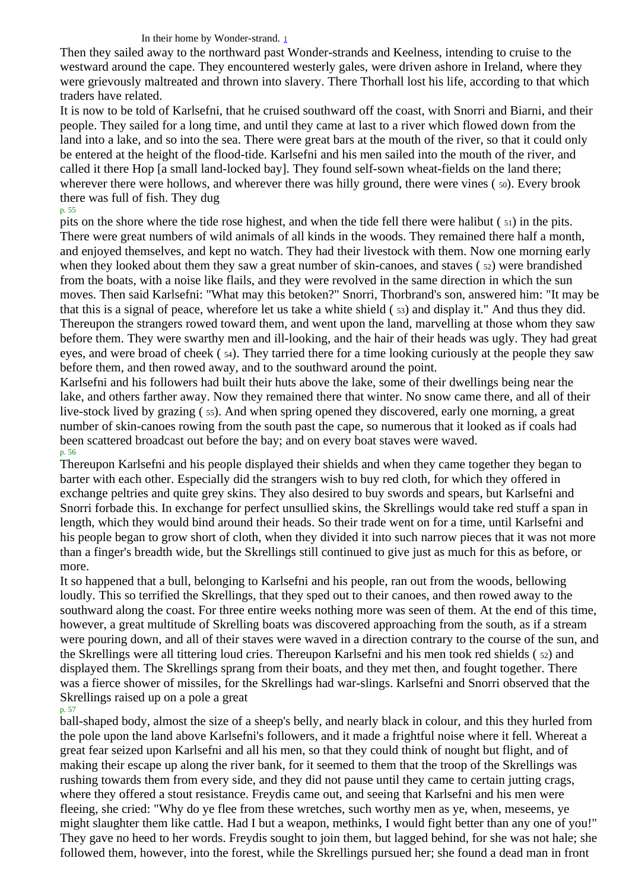Then they sailed away to the northward past Wonder-strands and Keelness, intending to cruise to the westward around the cape. They encountered westerly gales, were driven ashore in Ireland, where they were grievously maltreated and thrown into slavery. There Thorhall lost his life, according to that which traders have related.

It is now to be told of Karlsefni, that he cruised southward off the coast, with Snorri and Biarni, and their people. They sailed for a long time, and until they came at last to a river which flowed down from the land into a lake, and so into the sea. There were great bars at the mouth of the river, so that it could only be entered at the height of the flood-tide. Karlsefni and his men sailed into the mouth of the river, and called it there Hop [a small land-locked bay]. They found self-sown wheat-fields on the land there; wherever there were hollows, and wherever there was hilly ground, there were vines (50). Every brook there was full of fish. They dug p. 55

pits on the shore where the tide rose highest, and when the tide fell there were halibut ( <sup>51</sup>) in the pits. There were great numbers of wild animals of all kinds in the woods. They remained there half a month, and enjoyed themselves, and kept no watch. They had their livestock with them. Now one morning early when they looked about them they saw a great number of skin-canoes, and staves (52) were brandished from the boats, with a noise like flails, and they were revolved in the same direction in which the sun moves. Then said Karlsefni: "What may this betoken?" Snorri, Thorbrand's son, answered him: "It may be that this is a signal of peace, wherefore let us take a white shield ( <sup>53</sup>) and display it." And thus they did. Thereupon the strangers rowed toward them, and went upon the land, marvelling at those whom they saw before them. They were swarthy men and ill-looking, and the hair of their heads was ugly. They had great eyes, and were broad of cheek ( <sup>54</sup>). They tarried there for a time looking curiously at the people they saw before them, and then rowed away, and to the southward around the point.

Karlsefni and his followers had built their huts above the lake, some of their dwellings being near the lake, and others farther away. Now they remained there that winter. No snow came there, and all of their live-stock lived by grazing ( <sup>55</sup>). And when spring opened they discovered, early one morning, a great number of skin-canoes rowing from the south past the cape, so numerous that it looked as if coals had been scattered broadcast out before the bay; and on every boat staves were waved. p. 56

Thereupon Karlsefni and his people displayed their shields and when they came together they began to barter with each other. Especially did the strangers wish to buy red cloth, for which they offered in exchange peltries and quite grey skins. They also desired to buy swords and spears, but Karlsefni and Snorri forbade this. In exchange for perfect unsullied skins, the Skrellings would take red stuff a span in length, which they would bind around their heads. So their trade went on for a time, until Karlsefni and his people began to grow short of cloth, when they divided it into such narrow pieces that it was not more than a finger's breadth wide, but the Skrellings still continued to give just as much for this as before, or more.

It so happened that a bull, belonging to Karlsefni and his people, ran out from the woods, bellowing loudly. This so terrified the Skrellings, that they sped out to their canoes, and then rowed away to the southward along the coast. For three entire weeks nothing more was seen of them. At the end of this time, however, a great multitude of Skrelling boats was discovered approaching from the south, as if a stream were pouring down, and all of their staves were waved in a direction contrary to the course of the sun, and the Skrellings were all tittering loud cries. Thereupon Karlsefni and his men took red shields ( <sup>52</sup>) and displayed them. The Skrellings sprang from their boats, and they met then, and fought together. There was a fierce shower of missiles, for the Skrellings had war-slings. Karlsefni and Snorri observed that the Skrellings raised up on a pole a great p. 57

ball-shaped body, almost the size of a sheep's belly, and nearly black in colour, and this they hurled from the pole upon the land above Karlsefni's followers, and it made a frightful noise where it fell. Whereat a great fear seized upon Karlsefni and all his men, so that they could think of nought but flight, and of making their escape up along the river bank, for it seemed to them that the troop of the Skrellings was rushing towards them from every side, and they did not pause until they came to certain jutting crags, where they offered a stout resistance. Freydis came out, and seeing that Karlsefni and his men were fleeing, she cried: "Why do ye flee from these wretches, such worthy men as ye, when, meseems, ye might slaughter them like cattle. Had I but a weapon, methinks, I would fight better than any one of you!" They gave no heed to her words. Freydis sought to join them, but lagged behind, for she was not hale; she followed them, however, into the forest, while the Skrellings pursued her; she found a dead man in front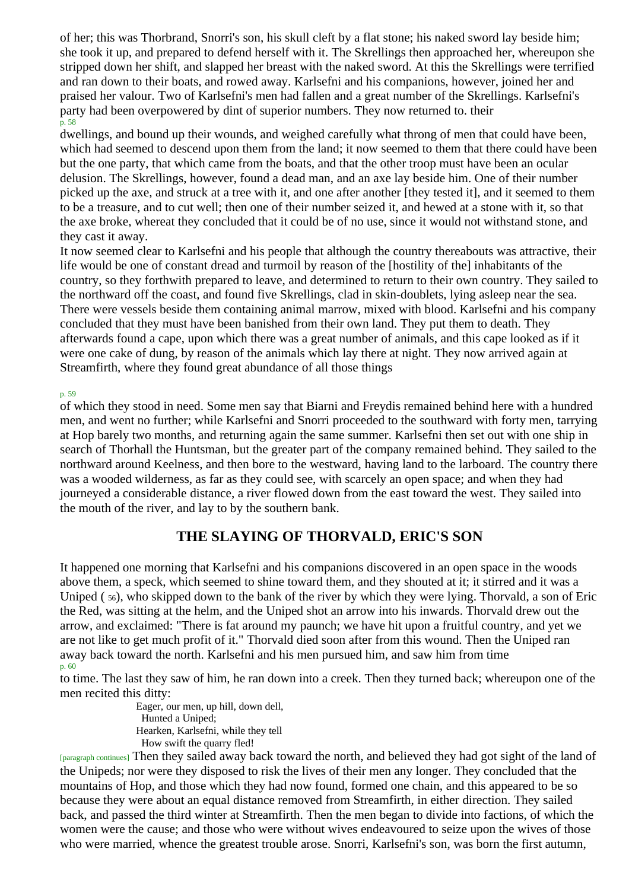of her; this was Thorbrand, Snorri's son, his skull cleft by a flat stone; his naked sword lay beside him; she took it up, and prepared to defend herself with it. The Skrellings then approached her, whereupon she stripped down her shift, and slapped her breast with the naked sword. At this the Skrellings were terrified and ran down to their boats, and rowed away. Karlsefni and his companions, however, joined her and praised her valour. Two of Karlsefni's men had fallen and a great number of the Skrellings. Karlsefni's party had been overpowered by dint of superior numbers. They now returned to. their p. 58

dwellings, and bound up their wounds, and weighed carefully what throng of men that could have been, which had seemed to descend upon them from the land; it now seemed to them that there could have been but the one party, that which came from the boats, and that the other troop must have been an ocular delusion. The Skrellings, however, found a dead man, and an axe lay beside him. One of their number picked up the axe, and struck at a tree with it, and one after another [they tested it], and it seemed to them to be a treasure, and to cut well; then one of their number seized it, and hewed at a stone with it, so that the axe broke, whereat they concluded that it could be of no use, since it would not withstand stone, and they cast it away.

It now seemed clear to Karlsefni and his people that although the country thereabouts was attractive, their life would be one of constant dread and turmoil by reason of the [hostility of the] inhabitants of the country, so they forthwith prepared to leave, and determined to return to their own country. They sailed to the northward off the coast, and found five Skrellings, clad in skin-doublets, lying asleep near the sea. There were vessels beside them containing animal marrow, mixed with blood. Karlsefni and his company concluded that they must have been banished from their own land. They put them to death. They afterwards found a cape, upon which there was a great number of animals, and this cape looked as if it were one cake of dung, by reason of the animals which lay there at night. They now arrived again at Streamfirth, where they found great abundance of all those things

#### p. 59

of which they stood in need. Some men say that Biarni and Freydis remained behind here with a hundred men, and went no further; while Karlsefni and Snorri proceeded to the southward with forty men, tarrying at Hop barely two months, and returning again the same summer. Karlsefni then set out with one ship in search of Thorhall the Huntsman, but the greater part of the company remained behind. They sailed to the northward around Keelness, and then bore to the westward, having land to the larboard. The country there was a wooded wilderness, as far as they could see, with scarcely an open space; and when they had journeyed a considerable distance, a river flowed down from the east toward the west. They sailed into the mouth of the river, and lay to by the southern bank.

## **THE SLAYING OF THORVALD, ERIC'S SON**

It happened one morning that Karlsefni and his companions discovered in an open space in the woods above them, a speck, which seemed to shine toward them, and they shouted at it; it stirred and it was a Uniped ( <sup>56</sup>), who skipped down to the bank of the river by which they were lying. Thorvald, a son of Eric the Red, was sitting at the helm, and the Uniped shot an arrow into his inwards. Thorvald drew out the arrow, and exclaimed: "There is fat around my paunch; we have hit upon a fruitful country, and yet we are not like to get much profit of it." Thorvald died soon after from this wound. Then the Uniped ran away back toward the north. Karlsefni and his men pursued him, and saw him from time p. 60

to time. The last they saw of him, he ran down into a creek. Then they turned back; whereupon one of the men recited this ditty:

> Eager, our men, up hill, down dell, Hunted a Uniped; Hearken, Karlsefni, while they tell How swift the quarry fled!

[paragraph continues] Then they sailed away back toward the north, and believed they had got sight of the land of the Unipeds; nor were they disposed to risk the lives of their men any longer. They concluded that the mountains of Hop, and those which they had now found, formed one chain, and this appeared to be so because they were about an equal distance removed from Streamfirth, in either direction. They sailed back, and passed the third winter at Streamfirth. Then the men began to divide into factions, of which the women were the cause; and those who were without wives endeavoured to seize upon the wives of those who were married, whence the greatest trouble arose. Snorri, Karlsefni's son, was born the first autumn,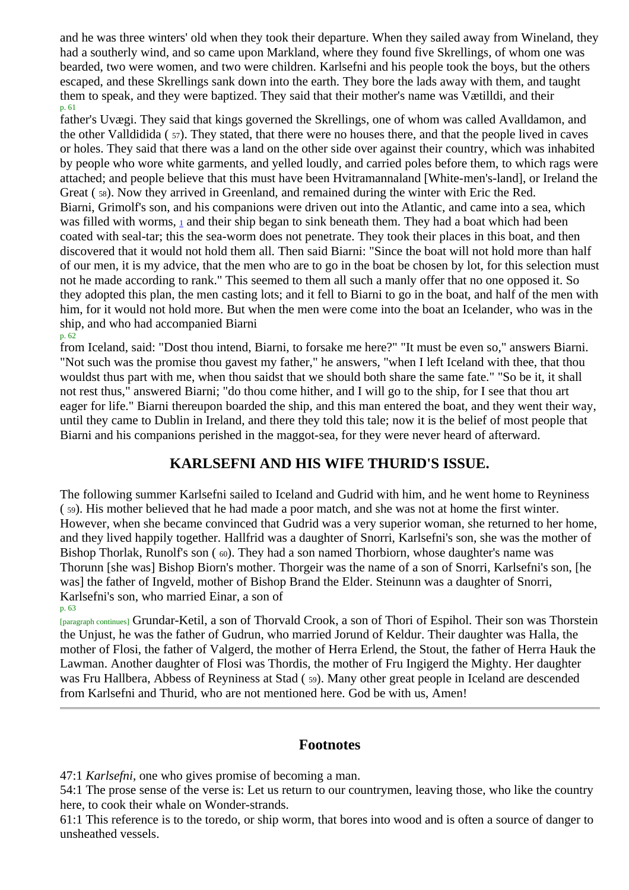and he was three winters' old when they took their departure. When they sailed away from Wineland, they had a southerly wind, and so came upon Markland, where they found five Skrellings, of whom one was bearded, two were women, and two were children. Karlsefni and his people took the boys, but the others escaped, and these Skrellings sank down into the earth. They bore the lads away with them, and taught them to speak, and they were baptized. They said that their mother's name was Vætilldi, and their p. 61

father's Uvægi. They said that kings governed the Skrellings, one of whom was called Avalldamon, and the other Valldidida ( <sup>57</sup>). They stated, that there were no houses there, and that the people lived in caves or holes. They said that there was a land on the other side over against their country, which was inhabited by people who wore white garments, and yelled loudly, and carried poles before them, to which rags were attached; and people believe that this must have been Hvitramannaland [White-men's-land], or Ireland the Great ( <sup>58</sup>). Now they arrived in Greenland, and remained during the winter with Eric the Red. Biarni, Grimolf's son, and his companions were driven out into the Atlantic, and came into a sea, which was filled with worms,  $\frac{1}{2}$  $\frac{1}{2}$  $\frac{1}{2}$  and their ship began to sink beneath them. They had a boat which had been coated with seal-tar; this the sea-worm does not penetrate. They took their places in this boat, and then discovered that it would not hold them all. Then said Biarni: "Since the boat will not hold more than half of our men, it is my advice, that the men who are to go in the boat be chosen by lot, for this selection must not he made according to rank." This seemed to them all such a manly offer that no one opposed it. So they adopted this plan, the men casting lots; and it fell to Biarni to go in the boat, and half of the men with him, for it would not hold more. But when the men were come into the boat an Icelander, who was in the ship, and who had accompanied Biarni p. 62

from Iceland, said: "Dost thou intend, Biarni, to forsake me here?" "It must be even so," answers Biarni. "Not such was the promise thou gavest my father," he answers, "when I left Iceland with thee, that thou wouldst thus part with me, when thou saidst that we should both share the same fate." "So be it, it shall not rest thus," answered Biarni; "do thou come hither, and I will go to the ship, for I see that thou art eager for life." Biarni thereupon boarded the ship, and this man entered the boat, and they went their way, until they came to Dublin in Ireland, and there they told this tale; now it is the belief of most people that Biarni and his companions perished in the maggot-sea, for they were never heard of afterward.

## **KARLSEFNI AND HIS WIFE THURID'S ISSUE.**

The following summer Karlsefni sailed to Iceland and Gudrid with him, and he went home to Reyniness ( <sup>59</sup>). His mother believed that he had made a poor match, and she was not at home the first winter. However, when she became convinced that Gudrid was a very superior woman, she returned to her home, and they lived happily together. Hallfrid was a daughter of Snorri, Karlsefni's son, she was the mother of Bishop Thorlak, Runolf's son (  $\omega$ ). They had a son named Thorbiorn, whose daughter's name was Thorunn [she was] Bishop Biorn's mother. Thorgeir was the name of a son of Snorri, Karlsefni's son, [he was] the father of Ingveld, mother of Bishop Brand the Elder. Steinunn was a daughter of Snorri, Karlsefni's son, who married Einar, a son of p. 63

[paragraph continues] Grundar-Ketil, a son of Thorvald Crook, a son of Thori of Espihol. Their son was Thorstein the Unjust, he was the father of Gudrun, who married Jorund of Keldur. Their daughter was Halla, the mother of Flosi, the father of Valgerd, the mother of Herra Erlend, the Stout, the father of Herra Hauk the Lawman. Another daughter of Flosi was Thordis, the mother of Fru Ingigerd the Mighty. Her daughter was Fru Hallbera, Abbess of Reyniness at Stad ( <sup>59</sup>). Many other great people in Iceland are descended from Karlsefni and Thurid, who are not mentioned here. God be with us, Amen!

### **Footnotes**

47:1 *Karlsefni*, one who gives promise of becoming a man.

54:1 The prose sense of the verse is: Let us return to our countrymen, leaving those, who like the country here, to cook their whale on Wonder-strands.

61:1 This reference is to the toredo, or ship worm, that bores into wood and is often a source of danger to unsheathed vessels.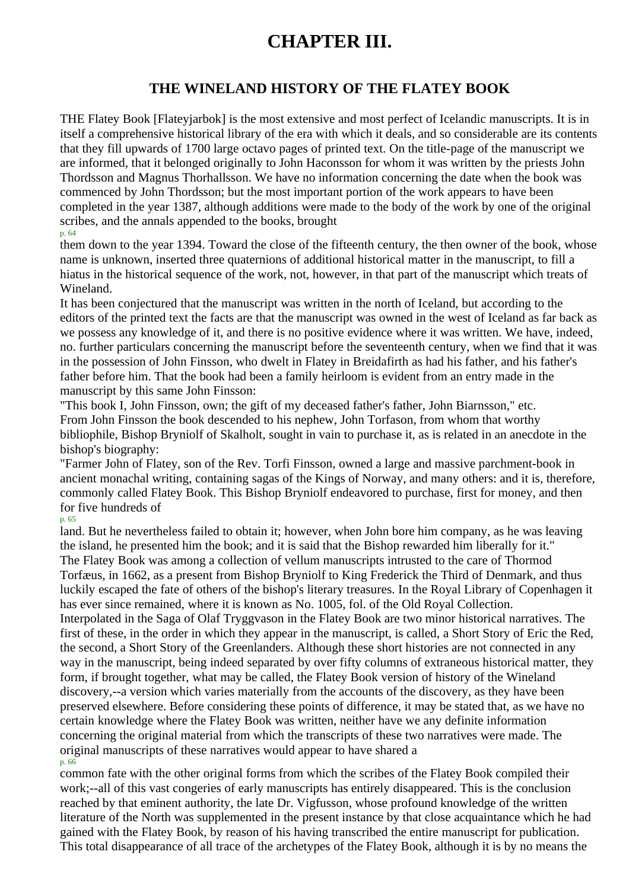## **CHAPTER III.**

## **THE WINELAND HISTORY OF THE FLATEY BOOK**

THE Flatey Book [Flateyjarbok] is the most extensive and most perfect of Icelandic manuscripts. It is in itself a comprehensive historical library of the era with which it deals, and so considerable are its contents that they fill upwards of 1700 large octavo pages of printed text. On the title-page of the manuscript we are informed, that it belonged originally to John Haconsson for whom it was written by the priests John Thordsson and Magnus Thorhallsson. We have no information concerning the date when the book was commenced by John Thordsson; but the most important portion of the work appears to have been completed in the year 1387, although additions were made to the body of the work by one of the original scribes, and the annals appended to the books, brought p. 64

them down to the year 1394. Toward the close of the fifteenth century, the then owner of the book, whose name is unknown, inserted three quaternions of additional historical matter in the manuscript, to fill a hiatus in the historical sequence of the work, not, however, in that part of the manuscript which treats of Wineland.

It has been conjectured that the manuscript was written in the north of Iceland, but according to the editors of the printed text the facts are that the manuscript was owned in the west of Iceland as far back as we possess any knowledge of it, and there is no positive evidence where it was written. We have, indeed, no. further particulars concerning the manuscript before the seventeenth century, when we find that it was in the possession of John Finsson, who dwelt in Flatey in Breidafirth as had his father, and his father's father before him. That the book had been a family heirloom is evident from an entry made in the manuscript by this same John Finsson:

"This book I, John Finsson, own; the gift of my deceased father's father, John Biarnsson," etc. From John Finsson the book descended to his nephew, John Torfason, from whom that worthy bibliophile, Bishop Bryniolf of Skalholt, sought in vain to purchase it, as is related in an anecdote in the bishop's biography:

"Farmer John of Flatey, son of the Rev. Torfi Finsson, owned a large and massive parchment-book in ancient monachal writing, containing sagas of the Kings of Norway, and many others: and it is, therefore, commonly called Flatey Book. This Bishop Bryniolf endeavored to purchase, first for money, and then for five hundreds of p. 65

land. But he nevertheless failed to obtain it; however, when John bore him company, as he was leaving the island, he presented him the book; and it is said that the Bishop rewarded him liberally for it." The Flatey Book was among a collection of vellum manuscripts intrusted to the care of Thormod Torfæus, in 1662, as a present from Bishop Bryniolf to King Frederick the Third of Denmark, and thus luckily escaped the fate of others of the bishop's literary treasures. In the Royal Library of Copenhagen it has ever since remained, where it is known as No. 1005, fol. of the Old Royal Collection. Interpolated in the Saga of Olaf Tryggvason in the Flatey Book are two minor historical narratives. The first of these, in the order in which they appear in the manuscript, is called, a Short Story of Eric the Red, the second, a Short Story of the Greenlanders. Although these short histories are not connected in any way in the manuscript, being indeed separated by over fifty columns of extraneous historical matter, they form, if brought together, what may be called, the Flatey Book version of history of the Wineland discovery,--a version which varies materially from the accounts of the discovery, as they have been preserved elsewhere. Before considering these points of difference, it may be stated that, as we have no certain knowledge where the Flatey Book was written, neither have we any definite information concerning the original material from which the transcripts of these two narratives were made. The original manuscripts of these narratives would appear to have shared a p. 66

common fate with the other original forms from which the scribes of the Flatey Book compiled their work;--all of this vast congeries of early manuscripts has entirely disappeared. This is the conclusion reached by that eminent authority, the late Dr. Vigfusson, whose profound knowledge of the written literature of the North was supplemented in the present instance by that close acquaintance which he had gained with the Flatey Book, by reason of his having transcribed the entire manuscript for publication. This total disappearance of all trace of the archetypes of the Flatey Book, although it is by no means the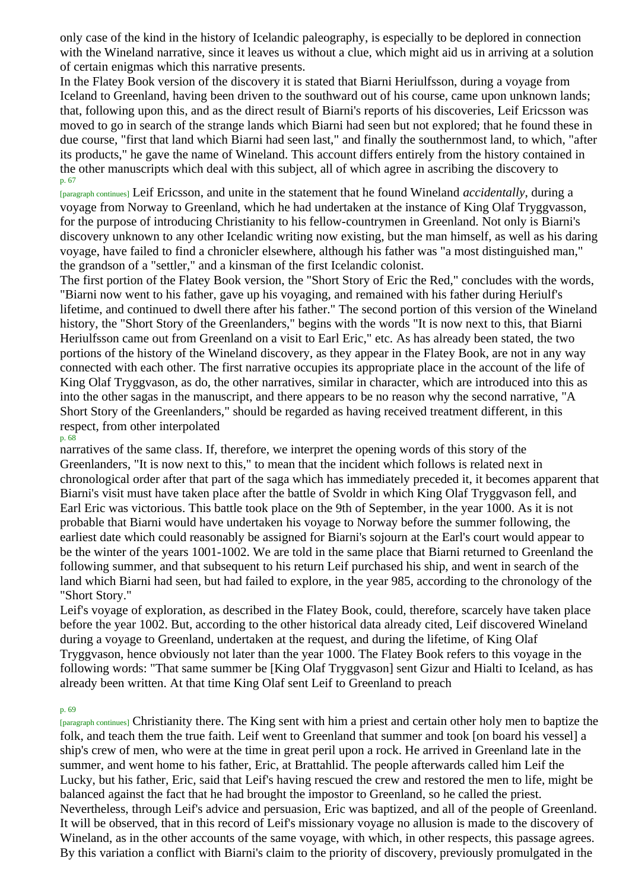only case of the kind in the history of Icelandic paleography, is especially to be deplored in connection with the Wineland narrative, since it leaves us without a clue, which might aid us in arriving at a solution of certain enigmas which this narrative presents.

In the Flatey Book version of the discovery it is stated that Biarni Heriulfsson, during a voyage from Iceland to Greenland, having been driven to the southward out of his course, came upon unknown lands; that, following upon this, and as the direct result of Biarni's reports of his discoveries, Leif Ericsson was moved to go in search of the strange lands which Biarni had seen but not explored; that he found these in due course, "first that land which Biarni had seen last," and finally the southernmost land, to which, "after its products," he gave the name of Wineland. This account differs entirely from the history contained in the other manuscripts which deal with this subject, all of which agree in ascribing the discovery to p. 67

[paragraph continues] Leif Ericsson, and unite in the statement that he found Wineland *accidentally*, during a voyage from Norway to Greenland, which he had undertaken at the instance of King Olaf Tryggvasson, for the purpose of introducing Christianity to his fellow-countrymen in Greenland. Not only is Biarni's discovery unknown to any other Icelandic writing now existing, but the man himself, as well as his daring voyage, have failed to find a chronicler elsewhere, although his father was "a most distinguished man," the grandson of a "settler," and a kinsman of the first Icelandic colonist.

The first portion of the Flatey Book version, the "Short Story of Eric the Red," concludes with the words, "Biarni now went to his father, gave up his voyaging, and remained with his father during Heriulf's lifetime, and continued to dwell there after his father." The second portion of this version of the Wineland history, the "Short Story of the Greenlanders," begins with the words "It is now next to this, that Biarni Heriulfsson came out from Greenland on a visit to Earl Eric," etc. As has already been stated, the two portions of the history of the Wineland discovery, as they appear in the Flatey Book, are not in any way connected with each other. The first narrative occupies its appropriate place in the account of the life of King Olaf Tryggvason, as do, the other narratives, similar in character, which are introduced into this as into the other sagas in the manuscript, and there appears to be no reason why the second narrative, "A Short Story of the Greenlanders," should be regarded as having received treatment different, in this respect, from other interpolated

#### p. 68

narratives of the same class. If, therefore, we interpret the opening words of this story of the Greenlanders, "It is now next to this," to mean that the incident which follows is related next in chronological order after that part of the saga which has immediately preceded it, it becomes apparent that Biarni's visit must have taken place after the battle of Svoldr in which King Olaf Tryggvason fell, and Earl Eric was victorious. This battle took place on the 9th of September, in the year 1000. As it is not probable that Biarni would have undertaken his voyage to Norway before the summer following, the earliest date which could reasonably be assigned for Biarni's sojourn at the Earl's court would appear to be the winter of the years 1001-1002. We are told in the same place that Biarni returned to Greenland the following summer, and that subsequent to his return Leif purchased his ship, and went in search of the land which Biarni had seen, but had failed to explore, in the year 985, according to the chronology of the "Short Story."

Leif's voyage of exploration, as described in the Flatey Book, could, therefore, scarcely have taken place before the year 1002. But, according to the other historical data already cited, Leif discovered Wineland during a voyage to Greenland, undertaken at the request, and during the lifetime, of King Olaf Tryggvason, hence obviously not later than the year 1000. The Flatey Book refers to this voyage in the following words: "That same summer be [King Olaf Tryggvason] sent Gizur and Hialti to Iceland, as has already been written. At that time King Olaf sent Leif to Greenland to preach

#### p. 69

[paragraph continues] Christianity there. The King sent with him a priest and certain other holy men to baptize the folk, and teach them the true faith. Leif went to Greenland that summer and took [on board his vessel] a ship's crew of men, who were at the time in great peril upon a rock. He arrived in Greenland late in the summer, and went home to his father, Eric, at Brattahlid. The people afterwards called him Leif the Lucky, but his father, Eric, said that Leif's having rescued the crew and restored the men to life, might be balanced against the fact that he had brought the impostor to Greenland, so he called the priest. Nevertheless, through Leif's advice and persuasion, Eric was baptized, and all of the people of Greenland. It will be observed, that in this record of Leif's missionary voyage no allusion is made to the discovery of Wineland, as in the other accounts of the same voyage, with which, in other respects, this passage agrees. By this variation a conflict with Biarni's claim to the priority of discovery, previously promulgated in the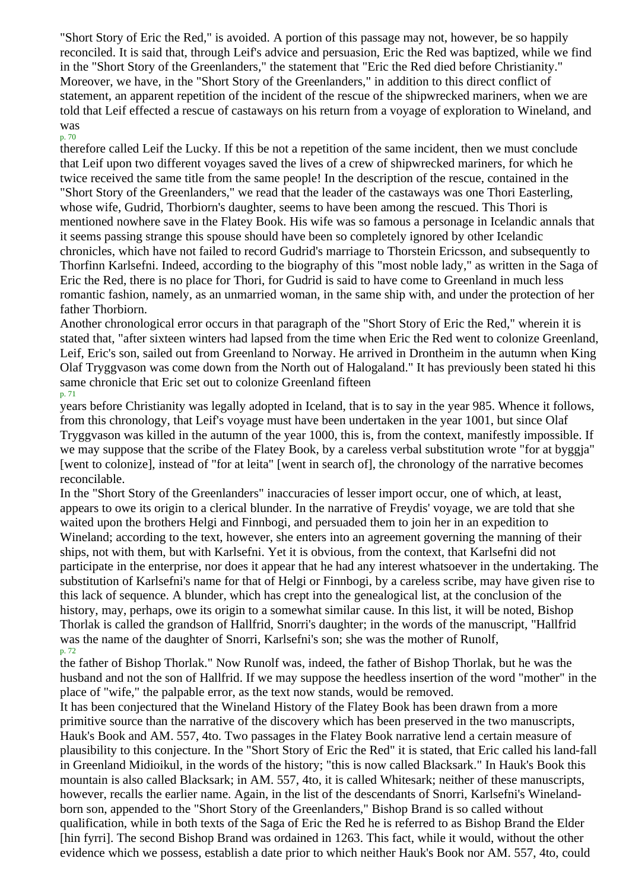"Short Story of Eric the Red," is avoided. A portion of this passage may not, however, be so happily reconciled. It is said that, through Leif's advice and persuasion, Eric the Red was baptized, while we find in the "Short Story of the Greenlanders," the statement that "Eric the Red died before Christianity." Moreover, we have, in the "Short Story of the Greenlanders," in addition to this direct conflict of statement, an apparent repetition of the incident of the rescue of the shipwrecked mariners, when we are told that Leif effected a rescue of castaways on his return from a voyage of exploration to Wineland, and was

#### p. 70

therefore called Leif the Lucky. If this be not a repetition of the same incident, then we must conclude that Leif upon two different voyages saved the lives of a crew of shipwrecked mariners, for which he twice received the same title from the same people! In the description of the rescue, contained in the "Short Story of the Greenlanders," we read that the leader of the castaways was one Thori Easterling, whose wife, Gudrid, Thorbiorn's daughter, seems to have been among the rescued. This Thori is mentioned nowhere save in the Flatey Book. His wife was so famous a personage in Icelandic annals that it seems passing strange this spouse should have been so completely ignored by other Icelandic chronicles, which have not failed to record Gudrid's marriage to Thorstein Ericsson, and subsequently to Thorfinn Karlsefni. Indeed, according to the biography of this "most noble lady," as written in the Saga of Eric the Red, there is no place for Thori, for Gudrid is said to have come to Greenland in much less romantic fashion, namely, as an unmarried woman, in the same ship with, and under the protection of her father Thorbiorn.

Another chronological error occurs in that paragraph of the "Short Story of Eric the Red," wherein it is stated that, "after sixteen winters had lapsed from the time when Eric the Red went to colonize Greenland, Leif, Eric's son, sailed out from Greenland to Norway. He arrived in Drontheim in the autumn when King Olaf Tryggvason was come down from the North out of Halogaland." It has previously been stated hi this same chronicle that Eric set out to colonize Greenland fifteen p. 71

years before Christianity was legally adopted in Iceland, that is to say in the year 985. Whence it follows, from this chronology, that Leif's voyage must have been undertaken in the year 1001, but since Olaf Tryggvason was killed in the autumn of the year 1000, this is, from the context, manifestly impossible. If we may suppose that the scribe of the Flatey Book, by a careless verbal substitution wrote "for at byggja" [went to colonize], instead of "for at leita" [went in search of], the chronology of the narrative becomes reconcilable.

In the "Short Story of the Greenlanders" inaccuracies of lesser import occur, one of which, at least, appears to owe its origin to a clerical blunder. In the narrative of Freydis' voyage, we are told that she waited upon the brothers Helgi and Finnbogi, and persuaded them to join her in an expedition to Wineland; according to the text, however, she enters into an agreement governing the manning of their ships, not with them, but with Karlsefni. Yet it is obvious, from the context, that Karlsefni did not participate in the enterprise, nor does it appear that he had any interest whatsoever in the undertaking. The substitution of Karlsefni's name for that of Helgi or Finnbogi, by a careless scribe, may have given rise to this lack of sequence. A blunder, which has crept into the genealogical list, at the conclusion of the history, may, perhaps, owe its origin to a somewhat similar cause. In this list, it will be noted, Bishop Thorlak is called the grandson of Hallfrid, Snorri's daughter; in the words of the manuscript, "Hallfrid was the name of the daughter of Snorri, Karlsefni's son; she was the mother of Runolf, p. 72

the father of Bishop Thorlak." Now Runolf was, indeed, the father of Bishop Thorlak, but he was the husband and not the son of Hallfrid. If we may suppose the heedless insertion of the word "mother" in the place of "wife," the palpable error, as the text now stands, would be removed.

It has been conjectured that the Wineland History of the Flatey Book has been drawn from a more primitive source than the narrative of the discovery which has been preserved in the two manuscripts, Hauk's Book and AM. 557, 4to. Two passages in the Flatey Book narrative lend a certain measure of plausibility to this conjecture. In the "Short Story of Eric the Red" it is stated, that Eric called his land-fall in Greenland Midioikul, in the words of the history; "this is now called Blacksark." In Hauk's Book this mountain is also called Blacksark; in AM. 557, 4to, it is called Whitesark; neither of these manuscripts, however, recalls the earlier name. Again, in the list of the descendants of Snorri, Karlsefni's Winelandborn son, appended to the "Short Story of the Greenlanders," Bishop Brand is so called without qualification, while in both texts of the Saga of Eric the Red he is referred to as Bishop Brand the Elder [hin fyrri]. The second Bishop Brand was ordained in 1263. This fact, while it would, without the other evidence which we possess, establish a date prior to which neither Hauk's Book nor AM. 557, 4to, could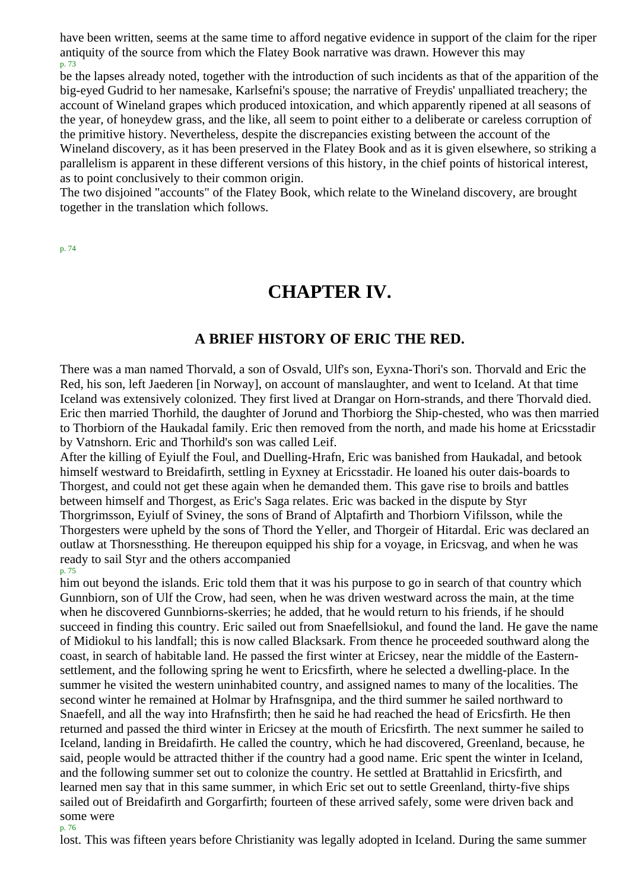have been written, seems at the same time to afford negative evidence in support of the claim for the riper antiquity of the source from which the Flatey Book narrative was drawn. However this may p. 73

be the lapses already noted, together with the introduction of such incidents as that of the apparition of the big-eyed Gudrid to her namesake, Karlsefni's spouse; the narrative of Freydis' unpalliated treachery; the account of Wineland grapes which produced intoxication, and which apparently ripened at all seasons of the year, of honeydew grass, and the like, all seem to point either to a deliberate or careless corruption of the primitive history. Nevertheless, despite the discrepancies existing between the account of the Wineland discovery, as it has been preserved in the Flatey Book and as it is given elsewhere, so striking a parallelism is apparent in these different versions of this history, in the chief points of historical interest, as to point conclusively to their common origin.

The two disjoined "accounts" of the Flatey Book, which relate to the Wineland discovery, are brought together in the translation which follows.

p. 74

## **CHAPTER IV.**

## **A BRIEF HISTORY OF ERIC THE RED.**

There was a man named Thorvald, a son of Osvald, Ulf's son, Eyxna-Thori's son. Thorvald and Eric the Red, his son, left Jaederen [in Norway], on account of manslaughter, and went to Iceland. At that time Iceland was extensively colonized. They first lived at Drangar on Horn-strands, and there Thorvald died. Eric then married Thorhild, the daughter of Jorund and Thorbiorg the Ship-chested, who was then married to Thorbiorn of the Haukadal family. Eric then removed from the north, and made his home at Ericsstadir by Vatnshorn. Eric and Thorhild's son was called Leif.

After the killing of Eyiulf the Foul, and Duelling-Hrafn, Eric was banished from Haukadal, and betook himself westward to Breidafirth, settling in Eyxney at Ericsstadir. He loaned his outer dais-boards to Thorgest, and could not get these again when he demanded them. This gave rise to broils and battles between himself and Thorgest, as Eric's Saga relates. Eric was backed in the dispute by Styr Thorgrimsson, Eyiulf of Sviney, the sons of Brand of Alptafirth and Thorbiorn Vifilsson, while the Thorgesters were upheld by the sons of Thord the Yeller, and Thorgeir of Hitardal. Eric was declared an outlaw at Thorsnessthing. He thereupon equipped his ship for a voyage, in Ericsvag, and when he was ready to sail Styr and the others accompanied p. 75

him out beyond the islands. Eric told them that it was his purpose to go in search of that country which Gunnbiorn, son of Ulf the Crow, had seen, when he was driven westward across the main, at the time when he discovered Gunnbiorns-skerries; he added, that he would return to his friends, if he should succeed in finding this country. Eric sailed out from Snaefellsiokul, and found the land. He gave the name of Midiokul to his landfall; this is now called Blacksark. From thence he proceeded southward along the coast, in search of habitable land. He passed the first winter at Ericsey, near the middle of the Easternsettlement, and the following spring he went to Ericsfirth, where he selected a dwelling-place. In the summer he visited the western uninhabited country, and assigned names to many of the localities. The second winter he remained at Holmar by Hrafnsgnipa, and the third summer he sailed northward to Snaefell, and all the way into Hrafnsfirth; then he said he had reached the head of Ericsfirth. He then returned and passed the third winter in Ericsey at the mouth of Ericsfirth. The next summer he sailed to Iceland, landing in Breidafirth. He called the country, which he had discovered, Greenland, because, he said, people would be attracted thither if the country had a good name. Eric spent the winter in Iceland, and the following summer set out to colonize the country. He settled at Brattahlid in Ericsfirth, and learned men say that in this same summer, in which Eric set out to settle Greenland, thirty-five ships sailed out of Breidafirth and Gorgarfirth; fourteen of these arrived safely, some were driven back and some were p. 76

#### lost. This was fifteen years before Christianity was legally adopted in Iceland. During the same summer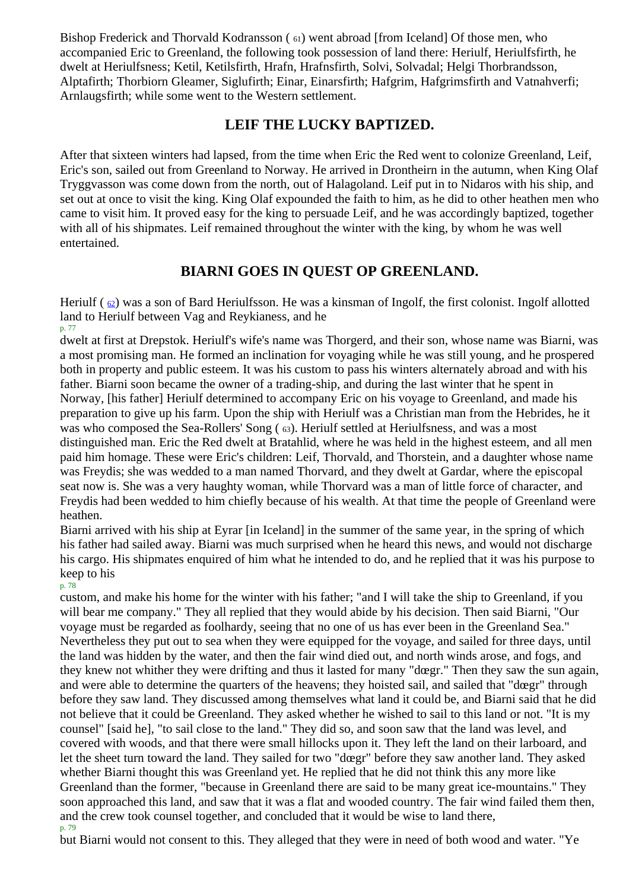Bishop Frederick and Thorvald Kodransson (  $61$ ) went abroad [from Iceland] Of those men. who accompanied Eric to Greenland, the following took possession of land there: Heriulf, Heriulfsfirth, he dwelt at Heriulfsness; Ketil, Ketilsfirth, Hrafn, Hrafnsfirth, Solvi, Solvadal; Helgi Thorbrandsson, Alptafirth; Thorbiorn Gleamer, Siglufirth; Einar, Einarsfirth; Hafgrim, Hafgrimsfirth and Vatnahverfi; Arnlaugsfirth; while some went to the Western settlement.

## **LEIF THE LUCKY BAPTIZED.**

After that sixteen winters had lapsed, from the time when Eric the Red went to colonize Greenland, Leif, Eric's son, sailed out from Greenland to Norway. He arrived in Drontheirn in the autumn, when King Olaf Tryggvasson was come down from the north, out of Halagoland. Leif put in to Nidaros with his ship, and set out at once to visit the king. King Olaf expounded the faith to him, as he did to other heathen men who came to visit him. It proved easy for the king to persuade Leif, and he was accordingly baptized, together with all of his shipmates. Leif remained throughout the winter with the king, by whom he was well entertained.

## **BIARNI GOES IN QUEST OP GREENLAND.**

Heriulf ( $\Omega$ ) was a son of Bard Heriulfsson. He was a kinsman of Ingolf, the first colonist. Ingolf allotted land to Heriulf between Vag and Reykianess, and he p. 77

dwelt at first at Drepstok. Heriulf's wife's name was Thorgerd, and their son, whose name was Biarni, was a most promising man. He formed an inclination for voyaging while he was still young, and he prospered both in property and public esteem. It was his custom to pass his winters alternately abroad and with his father. Biarni soon became the owner of a trading-ship, and during the last winter that he spent in Norway, [his father] Heriulf determined to accompany Eric on his voyage to Greenland, and made his preparation to give up his farm. Upon the ship with Heriulf was a Christian man from the Hebrides, he it was who composed the Sea-Rollers' Song ( <sup>63</sup>). Heriulf settled at Heriulfsness, and was a most distinguished man. Eric the Red dwelt at Bratahlid, where he was held in the highest esteem, and all men paid him homage. These were Eric's children: Leif, Thorvald, and Thorstein, and a daughter whose name was Freydis; she was wedded to a man named Thorvard, and they dwelt at Gardar, where the episcopal seat now is. She was a very haughty woman, while Thorvard was a man of little force of character, and Freydis had been wedded to him chiefly because of his wealth. At that time the people of Greenland were heathen.

Biarni arrived with his ship at Eyrar [in Iceland] in the summer of the same year, in the spring of which his father had sailed away. Biarni was much surprised when he heard this news, and would not discharge his cargo. His shipmates enquired of him what he intended to do, and he replied that it was his purpose to keep to his p. 78

custom, and make his home for the winter with his father; "and I will take the ship to Greenland, if you will bear me company." They all replied that they would abide by his decision. Then said Biarni, "Our voyage must be regarded as foolhardy, seeing that no one of us has ever been in the Greenland Sea." Nevertheless they put out to sea when they were equipped for the voyage, and sailed for three days, until the land was hidden by the water, and then the fair wind died out, and north winds arose, and fogs, and they knew not whither they were drifting and thus it lasted for many "dœgr." Then they saw the sun again, and were able to determine the quarters of the heavens; they hoisted sail, and sailed that "dœgr" through before they saw land. They discussed among themselves what land it could be, and Biarni said that he did not believe that it could be Greenland. They asked whether he wished to sail to this land or not. "It is my counsel" [said he], "to sail close to the land." They did so, and soon saw that the land was level, and covered with woods, and that there were small hillocks upon it. They left the land on their larboard, and let the sheet turn toward the land. They sailed for two "dœgr" before they saw another land. They asked whether Biarni thought this was Greenland yet. He replied that he did not think this any more like Greenland than the former, "because in Greenland there are said to be many great ice-mountains." They soon approached this land, and saw that it was a flat and wooded country. The fair wind failed them then, and the crew took counsel together, and concluded that it would be wise to land there, p. 79

but Biarni would not consent to this. They alleged that they were in need of both wood and water. "Ye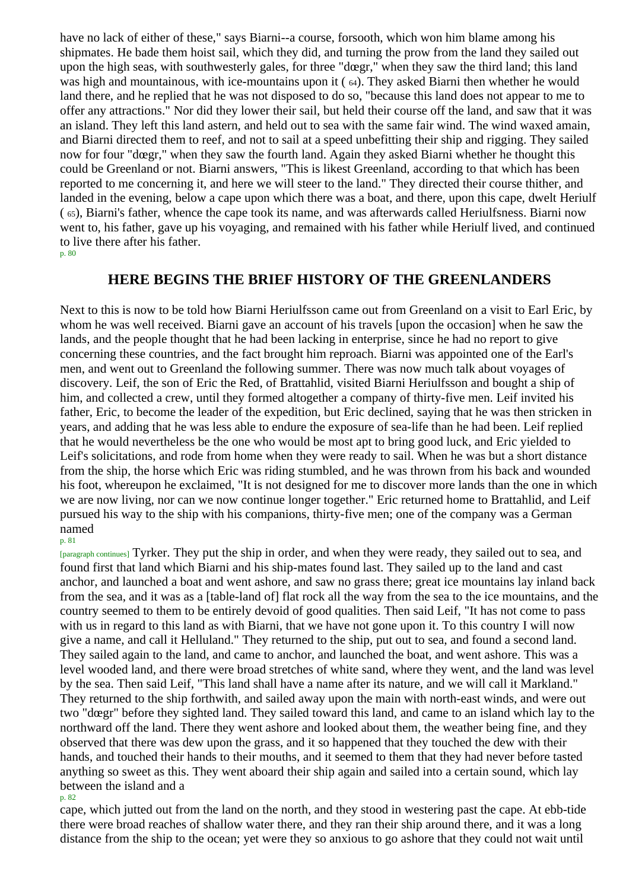have no lack of either of these," says Biarni--a course, forsooth, which won him blame among his shipmates. He bade them hoist sail, which they did, and turning the prow from the land they sailed out upon the high seas, with southwesterly gales, for three "dœgr," when they saw the third land; this land was high and mountainous, with ice-mountains upon it ( <sup>64</sup>). They asked Biarni then whether he would land there, and he replied that he was not disposed to do so, "because this land does not appear to me to offer any attractions." Nor did they lower their sail, but held their course off the land, and saw that it was an island. They left this land astern, and held out to sea with the same fair wind. The wind waxed amain, and Biarni directed them to reef, and not to sail at a speed unbefitting their ship and rigging. They sailed now for four "dœgr," when they saw the fourth land. Again they asked Biarni whether he thought this could be Greenland or not. Biarni answers, "This is likest Greenland, according to that which has been reported to me concerning it, and here we will steer to the land." They directed their course thither, and landed in the evening, below a cape upon which there was a boat, and there, upon this cape, dwelt Heriulf ( <sup>65</sup>), Biarni's father, whence the cape took its name, and was afterwards called Heriulfsness. Biarni now went to, his father, gave up his voyaging, and remained with his father while Heriulf lived, and continued to live there after his father. p. 80

### **HERE BEGINS THE BRIEF HISTORY OF THE GREENLANDERS**

Next to this is now to be told how Biarni Heriulfsson came out from Greenland on a visit to Earl Eric, by whom he was well received. Biarni gave an account of his travels [upon the occasion] when he saw the lands, and the people thought that he had been lacking in enterprise, since he had no report to give concerning these countries, and the fact brought him reproach. Biarni was appointed one of the Earl's men, and went out to Greenland the following summer. There was now much talk about voyages of discovery. Leif, the son of Eric the Red, of Brattahlid, visited Biarni Heriulfsson and bought a ship of him, and collected a crew, until they formed altogether a company of thirty-five men. Leif invited his father, Eric, to become the leader of the expedition, but Eric declined, saying that he was then stricken in years, and adding that he was less able to endure the exposure of sea-life than he had been. Leif replied that he would nevertheless be the one who would be most apt to bring good luck, and Eric yielded to Leif's solicitations, and rode from home when they were ready to sail. When he was but a short distance from the ship, the horse which Eric was riding stumbled, and he was thrown from his back and wounded his foot, whereupon he exclaimed, "It is not designed for me to discover more lands than the one in which we are now living, nor can we now continue longer together." Eric returned home to Brattahlid, and Leif pursued his way to the ship with his companions, thirty-five men; one of the company was a German named p. 81

[paragraph continues] Tyrker. They put the ship in order, and when they were ready, they sailed out to sea, and found first that land which Biarni and his ship-mates found last. They sailed up to the land and cast anchor, and launched a boat and went ashore, and saw no grass there; great ice mountains lay inland back from the sea, and it was as a [table-land of] flat rock all the way from the sea to the ice mountains, and the country seemed to them to be entirely devoid of good qualities. Then said Leif, "It has not come to pass with us in regard to this land as with Biarni, that we have not gone upon it. To this country I will now give a name, and call it Helluland." They returned to the ship, put out to sea, and found a second land. They sailed again to the land, and came to anchor, and launched the boat, and went ashore. This was a level wooded land, and there were broad stretches of white sand, where they went, and the land was level by the sea. Then said Leif, "This land shall have a name after its nature, and we will call it Markland." They returned to the ship forthwith, and sailed away upon the main with north-east winds, and were out two "dœgr" before they sighted land. They sailed toward this land, and came to an island which lay to the northward off the land. There they went ashore and looked about them, the weather being fine, and they observed that there was dew upon the grass, and it so happened that they touched the dew with their hands, and touched their hands to their mouths, and it seemed to them that they had never before tasted anything so sweet as this. They went aboard their ship again and sailed into a certain sound, which lay between the island and a

#### p. 82

cape, which jutted out from the land on the north, and they stood in westering past the cape. At ebb-tide there were broad reaches of shallow water there, and they ran their ship around there, and it was a long distance from the ship to the ocean; yet were they so anxious to go ashore that they could not wait until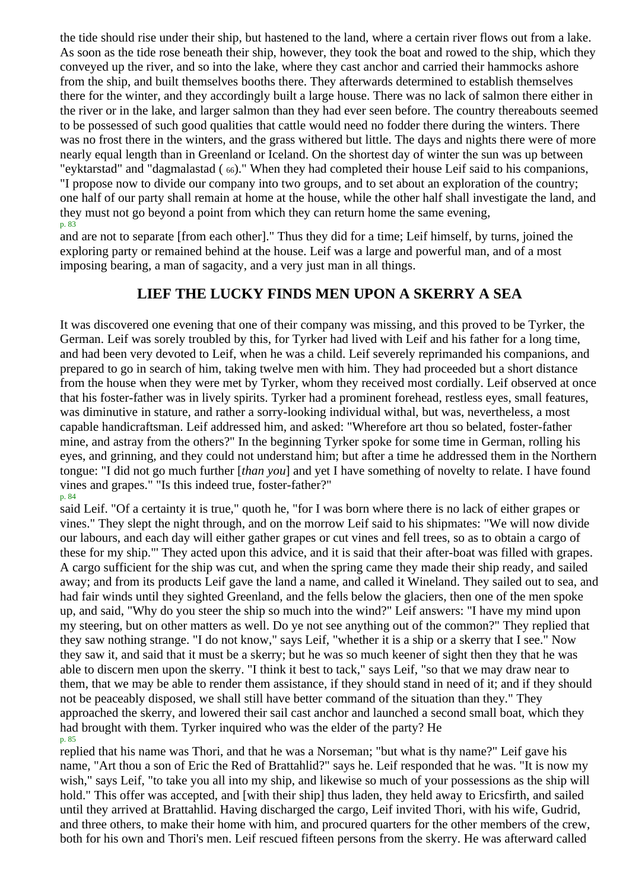the tide should rise under their ship, but hastened to the land, where a certain river flows out from a lake. As soon as the tide rose beneath their ship, however, they took the boat and rowed to the ship, which they conveyed up the river, and so into the lake, where they cast anchor and carried their hammocks ashore from the ship, and built themselves booths there. They afterwards determined to establish themselves there for the winter, and they accordingly built a large house. There was no lack of salmon there either in the river or in the lake, and larger salmon than they had ever seen before. The country thereabouts seemed to be possessed of such good qualities that cattle would need no fodder there during the winters. There was no frost there in the winters, and the grass withered but little. The days and nights there were of more nearly equal length than in Greenland or Iceland. On the shortest day of winter the sun was up between "eyktarstad" and "dagmalastad ( <sup>66</sup>)." When they had completed their house Leif said to his companions, "I propose now to divide our company into two groups, and to set about an exploration of the country; one half of our party shall remain at home at the house, while the other half shall investigate the land, and they must not go beyond a point from which they can return home the same evening, p. 83

and are not to separate [from each other]." Thus they did for a time; Leif himself, by turns, joined the exploring party or remained behind at the house. Leif was a large and powerful man, and of a most imposing bearing, a man of sagacity, and a very just man in all things.

## **LIEF THE LUCKY FINDS MEN UPON A SKERRY A SEA**

It was discovered one evening that one of their company was missing, and this proved to be Tyrker, the German. Leif was sorely troubled by this, for Tyrker had lived with Leif and his father for a long time, and had been very devoted to Leif, when he was a child. Leif severely reprimanded his companions, and prepared to go in search of him, taking twelve men with him. They had proceeded but a short distance from the house when they were met by Tyrker, whom they received most cordially. Leif observed at once that his foster-father was in lively spirits. Tyrker had a prominent forehead, restless eyes, small features, was diminutive in stature, and rather a sorry-looking individual withal, but was, nevertheless, a most capable handicraftsman. Leif addressed him, and asked: "Wherefore art thou so belated, foster-father mine, and astray from the others?" In the beginning Tyrker spoke for some time in German, rolling his eyes, and grinning, and they could not understand him; but after a time he addressed them in the Northern tongue: "I did not go much further [*than you*] and yet I have something of novelty to relate. I have found vines and grapes." "Is this indeed true, foster-father?" p. 84

said Leif. "Of a certainty it is true," quoth he, "for I was born where there is no lack of either grapes or vines." They slept the night through, and on the morrow Leif said to his shipmates: "We will now divide our labours, and each day will either gather grapes or cut vines and fell trees, so as to obtain a cargo of these for my ship."' They acted upon this advice, and it is said that their after-boat was filled with grapes. A cargo sufficient for the ship was cut, and when the spring came they made their ship ready, and sailed away; and from its products Leif gave the land a name, and called it Wineland. They sailed out to sea, and had fair winds until they sighted Greenland, and the fells below the glaciers, then one of the men spoke up, and said, "Why do you steer the ship so much into the wind?" Leif answers: "I have my mind upon my steering, but on other matters as well. Do ye not see anything out of the common?" They replied that they saw nothing strange. "I do not know," says Leif, "whether it is a ship or a skerry that I see." Now they saw it, and said that it must be a skerry; but he was so much keener of sight then they that he was able to discern men upon the skerry. "I think it best to tack," says Leif, "so that we may draw near to them, that we may be able to render them assistance, if they should stand in need of it; and if they should not be peaceably disposed, we shall still have better command of the situation than they." They approached the skerry, and lowered their sail cast anchor and launched a second small boat, which they had brought with them. Tyrker inquired who was the elder of the party? He p. 85

replied that his name was Thori, and that he was a Norseman; "but what is thy name?" Leif gave his name, "Art thou a son of Eric the Red of Brattahlid?" says he. Leif responded that he was. "It is now my wish," says Leif, "to take you all into my ship, and likewise so much of your possessions as the ship will hold." This offer was accepted, and [with their ship] thus laden, they held away to Ericsfirth, and sailed until they arrived at Brattahlid. Having discharged the cargo, Leif invited Thori, with his wife, Gudrid, and three others, to make their home with him, and procured quarters for the other members of the crew, both for his own and Thori's men. Leif rescued fifteen persons from the skerry. He was afterward called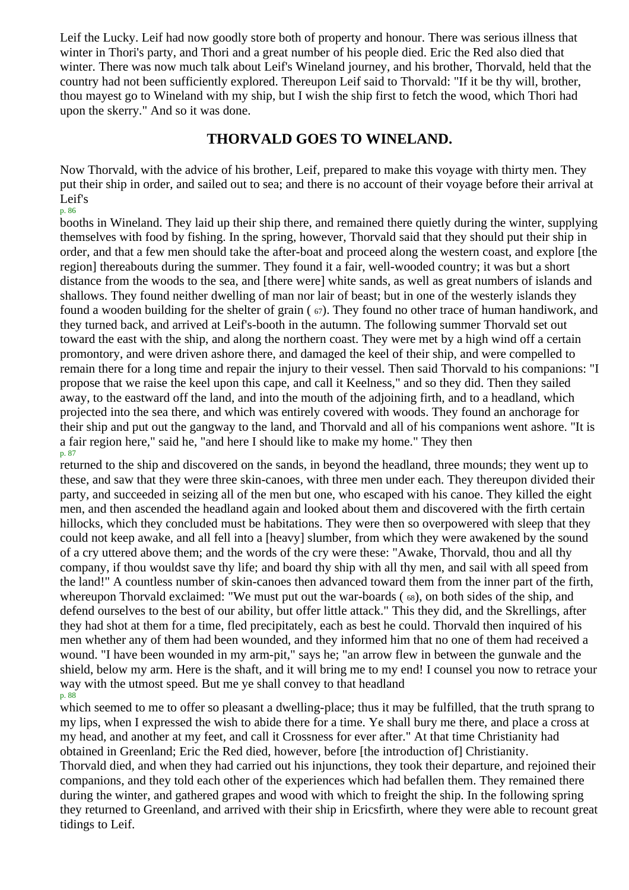Leif the Lucky. Leif had now goodly store both of property and honour. There was serious illness that winter in Thori's party, and Thori and a great number of his people died. Eric the Red also died that winter. There was now much talk about Leif's Wineland journey, and his brother, Thorvald, held that the country had not been sufficiently explored. Thereupon Leif said to Thorvald: "If it be thy will, brother, thou mayest go to Wineland with my ship, but I wish the ship first to fetch the wood, which Thori had upon the skerry." And so it was done.

## **THORVALD GOES TO WINELAND.**

Now Thorvald, with the advice of his brother, Leif, prepared to make this voyage with thirty men. They put their ship in order, and sailed out to sea; and there is no account of their voyage before their arrival at Leif's

p. 86 booths in Wineland. They laid up their ship there, and remained there quietly during the winter, supplying themselves with food by fishing. In the spring, however, Thorvald said that they should put their ship in order, and that a few men should take the after-boat and proceed along the western coast, and explore [the region] thereabouts during the summer. They found it a fair, well-wooded country; it was but a short distance from the woods to the sea, and [there were] white sands, as well as great numbers of islands and shallows. They found neither dwelling of man nor lair of beast; but in one of the westerly islands they found a wooden building for the shelter of grain ( <sup>67</sup>). They found no other trace of human handiwork, and they turned back, and arrived at Leif's-booth in the autumn. The following summer Thorvald set out toward the east with the ship, and along the northern coast. They were met by a high wind off a certain promontory, and were driven ashore there, and damaged the keel of their ship, and were compelled to remain there for a long time and repair the injury to their vessel. Then said Thorvald to his companions: "I propose that we raise the keel upon this cape, and call it Keelness," and so they did. Then they sailed away, to the eastward off the land, and into the mouth of the adjoining firth, and to a headland, which projected into the sea there, and which was entirely covered with woods. They found an anchorage for their ship and put out the gangway to the land, and Thorvald and all of his companions went ashore. "It is a fair region here," said he, "and here I should like to make my home." They then p. 87

returned to the ship and discovered on the sands, in beyond the headland, three mounds; they went up to these, and saw that they were three skin-canoes, with three men under each. They thereupon divided their party, and succeeded in seizing all of the men but one, who escaped with his canoe. They killed the eight men, and then ascended the headland again and looked about them and discovered with the firth certain hillocks, which they concluded must be habitations. They were then so overpowered with sleep that they could not keep awake, and all fell into a [heavy] slumber, from which they were awakened by the sound of a cry uttered above them; and the words of the cry were these: "Awake, Thorvald, thou and all thy company, if thou wouldst save thy life; and board thy ship with all thy men, and sail with all speed from the land!" A countless number of skin-canoes then advanced toward them from the inner part of the firth, whereupon Thorvald exclaimed: "We must put out the war-boards ( <sup>68</sup>), on both sides of the ship, and defend ourselves to the best of our ability, but offer little attack." This they did, and the Skrellings, after they had shot at them for a time, fled precipitately, each as best he could. Thorvald then inquired of his men whether any of them had been wounded, and they informed him that no one of them had received a wound. "I have been wounded in my arm-pit," says he; "an arrow flew in between the gunwale and the shield, below my arm. Here is the shaft, and it will bring me to my end! I counsel you now to retrace your way with the utmost speed. But me ye shall convey to that headland p. 88

which seemed to me to offer so pleasant a dwelling-place; thus it may be fulfilled, that the truth sprang to my lips, when I expressed the wish to abide there for a time. Ye shall bury me there, and place a cross at my head, and another at my feet, and call it Crossness for ever after." At that time Christianity had obtained in Greenland; Eric the Red died, however, before [the introduction of] Christianity. Thorvald died, and when they had carried out his injunctions, they took their departure, and rejoined their

companions, and they told each other of the experiences which had befallen them. They remained there during the winter, and gathered grapes and wood with which to freight the ship. In the following spring they returned to Greenland, and arrived with their ship in Ericsfirth, where they were able to recount great tidings to Leif.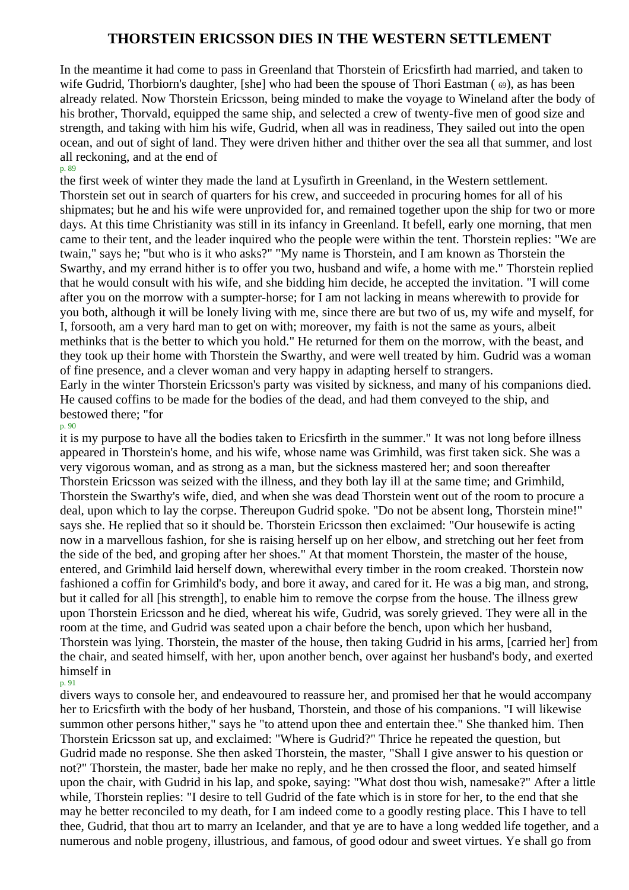## **THORSTEIN ERICSSON DIES IN THE WESTERN SETTLEMENT**

In the meantime it had come to pass in Greenland that Thorstein of Ericsfirth had married, and taken to wife Gudrid, Thorbiorn's daughter, [she] who had been the spouse of Thori Eastman (  $69$ ), as has been already related. Now Thorstein Ericsson, being minded to make the voyage to Wineland after the body of his brother, Thorvald, equipped the same ship, and selected a crew of twenty-five men of good size and strength, and taking with him his wife, Gudrid, when all was in readiness, They sailed out into the open ocean, and out of sight of land. They were driven hither and thither over the sea all that summer, and lost all reckoning, and at the end of p. 89

the first week of winter they made the land at Lysufirth in Greenland, in the Western settlement. Thorstein set out in search of quarters for his crew, and succeeded in procuring homes for all of his shipmates; but he and his wife were unprovided for, and remained together upon the ship for two or more days. At this time Christianity was still in its infancy in Greenland. It befell, early one morning, that men came to their tent, and the leader inquired who the people were within the tent. Thorstein replies: "We are twain," says he; "but who is it who asks?" "My name is Thorstein, and I am known as Thorstein the Swarthy, and my errand hither is to offer you two, husband and wife, a home with me." Thorstein replied that he would consult with his wife, and she bidding him decide, he accepted the invitation. "I will come after you on the morrow with a sumpter-horse; for I am not lacking in means wherewith to provide for you both, although it will be lonely living with me, since there are but two of us, my wife and myself, for I, forsooth, am a very hard man to get on with; moreover, my faith is not the same as yours, albeit methinks that is the better to which you hold." He returned for them on the morrow, with the beast, and they took up their home with Thorstein the Swarthy, and were well treated by him. Gudrid was a woman of fine presence, and a clever woman and very happy in adapting herself to strangers.

Early in the winter Thorstein Ericsson's party was visited by sickness, and many of his companions died. He caused coffins to be made for the bodies of the dead, and had them conveyed to the ship, and bestowed there; "for

#### p. 90

it is my purpose to have all the bodies taken to Ericsfirth in the summer." It was not long before illness appeared in Thorstein's home, and his wife, whose name was Grimhild, was first taken sick. She was a very vigorous woman, and as strong as a man, but the sickness mastered her; and soon thereafter Thorstein Ericsson was seized with the illness, and they both lay ill at the same time; and Grimhild, Thorstein the Swarthy's wife, died, and when she was dead Thorstein went out of the room to procure a deal, upon which to lay the corpse. Thereupon Gudrid spoke. "Do not be absent long, Thorstein mine!" says she. He replied that so it should be. Thorstein Ericsson then exclaimed: "Our housewife is acting now in a marvellous fashion, for she is raising herself up on her elbow, and stretching out her feet from the side of the bed, and groping after her shoes." At that moment Thorstein, the master of the house, entered, and Grimhild laid herself down, wherewithal every timber in the room creaked. Thorstein now fashioned a coffin for Grimhild's body, and bore it away, and cared for it. He was a big man, and strong, but it called for all [his strength], to enable him to remove the corpse from the house. The illness grew upon Thorstein Ericsson and he died, whereat his wife, Gudrid, was sorely grieved. They were all in the room at the time, and Gudrid was seated upon a chair before the bench, upon which her husband, Thorstein was lying. Thorstein, the master of the house, then taking Gudrid in his arms, [carried her] from the chair, and seated himself, with her, upon another bench, over against her husband's body, and exerted himself in p. 91

divers ways to console her, and endeavoured to reassure her, and promised her that he would accompany her to Ericsfirth with the body of her husband, Thorstein, and those of his companions. "I will likewise summon other persons hither," says he "to attend upon thee and entertain thee." She thanked him. Then Thorstein Ericsson sat up, and exclaimed: "Where is Gudrid?" Thrice he repeated the question, but Gudrid made no response. She then asked Thorstein, the master, "Shall I give answer to his question or not?" Thorstein, the master, bade her make no reply, and he then crossed the floor, and seated himself upon the chair, with Gudrid in his lap, and spoke, saying: "What dost thou wish, namesake?" After a little while, Thorstein replies: "I desire to tell Gudrid of the fate which is in store for her, to the end that she may he better reconciled to my death, for I am indeed come to a goodly resting place. This I have to tell thee, Gudrid, that thou art to marry an Icelander, and that ye are to have a long wedded life together, and a numerous and noble progeny, illustrious, and famous, of good odour and sweet virtues. Ye shall go from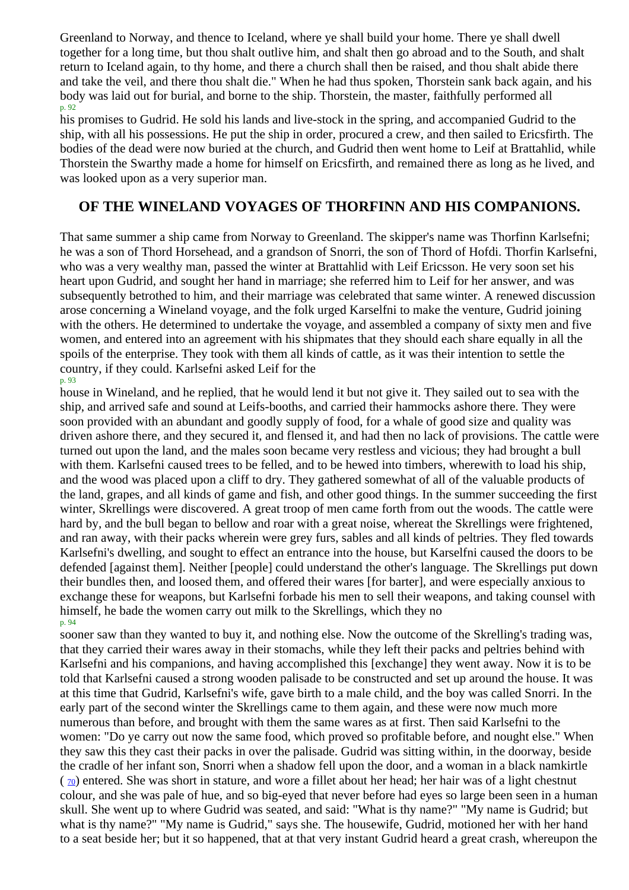Greenland to Norway, and thence to Iceland, where ye shall build your home. There ye shall dwell together for a long time, but thou shalt outlive him, and shalt then go abroad and to the South, and shalt return to Iceland again, to thy home, and there a church shall then be raised, and thou shalt abide there and take the veil, and there thou shalt die." When he had thus spoken, Thorstein sank back again, and his body was laid out for burial, and borne to the ship. Thorstein, the master, faithfully performed all p. 92

his promises to Gudrid. He sold his lands and live-stock in the spring, and accompanied Gudrid to the ship, with all his possessions. He put the ship in order, procured a crew, and then sailed to Ericsfirth. The bodies of the dead were now buried at the church, and Gudrid then went home to Leif at Brattahlid, while Thorstein the Swarthy made a home for himself on Ericsfirth, and remained there as long as he lived, and was looked upon as a very superior man.

## **OF THE WINELAND VOYAGES OF THORFINN AND HIS COMPANIONS.**

That same summer a ship came from Norway to Greenland. The skipper's name was Thorfinn Karlsefni; he was a son of Thord Horsehead, and a grandson of Snorri, the son of Thord of Hofdi. Thorfin Karlsefni, who was a very wealthy man, passed the winter at Brattahlid with Leif Ericsson. He very soon set his heart upon Gudrid, and sought her hand in marriage; she referred him to Leif for her answer, and was subsequently betrothed to him, and their marriage was celebrated that same winter. A renewed discussion arose concerning a Wineland voyage, and the folk urged Karselfni to make the venture, Gudrid joining with the others. He determined to undertake the voyage, and assembled a company of sixty men and five women, and entered into an agreement with his shipmates that they should each share equally in all the spoils of the enterprise. They took with them all kinds of cattle, as it was their intention to settle the country, if they could. Karlsefni asked Leif for the p. 93

house in Wineland, and he replied, that he would lend it but not give it. They sailed out to sea with the ship, and arrived safe and sound at Leifs-booths, and carried their hammocks ashore there. They were soon provided with an abundant and goodly supply of food, for a whale of good size and quality was driven ashore there, and they secured it, and flensed it, and had then no lack of provisions. The cattle were turned out upon the land, and the males soon became very restless and vicious; they had brought a bull with them. Karlsefni caused trees to be felled, and to be hewed into timbers, wherewith to load his ship, and the wood was placed upon a cliff to dry. They gathered somewhat of all of the valuable products of the land, grapes, and all kinds of game and fish, and other good things. In the summer succeeding the first winter, Skrellings were discovered. A great troop of men came forth from out the woods. The cattle were hard by, and the bull began to bellow and roar with a great noise, whereat the Skrellings were frightened, and ran away, with their packs wherein were grey furs, sables and all kinds of peltries. They fled towards Karlsefni's dwelling, and sought to effect an entrance into the house, but Karselfni caused the doors to be defended [against them]. Neither [people] could understand the other's language. The Skrellings put down their bundles then, and loosed them, and offered their wares [for barter], and were especially anxious to exchange these for weapons, but Karlsefni forbade his men to sell their weapons, and taking counsel with himself, he bade the women carry out milk to the Skrellings, which they no p. 94

sooner saw than they wanted to buy it, and nothing else. Now the outcome of the Skrelling's trading was, that they carried their wares away in their stomachs, while they left their packs and peltries behind with Karlsefni and his companions, and having accomplished this [exchange] they went away. Now it is to be told that Karlsefni caused a strong wooden palisade to be constructed and set up around the house. It was at this time that Gudrid, Karlsefni's wife, gave birth to a male child, and the boy was called Snorri. In the early part of the second winter the Skrellings came to them again, and these were now much more numerous than before, and brought with them the same wares as at first. Then said Karlsefni to the women: "Do ye carry out now the same food, which proved so profitable before, and nought else." When they saw this they cast their packs in over the palisade. Gudrid was sitting within, in the doorway, beside the cradle of her infant son, Snorri when a shadow fell upon the door, and a woman in a black namkirtle  $(\frac{70}{2})$  $(\frac{70}{2})$  $(\frac{70}{2})$  entered. She was short in stature, and wore a fillet about her head; her hair was of a light chestnut colour, and she was pale of hue, and so big-eyed that never before had eyes so large been seen in a human skull. She went up to where Gudrid was seated, and said: "What is thy name?" "My name is Gudrid; but what is thy name?" "My name is Gudrid," says she. The housewife, Gudrid, motioned her with her hand to a seat beside her; but it so happened, that at that very instant Gudrid heard a great crash, whereupon the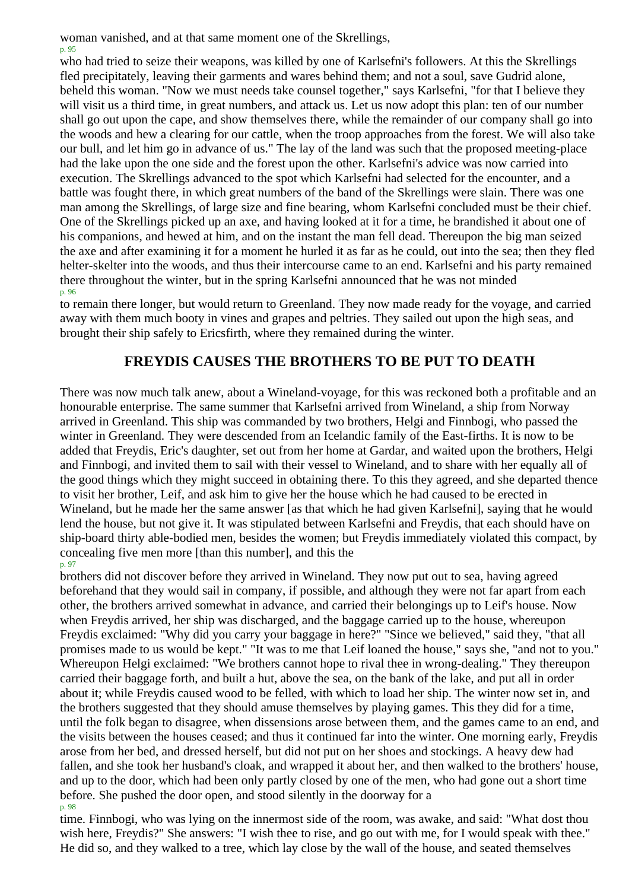woman vanished, and at that same moment one of the Skrellings, p. 95

who had tried to seize their weapons, was killed by one of Karlsefni's followers. At this the Skrellings fled precipitately, leaving their garments and wares behind them; and not a soul, save Gudrid alone, beheld this woman. "Now we must needs take counsel together," says Karlsefni, "for that I believe they will visit us a third time, in great numbers, and attack us. Let us now adopt this plan: ten of our number shall go out upon the cape, and show themselves there, while the remainder of our company shall go into the woods and hew a clearing for our cattle, when the troop approaches from the forest. We will also take our bull, and let him go in advance of us." The lay of the land was such that the proposed meeting-place had the lake upon the one side and the forest upon the other. Karlsefni's advice was now carried into execution. The Skrellings advanced to the spot which Karlsefni had selected for the encounter, and a battle was fought there, in which great numbers of the band of the Skrellings were slain. There was one man among the Skrellings, of large size and fine bearing, whom Karlsefni concluded must be their chief. One of the Skrellings picked up an axe, and having looked at it for a time, he brandished it about one of his companions, and hewed at him, and on the instant the man fell dead. Thereupon the big man seized the axe and after examining it for a moment he hurled it as far as he could, out into the sea; then they fled helter-skelter into the woods, and thus their intercourse came to an end. Karlsefni and his party remained there throughout the winter, but in the spring Karlsefni announced that he was not minded p. 96

to remain there longer, but would return to Greenland. They now made ready for the voyage, and carried away with them much booty in vines and grapes and peltries. They sailed out upon the high seas, and brought their ship safely to Ericsfirth, where they remained during the winter.

## **FREYDIS CAUSES THE BROTHERS TO BE PUT TO DEATH**

There was now much talk anew, about a Wineland-voyage, for this was reckoned both a profitable and an honourable enterprise. The same summer that Karlsefni arrived from Wineland, a ship from Norway arrived in Greenland. This ship was commanded by two brothers, Helgi and Finnbogi, who passed the winter in Greenland. They were descended from an Icelandic family of the East-firths. It is now to be added that Freydis, Eric's daughter, set out from her home at Gardar, and waited upon the brothers, Helgi and Finnbogi, and invited them to sail with their vessel to Wineland, and to share with her equally all of the good things which they might succeed in obtaining there. To this they agreed, and she departed thence to visit her brother, Leif, and ask him to give her the house which he had caused to be erected in Wineland, but he made her the same answer [as that which he had given Karlsefni], saying that he would lend the house, but not give it. It was stipulated between Karlsefni and Freydis, that each should have on ship-board thirty able-bodied men, besides the women; but Freydis immediately violated this compact, by concealing five men more [than this number], and this the p. 97

brothers did not discover before they arrived in Wineland. They now put out to sea, having agreed beforehand that they would sail in company, if possible, and although they were not far apart from each other, the brothers arrived somewhat in advance, and carried their belongings up to Leif's house. Now when Freydis arrived, her ship was discharged, and the baggage carried up to the house, whereupon Freydis exclaimed: "Why did you carry your baggage in here?" "Since we believed," said they, "that all promises made to us would be kept." "It was to me that Leif loaned the house," says she, "and not to you." Whereupon Helgi exclaimed: "We brothers cannot hope to rival thee in wrong-dealing." They thereupon carried their baggage forth, and built a hut, above the sea, on the bank of the lake, and put all in order about it; while Freydis caused wood to be felled, with which to load her ship. The winter now set in, and the brothers suggested that they should amuse themselves by playing games. This they did for a time, until the folk began to disagree, when dissensions arose between them, and the games came to an end, and the visits between the houses ceased; and thus it continued far into the winter. One morning early, Freydis arose from her bed, and dressed herself, but did not put on her shoes and stockings. A heavy dew had fallen, and she took her husband's cloak, and wrapped it about her, and then walked to the brothers' house, and up to the door, which had been only partly closed by one of the men, who had gone out a short time before. She pushed the door open, and stood silently in the doorway for a p. 98

time. Finnbogi, who was lying on the innermost side of the room, was awake, and said: "What dost thou wish here, Freydis?" She answers: "I wish thee to rise, and go out with me, for I would speak with thee." He did so, and they walked to a tree, which lay close by the wall of the house, and seated themselves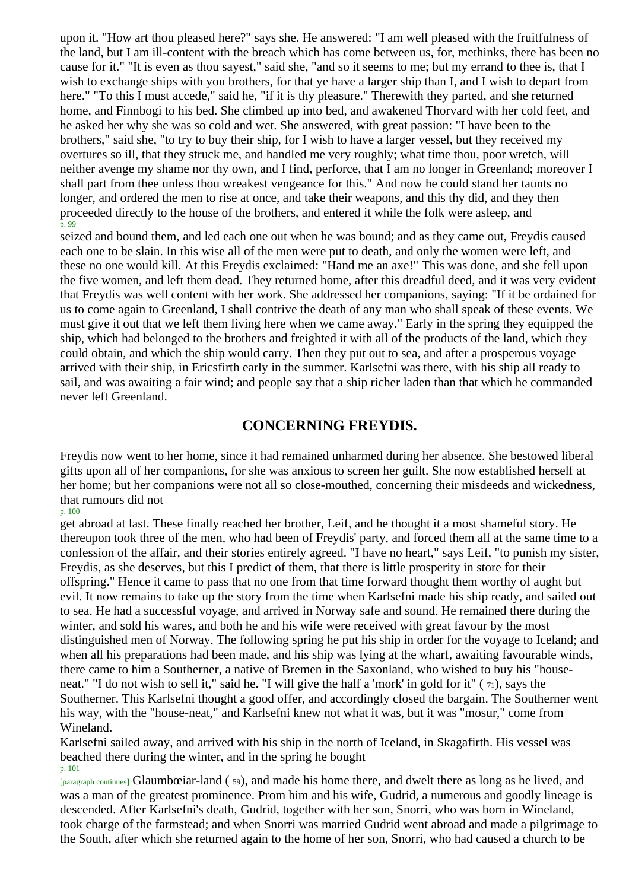upon it. "How art thou pleased here?" says she. He answered: "I am well pleased with the fruitfulness of the land, but I am ill-content with the breach which has come between us, for, methinks, there has been no cause for it." "It is even as thou sayest," said she, "and so it seems to me; but my errand to thee is, that I wish to exchange ships with you brothers, for that ye have a larger ship than I, and I wish to depart from here." "To this I must accede," said he, "if it is thy pleasure." Therewith they parted, and she returned home, and Finnbogi to his bed. She climbed up into bed, and awakened Thorvard with her cold feet, and he asked her why she was so cold and wet. She answered, with great passion: "I have been to the brothers," said she, "to try to buy their ship, for I wish to have a larger vessel, but they received my overtures so ill, that they struck me, and handled me very roughly; what time thou, poor wretch, will neither avenge my shame nor thy own, and I find, perforce, that I am no longer in Greenland; moreover I shall part from thee unless thou wreakest vengeance for this." And now he could stand her taunts no longer, and ordered the men to rise at once, and take their weapons, and this thy did, and they then proceeded directly to the house of the brothers, and entered it while the folk were asleep, and p. 99

seized and bound them, and led each one out when he was bound; and as they came out, Freydis caused each one to be slain. In this wise all of the men were put to death, and only the women were left, and these no one would kill. At this Freydis exclaimed: "Hand me an axe!" This was done, and she fell upon the five women, and left them dead. They returned home, after this dreadful deed, and it was very evident that Freydis was well content with her work. She addressed her companions, saying: "If it be ordained for us to come again to Greenland, I shall contrive the death of any man who shall speak of these events. We must give it out that we left them living here when we came away." Early in the spring they equipped the ship, which had belonged to the brothers and freighted it with all of the products of the land, which they could obtain, and which the ship would carry. Then they put out to sea, and after a prosperous voyage arrived with their ship, in Ericsfirth early in the summer. Karlsefni was there, with his ship all ready to sail, and was awaiting a fair wind; and people say that a ship richer laden than that which he commanded never left Greenland.

### **CONCERNING FREYDIS.**

Freydis now went to her home, since it had remained unharmed during her absence. She bestowed liberal gifts upon all of her companions, for she was anxious to screen her guilt. She now established herself at her home; but her companions were not all so close-mouthed, concerning their misdeeds and wickedness, that rumours did not

p. 100

get abroad at last. These finally reached her brother, Leif, and he thought it a most shameful story. He thereupon took three of the men, who had been of Freydis' party, and forced them all at the same time to a confession of the affair, and their stories entirely agreed. "I have no heart," says Leif, "to punish my sister, Freydis, as she deserves, but this I predict of them, that there is little prosperity in store for their offspring." Hence it came to pass that no one from that time forward thought them worthy of aught but evil. It now remains to take up the story from the time when Karlsefni made his ship ready, and sailed out to sea. He had a successful voyage, and arrived in Norway safe and sound. He remained there during the winter, and sold his wares, and both he and his wife were received with great favour by the most distinguished men of Norway. The following spring he put his ship in order for the voyage to Iceland; and when all his preparations had been made, and his ship was lying at the wharf, awaiting favourable winds, there came to him a Southerner, a native of Bremen in the Saxonland, who wished to buy his "houseneat." "I do not wish to sell it," said he. "I will give the half a 'mork' in gold for it" ( <sup>71</sup>), says the Southerner. This Karlsefni thought a good offer, and accordingly closed the bargain. The Southerner went his way, with the "house-neat," and Karlsefni knew not what it was, but it was "mosur," come from Wineland.

Karlsefni sailed away, and arrived with his ship in the north of Iceland, in Skagafirth. His vessel was beached there during the winter, and in the spring he bought p. 101

[paragraph continues] Glaumbœiar-land ( <sup>59</sup>), and made his home there, and dwelt there as long as he lived, and was a man of the greatest prominence. Prom him and his wife, Gudrid, a numerous and goodly lineage is descended. After Karlsefni's death, Gudrid, together with her son, Snorri, who was born in Wineland, took charge of the farmstead; and when Snorri was married Gudrid went abroad and made a pilgrimage to the South, after which she returned again to the home of her son, Snorri, who had caused a church to be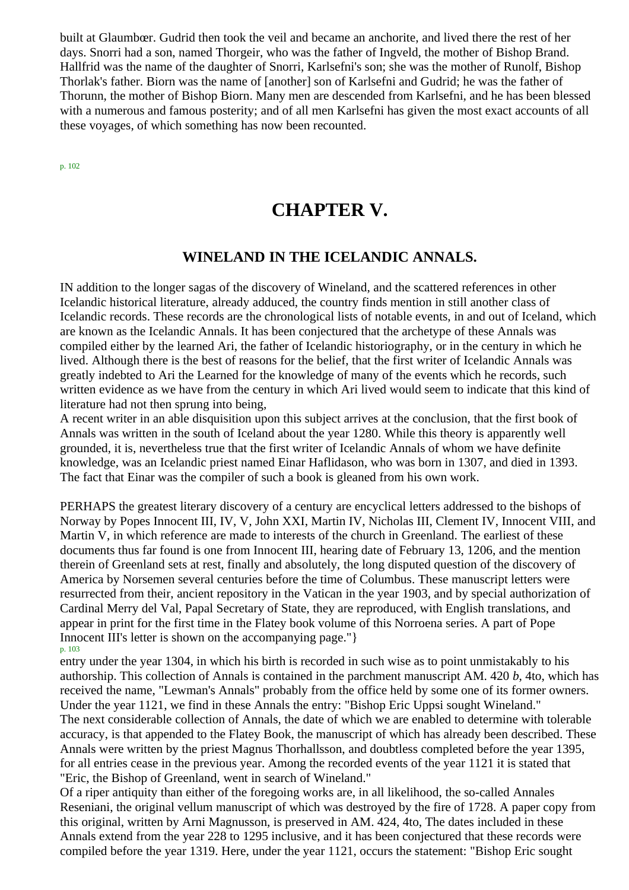built at Glaumbœr. Gudrid then took the veil and became an anchorite, and lived there the rest of her days. Snorri had a son, named Thorgeir, who was the father of Ingveld, the mother of Bishop Brand. Hallfrid was the name of the daughter of Snorri, Karlsefni's son; she was the mother of Runolf, Bishop Thorlak's father. Biorn was the name of [another] son of Karlsefni and Gudrid; he was the father of Thorunn, the mother of Bishop Biorn. Many men are descended from Karlsefni, and he has been blessed with a numerous and famous posterity; and of all men Karlsefni has given the most exact accounts of all these voyages, of which something has now been recounted.

p. 102

## **CHAPTER V.**

## **WINELAND IN THE ICELANDIC ANNALS.**

IN addition to the longer sagas of the discovery of Wineland, and the scattered references in other Icelandic historical literature, already adduced, the country finds mention in still another class of Icelandic records. These records are the chronological lists of notable events, in and out of Iceland, which are known as the Icelandic Annals. It has been conjectured that the archetype of these Annals was compiled either by the learned Ari, the father of Icelandic historiography, or in the century in which he lived. Although there is the best of reasons for the belief, that the first writer of Icelandic Annals was greatly indebted to Ari the Learned for the knowledge of many of the events which he records, such written evidence as we have from the century in which Ari lived would seem to indicate that this kind of literature had not then sprung into being,

A recent writer in an able disquisition upon this subject arrives at the conclusion, that the first book of Annals was written in the south of Iceland about the year 1280. While this theory is apparently well grounded, it is, nevertheless true that the first writer of Icelandic Annals of whom we have definite knowledge, was an Icelandic priest named Einar Haflidason, who was born in 1307, and died in 1393. The fact that Einar was the compiler of such a book is gleaned from his own work.

PERHAPS the greatest literary discovery of a century are encyclical letters addressed to the bishops of Norway by Popes Innocent III, IV, V, John XXI, Martin IV, Nicholas III, Clement IV, Innocent VIII, and Martin V, in which reference are made to interests of the church in Greenland. The earliest of these documents thus far found is one from Innocent III, hearing date of February 13, 1206, and the mention therein of Greenland sets at rest, finally and absolutely, the long disputed question of the discovery of America by Norsemen several centuries before the time of Columbus. These manuscript letters were resurrected from their, ancient repository in the Vatican in the year 1903, and by special authorization of Cardinal Merry del Val, Papal Secretary of State, they are reproduced, with English translations, and appear in print for the first time in the Flatey book volume of this Norroena series. A part of Pope Innocent III's letter is shown on the accompanying page."} p. 103

entry under the year 1304, in which his birth is recorded in such wise as to point unmistakably to his authorship. This collection of Annals is contained in the parchment manuscript AM. 420 *b*, 4to, which has received the name, "Lewman's Annals" probably from the office held by some one of its former owners. Under the year 1121, we find in these Annals the entry: "Bishop Eric Uppsi sought Wineland." The next considerable collection of Annals, the date of which we are enabled to determine with tolerable accuracy, is that appended to the Flatey Book, the manuscript of which has already been described. These Annals were written by the priest Magnus Thorhallsson, and doubtless completed before the year 1395, for all entries cease in the previous year. Among the recorded events of the year 1121 it is stated that "Eric, the Bishop of Greenland, went in search of Wineland."

Of a riper antiquity than either of the foregoing works are, in all likelihood, the so-called Annales Reseniani, the original vellum manuscript of which was destroyed by the fire of 1728. A paper copy from this original, written by Arni Magnusson, is preserved in AM. 424, 4to, The dates included in these Annals extend from the year 228 to 1295 inclusive, and it has been conjectured that these records were compiled before the year 1319. Here, under the year 1121, occurs the statement: "Bishop Eric sought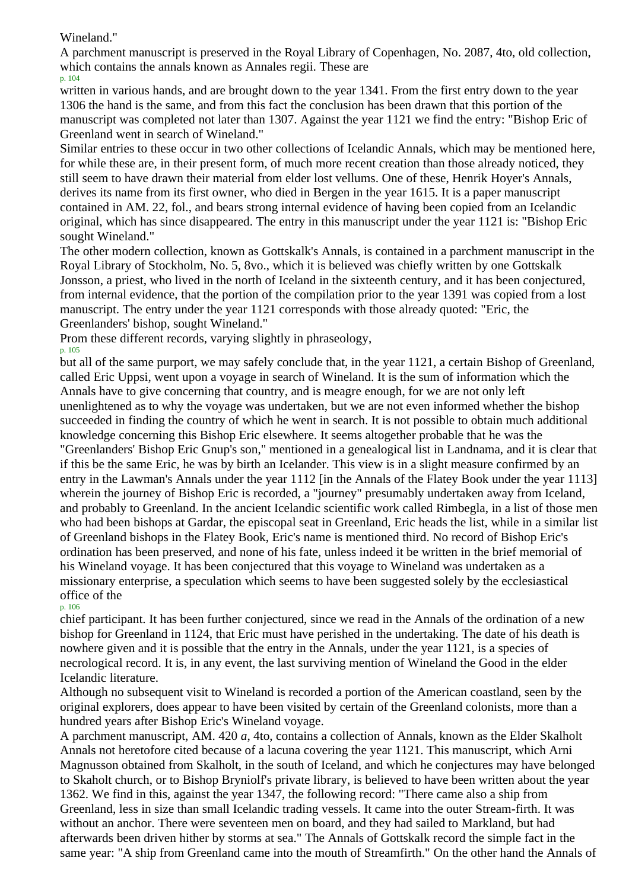Wineland."

A parchment manuscript is preserved in the Royal Library of Copenhagen, No. 2087, 4to, old collection, which contains the annals known as Annales regii. These are p. 104

written in various hands, and are brought down to the year 1341. From the first entry down to the year 1306 the hand is the same, and from this fact the conclusion has been drawn that this portion of the manuscript was completed not later than 1307. Against the year 1121 we find the entry: "Bishop Eric of Greenland went in search of Wineland."

Similar entries to these occur in two other collections of Icelandic Annals, which may be mentioned here, for while these are, in their present form, of much more recent creation than those already noticed, they still seem to have drawn their material from elder lost vellums. One of these, Henrik Hoyer's Annals, derives its name from its first owner, who died in Bergen in the year 1615. It is a paper manuscript contained in AM. 22, fol., and bears strong internal evidence of having been copied from an Icelandic original, which has since disappeared. The entry in this manuscript under the year 1121 is: "Bishop Eric sought Wineland."

The other modern collection, known as Gottskalk's Annals, is contained in a parchment manuscript in the Royal Library of Stockholm, No. 5, 8vo., which it is believed was chiefly written by one Gottskalk Jonsson, a priest, who lived in the north of Iceland in the sixteenth century, and it has been conjectured, from internal evidence, that the portion of the compilation prior to the year 1391 was copied from a lost manuscript. The entry under the year 1121 corresponds with those already quoted: "Eric, the Greenlanders' bishop, sought Wineland."

Prom these different records, varying slightly in phraseology, p. 105

but all of the same purport, we may safely conclude that, in the year 1121, a certain Bishop of Greenland, called Eric Uppsi, went upon a voyage in search of Wineland. It is the sum of information which the Annals have to give concerning that country, and is meagre enough, for we are not only left unenlightened as to why the voyage was undertaken, but we are not even informed whether the bishop succeeded in finding the country of which he went in search. It is not possible to obtain much additional knowledge concerning this Bishop Eric elsewhere. It seems altogether probable that he was the "Greenlanders' Bishop Eric Gnup's son," mentioned in a genealogical list in Landnama, and it is clear that if this be the same Eric, he was by birth an Icelander. This view is in a slight measure confirmed by an entry in the Lawman's Annals under the year 1112 [in the Annals of the Flatey Book under the year 1113] wherein the journey of Bishop Eric is recorded, a "journey" presumably undertaken away from Iceland, and probably to Greenland. In the ancient Icelandic scientific work called Rimbegla, in a list of those men who had been bishops at Gardar, the episcopal seat in Greenland, Eric heads the list, while in a similar list of Greenland bishops in the Flatey Book, Eric's name is mentioned third. No record of Bishop Eric's ordination has been preserved, and none of his fate, unless indeed it be written in the brief memorial of his Wineland voyage. It has been conjectured that this voyage to Wineland was undertaken as a missionary enterprise, a speculation which seems to have been suggested solely by the ecclesiastical office of the

p. 106

chief participant. It has been further conjectured, since we read in the Annals of the ordination of a new bishop for Greenland in 1124, that Eric must have perished in the undertaking. The date of his death is nowhere given and it is possible that the entry in the Annals, under the year 1121, is a species of necrological record. It is, in any event, the last surviving mention of Wineland the Good in the elder Icelandic literature.

Although no subsequent visit to Wineland is recorded a portion of the American coastland, seen by the original explorers, does appear to have been visited by certain of the Greenland colonists, more than a hundred years after Bishop Eric's Wineland voyage.

A parchment manuscript, AM. 420 *a*, 4to, contains a collection of Annals, known as the Elder Skalholt Annals not heretofore cited because of a lacuna covering the year 1121. This manuscript, which Arni Magnusson obtained from Skalholt, in the south of Iceland, and which he conjectures may have belonged to Skaholt church, or to Bishop Bryniolf's private library, is believed to have been written about the year 1362. We find in this, against the year 1347, the following record: "There came also a ship from Greenland, less in size than small Icelandic trading vessels. It came into the outer Stream-firth. It was without an anchor. There were seventeen men on board, and they had sailed to Markland, but had afterwards been driven hither by storms at sea." The Annals of Gottskalk record the simple fact in the same year: "A ship from Greenland came into the mouth of Streamfirth." On the other hand the Annals of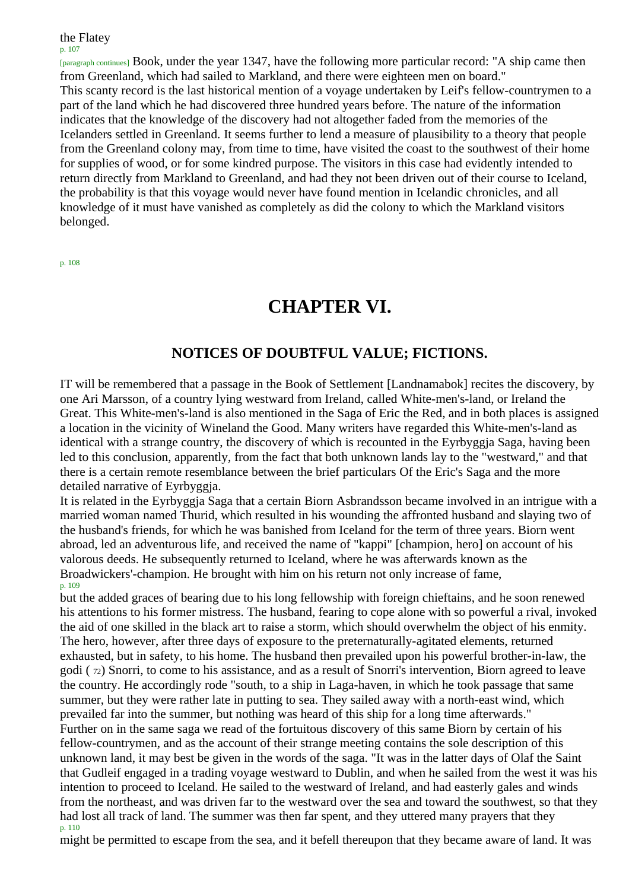#### the Flatey p. 107

[paragraph continues] Book, under the year 1347, have the following more particular record: "A ship came then from Greenland, which had sailed to Markland, and there were eighteen men on board." This scanty record is the last historical mention of a voyage undertaken by Leif's fellow-countrymen to a part of the land which he had discovered three hundred years before. The nature of the information indicates that the knowledge of the discovery had not altogether faded from the memories of the Icelanders settled in Greenland. It seems further to lend a measure of plausibility to a theory that people from the Greenland colony may, from time to time, have visited the coast to the southwest of their home for supplies of wood, or for some kindred purpose. The visitors in this case had evidently intended to return directly from Markland to Greenland, and had they not been driven out of their course to Iceland, the probability is that this voyage would never have found mention in Icelandic chronicles, and all knowledge of it must have vanished as completely as did the colony to which the Markland visitors belonged.

p. 108

# **CHAPTER VI.**

## **NOTICES OF DOUBTFUL VALUE; FICTIONS.**

IT will be remembered that a passage in the Book of Settlement [Landnamabok] recites the discovery, by one Ari Marsson, of a country lying westward from Ireland, called White-men's-land, or Ireland the Great. This White-men's-land is also mentioned in the Saga of Eric the Red, and in both places is assigned a location in the vicinity of Wineland the Good. Many writers have regarded this White-men's-land as identical with a strange country, the discovery of which is recounted in the Eyrbyggja Saga, having been led to this conclusion, apparently, from the fact that both unknown lands lay to the "westward," and that there is a certain remote resemblance between the brief particulars Of the Eric's Saga and the more detailed narrative of Eyrbyggja.

It is related in the Eyrbyggja Saga that a certain Biorn Asbrandsson became involved in an intrigue with a married woman named Thurid, which resulted in his wounding the affronted husband and slaying two of the husband's friends, for which he was banished from Iceland for the term of three years. Biorn went abroad, led an adventurous life, and received the name of "kappi" [champion, hero] on account of his valorous deeds. He subsequently returned to Iceland, where he was afterwards known as the Broadwickers'-champion. He brought with him on his return not only increase of fame, p. 109

but the added graces of bearing due to his long fellowship with foreign chieftains, and he soon renewed his attentions to his former mistress. The husband, fearing to cope alone with so powerful a rival, invoked the aid of one skilled in the black art to raise a storm, which should overwhelm the object of his enmity. The hero, however, after three days of exposure to the preternaturally-agitated elements, returned exhausted, but in safety, to his home. The husband then prevailed upon his powerful brother-in-law, the godi ( <sup>72</sup>) Snorri, to come to his assistance, and as a result of Snorri's intervention, Biorn agreed to leave the country. He accordingly rode "south, to a ship in Laga-haven, in which he took passage that same summer, but they were rather late in putting to sea. They sailed away with a north-east wind, which prevailed far into the summer, but nothing was heard of this ship for a long time afterwards." Further on in the same saga we read of the fortuitous discovery of this same Biorn by certain of his fellow-countrymen, and as the account of their strange meeting contains the sole description of this unknown land, it may best be given in the words of the saga. "It was in the latter days of Olaf the Saint that Gudleif engaged in a trading voyage westward to Dublin, and when he sailed from the west it was his intention to proceed to Iceland. He sailed to the westward of Ireland, and had easterly gales and winds from the northeast, and was driven far to the westward over the sea and toward the southwest, so that they had lost all track of land. The summer was then far spent, and they uttered many prayers that they p. 110

might be permitted to escape from the sea, and it befell thereupon that they became aware of land. It was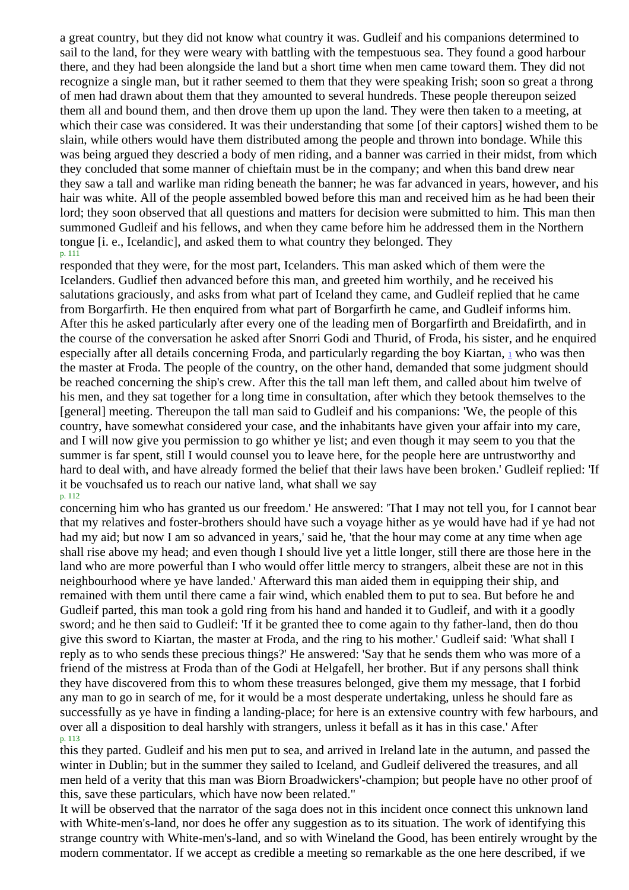a great country, but they did not know what country it was. Gudleif and his companions determined to sail to the land, for they were weary with battling with the tempestuous sea. They found a good harbour there, and they had been alongside the land but a short time when men came toward them. They did not recognize a single man, but it rather seemed to them that they were speaking Irish; soon so great a throng of men had drawn about them that they amounted to several hundreds. These people thereupon seized them all and bound them, and then drove them up upon the land. They were then taken to a meeting, at which their case was considered. It was their understanding that some [of their captors] wished them to be slain, while others would have them distributed among the people and thrown into bondage. While this was being argued they descried a body of men riding, and a banner was carried in their midst, from which they concluded that some manner of chieftain must be in the company; and when this band drew near they saw a tall and warlike man riding beneath the banner; he was far advanced in years, however, and his hair was white. All of the people assembled bowed before this man and received him as he had been their lord; they soon observed that all questions and matters for decision were submitted to him. This man then summoned Gudleif and his fellows, and when they came before him he addressed them in the Northern tongue [i. e., Icelandic], and asked them to what country they belonged. They p. 111

responded that they were, for the most part, Icelanders. This man asked which of them were the Icelanders. Gudlief then advanced before this man, and greeted him worthily, and he received his salutations graciously, and asks from what part of Iceland they came, and Gudleif replied that he came from Borgarfirth. He then enquired from what part of Borgarfirth he came, and Gudleif informs him. After this he asked particularly after every one of the leading men of Borgarfirth and Breidafirth, and in the course of the conversation he asked after Snorri Godi and Thurid, of Froda, his sister, and he enquired especially after all details concerning Froda, and particularly regarding the boy Kiartan,  $_1$  $_1$  who was then the master at Froda. The people of the country, on the other hand, demanded that some judgment should be reached concerning the ship's crew. After this the tall man left them, and called about him twelve of his men, and they sat together for a long time in consultation, after which they betook themselves to the [general] meeting. Thereupon the tall man said to Gudleif and his companions: 'We, the people of this country, have somewhat considered your case, and the inhabitants have given your affair into my care, and I will now give you permission to go whither ye list; and even though it may seem to you that the summer is far spent, still I would counsel you to leave here, for the people here are untrustworthy and hard to deal with, and have already formed the belief that their laws have been broken.' Gudleif replied: 'If it be vouchsafed us to reach our native land, what shall we say p. 112

concerning him who has granted us our freedom.' He answered: 'That I may not tell you, for I cannot bear that my relatives and foster-brothers should have such a voyage hither as ye would have had if ye had not had my aid; but now I am so advanced in years,' said he, 'that the hour may come at any time when age shall rise above my head; and even though I should live yet a little longer, still there are those here in the land who are more powerful than I who would offer little mercy to strangers, albeit these are not in this neighbourhood where ye have landed.' Afterward this man aided them in equipping their ship, and remained with them until there came a fair wind, which enabled them to put to sea. But before he and Gudleif parted, this man took a gold ring from his hand and handed it to Gudleif, and with it a goodly sword; and he then said to Gudleif: 'If it be granted thee to come again to thy father-land, then do thou give this sword to Kiartan, the master at Froda, and the ring to his mother.' Gudleif said: 'What shall I reply as to who sends these precious things?' He answered: 'Say that he sends them who was more of a friend of the mistress at Froda than of the Godi at Helgafell, her brother. But if any persons shall think they have discovered from this to whom these treasures belonged, give them my message, that I forbid any man to go in search of me, for it would be a most desperate undertaking, unless he should fare as successfully as ye have in finding a landing-place; for here is an extensive country with few harbours, and over all a disposition to deal harshly with strangers, unless it befall as it has in this case.' After p. 113

this they parted. Gudleif and his men put to sea, and arrived in Ireland late in the autumn, and passed the winter in Dublin; but in the summer they sailed to Iceland, and Gudleif delivered the treasures, and all men held of a verity that this man was Biorn Broadwickers'-champion; but people have no other proof of this, save these particulars, which have now been related."

It will be observed that the narrator of the saga does not in this incident once connect this unknown land with White-men's-land, nor does he offer any suggestion as to its situation. The work of identifying this strange country with White-men's-land, and so with Wineland the Good, has been entirely wrought by the modern commentator. If we accept as credible a meeting so remarkable as the one here described, if we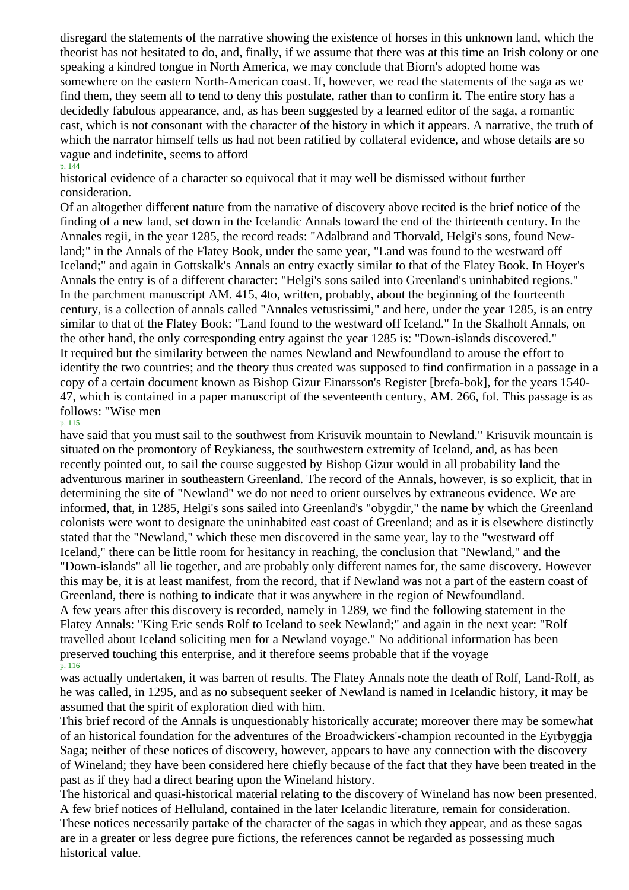disregard the statements of the narrative showing the existence of horses in this unknown land, which the theorist has not hesitated to do, and, finally, if we assume that there was at this time an Irish colony or one speaking a kindred tongue in North America, we may conclude that Biorn's adopted home was somewhere on the eastern North-American coast. If, however, we read the statements of the saga as we find them, they seem all to tend to deny this postulate, rather than to confirm it. The entire story has a decidedly fabulous appearance, and, as has been suggested by a learned editor of the saga, a romantic cast, which is not consonant with the character of the history in which it appears. A narrative, the truth of which the narrator himself tells us had not been ratified by collateral evidence, and whose details are so vague and indefinite, seems to afford p. 144

historical evidence of a character so equivocal that it may well be dismissed without further consideration.

Of an altogether different nature from the narrative of discovery above recited is the brief notice of the finding of a new land, set down in the Icelandic Annals toward the end of the thirteenth century. In the Annales regii, in the year 1285, the record reads: "Adalbrand and Thorvald, Helgi's sons, found Newland;" in the Annals of the Flatey Book, under the same year, "Land was found to the westward off Iceland;" and again in Gottskalk's Annals an entry exactly similar to that of the Flatey Book. In Hoyer's Annals the entry is of a different character: "Helgi's sons sailed into Greenland's uninhabited regions." In the parchment manuscript AM. 415, 4to, written, probably, about the beginning of the fourteenth century, is a collection of annals called "Annales vetustissimi," and here, under the year 1285, is an entry similar to that of the Flatey Book: "Land found to the westward off Iceland." In the Skalholt Annals, on the other hand, the only corresponding entry against the year 1285 is: "Down-islands discovered." It required but the similarity between the names Newland and Newfoundland to arouse the effort to identify the two countries; and the theory thus created was supposed to find confirmation in a passage in a copy of a certain document known as Bishop Gizur Einarsson's Register [brefa-bok], for the years 1540- 47, which is contained in a paper manuscript of the seventeenth century, AM. 266, fol. This passage is as follows: "Wise men

#### p. 115

have said that you must sail to the southwest from Krisuvik mountain to Newland." Krisuvik mountain is situated on the promontory of Reykianess, the southwestern extremity of Iceland, and, as has been recently pointed out, to sail the course suggested by Bishop Gizur would in all probability land the adventurous mariner in southeastern Greenland. The record of the Annals, however, is so explicit, that in determining the site of "Newland" we do not need to orient ourselves by extraneous evidence. We are informed, that, in 1285, Helgi's sons sailed into Greenland's "obygdir," the name by which the Greenland colonists were wont to designate the uninhabited east coast of Greenland; and as it is elsewhere distinctly stated that the "Newland," which these men discovered in the same year, lay to the "westward off Iceland," there can be little room for hesitancy in reaching, the conclusion that "Newland," and the "Down-islands" all lie together, and are probably only different names for, the same discovery. However this may be, it is at least manifest, from the record, that if Newland was not a part of the eastern coast of Greenland, there is nothing to indicate that it was anywhere in the region of Newfoundland.

A few years after this discovery is recorded, namely in 1289, we find the following statement in the Flatey Annals: "King Eric sends Rolf to Iceland to seek Newland;" and again in the next year: "Rolf travelled about Iceland soliciting men for a Newland voyage." No additional information has been preserved touching this enterprise, and it therefore seems probable that if the voyage p. 116

was actually undertaken, it was barren of results. The Flatey Annals note the death of Rolf, Land-Rolf, as he was called, in 1295, and as no subsequent seeker of Newland is named in Icelandic history, it may be assumed that the spirit of exploration died with him.

This brief record of the Annals is unquestionably historically accurate; moreover there may be somewhat of an historical foundation for the adventures of the Broadwickers'-champion recounted in the Eyrbyggja Saga; neither of these notices of discovery, however, appears to have any connection with the discovery of Wineland; they have been considered here chiefly because of the fact that they have been treated in the past as if they had a direct bearing upon the Wineland history.

The historical and quasi-historical material relating to the discovery of Wineland has now been presented. A few brief notices of Helluland, contained in the later Icelandic literature, remain for consideration. These notices necessarily partake of the character of the sagas in which they appear, and as these sagas are in a greater or less degree pure fictions, the references cannot be regarded as possessing much historical value.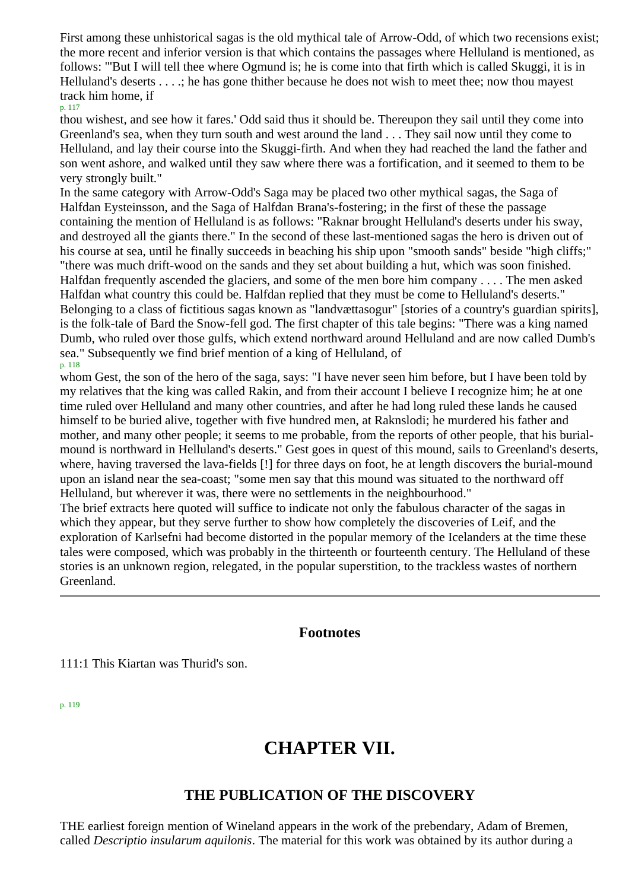First among these unhistorical sagas is the old mythical tale of Arrow-Odd, of which two recensions exist; the more recent and inferior version is that which contains the passages where Helluland is mentioned, as follows: "'But I will tell thee where Ogmund is; he is come into that firth which is called Skuggi, it is in Helluland's deserts . . . .; he has gone thither because he does not wish to meet thee; now thou mayest track him home, if p. 117

thou wishest, and see how it fares.' Odd said thus it should be. Thereupon they sail until they come into Greenland's sea, when they turn south and west around the land . . . They sail now until they come to Helluland, and lay their course into the Skuggi-firth. And when they had reached the land the father and son went ashore, and walked until they saw where there was a fortification, and it seemed to them to be very strongly built."

In the same category with Arrow-Odd's Saga may be placed two other mythical sagas, the Saga of Halfdan Eysteinsson, and the Saga of Halfdan Brana's-fostering; in the first of these the passage containing the mention of Helluland is as follows: "Raknar brought Helluland's deserts under his sway, and destroyed all the giants there." In the second of these last-mentioned sagas the hero is driven out of his course at sea, until he finally succeeds in beaching his ship upon "smooth sands" beside "high cliffs;" "there was much drift-wood on the sands and they set about building a hut, which was soon finished. Halfdan frequently ascended the glaciers, and some of the men bore him company . . . . The men asked Halfdan what country this could be. Halfdan replied that they must be come to Helluland's deserts." Belonging to a class of fictitious sagas known as "landvættasogur" [stories of a country's guardian spirits], is the folk-tale of Bard the Snow-fell god. The first chapter of this tale begins: "There was a king named Dumb, who ruled over those gulfs, which extend northward around Helluland and are now called Dumb's sea." Subsequently we find brief mention of a king of Helluland, of p. 118

whom Gest, the son of the hero of the saga, says: "I have never seen him before, but I have been told by my relatives that the king was called Rakin, and from their account I believe I recognize him; he at one time ruled over Helluland and many other countries, and after he had long ruled these lands he caused himself to be buried alive, together with five hundred men, at Raknslodi; he murdered his father and mother, and many other people; it seems to me probable, from the reports of other people, that his burialmound is northward in Helluland's deserts." Gest goes in quest of this mound, sails to Greenland's deserts, where, having traversed the lava-fields [!] for three days on foot, he at length discovers the burial-mound upon an island near the sea-coast; "some men say that this mound was situated to the northward off Helluland, but wherever it was, there were no settlements in the neighbourhood."

The brief extracts here quoted will suffice to indicate not only the fabulous character of the sagas in which they appear, but they serve further to show how completely the discoveries of Leif, and the exploration of Karlsefni had become distorted in the popular memory of the Icelanders at the time these tales were composed, which was probably in the thirteenth or fourteenth century. The Helluland of these stories is an unknown region, relegated, in the popular superstition, to the trackless wastes of northern Greenland.

**Footnotes**

111:1 This Kiartan was Thurid's son.

p. 119

## **CHAPTER VII.**

## **THE PUBLICATION OF THE DISCOVERY**

THE earliest foreign mention of Wineland appears in the work of the prebendary, Adam of Bremen, called *Descriptio insularum aquilonis*. The material for this work was obtained by its author during a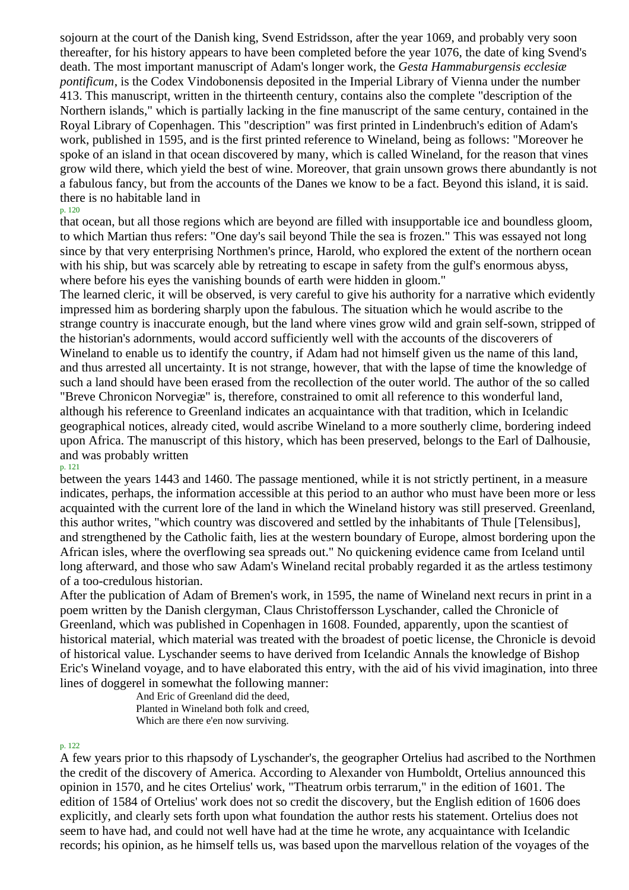sojourn at the court of the Danish king, Svend Estridsson, after the year 1069, and probably very soon thereafter, for his history appears to have been completed before the year 1076, the date of king Svend's death. The most important manuscript of Adam's longer work, the *Gesta Hammaburgensis ecclesiæ pontificum*, is the Codex Vindobonensis deposited in the Imperial Library of Vienna under the number 413. This manuscript, written in the thirteenth century, contains also the complete "description of the Northern islands," which is partially lacking in the fine manuscript of the same century, contained in the Royal Library of Copenhagen. This "description" was first printed in Lindenbruch's edition of Adam's work, published in 1595, and is the first printed reference to Wineland, being as follows: "Moreover he spoke of an island in that ocean discovered by many, which is called Wineland, for the reason that vines grow wild there, which yield the best of wine. Moreover, that grain unsown grows there abundantly is not a fabulous fancy, but from the accounts of the Danes we know to be a fact. Beyond this island, it is said. there is no habitable land in

#### p. 120

that ocean, but all those regions which are beyond are filled with insupportable ice and boundless gloom, to which Martian thus refers: "One day's sail beyond Thile the sea is frozen." This was essayed not long since by that very enterprising Northmen's prince, Harold, who explored the extent of the northern ocean with his ship, but was scarcely able by retreating to escape in safety from the gulf's enormous abyss, where before his eyes the vanishing bounds of earth were hidden in gloom."

The learned cleric, it will be observed, is very careful to give his authority for a narrative which evidently impressed him as bordering sharply upon the fabulous. The situation which he would ascribe to the strange country is inaccurate enough, but the land where vines grow wild and grain self-sown, stripped of the historian's adornments, would accord sufficiently well with the accounts of the discoverers of Wineland to enable us to identify the country, if Adam had not himself given us the name of this land, and thus arrested all uncertainty. It is not strange, however, that with the lapse of time the knowledge of such a land should have been erased from the recollection of the outer world. The author of the so called "Breve Chronicon Norvegiæ" is, therefore, constrained to omit all reference to this wonderful land, although his reference to Greenland indicates an acquaintance with that tradition, which in Icelandic geographical notices, already cited, would ascribe Wineland to a more southerly clime, bordering indeed upon Africa. The manuscript of this history, which has been preserved, belongs to the Earl of Dalhousie, and was probably written p. 121

between the years 1443 and 1460. The passage mentioned, while it is not strictly pertinent, in a measure indicates, perhaps, the information accessible at this period to an author who must have been more or less acquainted with the current lore of the land in which the Wineland history was still preserved. Greenland, this author writes, "which country was discovered and settled by the inhabitants of Thule [Telensibus], and strengthened by the Catholic faith, lies at the western boundary of Europe, almost bordering upon the African isles, where the overflowing sea spreads out." No quickening evidence came from Iceland until long afterward, and those who saw Adam's Wineland recital probably regarded it as the artless testimony of a too-credulous historian.

After the publication of Adam of Bremen's work, in 1595, the name of Wineland next recurs in print in a poem written by the Danish clergyman, Claus Christoffersson Lyschander, called the Chronicle of Greenland, which was published in Copenhagen in 1608. Founded, apparently, upon the scantiest of historical material, which material was treated with the broadest of poetic license, the Chronicle is devoid of historical value. Lyschander seems to have derived from Icelandic Annals the knowledge of Bishop Eric's Wineland voyage, and to have elaborated this entry, with the aid of his vivid imagination, into three lines of doggerel in somewhat the following manner:

> And Eric of Greenland did the deed, Planted in Wineland both folk and creed, Which are there e'en now surviving.

#### p. 122

A few years prior to this rhapsody of Lyschander's, the geographer Ortelius had ascribed to the Northmen the credit of the discovery of America. According to Alexander von Humboldt, Ortelius announced this opinion in 1570, and he cites Ortelius' work, "Theatrum orbis terrarum," in the edition of 1601. The edition of 1584 of Ortelius' work does not so credit the discovery, but the English edition of 1606 does explicitly, and clearly sets forth upon what foundation the author rests his statement. Ortelius does not seem to have had, and could not well have had at the time he wrote, any acquaintance with Icelandic records; his opinion, as he himself tells us, was based upon the marvellous relation of the voyages of the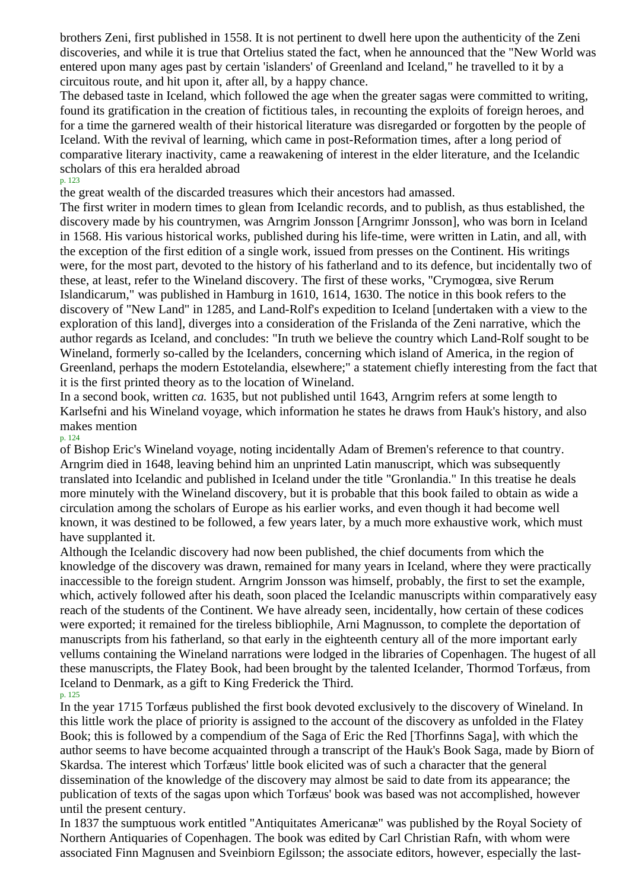brothers Zeni, first published in 1558. It is not pertinent to dwell here upon the authenticity of the Zeni discoveries, and while it is true that Ortelius stated the fact, when he announced that the "New World was entered upon many ages past by certain 'islanders' of Greenland and Iceland," he travelled to it by a circuitous route, and hit upon it, after all, by a happy chance.

The debased taste in Iceland, which followed the age when the greater sagas were committed to writing, found its gratification in the creation of fictitious tales, in recounting the exploits of foreign heroes, and for a time the garnered wealth of their historical literature was disregarded or forgotten by the people of Iceland. With the revival of learning, which came in post-Reformation times, after a long period of comparative literary inactivity, came a reawakening of interest in the elder literature, and the Icelandic scholars of this era heralded abroad p. 123

the great wealth of the discarded treasures which their ancestors had amassed.

The first writer in modern times to glean from Icelandic records, and to publish, as thus established, the discovery made by his countrymen, was Arngrim Jonsson [Arngrimr Jonsson], who was born in Iceland in 1568. His various historical works, published during his life-time, were written in Latin, and all, with the exception of the first edition of a single work, issued from presses on the Continent. His writings were, for the most part, devoted to the history of his fatherland and to its defence, but incidentally two of these, at least, refer to the Wineland discovery. The first of these works, "Crymogœa, sive Rerum Islandicarum," was published in Hamburg in 1610, 1614, 1630. The notice in this book refers to the discovery of "New Land" in 1285, and Land-Rolf's expedition to Iceland [undertaken with a view to the exploration of this land], diverges into a consideration of the Frislanda of the Zeni narrative, which the author regards as Iceland, and concludes: "In truth we believe the country which Land-Rolf sought to be Wineland, formerly so-called by the Icelanders, concerning which island of America, in the region of Greenland, perhaps the modern Estotelandia, elsewhere;" a statement chiefly interesting from the fact that it is the first printed theory as to the location of Wineland.

In a second book, written *ca.* 1635, but not published until 1643, Arngrim refers at some length to Karlsefni and his Wineland voyage, which information he states he draws from Hauk's history, and also makes mention

#### p. 124

of Bishop Eric's Wineland voyage, noting incidentally Adam of Bremen's reference to that country. Arngrim died in 1648, leaving behind him an unprinted Latin manuscript, which was subsequently translated into Icelandic and published in Iceland under the title "Gronlandia." In this treatise he deals more minutely with the Wineland discovery, but it is probable that this book failed to obtain as wide a circulation among the scholars of Europe as his earlier works, and even though it had become well known, it was destined to be followed, a few years later, by a much more exhaustive work, which must have supplanted it.

Although the Icelandic discovery had now been published, the chief documents from which the knowledge of the discovery was drawn, remained for many years in Iceland, where they were practically inaccessible to the foreign student. Arngrim Jonsson was himself, probably, the first to set the example, which, actively followed after his death, soon placed the Icelandic manuscripts within comparatively easy reach of the students of the Continent. We have already seen, incidentally, how certain of these codices were exported; it remained for the tireless bibliophile, Arni Magnusson, to complete the deportation of manuscripts from his fatherland, so that early in the eighteenth century all of the more important early vellums containing the Wineland narrations were lodged in the libraries of Copenhagen. The hugest of all these manuscripts, the Flatey Book, had been brought by the talented Icelander, Thormod Torfæus, from Iceland to Denmark, as a gift to King Frederick the Third. p. 125

In the year 1715 Torfæus published the first book devoted exclusively to the discovery of Wineland. In this little work the place of priority is assigned to the account of the discovery as unfolded in the Flatey Book; this is followed by a compendium of the Saga of Eric the Red [Thorfinns Saga], with which the author seems to have become acquainted through a transcript of the Hauk's Book Saga, made by Biorn of Skardsa. The interest which Torfæus' little book elicited was of such a character that the general dissemination of the knowledge of the discovery may almost be said to date from its appearance; the publication of texts of the sagas upon which Torfæus' book was based was not accomplished, however until the present century.

In 1837 the sumptuous work entitled "Antiquitates Americanæ" was published by the Royal Society of Northern Antiquaries of Copenhagen. The book was edited by Carl Christian Rafn, with whom were associated Finn Magnusen and Sveinbiorn Egilsson; the associate editors, however, especially the last-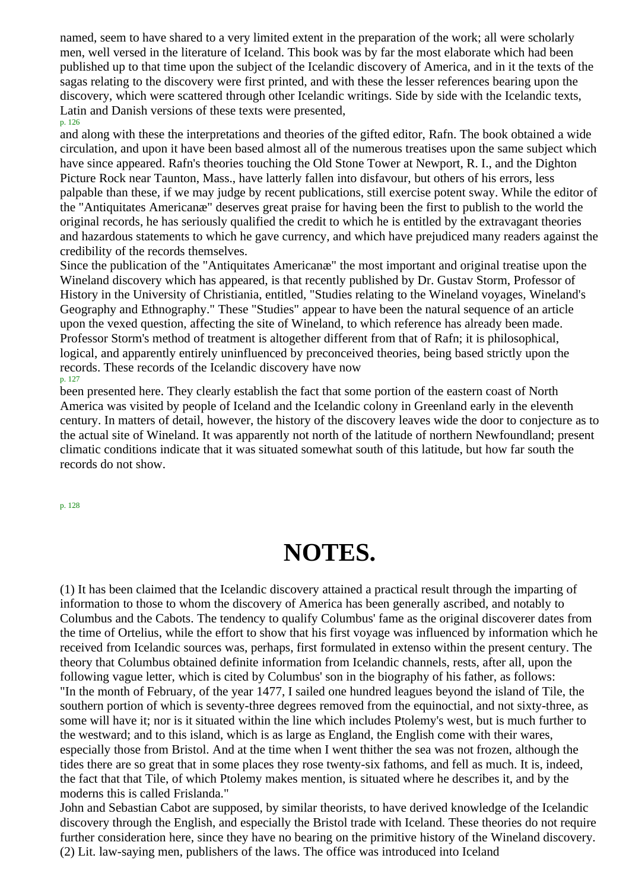named, seem to have shared to a very limited extent in the preparation of the work; all were scholarly men, well versed in the literature of Iceland. This book was by far the most elaborate which had been published up to that time upon the subject of the Icelandic discovery of America, and in it the texts of the sagas relating to the discovery were first printed, and with these the lesser references bearing upon the discovery, which were scattered through other Icelandic writings. Side by side with the Icelandic texts, Latin and Danish versions of these texts were presented, p. 126

#### and along with these the interpretations and theories of the gifted editor, Rafn. The book obtained a wide circulation, and upon it have been based almost all of the numerous treatises upon the same subject which have since appeared. Rafn's theories touching the Old Stone Tower at Newport, R. I., and the Dighton Picture Rock near Taunton, Mass., have latterly fallen into disfavour, but others of his errors, less palpable than these, if we may judge by recent publications, still exercise potent sway. While the editor of the "Antiquitates Americanæ" deserves great praise for having been the first to publish to the world the original records, he has seriously qualified the credit to which he is entitled by the extravagant theories and hazardous statements to which he gave currency, and which have prejudiced many readers against the credibility of the records themselves.

Since the publication of the "Antiquitates Americanæ" the most important and original treatise upon the Wineland discovery which has appeared, is that recently published by Dr. Gustav Storm, Professor of History in the University of Christiania, entitled, "Studies relating to the Wineland voyages, Wineland's Geography and Ethnography." These "Studies" appear to have been the natural sequence of an article upon the vexed question, affecting the site of Wineland, to which reference has already been made. Professor Storm's method of treatment is altogether different from that of Rafn; it is philosophical, logical, and apparently entirely uninfluenced by preconceived theories, being based strictly upon the records. These records of the Icelandic discovery have now p. 127

been presented here. They clearly establish the fact that some portion of the eastern coast of North America was visited by people of Iceland and the Icelandic colony in Greenland early in the eleventh century. In matters of detail, however, the history of the discovery leaves wide the door to conjecture as to the actual site of Wineland. It was apparently not north of the latitude of northern Newfoundland; present climatic conditions indicate that it was situated somewhat south of this latitude, but how far south the records do not show.

p. 128

# **NOTES.**

(1) It has been claimed that the Icelandic discovery attained a practical result through the imparting of information to those to whom the discovery of America has been generally ascribed, and notably to Columbus and the Cabots. The tendency to qualify Columbus' fame as the original discoverer dates from the time of Ortelius, while the effort to show that his first voyage was influenced by information which he received from Icelandic sources was, perhaps, first formulated in extenso within the present century. The theory that Columbus obtained definite information from Icelandic channels, rests, after all, upon the following vague letter, which is cited by Columbus' son in the biography of his father, as follows: "In the month of February, of the year 1477, I sailed one hundred leagues beyond the island of Tile, the southern portion of which is seventy-three degrees removed from the equinoctial, and not sixty-three, as some will have it; nor is it situated within the line which includes Ptolemy's west, but is much further to the westward; and to this island, which is as large as England, the English come with their wares, especially those from Bristol. And at the time when I went thither the sea was not frozen, although the tides there are so great that in some places they rose twenty-six fathoms, and fell as much. It is, indeed, the fact that that Tile, of which Ptolemy makes mention, is situated where he describes it, and by the moderns this is called Frislanda."

John and Sebastian Cabot are supposed, by similar theorists, to have derived knowledge of the Icelandic discovery through the English, and especially the Bristol trade with Iceland. These theories do not require further consideration here, since they have no bearing on the primitive history of the Wineland discovery. (2) Lit. law-saying men, publishers of the laws. The office was introduced into Iceland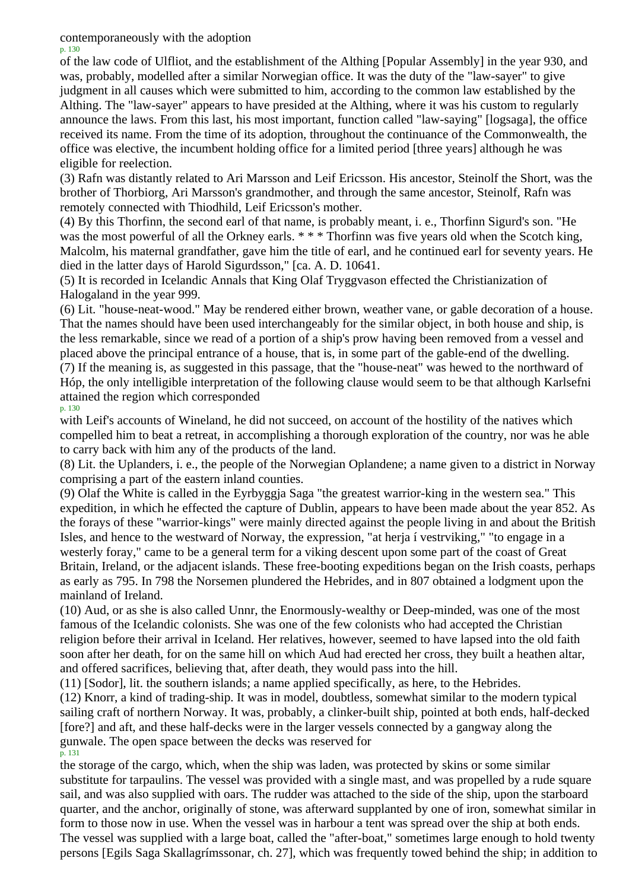contemporaneously with the adoption

p. 130 of the law code of Ulfliot, and the establishment of the Althing [Popular Assembly] in the year 930, and was, probably, modelled after a similar Norwegian office. It was the duty of the "law-sayer" to give judgment in all causes which were submitted to him, according to the common law established by the Althing. The "law-sayer" appears to have presided at the Althing, where it was his custom to regularly announce the laws. From this last, his most important, function called "law-saying" [logsaga], the office received its name. From the time of its adoption, throughout the continuance of the Commonwealth, the office was elective, the incumbent holding office for a limited period [three years] although he was eligible for reelection.

(3) Rafn was distantly related to Ari Marsson and Leif Ericsson. His ancestor, Steinolf the Short, was the brother of Thorbiorg, Ari Marsson's grandmother, and through the same ancestor, Steinolf, Rafn was remotely connected with Thiodhild, Leif Ericsson's mother.

(4) By this Thorfinn, the second earl of that name, is probably meant, i. e., Thorfinn Sigurd's son. "He was the most powerful of all the Orkney earls. \* \* \* Thorfinn was five years old when the Scotch king, Malcolm, his maternal grandfather, gave him the title of earl, and he continued earl for seventy years. He died in the latter days of Harold Sigurdsson," [ca. A. D. 10641.

(5) It is recorded in Icelandic Annals that King Olaf Tryggvason effected the Christianization of Halogaland in the year 999.

(6) Lit. "house-neat-wood." May be rendered either brown, weather vane, or gable decoration of a house. That the names should have been used interchangeably for the similar object, in both house and ship, is the less remarkable, since we read of a portion of a ship's prow having been removed from a vessel and placed above the principal entrance of a house, that is, in some part of the gable-end of the dwelling. (7) If the meaning is, as suggested in this passage, that the "house-neat" was hewed to the northward of Hóp, the only intelligible interpretation of the following clause would seem to be that although Karlsefni attained the region which corresponded

p. 130

with Leif's accounts of Wineland, he did not succeed, on account of the hostility of the natives which compelled him to beat a retreat, in accomplishing a thorough exploration of the country, nor was he able to carry back with him any of the products of the land.

(8) Lit. the Uplanders, i. e., the people of the Norwegian Oplandene; a name given to a district in Norway comprising a part of the eastern inland counties.

(9) Olaf the White is called in the Eyrbyggja Saga "the greatest warrior-king in the western sea." This expedition, in which he effected the capture of Dublin, appears to have been made about the year 852. As the forays of these "warrior-kings" were mainly directed against the people living in and about the British Isles, and hence to the westward of Norway, the expression, "at herja í vestrviking," "to engage in a westerly foray," came to be a general term for a viking descent upon some part of the coast of Great Britain, Ireland, or the adjacent islands. These free-booting expeditions began on the Irish coasts, perhaps as early as 795. In 798 the Norsemen plundered the Hebrides, and in 807 obtained a lodgment upon the mainland of Ireland.

(10) Aud, or as she is also called Unnr, the Enormously-wealthy or Deep-minded, was one of the most famous of the Icelandic colonists. She was one of the few colonists who had accepted the Christian religion before their arrival in Iceland. Her relatives, however, seemed to have lapsed into the old faith soon after her death, for on the same hill on which Aud had erected her cross, they built a heathen altar, and offered sacrifices, believing that, after death, they would pass into the hill.

(11) [Sodor], lit. the southern islands; a name applied specifically, as here, to the Hebrides.

(12) Knorr, a kind of trading-ship. It was in model, doubtless, somewhat similar to the modern typical sailing craft of northern Norway. It was, probably, a clinker-built ship, pointed at both ends, half-decked [fore?] and aft, and these half-decks were in the larger vessels connected by a gangway along the gunwale. The open space between the decks was reserved for p. 131

the storage of the cargo, which, when the ship was laden, was protected by skins or some similar substitute for tarpaulins. The vessel was provided with a single mast, and was propelled by a rude square sail, and was also supplied with oars. The rudder was attached to the side of the ship, upon the starboard quarter, and the anchor, originally of stone, was afterward supplanted by one of iron, somewhat similar in form to those now in use. When the vessel was in harbour a tent was spread over the ship at both ends. The vessel was supplied with a large boat, called the "after-boat," sometimes large enough to hold twenty persons [Egils Saga Skallagrímssonar, ch. 27], which was frequently towed behind the ship; in addition to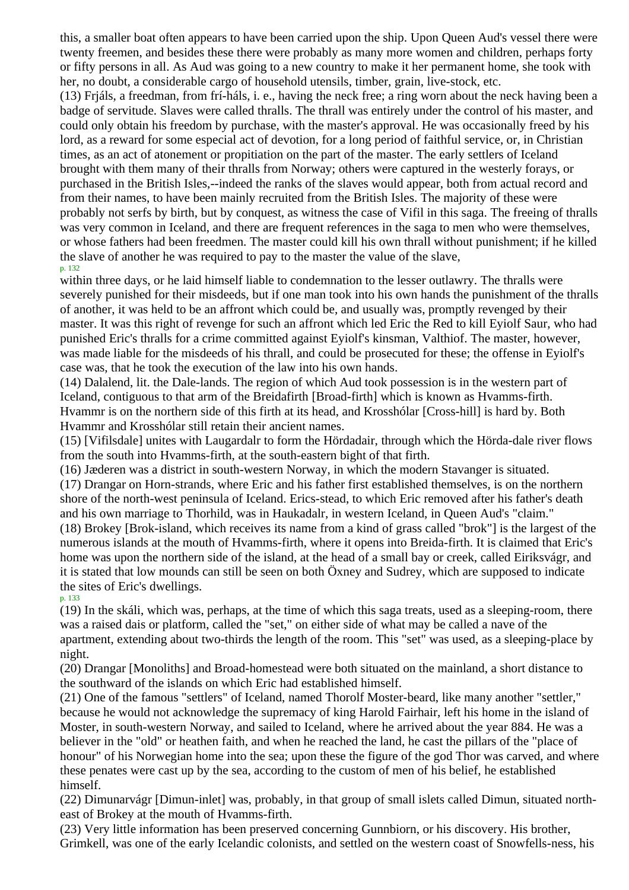this, a smaller boat often appears to have been carried upon the ship. Upon Queen Aud's vessel there were twenty freemen, and besides these there were probably as many more women and children, perhaps forty or fifty persons in all. As Aud was going to a new country to make it her permanent home, she took with her, no doubt, a considerable cargo of household utensils, timber, grain, live-stock, etc.

(13) Frjáls, a freedman, from frí-háls, i. e., having the neck free; a ring worn about the neck having been a badge of servitude. Slaves were called thralls. The thrall was entirely under the control of his master, and could only obtain his freedom by purchase, with the master's approval. He was occasionally freed by his lord, as a reward for some especial act of devotion, for a long period of faithful service, or, in Christian times, as an act of atonement or propitiation on the part of the master. The early settlers of Iceland brought with them many of their thralls from Norway; others were captured in the westerly forays, or purchased in the British Isles,--indeed the ranks of the slaves would appear, both from actual record and from their names, to have been mainly recruited from the British Isles. The majority of these were probably not serfs by birth, but by conquest, as witness the case of Vifil in this saga. The freeing of thralls was very common in Iceland, and there are frequent references in the saga to men who were themselves, or whose fathers had been freedmen. The master could kill his own thrall without punishment; if he killed the slave of another he was required to pay to the master the value of the slave, p. 132

within three days, or he laid himself liable to condemnation to the lesser outlawry. The thralls were severely punished for their misdeeds, but if one man took into his own hands the punishment of the thralls of another, it was held to be an affront which could be, and usually was, promptly revenged by their master. It was this right of revenge for such an affront which led Eric the Red to kill Eyiolf Saur, who had punished Eric's thralls for a crime committed against Eyiolf's kinsman, Valthiof. The master, however, was made liable for the misdeeds of his thrall, and could be prosecuted for these; the offense in Eyiolf's case was, that he took the execution of the law into his own hands.

(14) Dalalend, lit. the Dale-lands. The region of which Aud took possession is in the western part of Iceland, contiguous to that arm of the Breidafirth [Broad-firth] which is known as Hvamms-firth. Hvammr is on the northern side of this firth at its head, and Krosshólar [Cross-hill] is hard by. Both Hvammr and Krosshólar still retain their ancient names.

(15) [Vifilsdale] unites with Laugardalr to form the Hördadair, through which the Hörda-dale river flows from the south into Hvamms-firth, at the south-eastern bight of that firth.

(16) Jæderen was a district in south-western Norway, in which the modern Stavanger is situated.

(17) Drangar on Horn-strands, where Eric and his father first established themselves, is on the northern shore of the north-west peninsula of Iceland. Erics-stead, to which Eric removed after his father's death and his own marriage to Thorhild, was in Haukadalr, in western Iceland, in Queen Aud's "claim."

(18) Brokey [Brok-island, which receives its name from a kind of grass called "brok"] is the largest of the numerous islands at the mouth of Hvamms-firth, where it opens into Breida-firth. It is claimed that Eric's home was upon the northern side of the island, at the head of a small bay or creek, called Eiriksvágr, and it is stated that low mounds can still be seen on both Öxney and Sudrey, which are supposed to indicate the sites of Eric's dwellings. p. 133

(19) In the skáli, which was, perhaps, at the time of which this saga treats, used as a sleeping-room, there was a raised dais or platform, called the "set," on either side of what may be called a nave of the apartment, extending about two-thirds the length of the room. This "set" was used, as a sleeping-place by night.

(20) Drangar [Monoliths] and Broad-homestead were both situated on the mainland, a short distance to the southward of the islands on which Eric had established himself.

(21) One of the famous "settlers" of Iceland, named Thorolf Moster-beard, like many another "settler," because he would not acknowledge the supremacy of king Harold Fairhair, left his home in the island of Moster, in south-western Norway, and sailed to Iceland, where he arrived about the year 884. He was a believer in the "old" or heathen faith, and when he reached the land, he cast the pillars of the "place of honour" of his Norwegian home into the sea; upon these the figure of the god Thor was carved, and where these penates were cast up by the sea, according to the custom of men of his belief, he established himself.

(22) Dimunarvágr [Dimun-inlet] was, probably, in that group of small islets called Dimun, situated northeast of Brokey at the mouth of Hvamms-firth.

(23) Very little information has been preserved concerning Gunnbiorn, or his discovery. His brother, Grimkell, was one of the early Icelandic colonists, and settled on the western coast of Snowfells-ness, his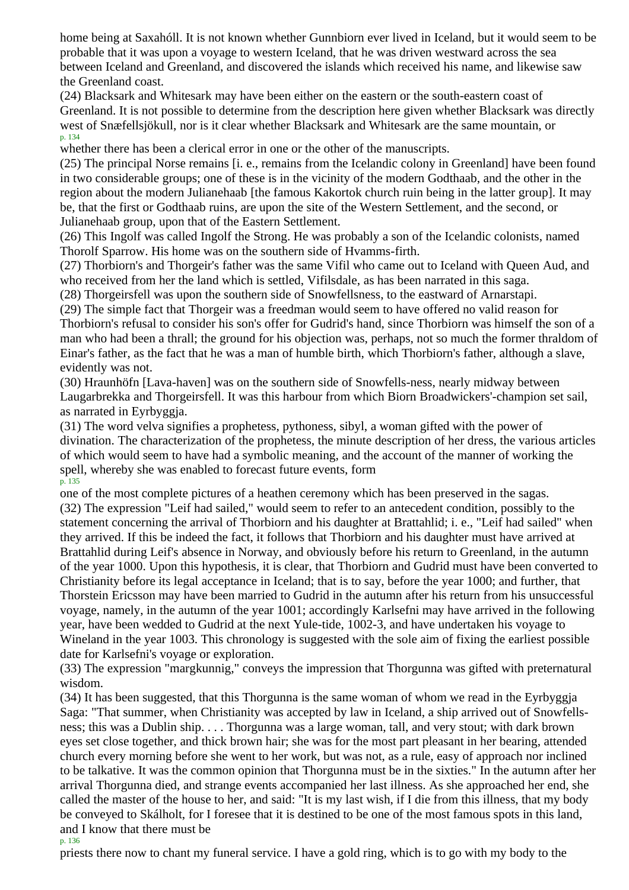home being at Saxahóll. It is not known whether Gunnbiorn ever lived in Iceland, but it would seem to be probable that it was upon a voyage to western Iceland, that he was driven westward across the sea between Iceland and Greenland, and discovered the islands which received his name, and likewise saw the Greenland coast.

(24) Blacksark and Whitesark may have been either on the eastern or the south-eastern coast of Greenland. It is not possible to determine from the description here given whether Blacksark was directly west of Snæfellsjökull, nor is it clear whether Blacksark and Whitesark are the same mountain, or p. 134

whether there has been a clerical error in one or the other of the manuscripts.

(25) The principal Norse remains [i. e., remains from the Icelandic colony in Greenland] have been found in two considerable groups; one of these is in the vicinity of the modern Godthaab, and the other in the region about the modern Julianehaab [the famous Kakortok church ruin being in the latter group]. It may be, that the first or Godthaab ruins, are upon the site of the Western Settlement, and the second, or Julianehaab group, upon that of the Eastern Settlement.

(26) This Ingolf was called Ingolf the Strong. He was probably a son of the Icelandic colonists, named Thorolf Sparrow. His home was on the southern side of Hvamms-firth.

(27) Thorbiorn's and Thorgeir's father was the same Vifil who came out to Iceland with Queen Aud, and who received from her the land which is settled, Vifilsdale, as has been narrated in this saga.

(28) Thorgeirsfell was upon the southern side of Snowfellsness, to the eastward of Arnarstapi.

(29) The simple fact that Thorgeir was a freedman would seem to have offered no valid reason for Thorbiorn's refusal to consider his son's offer for Gudrid's hand, since Thorbiorn was himself the son of a man who had been a thrall; the ground for his objection was, perhaps, not so much the former thraldom of Einar's father, as the fact that he was a man of humble birth, which Thorbiorn's father, although a slave, evidently was not.

(30) Hraunhöfn [Lava-haven] was on the southern side of Snowfells-ness, nearly midway between Laugarbrekka and Thorgeirsfell. It was this harbour from which Biorn Broadwickers'-champion set sail, as narrated in Eyrbyggja.

(31) The word velva signifies a prophetess, pythoness, sibyl, a woman gifted with the power of divination. The characterization of the prophetess, the minute description of her dress, the various articles of which would seem to have had a symbolic meaning, and the account of the manner of working the spell, whereby she was enabled to forecast future events, form p. 135

one of the most complete pictures of a heathen ceremony which has been preserved in the sagas. (32) The expression "Leif had sailed," would seem to refer to an antecedent condition, possibly to the statement concerning the arrival of Thorbiorn and his daughter at Brattahlid; i. e., "Leif had sailed" when they arrived. If this be indeed the fact, it follows that Thorbiorn and his daughter must have arrived at Brattahlid during Leif's absence in Norway, and obviously before his return to Greenland, in the autumn of the year 1000. Upon this hypothesis, it is clear, that Thorbiorn and Gudrid must have been converted to Christianity before its legal acceptance in Iceland; that is to say, before the year 1000; and further, that Thorstein Ericsson may have been married to Gudrid in the autumn after his return from his unsuccessful voyage, namely, in the autumn of the year 1001; accordingly Karlsefni may have arrived in the following year, have been wedded to Gudrid at the next Yule-tide, 1002-3, and have undertaken his voyage to Wineland in the year 1003. This chronology is suggested with the sole aim of fixing the earliest possible date for Karlsefni's voyage or exploration.

(33) The expression "margkunnig," conveys the impression that Thorgunna was gifted with preternatural wisdom.

(34) It has been suggested, that this Thorgunna is the same woman of whom we read in the Eyrbyggja Saga: "That summer, when Christianity was accepted by law in Iceland, a ship arrived out of Snowfellsness; this was a Dublin ship. . . . Thorgunna was a large woman, tall, and very stout; with dark brown eyes set close together, and thick brown hair; she was for the most part pleasant in her bearing, attended church every morning before she went to her work, but was not, as a rule, easy of approach nor inclined to be talkative. It was the common opinion that Thorgunna must be in the sixties." In the autumn after her arrival Thorgunna died, and strange events accompanied her last illness. As she approached her end, she called the master of the house to her, and said: "It is my last wish, if I die from this illness, that my body be conveyed to Skálholt, for I foresee that it is destined to be one of the most famous spots in this land, and I know that there must be p. 136

priests there now to chant my funeral service. I have a gold ring, which is to go with my body to the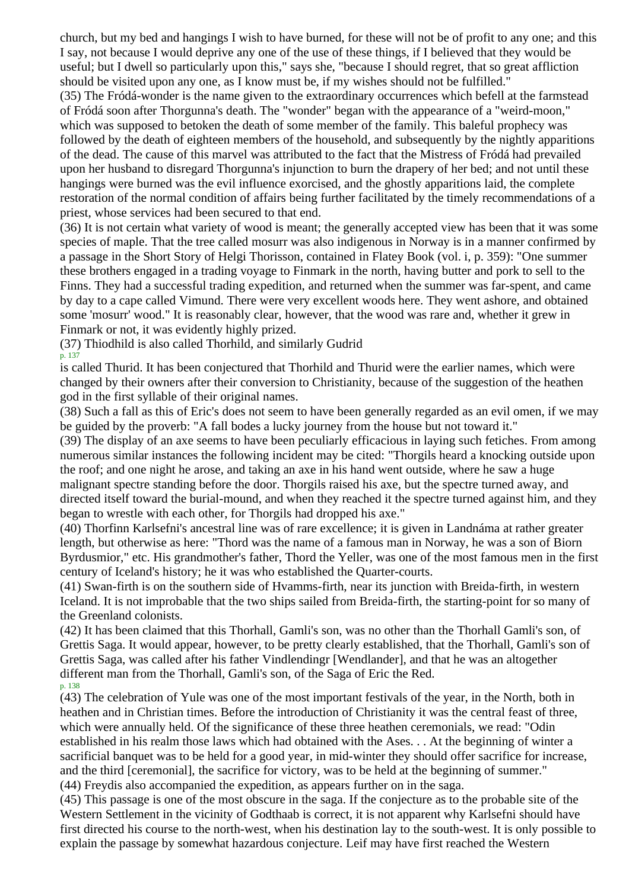church, but my bed and hangings I wish to have burned, for these will not be of profit to any one; and this I say, not because I would deprive any one of the use of these things, if I believed that they would be useful; but I dwell so particularly upon this," says she, "because I should regret, that so great affliction should be visited upon any one, as I know must be, if my wishes should not be fulfilled."

(35) The Fródá-wonder is the name given to the extraordinary occurrences which befell at the farmstead of Fródá soon after Thorgunna's death. The "wonder" began with the appearance of a "weird-moon," which was supposed to betoken the death of some member of the family. This baleful prophecy was followed by the death of eighteen members of the household, and subsequently by the nightly apparitions of the dead. The cause of this marvel was attributed to the fact that the Mistress of Fródá had prevailed upon her husband to disregard Thorgunna's injunction to burn the drapery of her bed; and not until these hangings were burned was the evil influence exorcised, and the ghostly apparitions laid, the complete restoration of the normal condition of affairs being further facilitated by the timely recommendations of a priest, whose services had been secured to that end.

(36) It is not certain what variety of wood is meant; the generally accepted view has been that it was some species of maple. That the tree called mosurr was also indigenous in Norway is in a manner confirmed by a passage in the Short Story of Helgi Thorisson, contained in Flatey Book (vol. i, p. 359): "One summer these brothers engaged in a trading voyage to Finmark in the north, having butter and pork to sell to the Finns. They had a successful trading expedition, and returned when the summer was far-spent, and came by day to a cape called Vimund. There were very excellent woods here. They went ashore, and obtained some 'mosurr' wood." It is reasonably clear, however, that the wood was rare and, whether it grew in Finmark or not, it was evidently highly prized.

(37) Thiodhild is also called Thorhild, and similarly Gudrid p. 137

is called Thurid. It has been conjectured that Thorhild and Thurid were the earlier names, which were changed by their owners after their conversion to Christianity, because of the suggestion of the heathen god in the first syllable of their original names.

(38) Such a fall as this of Eric's does not seem to have been generally regarded as an evil omen, if we may be guided by the proverb: "A fall bodes a lucky journey from the house but not toward it."

(39) The display of an axe seems to have been peculiarly efficacious in laying such fetiches. From among numerous similar instances the following incident may be cited: "Thorgils heard a knocking outside upon the roof; and one night he arose, and taking an axe in his hand went outside, where he saw a huge malignant spectre standing before the door. Thorgils raised his axe, but the spectre turned away, and directed itself toward the burial-mound, and when they reached it the spectre turned against him, and they began to wrestle with each other, for Thorgils had dropped his axe."

(40) Thorfinn Karlsefni's ancestral line was of rare excellence; it is given in Landnáma at rather greater length, but otherwise as here: "Thord was the name of a famous man in Norway, he was a son of Biorn Byrdusmior," etc. His grandmother's father, Thord the Yeller, was one of the most famous men in the first century of Iceland's history; he it was who established the Quarter-courts.

(41) Swan-firth is on the southern side of Hvamms-firth, near its junction with Breida-firth, in western Iceland. It is not improbable that the two ships sailed from Breida-firth, the starting-point for so many of the Greenland colonists.

(42) It has been claimed that this Thorhall, Gamli's son, was no other than the Thorhall Gamli's son, of Grettis Saga. It would appear, however, to be pretty clearly established, that the Thorhall, Gamli's son of Grettis Saga, was called after his father Vindlendingr [Wendlander], and that he was an altogether different man from the Thorhall, Gamli's son, of the Saga of Eric the Red. p. 138

(43) The celebration of Yule was one of the most important festivals of the year, in the North, both in heathen and in Christian times. Before the introduction of Christianity it was the central feast of three, which were annually held. Of the significance of these three heathen ceremonials, we read: "Odin established in his realm those laws which had obtained with the Ases. . . At the beginning of winter a sacrificial banquet was to be held for a good year, in mid-winter they should offer sacrifice for increase, and the third [ceremonial], the sacrifice for victory, was to be held at the beginning of summer." (44) Freydis also accompanied the expedition, as appears further on in the saga.

(45) This passage is one of the most obscure in the saga. If the conjecture as to the probable site of the Western Settlement in the vicinity of Godthaab is correct, it is not apparent why Karlsefni should have first directed his course to the north-west, when his destination lay to the south-west. It is only possible to explain the passage by somewhat hazardous conjecture. Leif may have first reached the Western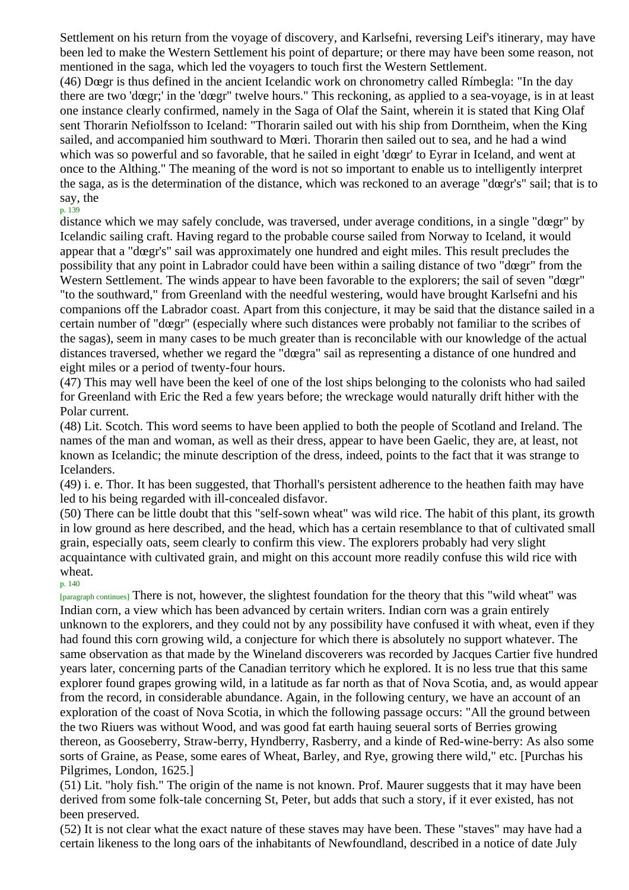Settlement on his return from the voyage of discovery, and Karlsefni, reversing Leif's itinerary, may have been led to make the Western Settlement his point of departure; or there may have been some reason, not mentioned in the saga, which led the voyagers to touch first the Western Settlement.

(46) Dœgr is thus defined in the ancient Icelandic work on chronometry called Rímbegla: "In the day there are two 'dœgr;' in the 'dœgr" twelve hours." This reckoning, as applied to a sea-voyage, is in at least one instance clearly confirmed, namely in the Saga of Olaf the Saint, wherein it is stated that King Olaf sent Thorarin Nefiolfsson to Iceland: "Thorarin sailed out with his ship from Dorntheim, when the King sailed, and accompanied him southward to Mœri. Thorarin then sailed out to sea, and he had a wind which was so powerful and so favorable, that he sailed in eight 'dœgr' to Eyrar in Iceland, and went at once to the Althing." The meaning of the word is not so important to enable us to intelligently interpret the saga, as is the determination of the distance, which was reckoned to an average "dœgr's" sail; that is to say, the

p. 139

distance which we may safely conclude, was traversed, under average conditions, in a single "dœgr" by Icelandic sailing craft. Having regard to the probable course sailed from Norway to Iceland, it would appear that a "dœgr's" sail was approximately one hundred and eight miles. This result precludes the possibility that any point in Labrador could have been within a sailing distance of two "dœgr" from the Western Settlement. The winds appear to have been favorable to the explorers; the sail of seven "dœgr" "to the southward," from Greenland with the needful westering, would have brought Karlsefni and his companions off the Labrador coast. Apart from this conjecture, it may be said that the distance sailed in a certain number of "dœgr" (especially where such distances were probably not familiar to the scribes of the sagas), seem in many cases to be much greater than is reconcilable with our knowledge of the actual distances traversed, whether we regard the "dœgra" sail as representing a distance of one hundred and eight miles or a period of twenty-four hours.

(47) This may well have been the keel of one of the lost ships belonging to the colonists who had sailed for Greenland with Eric the Red a few years before; the wreckage would naturally drift hither with the Polar current.

(48) Lit. Scotch. This word seems to have been applied to both the people of Scotland and Ireland. The names of the man and woman, as well as their dress, appear to have been Gaelic, they are, at least, not known as Icelandic; the minute description of the dress, indeed, points to the fact that it was strange to Icelanders.

(49) i. e. Thor. It has been suggested, that Thorhall's persistent adherence to the heathen faith may have led to his being regarded with ill-concealed disfavor.

(50) There can be little doubt that this "self-sown wheat" was wild rice. The habit of this plant, its growth in low ground as here described, and the head, which has a certain resemblance to that of cultivated small grain, especially oats, seem clearly to confirm this view. The explorers probably had very slight acquaintance with cultivated grain, and might on this account more readily confuse this wild rice with wheat.

#### p. 140

[paragraph continues] There is not, however, the slightest foundation for the theory that this "wild wheat" was Indian corn, a view which has been advanced by certain writers. Indian corn was a grain entirely unknown to the explorers, and they could not by any possibility have confused it with wheat, even if they had found this corn growing wild, a conjecture for which there is absolutely no support whatever. The same observation as that made by the Wineland discoverers was recorded by Jacques Cartier five hundred years later, concerning parts of the Canadian territory which he explored. It is no less true that this same explorer found grapes growing wild, in a latitude as far north as that of Nova Scotia, and, as would appear from the record, in considerable abundance. Again, in the following century, we have an account of an exploration of the coast of Nova Scotia, in which the following passage occurs: "All the ground between the two Riuers was without Wood, and was good fat earth hauing seueral sorts of Berries growing thereon, as Gooseberry, Straw-berry, Hyndberry, Rasberry, and a kinde of Red-wine-berry: As also some sorts of Graine, as Pease, some eares of Wheat, Barley, and Rye, growing there wild," etc. [Purchas his Pilgrimes, London, 1625.]

(51) Lit. "holy fish." The origin of the name is not known. Prof. Maurer suggests that it may have been derived from some folk-tale concerning St, Peter, but adds that such a story, if it ever existed, has not been preserved.

(52) It is not clear what the exact nature of these staves may have been. These "staves" may have had a certain likeness to the long oars of the inhabitants of Newfoundland, described in a notice of date July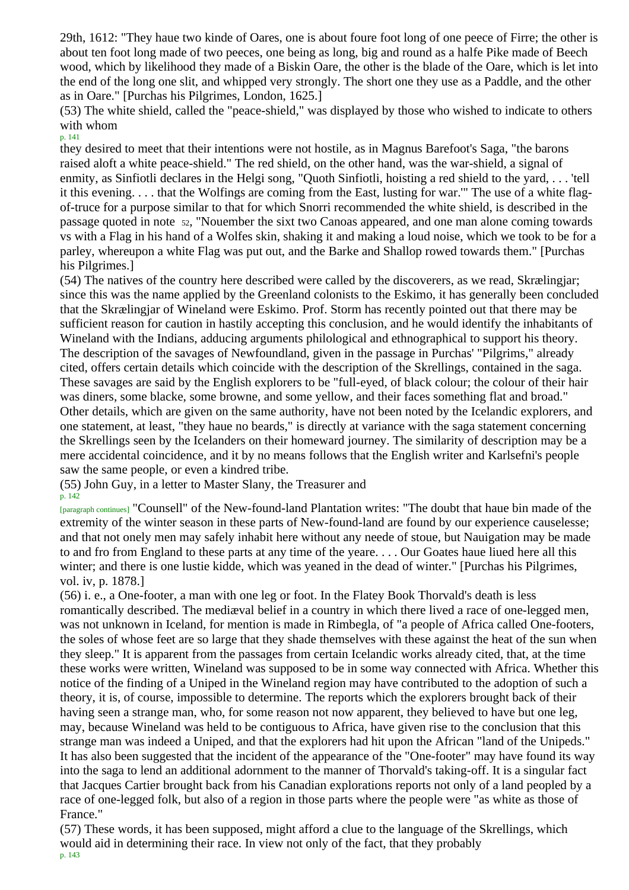29th, 1612: "They haue two kinde of Oares, one is about foure foot long of one peece of Firre; the other is about ten foot long made of two peeces, one being as long, big and round as a halfe Pike made of Beech wood, which by likelihood they made of a Biskin Oare, the other is the blade of the Oare, which is let into the end of the long one slit, and whipped very strongly. The short one they use as a Paddle, and the other as in Oare." [Purchas his Pilgrimes, London, 1625.]

(53) The white shield, called the "peace-shield," was displayed by those who wished to indicate to others with whom

p. 141

they desired to meet that their intentions were not hostile, as in Magnus Barefoot's Saga, "the barons raised aloft a white peace-shield." The red shield, on the other hand, was the war-shield, a signal of enmity, as Sinfiotli declares in the Helgi song, "Quoth Sinfiotli, hoisting a red shield to the yard, . . . 'tell it this evening. . . . that the Wolfings are coming from the East, lusting for war.'" The use of a white flagof-truce for a purpose similar to that for which Snorri recommended the white shield, is described in the passage quoted in note 52, "Nouember the sixt two Canoas appeared, and one man alone coming towards vs with a Flag in his hand of a Wolfes skin, shaking it and making a loud noise, which we took to be for a parley, whereupon a white Flag was put out, and the Barke and Shallop rowed towards them." [Purchas his Pilgrimes.]

(54) The natives of the country here described were called by the discoverers, as we read, Skrælingjar; since this was the name applied by the Greenland colonists to the Eskimo, it has generally been concluded that the Skrælingjar of Wineland were Eskimo. Prof. Storm has recently pointed out that there may be sufficient reason for caution in hastily accepting this conclusion, and he would identify the inhabitants of Wineland with the Indians, adducing arguments philological and ethnographical to support his theory. The description of the savages of Newfoundland, given in the passage in Purchas' "Pilgrims," already cited, offers certain details which coincide with the description of the Skrellings, contained in the saga. These savages are said by the English explorers to be "full-eyed, of black colour; the colour of their hair was diners, some blacke, some browne, and some yellow, and their faces something flat and broad." Other details, which are given on the same authority, have not been noted by the Icelandic explorers, and one statement, at least, "they haue no beards," is directly at variance with the saga statement concerning the Skrellings seen by the Icelanders on their homeward journey. The similarity of description may be a mere accidental coincidence, and it by no means follows that the English writer and Karlsefni's people saw the same people, or even a kindred tribe.

(55) John Guy, in a letter to Master Slany, the Treasurer and p. 142

[paragraph continues] "Counsell" of the New-found-land Plantation writes: "The doubt that haue bin made of the extremity of the winter season in these parts of New-found-land are found by our experience causelesse; and that not onely men may safely inhabit here without any neede of stoue, but Nauigation may be made to and fro from England to these parts at any time of the yeare. . . . Our Goates haue liued here all this winter; and there is one lustie kidde, which was yeaned in the dead of winter." [Purchas his Pilgrimes, vol. iv, p. 1878.]

(56) i. e., a One-footer, a man with one leg or foot. In the Flatey Book Thorvald's death is less romantically described. The mediæval belief in a country in which there lived a race of one-legged men, was not unknown in Iceland, for mention is made in Rimbegla, of "a people of Africa called One-footers, the soles of whose feet are so large that they shade themselves with these against the heat of the sun when they sleep." It is apparent from the passages from certain Icelandic works already cited, that, at the time these works were written, Wineland was supposed to be in some way connected with Africa. Whether this notice of the finding of a Uniped in the Wineland region may have contributed to the adoption of such a theory, it is, of course, impossible to determine. The reports which the explorers brought back of their having seen a strange man, who, for some reason not now apparent, they believed to have but one leg, may, because Wineland was held to be contiguous to Africa, have given rise to the conclusion that this strange man was indeed a Uniped, and that the explorers had hit upon the African "land of the Unipeds." It has also been suggested that the incident of the appearance of the "One-footer" may have found its way into the saga to lend an additional adornment to the manner of Thorvald's taking-off. It is a singular fact that Jacques Cartier brought back from his Canadian explorations reports not only of a land peopled by a race of one-legged folk, but also of a region in those parts where the people were "as white as those of France."

(57) These words, it has been supposed, might afford a clue to the language of the Skrellings, which would aid in determining their race. In view not only of the fact, that they probably p. 143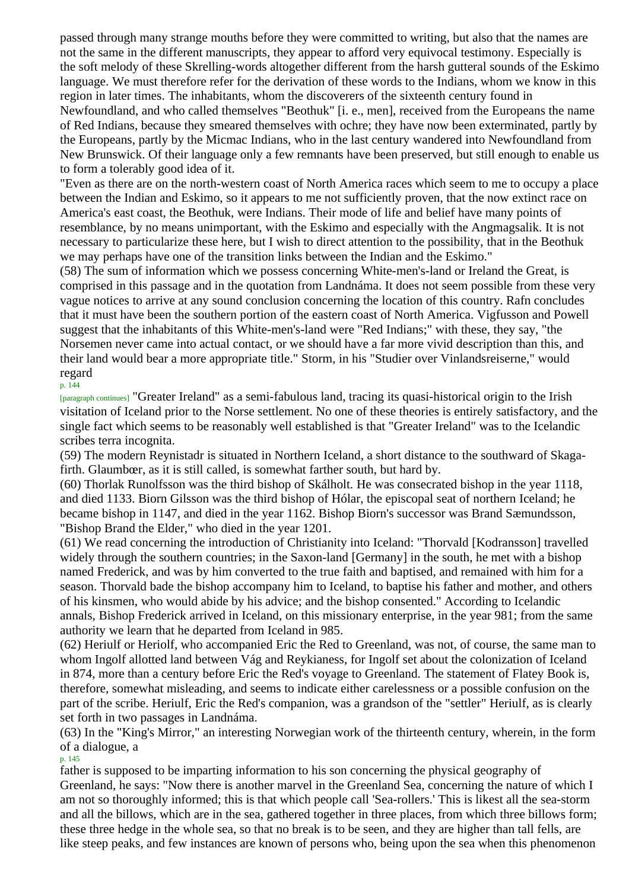passed through many strange mouths before they were committed to writing, but also that the names are not the same in the different manuscripts, they appear to afford very equivocal testimony. Especially is the soft melody of these Skrelling-words altogether different from the harsh gutteral sounds of the Eskimo language. We must therefore refer for the derivation of these words to the Indians, whom we know in this region in later times. The inhabitants, whom the discoverers of the sixteenth century found in Newfoundland, and who called themselves "Beothuk" [i. e., men], received from the Europeans the name of Red Indians, because they smeared themselves with ochre; they have now been exterminated, partly by the Europeans, partly by the Micmac Indians, who in the last century wandered into Newfoundland from New Brunswick. Of their language only a few remnants have been preserved, but still enough to enable us to form a tolerably good idea of it.

"Even as there are on the north-western coast of North America races which seem to me to occupy a place between the Indian and Eskimo, so it appears to me not sufficiently proven, that the now extinct race on America's east coast, the Beothuk, were Indians. Their mode of life and belief have many points of resemblance, by no means unimportant, with the Eskimo and especially with the Angmagsalik. It is not necessary to particularize these here, but I wish to direct attention to the possibility, that in the Beothuk we may perhaps have one of the transition links between the Indian and the Eskimo."

(58) The sum of information which we possess concerning White-men's-land or Ireland the Great, is comprised in this passage and in the quotation from Landnáma. It does not seem possible from these very vague notices to arrive at any sound conclusion concerning the location of this country. Rafn concludes that it must have been the southern portion of the eastern coast of North America. Vigfusson and Powell suggest that the inhabitants of this White-men's-land were "Red Indians;" with these, they say, "the Norsemen never came into actual contact, or we should have a far more vivid description than this, and their land would bear a more appropriate title." Storm, in his "Studier over Vinlandsreiserne," would regard p. 144

[paragraph continues] "Greater Ireland" as a semi-fabulous land, tracing its quasi-historical origin to the Irish visitation of Iceland prior to the Norse settlement. No one of these theories is entirely satisfactory, and the single fact which seems to be reasonably well established is that "Greater Ireland" was to the Icelandic scribes terra incognita.

(59) The modern Reynistadr is situated in Northern Iceland, a short distance to the southward of Skagafirth. Glaumbœr, as it is still called, is somewhat farther south, but hard by.

(60) Thorlak Runolfsson was the third bishop of Skálholt. He was consecrated bishop in the year 1118, and died 1133. Biorn Gilsson was the third bishop of Hólar, the episcopal seat of northern Iceland; he became bishop in 1147, and died in the year 1162. Bishop Biorn's successor was Brand Sæmundsson, "Bishop Brand the Elder," who died in the year 1201.

(61) We read concerning the introduction of Christianity into Iceland: "Thorvald [Kodransson] travelled widely through the southern countries; in the Saxon-land [Germany] in the south, he met with a bishop named Frederick, and was by him converted to the true faith and baptised, and remained with him for a season. Thorvald bade the bishop accompany him to Iceland, to baptise his father and mother, and others of his kinsmen, who would abide by his advice; and the bishop consented." According to Icelandic annals, Bishop Frederick arrived in Iceland, on this missionary enterprise, in the year 981; from the same authority we learn that he departed from Iceland in 985.

(62) Heriulf or Heriolf, who accompanied Eric the Red to Greenland, was not, of course, the same man to whom Ingolf allotted land between Vág and Reykianess, for Ingolf set about the colonization of Iceland in 874, more than a century before Eric the Red's voyage to Greenland. The statement of Flatey Book is, therefore, somewhat misleading, and seems to indicate either carelessness or a possible confusion on the part of the scribe. Heriulf, Eric the Red's companion, was a grandson of the "settler" Heriulf, as is clearly set forth in two passages in Landnáma.

(63) In the "King's Mirror," an interesting Norwegian work of the thirteenth century, wherein, in the form of a dialogue, a

#### p. 145

father is supposed to be imparting information to his son concerning the physical geography of Greenland, he says: "Now there is another marvel in the Greenland Sea, concerning the nature of which I am not so thoroughly informed; this is that which people call 'Sea-rollers.' This is likest all the sea-storm and all the billows, which are in the sea, gathered together in three places, from which three billows form; these three hedge in the whole sea, so that no break is to be seen, and they are higher than tall fells, are like steep peaks, and few instances are known of persons who, being upon the sea when this phenomenon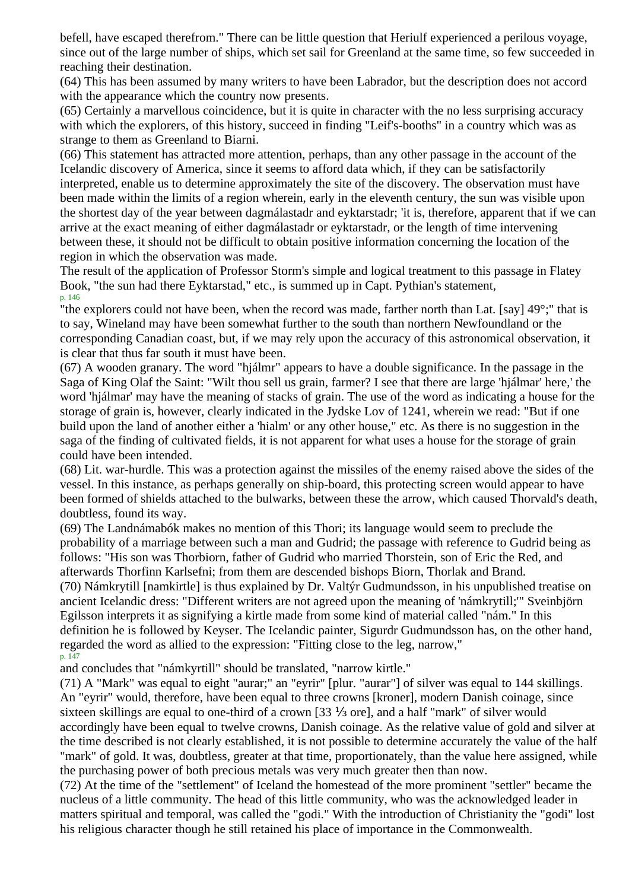befell, have escaped therefrom." There can be little question that Heriulf experienced a perilous voyage, since out of the large number of ships, which set sail for Greenland at the same time, so few succeeded in reaching their destination.

(64) This has been assumed by many writers to have been Labrador, but the description does not accord with the appearance which the country now presents.

(65) Certainly a marvellous coincidence, but it is quite in character with the no less surprising accuracy with which the explorers, of this history, succeed in finding "Leif's-booths" in a country which was as strange to them as Greenland to Biarni.

(66) This statement has attracted more attention, perhaps, than any other passage in the account of the Icelandic discovery of America, since it seems to afford data which, if they can be satisfactorily interpreted, enable us to determine approximately the site of the discovery. The observation must have been made within the limits of a region wherein, early in the eleventh century, the sun was visible upon the shortest day of the year between dagmálastadr and eyktarstadr; 'it is, therefore, apparent that if we can arrive at the exact meaning of either dagmálastadr or eyktarstadr, or the length of time intervening between these, it should not be difficult to obtain positive information concerning the location of the region in which the observation was made.

The result of the application of Professor Storm's simple and logical treatment to this passage in Flatey Book, "the sun had there Eyktarstad," etc., is summed up in Capt. Pythian's statement, p. 146

"the explorers could not have been, when the record was made, farther north than Lat. [say] 49°;" that is to say, Wineland may have been somewhat further to the south than northern Newfoundland or the corresponding Canadian coast, but, if we may rely upon the accuracy of this astronomical observation, it is clear that thus far south it must have been.

(67) A wooden granary. The word "hjálmr" appears to have a double significance. In the passage in the Saga of King Olaf the Saint: "Wilt thou sell us grain, farmer? I see that there are large 'hjálmar' here,' the word 'hjálmar' may have the meaning of stacks of grain. The use of the word as indicating a house for the storage of grain is, however, clearly indicated in the Jydske Lov of 1241, wherein we read: "But if one build upon the land of another either a 'hialm' or any other house," etc. As there is no suggestion in the saga of the finding of cultivated fields, it is not apparent for what uses a house for the storage of grain could have been intended.

(68) Lit. war-hurdle. This was a protection against the missiles of the enemy raised above the sides of the vessel. In this instance, as perhaps generally on ship-board, this protecting screen would appear to have been formed of shields attached to the bulwarks, between these the arrow, which caused Thorvald's death, doubtless, found its way.

(69) The Landnámabók makes no mention of this Thori; its language would seem to preclude the probability of a marriage between such a man and Gudrid; the passage with reference to Gudrid being as follows: "His son was Thorbiorn, father of Gudrid who married Thorstein, son of Eric the Red, and afterwards Thorfinn Karlsefni; from them are descended bishops Biorn, Thorlak and Brand. (70) Námkrytill [namkirtle] is thus explained by Dr. Valtýr Gudmundsson, in his unpublished treatise on ancient Icelandic dress: "Different writers are not agreed upon the meaning of 'námkrytill;'" Sveinbjörn Egilsson interprets it as signifying a kirtle made from some kind of material called "nám." In this definition he is followed by Keyser. The Icelandic painter, Sigurdr Gudmundsson has, on the other hand, regarded the word as allied to the expression: "Fitting close to the leg, narrow," p. 147

and concludes that "námkyrtill" should be translated, "narrow kirtle."

(71) A "Mark" was equal to eight "aurar;" an "eyrir" [plur. "aurar"] of silver was equal to 144 skillings. An "eyrir" would, therefore, have been equal to three crowns [kroner], modern Danish coinage, since sixteen skillings are equal to one-third of a crown [33 ¼ ore], and a half "mark" of silver would accordingly have been equal to twelve crowns, Danish coinage. As the relative value of gold and silver at the time described is not clearly established, it is not possible to determine accurately the value of the half "mark" of gold. It was, doubtless, greater at that time, proportionately, than the value here assigned, while the purchasing power of both precious metals was very much greater then than now.

(72) At the time of the "settlement" of Iceland the homestead of the more prominent "settler" became the nucleus of a little community. The head of this little community, who was the acknowledged leader in matters spiritual and temporal, was called the "godi." With the introduction of Christianity the "godi" lost his religious character though he still retained his place of importance in the Commonwealth.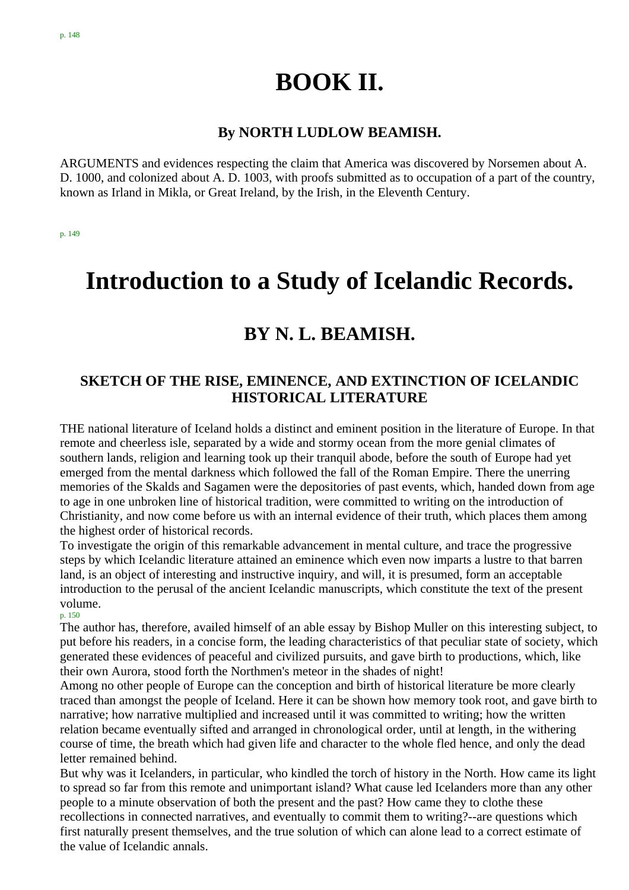# **BOOK II.**

### **By NORTH LUDLOW BEAMISH.**

ARGUMENTS and evidences respecting the claim that America was discovered by Norsemen about A. D. 1000, and colonized about A. D. 1003, with proofs submitted as to occupation of a part of the country, known as Irland in Mikla, or Great Ireland, by the Irish, in the Eleventh Century.

p. 149

# **Introduction to a Study of Icelandic Records.**

# **BY N. L. BEAMISH.**

## **SKETCH OF THE RISE, EMINENCE, AND EXTINCTION OF ICELANDIC HISTORICAL LITERATURE**

THE national literature of Iceland holds a distinct and eminent position in the literature of Europe. In that remote and cheerless isle, separated by a wide and stormy ocean from the more genial climates of southern lands, religion and learning took up their tranquil abode, before the south of Europe had yet emerged from the mental darkness which followed the fall of the Roman Empire. There the unerring memories of the Skalds and Sagamen were the depositories of past events, which, handed down from age to age in one unbroken line of historical tradition, were committed to writing on the introduction of Christianity, and now come before us with an internal evidence of their truth, which places them among the highest order of historical records.

To investigate the origin of this remarkable advancement in mental culture, and trace the progressive steps by which Icelandic literature attained an eminence which even now imparts a lustre to that barren land, is an object of interesting and instructive inquiry, and will, it is presumed, form an acceptable introduction to the perusal of the ancient Icelandic manuscripts, which constitute the text of the present volume. p. 150

The author has, therefore, availed himself of an able essay by Bishop Muller on this interesting subject, to put before his readers, in a concise form, the leading characteristics of that peculiar state of society, which generated these evidences of peaceful and civilized pursuits, and gave birth to productions, which, like their own Aurora, stood forth the Northmen's meteor in the shades of night!

Among no other people of Europe can the conception and birth of historical literature be more clearly traced than amongst the people of Iceland. Here it can be shown how memory took root, and gave birth to narrative; how narrative multiplied and increased until it was committed to writing; how the written relation became eventually sifted and arranged in chronological order, until at length, in the withering course of time, the breath which had given life and character to the whole fled hence, and only the dead letter remained behind.

But why was it Icelanders, in particular, who kindled the torch of history in the North. How came its light to spread so far from this remote and unimportant island? What cause led Icelanders more than any other people to a minute observation of both the present and the past? How came they to clothe these recollections in connected narratives, and eventually to commit them to writing?--are questions which first naturally present themselves, and the true solution of which can alone lead to a correct estimate of the value of Icelandic annals.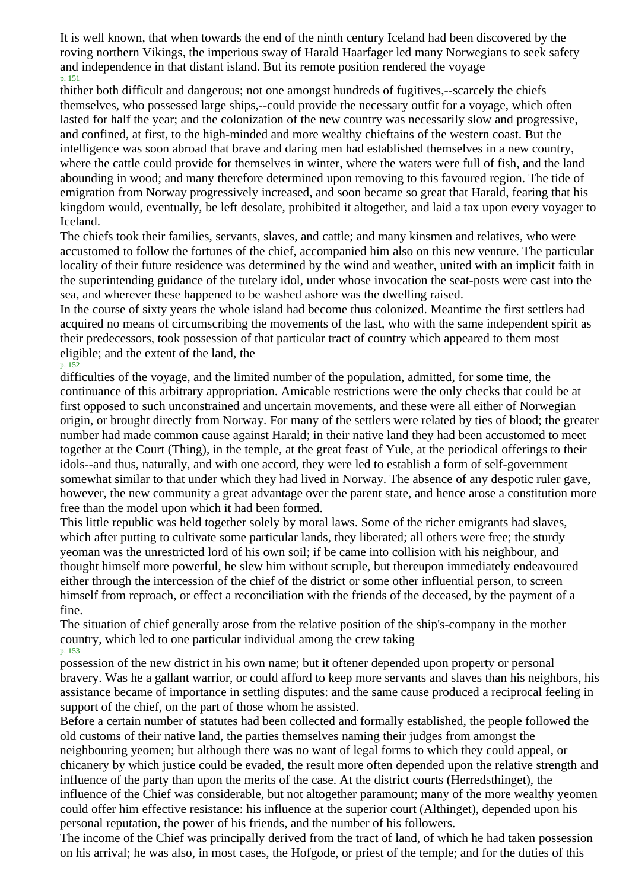It is well known, that when towards the end of the ninth century Iceland had been discovered by the roving northern Vikings, the imperious sway of Harald Haarfager led many Norwegians to seek safety and independence in that distant island. But its remote position rendered the voyage p. 151

thither both difficult and dangerous; not one amongst hundreds of fugitives,--scarcely the chiefs themselves, who possessed large ships,--could provide the necessary outfit for a voyage, which often lasted for half the year; and the colonization of the new country was necessarily slow and progressive, and confined, at first, to the high-minded and more wealthy chieftains of the western coast. But the intelligence was soon abroad that brave and daring men had established themselves in a new country, where the cattle could provide for themselves in winter, where the waters were full of fish, and the land abounding in wood; and many therefore determined upon removing to this favoured region. The tide of emigration from Norway progressively increased, and soon became so great that Harald, fearing that his kingdom would, eventually, be left desolate, prohibited it altogether, and laid a tax upon every voyager to Iceland.

The chiefs took their families, servants, slaves, and cattle; and many kinsmen and relatives, who were accustomed to follow the fortunes of the chief, accompanied him also on this new venture. The particular locality of their future residence was determined by the wind and weather, united with an implicit faith in the superintending guidance of the tutelary idol, under whose invocation the seat-posts were cast into the sea, and wherever these happened to be washed ashore was the dwelling raised.

In the course of sixty years the whole island had become thus colonized. Meantime the first settlers had acquired no means of circumscribing the movements of the last, who with the same independent spirit as their predecessors, took possession of that particular tract of country which appeared to them most eligible; and the extent of the land, the p. 152

difficulties of the voyage, and the limited number of the population, admitted, for some time, the continuance of this arbitrary appropriation. Amicable restrictions were the only checks that could be at first opposed to such unconstrained and uncertain movements, and these were all either of Norwegian origin, or brought directly from Norway. For many of the settlers were related by ties of blood; the greater number had made common cause against Harald; in their native land they had been accustomed to meet together at the Court (Thing), in the temple, at the great feast of Yule, at the periodical offerings to their idols--and thus, naturally, and with one accord, they were led to establish a form of self-government somewhat similar to that under which they had lived in Norway. The absence of any despotic ruler gave, however, the new community a great advantage over the parent state, and hence arose a constitution more free than the model upon which it had been formed.

This little republic was held together solely by moral laws. Some of the richer emigrants had slaves, which after putting to cultivate some particular lands, they liberated; all others were free; the sturdy yeoman was the unrestricted lord of his own soil; if be came into collision with his neighbour, and thought himself more powerful, he slew him without scruple, but thereupon immediately endeavoured either through the intercession of the chief of the district or some other influential person, to screen himself from reproach, or effect a reconciliation with the friends of the deceased, by the payment of a fine.

The situation of chief generally arose from the relative position of the ship's-company in the mother country, which led to one particular individual among the crew taking p. 153

possession of the new district in his own name; but it oftener depended upon property or personal bravery. Was he a gallant warrior, or could afford to keep more servants and slaves than his neighbors, his assistance became of importance in settling disputes: and the same cause produced a reciprocal feeling in support of the chief, on the part of those whom he assisted.

Before a certain number of statutes had been collected and formally established, the people followed the old customs of their native land, the parties themselves naming their judges from amongst the neighbouring yeomen; but although there was no want of legal forms to which they could appeal, or chicanery by which justice could be evaded, the result more often depended upon the relative strength and influence of the party than upon the merits of the case. At the district courts (Herredsthinget), the influence of the Chief was considerable, but not altogether paramount; many of the more wealthy yeomen could offer him effective resistance: his influence at the superior court (Althinget), depended upon his personal reputation, the power of his friends, and the number of his followers.

The income of the Chief was principally derived from the tract of land, of which he had taken possession on his arrival; he was also, in most cases, the Hofgode, or priest of the temple; and for the duties of this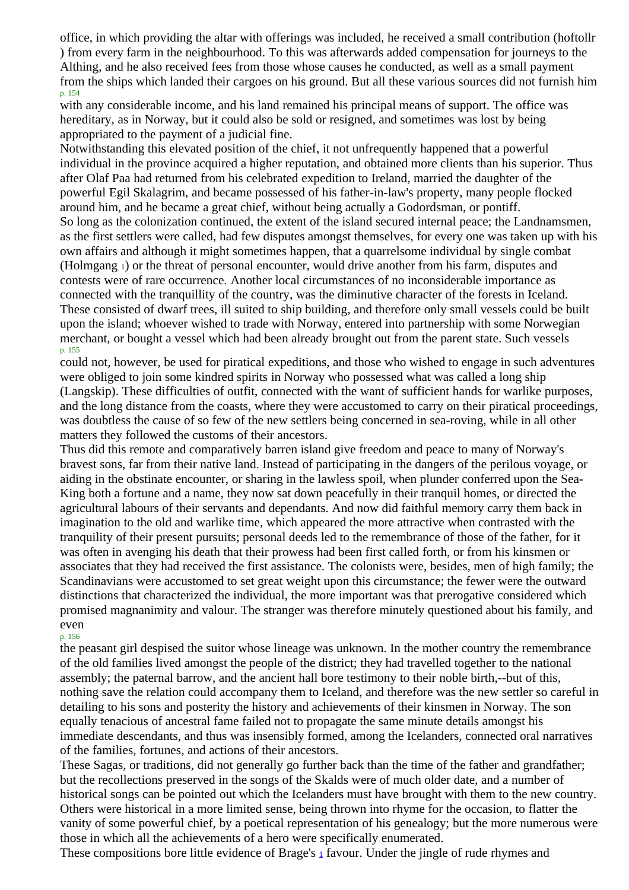office, in which providing the altar with offerings was included, he received a small contribution (hoftollr ) from every farm in the neighbourhood. To this was afterwards added compensation for journeys to the Althing, and he also received fees from those whose causes he conducted, as well as a small payment from the ships which landed their cargoes on his ground. But all these various sources did not furnish him p. 154

with any considerable income, and his land remained his principal means of support. The office was hereditary, as in Norway, but it could also be sold or resigned, and sometimes was lost by being appropriated to the payment of a judicial fine.

Notwithstanding this elevated position of the chief, it not unfrequently happened that a powerful individual in the province acquired a higher reputation, and obtained more clients than his superior. Thus after Olaf Paa had returned from his celebrated expedition to Ireland, married the daughter of the powerful Egil Skalagrim, and became possessed of his father-in-law's property, many people flocked around him, and he became a great chief, without being actually a Godordsman, or pontiff. So long as the colonization continued, the extent of the island secured internal peace; the Landnamsmen, as the first settlers were called, had few disputes amongst themselves, for every one was taken up with his own affairs and although it might sometimes happen, that a quarrelsome individual by single combat (Holmgang <sup>1</sup>) or the threat of personal encounter, would drive another from his farm, disputes and contests were of rare occurrence. Another local circumstances of no inconsiderable importance as connected with the tranquillity of the country, was the diminutive character of the forests in Iceland. These consisted of dwarf trees, ill suited to ship building, and therefore only small vessels could be built upon the island; whoever wished to trade with Norway, entered into partnership with some Norwegian merchant, or bought a vessel which had been already brought out from the parent state. Such vessels p. 155

could not, however, be used for piratical expeditions, and those who wished to engage in such adventures were obliged to join some kindred spirits in Norway who possessed what was called a long ship (Langskip). These difficulties of outfit, connected with the want of sufficient hands for warlike purposes, and the long distance from the coasts, where they were accustomed to carry on their piratical proceedings, was doubtless the cause of so few of the new settlers being concerned in sea-roving, while in all other matters they followed the customs of their ancestors.

Thus did this remote and comparatively barren island give freedom and peace to many of Norway's bravest sons, far from their native land. Instead of participating in the dangers of the perilous voyage, or aiding in the obstinate encounter, or sharing in the lawless spoil, when plunder conferred upon the Sea-King both a fortune and a name, they now sat down peacefully in their tranquil homes, or directed the agricultural labours of their servants and dependants. And now did faithful memory carry them back in imagination to the old and warlike time, which appeared the more attractive when contrasted with the tranquility of their present pursuits; personal deeds led to the remembrance of those of the father, for it was often in avenging his death that their prowess had been first called forth, or from his kinsmen or associates that they had received the first assistance. The colonists were, besides, men of high family; the Scandinavians were accustomed to set great weight upon this circumstance; the fewer were the outward distinctions that characterized the individual, the more important was that prerogative considered which promised magnanimity and valour. The stranger was therefore minutely questioned about his family, and even

#### p. 156

the peasant girl despised the suitor whose lineage was unknown. In the mother country the remembrance of the old families lived amongst the people of the district; they had travelled together to the national assembly; the paternal barrow, and the ancient hall bore testimony to their noble birth,--but of this, nothing save the relation could accompany them to Iceland, and therefore was the new settler so careful in detailing to his sons and posterity the history and achievements of their kinsmen in Norway. The son equally tenacious of ancestral fame failed not to propagate the same minute details amongst his immediate descendants, and thus was insensibly formed, among the Icelanders, connected oral narratives of the families, fortunes, and actions of their ancestors.

These Sagas, or traditions, did not generally go further back than the time of the father and grandfather; but the recollections preserved in the songs of the Skalds were of much older date, and a number of historical songs can be pointed out which the Icelanders must have brought with them to the new country. Others were historical in a more limited sense, being thrown into rhyme for the occasion, to flatter the vanity of some powerful chief, by a poetical representation of his genealogy; but the more numerous were those in which all the achievements of a hero were specifically enumerated.

These compositions bore little evidence of Brage's [1](http://www.sacred-texts.com/neu/nda/#fn_5) favour. Under the jingle of rude rhymes and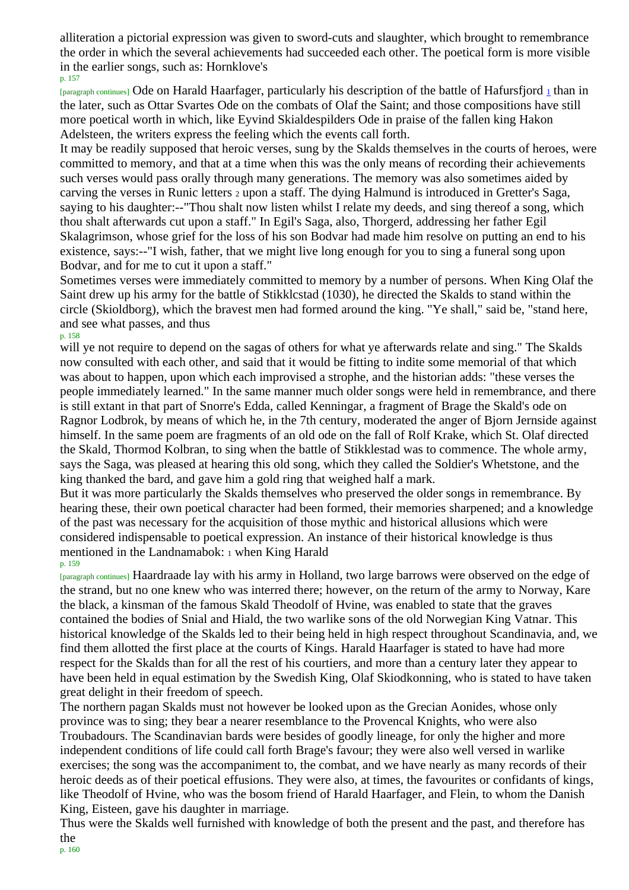alliteration a pictorial expression was given to sword-cuts and slaughter, which brought to remembrance the order in which the several achievements had succeeded each other. The poetical form is more visible in the earlier songs, such as: Hornklove's p. 157

[paragraph continues] Ode on Harald Haarfager, particularly his description of the battle of Hafursfjord [1](http://www.sacred-texts.com/neu/nda/#fn_6) than in the later, such as Ottar Svartes Ode on the combats of Olaf the Saint; and those compositions have still more poetical worth in which, like Eyvind Skialdespilders Ode in praise of the fallen king Hakon Adelsteen, the writers express the feeling which the events call forth.

It may be readily supposed that heroic verses, sung by the Skalds themselves in the courts of heroes, were committed to memory, and that at a time when this was the only means of recording their achievements such verses would pass orally through many generations. The memory was also sometimes aided by carving the verses in Runic letters <sup>2</sup> upon a staff. The dying Halmund is introduced in Gretter's Saga, saying to his daughter:--"Thou shalt now listen whilst I relate my deeds, and sing thereof a song, which thou shalt afterwards cut upon a staff." In Egil's Saga, also, Thorgerd, addressing her father Egil Skalagrimson, whose grief for the loss of his son Bodvar had made him resolve on putting an end to his existence, says:--"I wish, father, that we might live long enough for you to sing a funeral song upon Bodvar, and for me to cut it upon a staff."

Sometimes verses were immediately committed to memory by a number of persons. When King Olaf the Saint drew up his army for the battle of Stikklcstad (1030), he directed the Skalds to stand within the circle (Skioldborg), which the bravest men had formed around the king. "Ye shall," said be, "stand here, and see what passes, and thus p. 158

will ye not require to depend on the sagas of others for what ye afterwards relate and sing." The Skalds now consulted with each other, and said that it would be fitting to indite some memorial of that which was about to happen, upon which each improvised a strophe, and the historian adds: "these verses the people immediately learned." In the same manner much older songs were held in remembrance, and there is still extant in that part of Snorre's Edda, called Kenningar, a fragment of Brage the Skald's ode on Ragnor Lodbrok, by means of which he, in the 7th century, moderated the anger of Bjorn Jernside against himself. In the same poem are fragments of an old ode on the fall of Rolf Krake, which St. Olaf directed the Skald, Thormod Kolbran, to sing when the battle of Stikklestad was to commence. The whole army, says the Saga, was pleased at hearing this old song, which they called the Soldier's Whetstone, and the king thanked the bard, and gave him a gold ring that weighed half a mark.

But it was more particularly the Skalds themselves who preserved the older songs in remembrance. By hearing these, their own poetical character had been formed, their memories sharpened; and a knowledge of the past was necessary for the acquisition of those mythic and historical allusions which were considered indispensable to poetical expression. An instance of their historical knowledge is thus mentioned in the Landnamabok: <sup>1</sup> when King Harald p. 159

[paragraph continues] Haardraade lay with his army in Holland, two large barrows were observed on the edge of the strand, but no one knew who was interred there; however, on the return of the army to Norway, Kare the black, a kinsman of the famous Skald Theodolf of Hvine, was enabled to state that the graves contained the bodies of Snial and Hiald, the two warlike sons of the old Norwegian King Vatnar. This historical knowledge of the Skalds led to their being held in high respect throughout Scandinavia, and, we find them allotted the first place at the courts of Kings. Harald Haarfager is stated to have had more respect for the Skalds than for all the rest of his courtiers, and more than a century later they appear to have been held in equal estimation by the Swedish King, Olaf Skiodkonning, who is stated to have taken great delight in their freedom of speech.

The northern pagan Skalds must not however be looked upon as the Grecian Aonides, whose only province was to sing; they bear a nearer resemblance to the Provencal Knights, who were also Troubadours. The Scandinavian bards were besides of goodly lineage, for only the higher and more independent conditions of life could call forth Brage's favour; they were also well versed in warlike exercises; the song was the accompaniment to, the combat, and we have nearly as many records of their heroic deeds as of their poetical effusions. They were also, at times, the favourites or confidants of kings, like Theodolf of Hvine, who was the bosom friend of Harald Haarfager, and Flein, to whom the Danish King, Eisteen, gave his daughter in marriage.

Thus were the Skalds well furnished with knowledge of both the present and the past, and therefore has the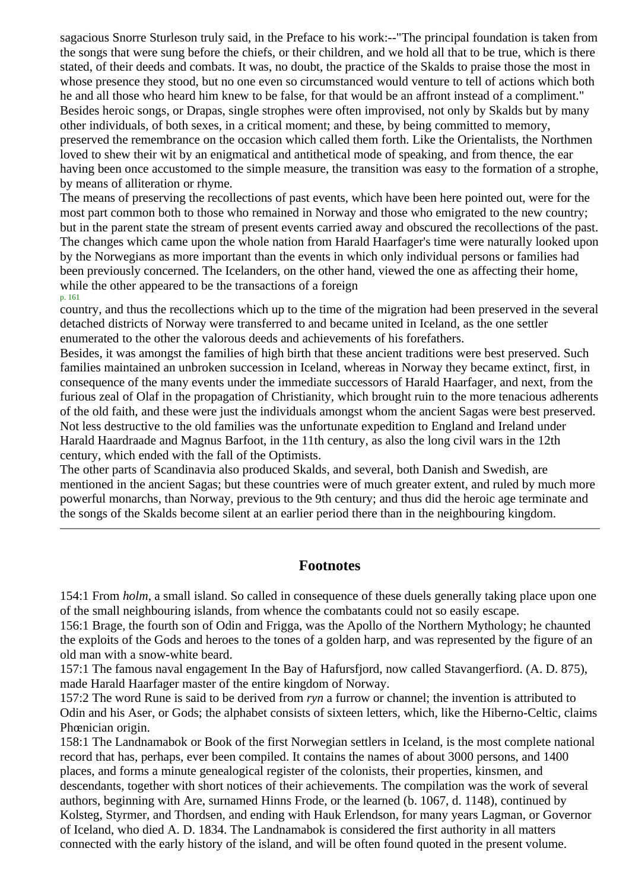sagacious Snorre Sturleson truly said, in the Preface to his work:--"The principal foundation is taken from the songs that were sung before the chiefs, or their children, and we hold all that to be true, which is there stated, of their deeds and combats. It was, no doubt, the practice of the Skalds to praise those the most in whose presence they stood, but no one even so circumstanced would venture to tell of actions which both he and all those who heard him knew to be false, for that would be an affront instead of a compliment." Besides heroic songs, or Drapas, single strophes were often improvised, not only by Skalds but by many other individuals, of both sexes, in a critical moment; and these, by being committed to memory, preserved the remembrance on the occasion which called them forth. Like the Orientalists, the Northmen loved to shew their wit by an enigmatical and antithetical mode of speaking, and from thence, the ear having been once accustomed to the simple measure, the transition was easy to the formation of a strophe, by means of alliteration or rhyme.

The means of preserving the recollections of past events, which have been here pointed out, were for the most part common both to those who remained in Norway and those who emigrated to the new country; but in the parent state the stream of present events carried away and obscured the recollections of the past. The changes which came upon the whole nation from Harald Haarfager's time were naturally looked upon by the Norwegians as more important than the events in which only individual persons or families had been previously concerned. The Icelanders, on the other hand, viewed the one as affecting their home, while the other appeared to be the transactions of a foreign p. 161

country, and thus the recollections which up to the time of the migration had been preserved in the several detached districts of Norway were transferred to and became united in Iceland, as the one settler enumerated to the other the valorous deeds and achievements of his forefathers.

Besides, it was amongst the families of high birth that these ancient traditions were best preserved. Such families maintained an unbroken succession in Iceland, whereas in Norway they became extinct, first, in consequence of the many events under the immediate successors of Harald Haarfager, and next, from the furious zeal of Olaf in the propagation of Christianity, which brought ruin to the more tenacious adherents of the old faith, and these were just the individuals amongst whom the ancient Sagas were best preserved. Not less destructive to the old families was the unfortunate expedition to England and Ireland under Harald Haardraade and Magnus Barfoot, in the 11th century, as also the long civil wars in the 12th century, which ended with the fall of the Optimists.

The other parts of Scandinavia also produced Skalds, and several, both Danish and Swedish, are mentioned in the ancient Sagas; but these countries were of much greater extent, and ruled by much more powerful monarchs, than Norway, previous to the 9th century; and thus did the heroic age terminate and the songs of the Skalds become silent at an earlier period there than in the neighbouring kingdom.

#### **Footnotes**

154:1 From *holm*, a small island. So called in consequence of these duels generally taking place upon one of the small neighbouring islands, from whence the combatants could not so easily escape.

156:1 Brage, the fourth son of Odin and Frigga, was the Apollo of the Northern Mythology; he chaunted the exploits of the Gods and heroes to the tones of a golden harp, and was represented by the figure of an old man with a snow-white beard.

157:1 The famous naval engagement In the Bay of Hafursfjord, now called Stavangerfiord. (A. D. 875), made Harald Haarfager master of the entire kingdom of Norway.

157:2 The word Rune is said to be derived from *ryn* a furrow or channel; the invention is attributed to Odin and his Aser, or Gods; the alphabet consists of sixteen letters, which, like the Hiberno-Celtic, claims Phœnician origin.

158:1 The Landnamabok or Book of the first Norwegian settlers in Iceland, is the most complete national record that has, perhaps, ever been compiled. It contains the names of about 3000 persons, and 1400 places, and forms a minute genealogical register of the colonists, their properties, kinsmen, and descendants, together with short notices of their achievements. The compilation was the work of several authors, beginning with Are, surnamed Hinns Frode, or the learned (b. 1067, d. 1148), continued by Kolsteg, Styrmer, and Thordsen, and ending with Hauk Erlendson, for many years Lagman, or Governor of Iceland, who died A. D. 1834. The Landnamabok is considered the first authority in all matters connected with the early history of the island, and will be often found quoted in the present volume.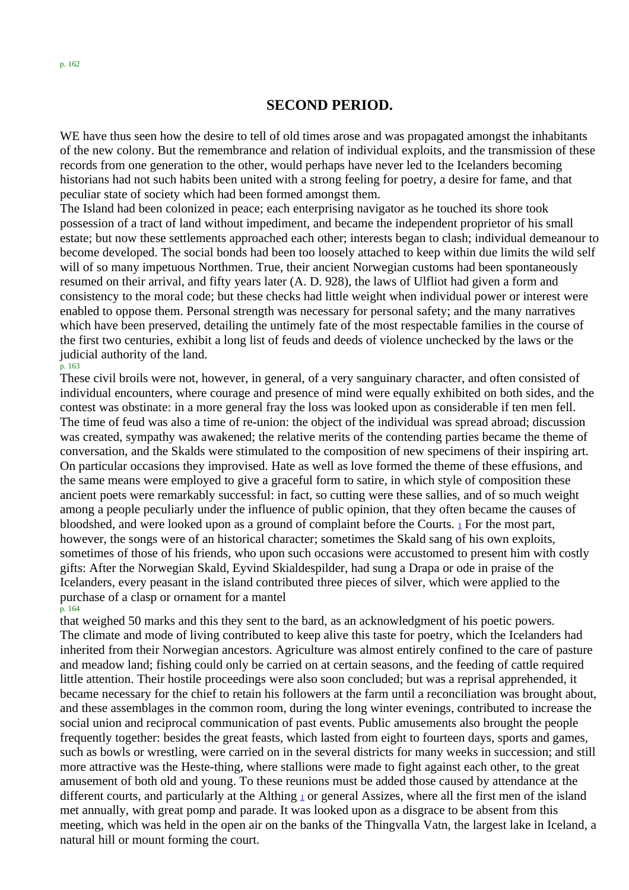#### **SECOND PERIOD.**

WE have thus seen how the desire to tell of old times arose and was propagated amongst the inhabitants of the new colony. But the remembrance and relation of individual exploits, and the transmission of these records from one generation to the other, would perhaps have never led to the Icelanders becoming historians had not such habits been united with a strong feeling for poetry, a desire for fame, and that peculiar state of society which had been formed amongst them.

The Island had been colonized in peace; each enterprising navigator as he touched its shore took possession of a tract of land without impediment, and became the independent proprietor of his small estate; but now these settlements approached each other; interests began to clash; individual demeanour to become developed. The social bonds had been too loosely attached to keep within due limits the wild self will of so many impetuous Northmen. True, their ancient Norwegian customs had been spontaneously resumed on their arrival, and fifty years later (A. D. 928), the laws of Ulfliot had given a form and consistency to the moral code; but these checks had little weight when individual power or interest were enabled to oppose them. Personal strength was necessary for personal safety; and the many narratives which have been preserved, detailing the untimely fate of the most respectable families in the course of the first two centuries, exhibit a long list of feuds and deeds of violence unchecked by the laws or the judicial authority of the land. p. 163

These civil broils were not, however, in general, of a very sanguinary character, and often consisted of individual encounters, where courage and presence of mind were equally exhibited on both sides, and the contest was obstinate: in a more general fray the loss was looked upon as considerable if ten men fell. The time of feud was also a time of re-union: the object of the individual was spread abroad; discussion was created, sympathy was awakened; the relative merits of the contending parties became the theme of conversation, and the Skalds were stimulated to the composition of new specimens of their inspiring art. On particular occasions they improvised. Hate as well as love formed the theme of these effusions, and the same means were employed to give a graceful form to satire, in which style of composition these ancient poets were remarkably successful: in fact, so cutting were these sallies, and of so much weight among a people peculiarly under the influence of public opinion, that they often became the causes of bloodshed, and were looked upon as a ground of complaint before the Courts.  $_1$  $_1$  For the most part, however, the songs were of an historical character; sometimes the Skald sang of his own exploits, sometimes of those of his friends, who upon such occasions were accustomed to present him with costly gifts: After the Norwegian Skald, Eyvind Skialdespilder, had sung a Drapa or ode in praise of the Icelanders, every peasant in the island contributed three pieces of silver, which were applied to the purchase of a clasp or ornament for a mantel p. 164

that weighed 50 marks and this they sent to the bard, as an acknowledgment of his poetic powers. The climate and mode of living contributed to keep alive this taste for poetry, which the Icelanders had inherited from their Norwegian ancestors. Agriculture was almost entirely confined to the care of pasture and meadow land; fishing could only be carried on at certain seasons, and the feeding of cattle required little attention. Their hostile proceedings were also soon concluded; but was a reprisal apprehended, it became necessary for the chief to retain his followers at the farm until a reconciliation was brought about, and these assemblages in the common room, during the long winter evenings, contributed to increase the social union and reciprocal communication of past events. Public amusements also brought the people frequently together: besides the great feasts, which lasted from eight to fourteen days, sports and games, such as bowls or wrestling, were carried on in the several districts for many weeks in succession; and still more attractive was the Heste-thing, where stallions were made to fight against each other, to the great amusement of both old and young. To these reunions must be added those caused by attendance at the different courts, and particularly at the Althing  $\frac{1}{2}$  $\frac{1}{2}$  $\frac{1}{2}$  or general Assizes, where all the first men of the island met annually, with great pomp and parade. It was looked upon as a disgrace to be absent from this meeting, which was held in the open air on the banks of the Thingvalla Vatn, the largest lake in Iceland, a natural hill or mount forming the court.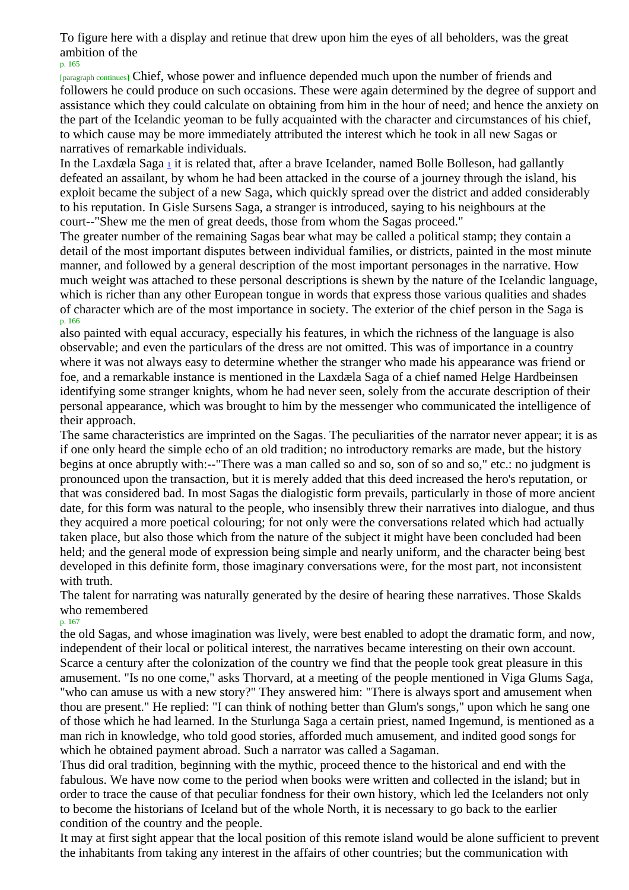To figure here with a display and retinue that drew upon him the eyes of all beholders, was the great ambition of the p. 165

[paragraph continues] Chief, whose power and influence depended much upon the number of friends and followers he could produce on such occasions. These were again determined by the degree of support and assistance which they could calculate on obtaining from him in the hour of need; and hence the anxiety on the part of the Icelandic yeoman to be fully acquainted with the character and circumstances of his chief, to which cause may be more immediately attributed the interest which he took in all new Sagas or narratives of remarkable individuals.

In the Laxdæla Saga  $_1$  $_1$  it is related that, after a brave Icelander, named Bolle Bolleson, had gallantly defeated an assailant, by whom he had been attacked in the course of a journey through the island, his exploit became the subject of a new Saga, which quickly spread over the district and added considerably to his reputation. In Gisle Sursens Saga, a stranger is introduced, saying to his neighbours at the court--"Shew me the men of great deeds, those from whom the Sagas proceed."

The greater number of the remaining Sagas bear what may be called a political stamp; they contain a detail of the most important disputes between individual families, or districts, painted in the most minute manner, and followed by a general description of the most important personages in the narrative. How much weight was attached to these personal descriptions is shewn by the nature of the Icelandic language, which is richer than any other European tongue in words that express those various qualities and shades of character which are of the most importance in society. The exterior of the chief person in the Saga is p. 166

also painted with equal accuracy, especially his features, in which the richness of the language is also observable; and even the particulars of the dress are not omitted. This was of importance in a country where it was not always easy to determine whether the stranger who made his appearance was friend or foe, and a remarkable instance is mentioned in the Laxdæla Saga of a chief named Helge Hardbeinsen identifying some stranger knights, whom he had never seen, solely from the accurate description of their personal appearance, which was brought to him by the messenger who communicated the intelligence of their approach.

The same characteristics are imprinted on the Sagas. The peculiarities of the narrator never appear; it is as if one only heard the simple echo of an old tradition; no introductory remarks are made, but the history begins at once abruptly with:--"There was a man called so and so, son of so and so," etc.: no judgment is pronounced upon the transaction, but it is merely added that this deed increased the hero's reputation, or that was considered bad. In most Sagas the dialogistic form prevails, particularly in those of more ancient date, for this form was natural to the people, who insensibly threw their narratives into dialogue, and thus they acquired a more poetical colouring; for not only were the conversations related which had actually taken place, but also those which from the nature of the subject it might have been concluded had been held; and the general mode of expression being simple and nearly uniform, and the character being best developed in this definite form, those imaginary conversations were, for the most part, not inconsistent with truth.

The talent for narrating was naturally generated by the desire of hearing these narratives. Those Skalds who remembered

p. 167

the old Sagas, and whose imagination was lively, were best enabled to adopt the dramatic form, and now, independent of their local or political interest, the narratives became interesting on their own account. Scarce a century after the colonization of the country we find that the people took great pleasure in this amusement. "Is no one come," asks Thorvard, at a meeting of the people mentioned in Viga Glums Saga, "who can amuse us with a new story?" They answered him: "There is always sport and amusement when thou are present." He replied: "I can think of nothing better than Glum's songs," upon which he sang one of those which he had learned. In the Sturlunga Saga a certain priest, named Ingemund, is mentioned as a man rich in knowledge, who told good stories, afforded much amusement, and indited good songs for which he obtained payment abroad. Such a narrator was called a Sagaman.

Thus did oral tradition, beginning with the mythic, proceed thence to the historical and end with the fabulous. We have now come to the period when books were written and collected in the island; but in order to trace the cause of that peculiar fondness for their own history, which led the Icelanders not only to become the historians of Iceland but of the whole North, it is necessary to go back to the earlier condition of the country and the people.

It may at first sight appear that the local position of this remote island would be alone sufficient to prevent the inhabitants from taking any interest in the affairs of other countries; but the communication with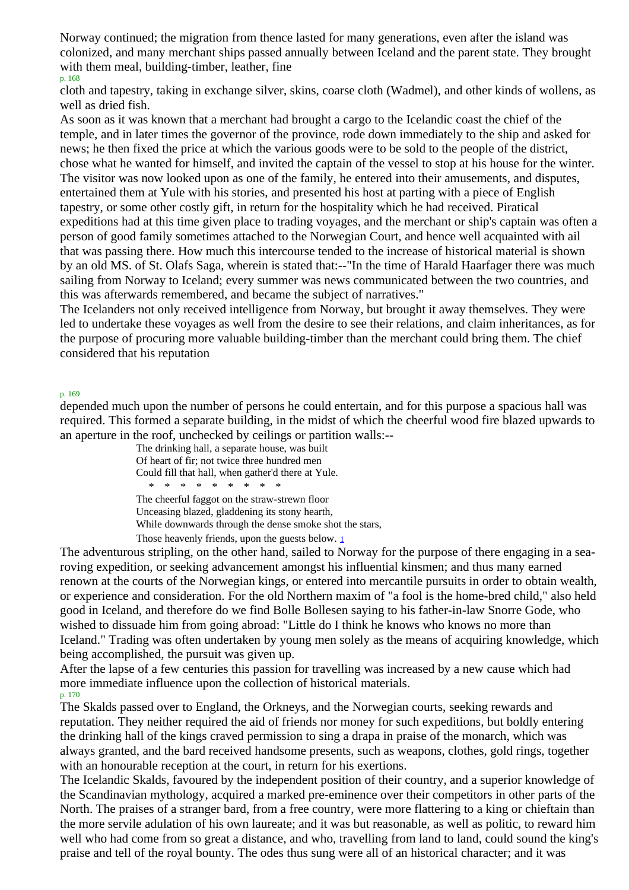Norway continued; the migration from thence lasted for many generations, even after the island was colonized, and many merchant ships passed annually between Iceland and the parent state. They brought with them meal, building-timber, leather, fine p. 168

cloth and tapestry, taking in exchange silver, skins, coarse cloth (Wadmel), and other kinds of wollens, as well as dried fish.

As soon as it was known that a merchant had brought a cargo to the Icelandic coast the chief of the temple, and in later times the governor of the province, rode down immediately to the ship and asked for news; he then fixed the price at which the various goods were to be sold to the people of the district, chose what he wanted for himself, and invited the captain of the vessel to stop at his house for the winter. The visitor was now looked upon as one of the family, he entered into their amusements, and disputes, entertained them at Yule with his stories, and presented his host at parting with a piece of English tapestry, or some other costly gift, in return for the hospitality which he had received. Piratical expeditions had at this time given place to trading voyages, and the merchant or ship's captain was often a person of good family sometimes attached to the Norwegian Court, and hence well acquainted with ail that was passing there. How much this intercourse tended to the increase of historical material is shown by an old MS. of St. Olafs Saga, wherein is stated that:--"In the time of Harald Haarfager there was much sailing from Norway to Iceland; every summer was news communicated between the two countries, and this was afterwards remembered, and became the subject of narratives."

The Icelanders not only received intelligence from Norway, but brought it away themselves. They were led to undertake these voyages as well from the desire to see their relations, and claim inheritances, as for the purpose of procuring more valuable building-timber than the merchant could bring them. The chief considered that his reputation

#### p. 169

depended much upon the number of persons he could entertain, and for this purpose a spacious hall was required. This formed a separate building, in the midst of which the cheerful wood fire blazed upwards to an aperture in the roof, unchecked by ceilings or partition walls:--

The drinking hall, a separate house, was built Of heart of fir; not twice three hundred men Could fill that hall, when gather'd there at Yule. \* \* \* \* \* \* \* \* \* The cheerful faggot on the straw-strewn floor

Unceasing blazed, gladdening its stony hearth, While downwards through the dense smoke shot the stars,

Those heavenly friends, upon the guests below.  $1$ 

The adventurous stripling, on the other hand, sailed to Norway for the purpose of there engaging in a searoving expedition, or seeking advancement amongst his influential kinsmen; and thus many earned renown at the courts of the Norwegian kings, or entered into mercantile pursuits in order to obtain wealth, or experience and consideration. For the old Northern maxim of "a fool is the home-bred child," also held good in Iceland, and therefore do we find Bolle Bollesen saying to his father-in-law Snorre Gode, who wished to dissuade him from going abroad: "Little do I think he knows who knows no more than Iceland." Trading was often undertaken by young men solely as the means of acquiring knowledge, which being accomplished, the pursuit was given up.

After the lapse of a few centuries this passion for travelling was increased by a new cause which had more immediate influence upon the collection of historical materials. p. 170

The Skalds passed over to England, the Orkneys, and the Norwegian courts, seeking rewards and reputation. They neither required the aid of friends nor money for such expeditions, but boldly entering the drinking hall of the kings craved permission to sing a drapa in praise of the monarch, which was always granted, and the bard received handsome presents, such as weapons, clothes, gold rings, together with an honourable reception at the court, in return for his exertions.

The Icelandic Skalds, favoured by the independent position of their country, and a superior knowledge of the Scandinavian mythology, acquired a marked pre-eminence over their competitors in other parts of the North. The praises of a stranger bard, from a free country, were more flattering to a king or chieftain than the more servile adulation of his own laureate; and it was but reasonable, as well as politic, to reward him well who had come from so great a distance, and who, travelling from land to land, could sound the king's praise and tell of the royal bounty. The odes thus sung were all of an historical character; and it was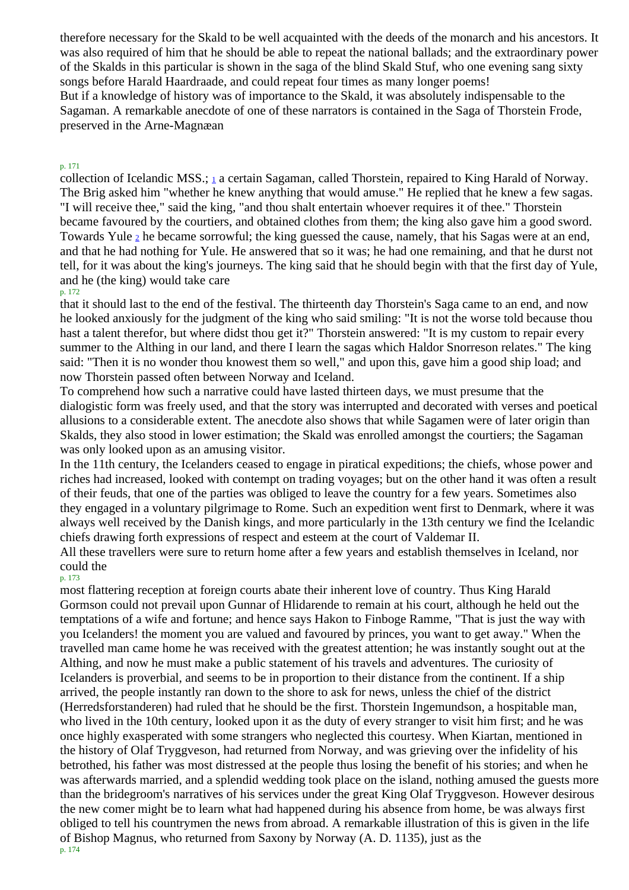therefore necessary for the Skald to be well acquainted with the deeds of the monarch and his ancestors. It was also required of him that he should be able to repeat the national ballads; and the extraordinary power of the Skalds in this particular is shown in the saga of the blind Skald Stuf, who one evening sang sixty songs before Harald Haardraade, and could repeat four times as many longer poems! But if a knowledge of history was of importance to the Skald, it was absolutely indispensable to the Sagaman. A remarkable anecdote of one of these narrators is contained in the Saga of Thorstein Frode, preserved in the Arne-Magnæan

### p. 171

collection of Icelandic MSS.; [1](http://www.sacred-texts.com/neu/nda/#fn_13) a certain Sagaman, called Thorstein, repaired to King Harald of Norway. The Brig asked him "whether he knew anything that would amuse." He replied that he knew a few sagas. "I will receive thee," said the king, "and thou shalt entertain whoever requires it of thee." Thorstein became favoured by the courtiers, and obtained clothes from them; the king also gave him a good sword. Towards Yule [2](http://www.sacred-texts.com/neu/nda/#fn_14) he became sorrowful; the king guessed the cause, namely, that his Sagas were at an end, and that he had nothing for Yule. He answered that so it was; he had one remaining, and that he durst not tell, for it was about the king's journeys. The king said that he should begin with that the first day of Yule, and he (the king) would take care

### p. 172

that it should last to the end of the festival. The thirteenth day Thorstein's Saga came to an end, and now he looked anxiously for the judgment of the king who said smiling: "It is not the worse told because thou hast a talent therefor, but where didst thou get it?" Thorstein answered: "It is my custom to repair every summer to the Althing in our land, and there I learn the sagas which Haldor Snorreson relates." The king said: "Then it is no wonder thou knowest them so well," and upon this, gave him a good ship load; and now Thorstein passed often between Norway and Iceland.

To comprehend how such a narrative could have lasted thirteen days, we must presume that the dialogistic form was freely used, and that the story was interrupted and decorated with verses and poetical allusions to a considerable extent. The anecdote also shows that while Sagamen were of later origin than Skalds, they also stood in lower estimation; the Skald was enrolled amongst the courtiers; the Sagaman was only looked upon as an amusing visitor.

In the 11th century, the Icelanders ceased to engage in piratical expeditions; the chiefs, whose power and riches had increased, looked with contempt on trading voyages; but on the other hand it was often a result of their feuds, that one of the parties was obliged to leave the country for a few years. Sometimes also they engaged in a voluntary pilgrimage to Rome. Such an expedition went first to Denmark, where it was always well received by the Danish kings, and more particularly in the 13th century we find the Icelandic chiefs drawing forth expressions of respect and esteem at the court of Valdemar II.

All these travellers were sure to return home after a few years and establish themselves in Iceland, nor could the

#### p. 173

most flattering reception at foreign courts abate their inherent love of country. Thus King Harald Gormson could not prevail upon Gunnar of Hlidarende to remain at his court, although he held out the temptations of a wife and fortune; and hence says Hakon to Finboge Ramme, "That is just the way with you Icelanders! the moment you are valued and favoured by princes, you want to get away." When the travelled man came home he was received with the greatest attention; he was instantly sought out at the Althing, and now he must make a public statement of his travels and adventures. The curiosity of Icelanders is proverbial, and seems to be in proportion to their distance from the continent. If a ship arrived, the people instantly ran down to the shore to ask for news, unless the chief of the district (Herredsforstanderen) had ruled that he should be the first. Thorstein Ingemundson, a hospitable man, who lived in the 10th century, looked upon it as the duty of every stranger to visit him first; and he was once highly exasperated with some strangers who neglected this courtesy. When Kiartan, mentioned in the history of Olaf Tryggveson, had returned from Norway, and was grieving over the infidelity of his betrothed, his father was most distressed at the people thus losing the benefit of his stories; and when he was afterwards married, and a splendid wedding took place on the island, nothing amused the guests more than the bridegroom's narratives of his services under the great King Olaf Tryggveson. However desirous the new comer might be to learn what had happened during his absence from home, be was always first obliged to tell his countrymen the news from abroad. A remarkable illustration of this is given in the life of Bishop Magnus, who returned from Saxony by Norway (A. D. 1135), just as the p. 174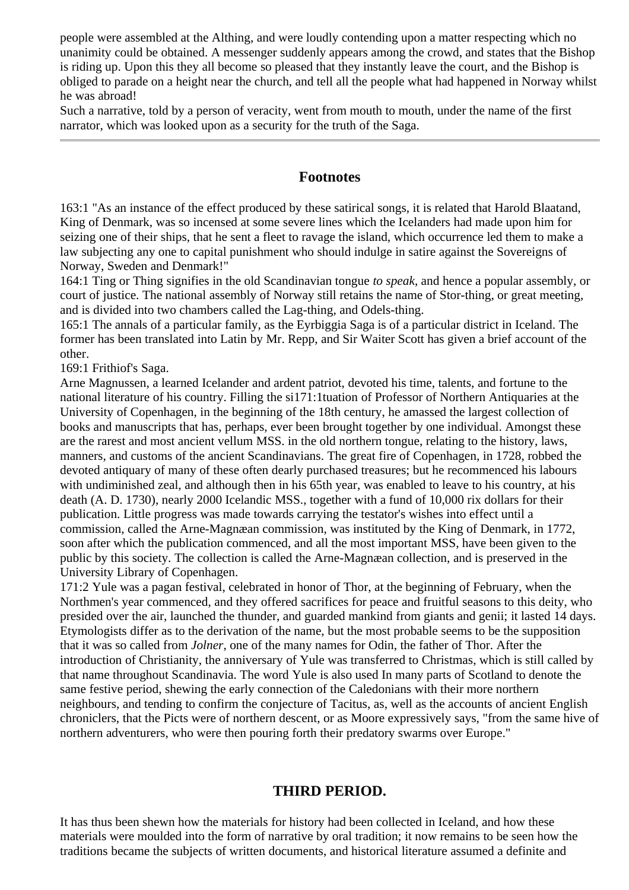people were assembled at the Althing, and were loudly contending upon a matter respecting which no unanimity could be obtained. A messenger suddenly appears among the crowd, and states that the Bishop is riding up. Upon this they all become so pleased that they instantly leave the court, and the Bishop is obliged to parade on a height near the church, and tell all the people what had happened in Norway whilst he was abroad!

Such a narrative, told by a person of veracity, went from mouth to mouth, under the name of the first narrator, which was looked upon as a security for the truth of the Saga.

### **Footnotes**

163:1 "As an instance of the effect produced by these satirical songs, it is related that Harold Blaatand, King of Denmark, was so incensed at some severe lines which the Icelanders had made upon him for seizing one of their ships, that he sent a fleet to ravage the island, which occurrence led them to make a law subjecting any one to capital punishment who should indulge in satire against the Sovereigns of Norway, Sweden and Denmark!"

164:1 Ting or Thing signifies in the old Scandinavian tongue *to speak*, and hence a popular assembly, or court of justice. The national assembly of Norway still retains the name of Stor-thing, or great meeting, and is divided into two chambers called the Lag-thing, and Odels-thing.

165:1 The annals of a particular family, as the Eyrbiggia Saga is of a particular district in Iceland. The former has been translated into Latin by Mr. Repp, and Sir Waiter Scott has given a brief account of the other.

169:1 Frithiof's Saga.

Arne Magnussen, a learned Icelander and ardent patriot, devoted his time, talents, and fortune to the national literature of his country. Filling the si171:1tuation of Professor of Northern Antiquaries at the University of Copenhagen, in the beginning of the 18th century, he amassed the largest collection of books and manuscripts that has, perhaps, ever been brought together by one individual. Amongst these are the rarest and most ancient vellum MSS. in the old northern tongue, relating to the history, laws, manners, and customs of the ancient Scandinavians. The great fire of Copenhagen, in 1728, robbed the devoted antiquary of many of these often dearly purchased treasures; but he recommenced his labours with undiminished zeal, and although then in his 65th year, was enabled to leave to his country, at his death (A. D. 1730), nearly 2000 Icelandic MSS., together with a fund of 10,000 rix dollars for their publication. Little progress was made towards carrying the testator's wishes into effect until a commission, called the Arne-Magnæan commission, was instituted by the King of Denmark, in 1772, soon after which the publication commenced, and all the most important MSS, have been given to the public by this society. The collection is called the Arne-Magnæan collection, and is preserved in the University Library of Copenhagen.

171:2 Yule was a pagan festival, celebrated in honor of Thor, at the beginning of February, when the Northmen's year commenced, and they offered sacrifices for peace and fruitful seasons to this deity, who presided over the air, launched the thunder, and guarded mankind from giants and genii; it lasted 14 days. Etymologists differ as to the derivation of the name, but the most probable seems to be the supposition that it was so called from *Jolner*, one of the many names for Odin, the father of Thor. After the introduction of Christianity, the anniversary of Yule was transferred to Christmas, which is still called by that name throughout Scandinavia. The word Yule is also used In many parts of Scotland to denote the same festive period, shewing the early connection of the Caledonians with their more northern neighbours, and tending to confirm the conjecture of Tacitus, as, well as the accounts of ancient English chroniclers, that the Picts were of northern descent, or as Moore expressively says, "from the same hive of northern adventurers, who were then pouring forth their predatory swarms over Europe."

## **THIRD PERIOD.**

It has thus been shewn how the materials for history had been collected in Iceland, and how these materials were moulded into the form of narrative by oral tradition; it now remains to be seen how the traditions became the subjects of written documents, and historical literature assumed a definite and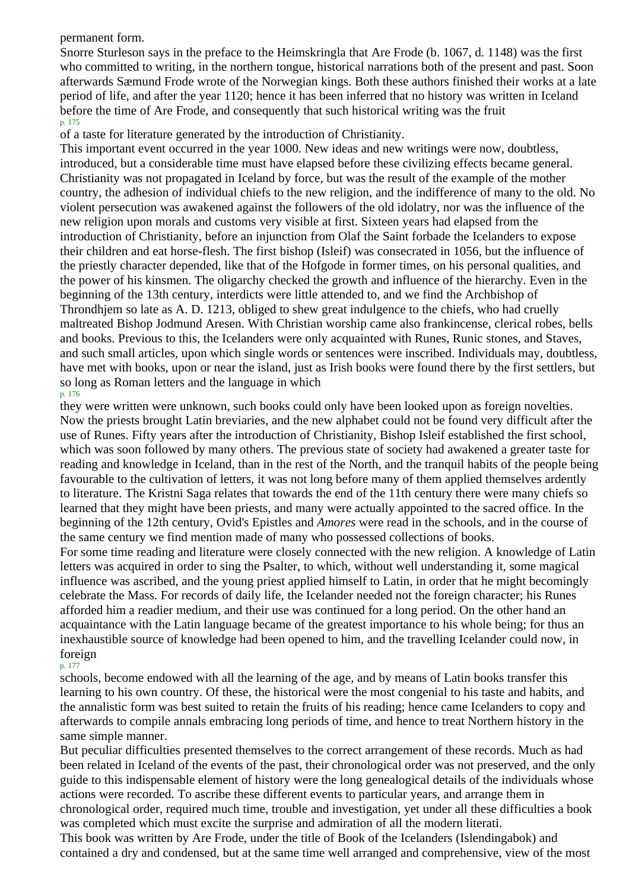### permanent form.

Snorre Sturleson says in the preface to the Heimskringla that Are Frode (b. 1067, d. 1148) was the first who committed to writing, in the northern tongue, historical narrations both of the present and past. Soon afterwards Sæmund Frode wrote of the Norwegian kings. Both these authors finished their works at a late period of life, and after the year 1120; hence it has been inferred that no history was written in Iceland before the time of Are Frode, and consequently that such historical writing was the fruit p. 175

of a taste for literature generated by the introduction of Christianity.

This important event occurred in the year 1000. New ideas and new writings were now, doubtless, introduced, but a considerable time must have elapsed before these civilizing effects became general. Christianity was not propagated in Iceland by force, but was the result of the example of the mother country, the adhesion of individual chiefs to the new religion, and the indifference of many to the old. No violent persecution was awakened against the followers of the old idolatry, nor was the influence of the new religion upon morals and customs very visible at first. Sixteen years had elapsed from the introduction of Christianity, before an injunction from Olaf the Saint forbade the Icelanders to expose their children and eat horse-flesh. The first bishop (Isleif) was consecrated in 1056, but the influence of the priestly character depended, like that of the Hofgode in former times, on his personal qualities, and the power of his kinsmen. The oligarchy checked the growth and influence of the hierarchy. Even in the beginning of the 13th century, interdicts were little attended to, and we find the Archbishop of Throndhjem so late as A. D. 1213, obliged to shew great indulgence to the chiefs, who had cruelly maltreated Bishop Jodmund Aresen. With Christian worship came also frankincense, clerical robes, bells and books. Previous to this, the Icelanders were only acquainted with Runes, Runic stones, and Staves, and such small articles, upon which single words or sentences were inscribed. Individuals may, doubtless, have met with books, upon or near the island, just as Irish books were found there by the first settlers, but so long as Roman letters and the language in which p. 176

they were written were unknown, such books could only have been looked upon as foreign novelties. Now the priests brought Latin breviaries, and the new alphabet could not be found very difficult after the use of Runes. Fifty years after the introduction of Christianity, Bishop Isleif established the first school, which was soon followed by many others. The previous state of society had awakened a greater taste for reading and knowledge in Iceland, than in the rest of the North, and the tranquil habits of the people being favourable to the cultivation of letters, it was not long before many of them applied themselves ardently to literature. The Kristni Saga relates that towards the end of the 11th century there were many chiefs so learned that they might have been priests, and many were actually appointed to the sacred office. In the beginning of the 12th century, Ovid's Epistles and *Amores* were read in the schools, and in the course of the same century we find mention made of many who possessed collections of books.

For some time reading and literature were closely connected with the new religion. A knowledge of Latin letters was acquired in order to sing the Psalter, to which, without well understanding it, some magical influence was ascribed, and the young priest applied himself to Latin, in order that he might becomingly celebrate the Mass. For records of daily life, the Icelander needed not the foreign character; his Runes afforded him a readier medium, and their use was continued for a long period. On the other hand an acquaintance with the Latin language became of the greatest importance to his whole being; for thus an inexhaustible source of knowledge had been opened to him, and the travelling Icelander could now, in foreign

### p. 177

schools, become endowed with all the learning of the age, and by means of Latin books transfer this learning to his own country. Of these, the historical were the most congenial to his taste and habits, and the annalistic form was best suited to retain the fruits of his reading; hence came Icelanders to copy and afterwards to compile annals embracing long periods of time, and hence to treat Northern history in the same simple manner.

But peculiar difficulties presented themselves to the correct arrangement of these records. Much as had been related in Iceland of the events of the past, their chronological order was not preserved, and the only guide to this indispensable element of history were the long genealogical details of the individuals whose actions were recorded. To ascribe these different events to particular years, and arrange them in chronological order, required much time, trouble and investigation, yet under all these difficulties a book was completed which must excite the surprise and admiration of all the modern literati.

This book was written by Are Frode, under the title of Book of the Icelanders (Islendingabok) and contained a dry and condensed, but at the same time well arranged and comprehensive, view of the most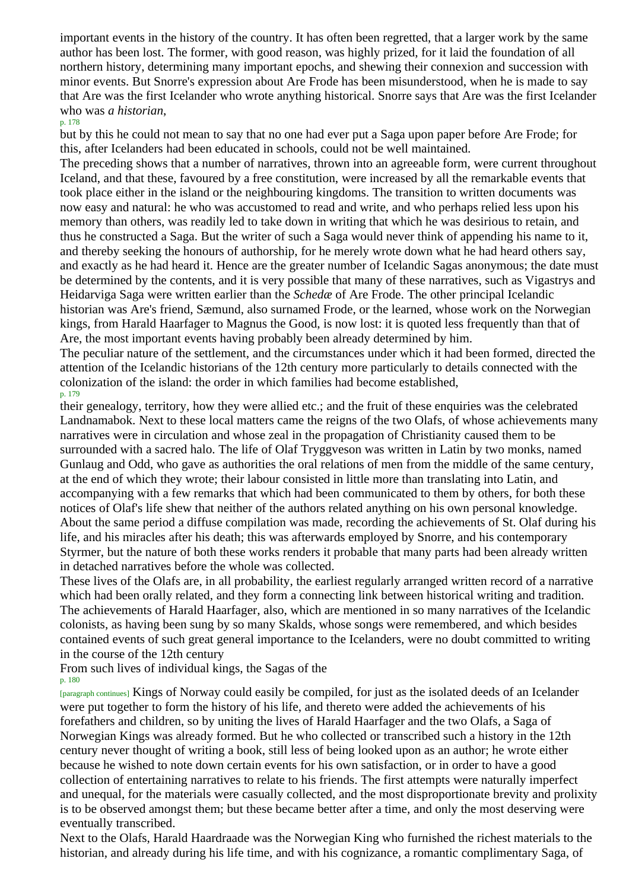important events in the history of the country. It has often been regretted, that a larger work by the same author has been lost. The former, with good reason, was highly prized, for it laid the foundation of all northern history, determining many important epochs, and shewing their connexion and succession with minor events. But Snorre's expression about Are Frode has been misunderstood, when he is made to say that Are was the first Icelander who wrote anything historical. Snorre says that Are was the first Icelander who was *a historian*,

#### p. 178

but by this he could not mean to say that no one had ever put a Saga upon paper before Are Frode; for this, after Icelanders had been educated in schools, could not be well maintained.

The preceding shows that a number of narratives, thrown into an agreeable form, were current throughout Iceland, and that these, favoured by a free constitution, were increased by all the remarkable events that took place either in the island or the neighbouring kingdoms. The transition to written documents was now easy and natural: he who was accustomed to read and write, and who perhaps relied less upon his memory than others, was readily led to take down in writing that which he was desirious to retain, and thus he constructed a Saga. But the writer of such a Saga would never think of appending his name to it, and thereby seeking the honours of authorship, for he merely wrote down what he had heard others say, and exactly as he had heard it. Hence are the greater number of Icelandic Sagas anonymous; the date must be determined by the contents, and it is very possible that many of these narratives, such as Vigastrys and Heidarviga Saga were written earlier than the *Schedæ* of Are Frode. The other principal Icelandic historian was Are's friend, Sæmund, also surnamed Frode, or the learned, whose work on the Norwegian kings, from Harald Haarfager to Magnus the Good, is now lost: it is quoted less frequently than that of Are, the most important events having probably been already determined by him.

The peculiar nature of the settlement, and the circumstances under which it had been formed, directed the attention of the Icelandic historians of the 12th century more particularly to details connected with the colonization of the island: the order in which families had become established, p. 179

their genealogy, territory, how they were allied etc.; and the fruit of these enquiries was the celebrated Landnamabok. Next to these local matters came the reigns of the two Olafs, of whose achievements many narratives were in circulation and whose zeal in the propagation of Christianity caused them to be surrounded with a sacred halo. The life of Olaf Tryggveson was written in Latin by two monks, named Gunlaug and Odd, who gave as authorities the oral relations of men from the middle of the same century, at the end of which they wrote; their labour consisted in little more than translating into Latin, and accompanying with a few remarks that which had been communicated to them by others, for both these notices of Olaf's life shew that neither of the authors related anything on his own personal knowledge. About the same period a diffuse compilation was made, recording the achievements of St. Olaf during his life, and his miracles after his death; this was afterwards employed by Snorre, and his contemporary Styrmer, but the nature of both these works renders it probable that many parts had been already written in detached narratives before the whole was collected.

These lives of the Olafs are, in all probability, the earliest regularly arranged written record of a narrative which had been orally related, and they form a connecting link between historical writing and tradition. The achievements of Harald Haarfager, also, which are mentioned in so many narratives of the Icelandic colonists, as having been sung by so many Skalds, whose songs were remembered, and which besides contained events of such great general importance to the Icelanders, were no doubt committed to writing in the course of the 12th century

From such lives of individual kings, the Sagas of the p. 180

[paragraph continues] Kings of Norway could easily be compiled, for just as the isolated deeds of an Icelander were put together to form the history of his life, and thereto were added the achievements of his forefathers and children, so by uniting the lives of Harald Haarfager and the two Olafs, a Saga of Norwegian Kings was already formed. But he who collected or transcribed such a history in the 12th century never thought of writing a book, still less of being looked upon as an author; he wrote either because he wished to note down certain events for his own satisfaction, or in order to have a good collection of entertaining narratives to relate to his friends. The first attempts were naturally imperfect and unequal, for the materials were casually collected, and the most disproportionate brevity and prolixity is to be observed amongst them; but these became better after a time, and only the most deserving were eventually transcribed.

Next to the Olafs, Harald Haardraade was the Norwegian King who furnished the richest materials to the historian, and already during his life time, and with his cognizance, a romantic complimentary Saga, of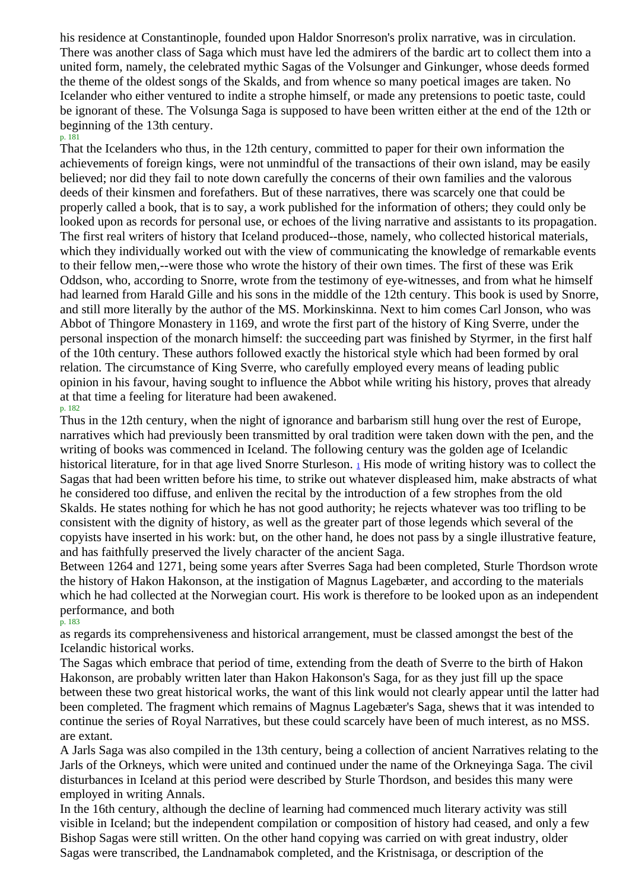his residence at Constantinople, founded upon Haldor Snorreson's prolix narrative, was in circulation. There was another class of Saga which must have led the admirers of the bardic art to collect them into a united form, namely, the celebrated mythic Sagas of the Volsunger and Ginkunger, whose deeds formed the theme of the oldest songs of the Skalds, and from whence so many poetical images are taken. No Icelander who either ventured to indite a strophe himself, or made any pretensions to poetic taste, could be ignorant of these. The Volsunga Saga is supposed to have been written either at the end of the 12th or beginning of the 13th century. p. 181

That the Icelanders who thus, in the 12th century, committed to paper for their own information the achievements of foreign kings, were not unmindful of the transactions of their own island, may be easily believed; nor did they fail to note down carefully the concerns of their own families and the valorous deeds of their kinsmen and forefathers. But of these narratives, there was scarcely one that could be properly called a book, that is to say, a work published for the information of others; they could only be looked upon as records for personal use, or echoes of the living narrative and assistants to its propagation. The first real writers of history that Iceland produced--those, namely, who collected historical materials, which they individually worked out with the view of communicating the knowledge of remarkable events to their fellow men,--were those who wrote the history of their own times. The first of these was Erik Oddson, who, according to Snorre, wrote from the testimony of eye-witnesses, and from what he himself had learned from Harald Gille and his sons in the middle of the 12th century. This book is used by Snorre, and still more literally by the author of the MS. Morkinskinna. Next to him comes Carl Jonson, who was Abbot of Thingore Monastery in 1169, and wrote the first part of the history of King Sverre, under the personal inspection of the monarch himself: the succeeding part was finished by Styrmer, in the first half of the 10th century. These authors followed exactly the historical style which had been formed by oral relation. The circumstance of King Sverre, who carefully employed every means of leading public opinion in his favour, having sought to influence the Abbot while writing his history, proves that already at that time a feeling for literature had been awakened. p. 182

Thus in the 12th century, when the night of ignorance and barbarism still hung over the rest of Europe, narratives which had previously been transmitted by oral tradition were taken down with the pen, and the writing of books was commenced in Iceland. The following century was the golden age of Icelandic historical literature, for in that age lived Snorre Sturleson.  $_1$  $_1$  His mode of writing history was to collect the Sagas that had been written before his time, to strike out whatever displeased him, make abstracts of what he considered too diffuse, and enliven the recital by the introduction of a few strophes from the old Skalds. He states nothing for which he has not good authority; he rejects whatever was too trifling to be consistent with the dignity of history, as well as the greater part of those legends which several of the copyists have inserted in his work: but, on the other hand, he does not pass by a single illustrative feature, and has faithfully preserved the lively character of the ancient Saga.

Between 1264 and 1271, being some years after Sverres Saga had been completed, Sturle Thordson wrote the history of Hakon Hakonson, at the instigation of Magnus Lagebæter, and according to the materials which he had collected at the Norwegian court. His work is therefore to be looked upon as an independent performance, and both

### p. 183

as regards its comprehensiveness and historical arrangement, must be classed amongst the best of the Icelandic historical works.

The Sagas which embrace that period of time, extending from the death of Sverre to the birth of Hakon Hakonson, are probably written later than Hakon Hakonson's Saga, for as they just fill up the space between these two great historical works, the want of this link would not clearly appear until the latter had been completed. The fragment which remains of Magnus Lagebæter's Saga, shews that it was intended to continue the series of Royal Narratives, but these could scarcely have been of much interest, as no MSS. are extant.

A Jarls Saga was also compiled in the 13th century, being a collection of ancient Narratives relating to the Jarls of the Orkneys, which were united and continued under the name of the Orkneyinga Saga. The civil disturbances in Iceland at this period were described by Sturle Thordson, and besides this many were employed in writing Annals.

In the 16th century, although the decline of learning had commenced much literary activity was still visible in Iceland; but the independent compilation or composition of history had ceased, and only a few Bishop Sagas were still written. On the other hand copying was carried on with great industry, older Sagas were transcribed, the Landnamabok completed, and the Kristnisaga, or description of the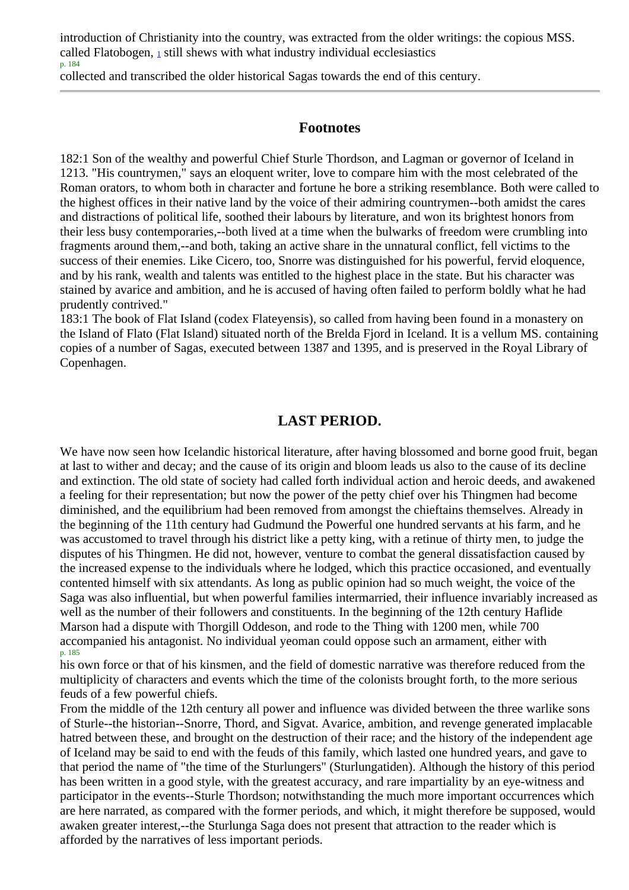introduction of Christianity into the country, was extracted from the older writings: the copious MSS. called Flatobogen, [1](http://www.sacred-texts.com/neu/nda/#fn_16) still shews with what industry individual ecclesiastics p. 184

collected and transcribed the older historical Sagas towards the end of this century.

### **Footnotes**

182:1 Son of the wealthy and powerful Chief Sturle Thordson, and Lagman or governor of Iceland in 1213. "His countrymen," says an eloquent writer, love to compare him with the most celebrated of the Roman orators, to whom both in character and fortune he bore a striking resemblance. Both were called to the highest offices in their native land by the voice of their admiring countrymen--both amidst the cares and distractions of political life, soothed their labours by literature, and won its brightest honors from their less busy contemporaries,--both lived at a time when the bulwarks of freedom were crumbling into fragments around them,--and both, taking an active share in the unnatural conflict, fell victims to the success of their enemies. Like Cicero, too, Snorre was distinguished for his powerful, fervid eloquence, and by his rank, wealth and talents was entitled to the highest place in the state. But his character was stained by avarice and ambition, and he is accused of having often failed to perform boldly what he had prudently contrived."

183:1 The book of Flat Island (codex Flateyensis), so called from having been found in a monastery on the Island of Flato (Flat Island) situated north of the Brelda Fjord in Iceland. It is a vellum MS. containing copies of a number of Sagas, executed between 1387 and 1395, and is preserved in the Royal Library of Copenhagen.

## **LAST PERIOD.**

We have now seen how Icelandic historical literature, after having blossomed and borne good fruit, began at last to wither and decay; and the cause of its origin and bloom leads us also to the cause of its decline and extinction. The old state of society had called forth individual action and heroic deeds, and awakened a feeling for their representation; but now the power of the petty chief over his Thingmen had become diminished, and the equilibrium had been removed from amongst the chieftains themselves. Already in the beginning of the 11th century had Gudmund the Powerful one hundred servants at his farm, and he was accustomed to travel through his district like a petty king, with a retinue of thirty men, to judge the disputes of his Thingmen. He did not, however, venture to combat the general dissatisfaction caused by the increased expense to the individuals where he lodged, which this practice occasioned, and eventually contented himself with six attendants. As long as public opinion had so much weight, the voice of the Saga was also influential, but when powerful families intermarried, their influence invariably increased as well as the number of their followers and constituents. In the beginning of the 12th century Haflide Marson had a dispute with Thorgill Oddeson, and rode to the Thing with 1200 men, while 700 accompanied his antagonist. No individual yeoman could oppose such an armament, either with p. 185

his own force or that of his kinsmen, and the field of domestic narrative was therefore reduced from the multiplicity of characters and events which the time of the colonists brought forth, to the more serious feuds of a few powerful chiefs.

From the middle of the 12th century all power and influence was divided between the three warlike sons of Sturle--the historian--Snorre, Thord, and Sigvat. Avarice, ambition, and revenge generated implacable hatred between these, and brought on the destruction of their race; and the history of the independent age of Iceland may be said to end with the feuds of this family, which lasted one hundred years, and gave to that period the name of "the time of the Sturlungers" (Sturlungatiden). Although the history of this period has been written in a good style, with the greatest accuracy, and rare impartiality by an eye-witness and participator in the events--Sturle Thordson; notwithstanding the much more important occurrences which are here narrated, as compared with the former periods, and which, it might therefore be supposed, would awaken greater interest,--the Sturlunga Saga does not present that attraction to the reader which is afforded by the narratives of less important periods.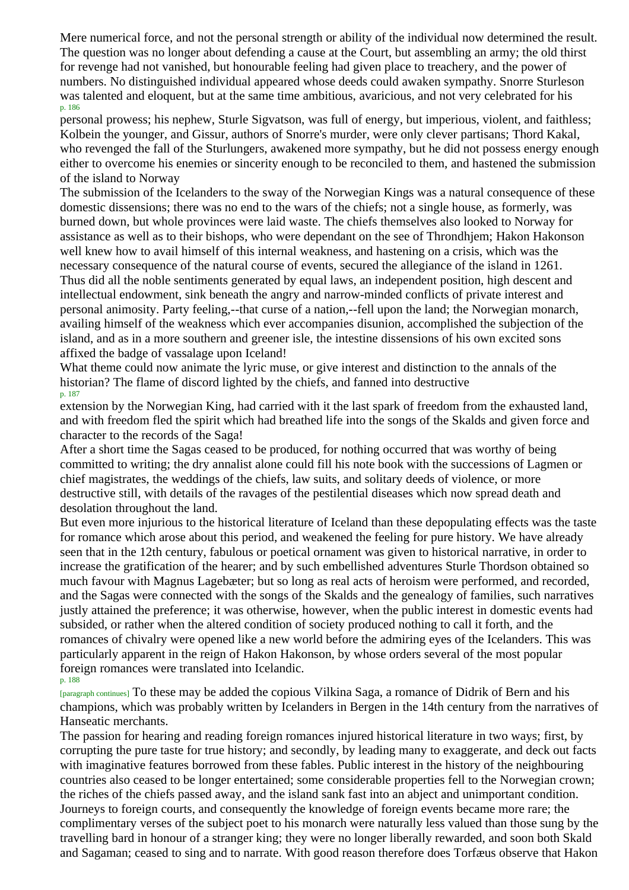Mere numerical force, and not the personal strength or ability of the individual now determined the result. The question was no longer about defending a cause at the Court, but assembling an army; the old thirst for revenge had not vanished, but honourable feeling had given place to treachery, and the power of numbers. No distinguished individual appeared whose deeds could awaken sympathy. Snorre Sturleson was talented and eloquent, but at the same time ambitious, avaricious, and not very celebrated for his p. 186

personal prowess; his nephew, Sturle Sigvatson, was full of energy, but imperious, violent, and faithless; Kolbein the younger, and Gissur, authors of Snorre's murder, were only clever partisans; Thord Kakal, who revenged the fall of the Sturlungers, awakened more sympathy, but he did not possess energy enough either to overcome his enemies or sincerity enough to be reconciled to them, and hastened the submission of the island to Norway

The submission of the Icelanders to the sway of the Norwegian Kings was a natural consequence of these domestic dissensions; there was no end to the wars of the chiefs; not a single house, as formerly, was burned down, but whole provinces were laid waste. The chiefs themselves also looked to Norway for assistance as well as to their bishops, who were dependant on the see of Throndhjem; Hakon Hakonson well knew how to avail himself of this internal weakness, and hastening on a crisis, which was the necessary consequence of the natural course of events, secured the allegiance of the island in 1261. Thus did all the noble sentiments generated by equal laws, an independent position, high descent and intellectual endowment, sink beneath the angry and narrow-minded conflicts of private interest and personal animosity. Party feeling,--that curse of a nation,--fell upon the land; the Norwegian monarch, availing himself of the weakness which ever accompanies disunion, accomplished the subjection of the island, and as in a more southern and greener isle, the intestine dissensions of his own excited sons affixed the badge of vassalage upon Iceland!

What theme could now animate the lyric muse, or give interest and distinction to the annals of the historian? The flame of discord lighted by the chiefs, and fanned into destructive p. 187

extension by the Norwegian King, had carried with it the last spark of freedom from the exhausted land, and with freedom fled the spirit which had breathed life into the songs of the Skalds and given force and character to the records of the Saga!

After a short time the Sagas ceased to be produced, for nothing occurred that was worthy of being committed to writing; the dry annalist alone could fill his note book with the successions of Lagmen or chief magistrates, the weddings of the chiefs, law suits, and solitary deeds of violence, or more destructive still, with details of the ravages of the pestilential diseases which now spread death and desolation throughout the land.

But even more injurious to the historical literature of Iceland than these depopulating effects was the taste for romance which arose about this period, and weakened the feeling for pure history. We have already seen that in the 12th century, fabulous or poetical ornament was given to historical narrative, in order to increase the gratification of the hearer; and by such embellished adventures Sturle Thordson obtained so much favour with Magnus Lagebæter; but so long as real acts of heroism were performed, and recorded, and the Sagas were connected with the songs of the Skalds and the genealogy of families, such narratives justly attained the preference; it was otherwise, however, when the public interest in domestic events had subsided, or rather when the altered condition of society produced nothing to call it forth, and the romances of chivalry were opened like a new world before the admiring eyes of the Icelanders. This was particularly apparent in the reign of Hakon Hakonson, by whose orders several of the most popular foreign romances were translated into Icelandic. p. 188

[paragraph continues] To these may be added the copious Vilkina Saga, a romance of Didrik of Bern and his champions, which was probably written by Icelanders in Bergen in the 14th century from the narratives of Hanseatic merchants.

The passion for hearing and reading foreign romances injured historical literature in two ways; first, by corrupting the pure taste for true history; and secondly, by leading many to exaggerate, and deck out facts with imaginative features borrowed from these fables. Public interest in the history of the neighbouring countries also ceased to be longer entertained; some considerable properties fell to the Norwegian crown; the riches of the chiefs passed away, and the island sank fast into an abject and unimportant condition. Journeys to foreign courts, and consequently the knowledge of foreign events became more rare; the complimentary verses of the subject poet to his monarch were naturally less valued than those sung by the travelling bard in honour of a stranger king; they were no longer liberally rewarded, and soon both Skald and Sagaman; ceased to sing and to narrate. With good reason therefore does Torfæus observe that Hakon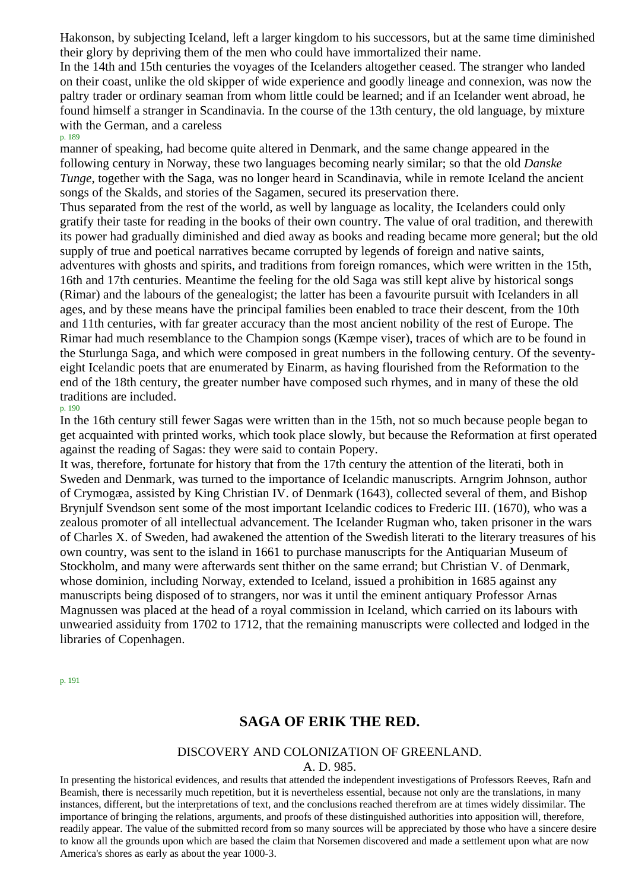Hakonson, by subjecting Iceland, left a larger kingdom to his successors, but at the same time diminished their glory by depriving them of the men who could have immortalized their name.

In the 14th and 15th centuries the voyages of the Icelanders altogether ceased. The stranger who landed on their coast, unlike the old skipper of wide experience and goodly lineage and connexion, was now the paltry trader or ordinary seaman from whom little could be learned; and if an Icelander went abroad, he found himself a stranger in Scandinavia. In the course of the 13th century, the old language, by mixture with the German, and a careless p. 189

manner of speaking, had become quite altered in Denmark, and the same change appeared in the following century in Norway, these two languages becoming nearly similar; so that the old *Danske Tunge*, together with the Saga, was no longer heard in Scandinavia, while in remote Iceland the ancient songs of the Skalds, and stories of the Sagamen, secured its preservation there.

Thus separated from the rest of the world, as well by language as locality, the Icelanders could only gratify their taste for reading in the books of their own country. The value of oral tradition, and therewith its power had gradually diminished and died away as books and reading became more general; but the old supply of true and poetical narratives became corrupted by legends of foreign and native saints, adventures with ghosts and spirits, and traditions from foreign romances, which were written in the 15th, 16th and 17th centuries. Meantime the feeling for the old Saga was still kept alive by historical songs (Rimar) and the labours of the genealogist; the latter has been a favourite pursuit with Icelanders in all ages, and by these means have the principal families been enabled to trace their descent, from the 10th and 11th centuries, with far greater accuracy than the most ancient nobility of the rest of Europe. The Rimar had much resemblance to the Champion songs (Kæmpe viser), traces of which are to be found in the Sturlunga Saga, and which were composed in great numbers in the following century. Of the seventyeight Icelandic poets that are enumerated by Einarm, as having flourished from the Reformation to the end of the 18th century, the greater number have composed such rhymes, and in many of these the old traditions are included.

### p. 190

In the 16th century still fewer Sagas were written than in the 15th, not so much because people began to get acquainted with printed works, which took place slowly, but because the Reformation at first operated against the reading of Sagas: they were said to contain Popery.

It was, therefore, fortunate for history that from the 17th century the attention of the literati, both in Sweden and Denmark, was turned to the importance of Icelandic manuscripts. Arngrim Johnson, author of Crymogæa, assisted by King Christian IV. of Denmark (1643), collected several of them, and Bishop Brynjulf Svendson sent some of the most important Icelandic codices to Frederic III. (1670), who was a zealous promoter of all intellectual advancement. The Icelander Rugman who, taken prisoner in the wars of Charles X. of Sweden, had awakened the attention of the Swedish literati to the literary treasures of his own country, was sent to the island in 1661 to purchase manuscripts for the Antiquarian Museum of Stockholm, and many were afterwards sent thither on the same errand; but Christian V. of Denmark, whose dominion, including Norway, extended to Iceland, issued a prohibition in 1685 against any manuscripts being disposed of to strangers, nor was it until the eminent antiquary Professor Arnas Magnussen was placed at the head of a royal commission in Iceland, which carried on its labours with unwearied assiduity from 1702 to 1712, that the remaining manuscripts were collected and lodged in the libraries of Copenhagen.

p. 191

## **SAGA OF ERIK THE RED.**

### DISCOVERY AND COLONIZATION OF GREENLAND.

### A. D. 985.

In presenting the historical evidences, and results that attended the independent investigations of Professors Reeves, Rafn and Beamish, there is necessarily much repetition, but it is nevertheless essential, because not only are the translations, in many instances, different, but the interpretations of text, and the conclusions reached therefrom are at times widely dissimilar. The importance of bringing the relations, arguments, and proofs of these distinguished authorities into apposition will, therefore, readily appear. The value of the submitted record from so many sources will be appreciated by those who have a sincere desire to know all the grounds upon which are based the claim that Norsemen discovered and made a settlement upon what are now America's shores as early as about the year 1000-3.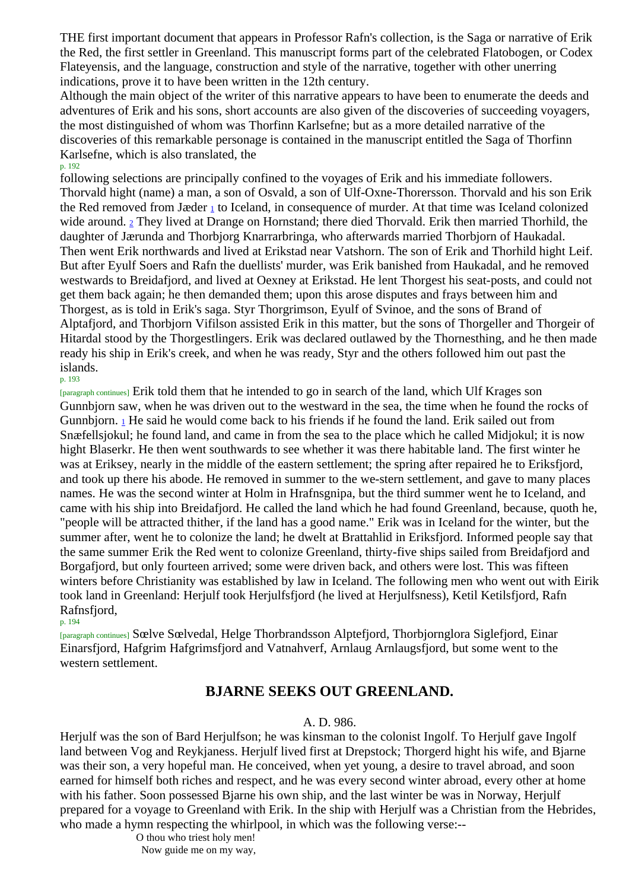THE first important document that appears in Professor Rafn's collection, is the Saga or narrative of Erik the Red, the first settler in Greenland. This manuscript forms part of the celebrated Flatobogen, or Codex Flateyensis, and the language, construction and style of the narrative, together with other unerring indications, prove it to have been written in the 12th century.

Although the main object of the writer of this narrative appears to have been to enumerate the deeds and adventures of Erik and his sons, short accounts are also given of the discoveries of succeeding voyagers, the most distinguished of whom was Thorfinn Karlsefne; but as a more detailed narrative of the discoveries of this remarkable personage is contained in the manuscript entitled the Saga of Thorfinn Karlsefne, which is also translated, the p. 192

following selections are principally confined to the voyages of Erik and his immediate followers. Thorvald hight (name) a man, a son of Osvald, a son of Ulf-Oxne-Thorersson. Thorvald and his son Erik the Red removed from Jæder [1](http://www.sacred-texts.com/neu/nda/#fn_17) to Iceland, in consequence of murder. At that time was Iceland colonized wide around. [2](http://www.sacred-texts.com/neu/nda/#fn_18) They lived at Drange on Hornstand; there died Thorvald. Erik then married Thorhild, the daughter of Jærunda and Thorbjorg Knarrarbringa, who afterwards married Thorbjorn of Haukadal. Then went Erik northwards and lived at Erikstad near Vatshorn. The son of Erik and Thorhild hight Leif. But after Eyulf Soers and Rafn the duellists' murder, was Erik banished from Haukadal, and he removed westwards to Breidafjord, and lived at Oexney at Erikstad. He lent Thorgest his seat-posts, and could not get them back again; he then demanded them; upon this arose disputes and frays between him and Thorgest, as is told in Erik's saga. Styr Thorgrimson, Eyulf of Svinoe, and the sons of Brand of Alptafjord, and Thorbjorn Vifilson assisted Erik in this matter, but the sons of Thorgeller and Thorgeir of Hitardal stood by the Thorgestlingers. Erik was declared outlawed by the Thornesthing, and he then made ready his ship in Erik's creek, and when he was ready, Styr and the others followed him out past the islands. p. 193

[paragraph continues] Erik told them that he intended to go in search of the land, which Ulf Krages son Gunnbjorn saw, when he was driven out to the westward in the sea, the time when he found the rocks of Gunnbjorn. [1](http://www.sacred-texts.com/neu/nda/#fn_19) He said he would come back to his friends if he found the land. Erik sailed out from Snæfellsjokul; he found land, and came in from the sea to the place which he called Midjokul; it is now hight Blaserkr. He then went southwards to see whether it was there habitable land. The first winter he was at Eriksey, nearly in the middle of the eastern settlement; the spring after repaired he to Eriksfjord, and took up there his abode. He removed in summer to the we-stern settlement, and gave to many places names. He was the second winter at Holm in Hrafnsgnipa, but the third summer went he to Iceland, and came with his ship into Breidafjord. He called the land which he had found Greenland, because, quoth he, "people will be attracted thither, if the land has a good name." Erik was in Iceland for the winter, but the summer after, went he to colonize the land; he dwelt at Brattahlid in Eriksfjord. Informed people say that the same summer Erik the Red went to colonize Greenland, thirty-five ships sailed from Breidafjord and Borgafjord, but only fourteen arrived; some were driven back, and others were lost. This was fifteen winters before Christianity was established by law in Iceland. The following men who went out with Eirik took land in Greenland: Herjulf took Herjulfsfjord (he lived at Herjulfsness), Ketil Ketilsfjord, Rafn Rafnsfjord, p. 194

[paragraph continues] Sœlve Sœlvedal, Helge Thorbrandsson Alptefjord, Thorbjornglora Siglefjord, Einar Einarsfjord, Hafgrim Hafgrimsfjord and Vatnahverf, Arnlaug Arnlaugsfjord, but some went to the western settlement.

# **BJARNE SEEKS OUT GREENLAND.**

### A. D. 986.

Herjulf was the son of Bard Herjulfson; he was kinsman to the colonist Ingolf. To Herjulf gave Ingolf land between Vog and Reykjaness. Herjulf lived first at Drepstock; Thorgerd hight his wife, and Bjarne was their son, a very hopeful man. He conceived, when yet young, a desire to travel abroad, and soon earned for himself both riches and respect, and he was every second winter abroad, every other at home with his father. Soon possessed Bjarne his own ship, and the last winter be was in Norway, Herjulf prepared for a voyage to Greenland with Erik. In the ship with Herjulf was a Christian from the Hebrides, who made a hymn respecting the whirlpool, in which was the following verse:--

O thou who triest holy men! Now guide me on my way,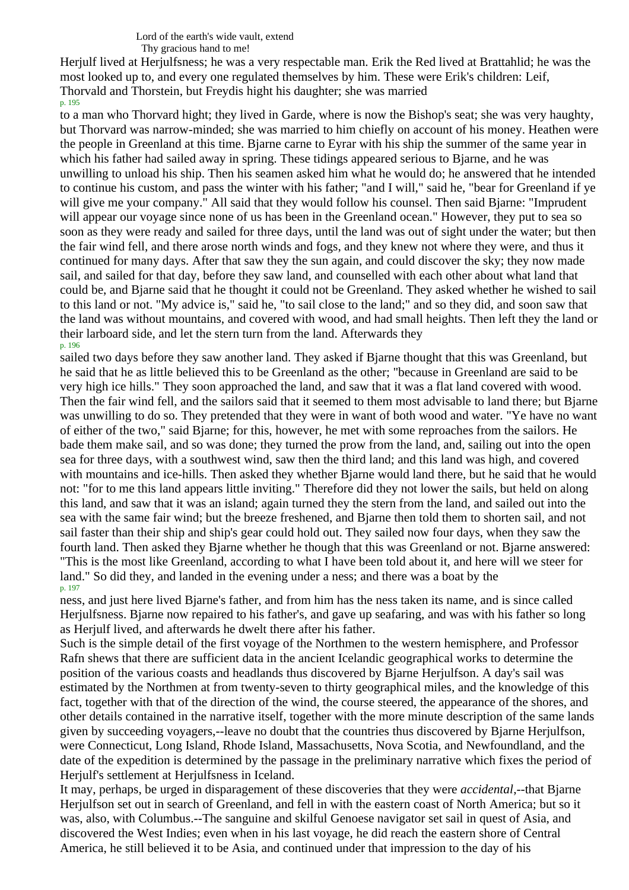Lord of the earth's wide vault, extend Thy gracious hand to me!

Herjulf lived at Herjulfsness; he was a very respectable man. Erik the Red lived at Brattahlid; he was the most looked up to, and every one regulated themselves by him. These were Erik's children: Leif, Thorvald and Thorstein, but Freydis hight his daughter; she was married p. 195

to a man who Thorvard hight; they lived in Garde, where is now the Bishop's seat; she was very haughty, but Thorvard was narrow-minded; she was married to him chiefly on account of his money. Heathen were the people in Greenland at this time. Bjarne carne to Eyrar with his ship the summer of the same year in which his father had sailed away in spring. These tidings appeared serious to Bjarne, and he was unwilling to unload his ship. Then his seamen asked him what he would do; he answered that he intended to continue his custom, and pass the winter with his father; "and I will," said he, "bear for Greenland if ye will give me your company." All said that they would follow his counsel. Then said Bjarne: "Imprudent will appear our voyage since none of us has been in the Greenland ocean." However, they put to sea so soon as they were ready and sailed for three days, until the land was out of sight under the water; but then the fair wind fell, and there arose north winds and fogs, and they knew not where they were, and thus it continued for many days. After that saw they the sun again, and could discover the sky; they now made sail, and sailed for that day, before they saw land, and counselled with each other about what land that could be, and Bjarne said that he thought it could not be Greenland. They asked whether he wished to sail to this land or not. "My advice is," said he, "to sail close to the land;" and so they did, and soon saw that the land was without mountains, and covered with wood, and had small heights. Then left they the land or their larboard side, and let the stern turn from the land. Afterwards they p. 196

sailed two days before they saw another land. They asked if Bjarne thought that this was Greenland, but he said that he as little believed this to be Greenland as the other; "because in Greenland are said to be very high ice hills." They soon approached the land, and saw that it was a flat land covered with wood. Then the fair wind fell, and the sailors said that it seemed to them most advisable to land there; but Bjarne was unwilling to do so. They pretended that they were in want of both wood and water. "Ye have no want of either of the two," said Bjarne; for this, however, he met with some reproaches from the sailors. He bade them make sail, and so was done; they turned the prow from the land, and, sailing out into the open sea for three days, with a southwest wind, saw then the third land; and this land was high, and covered with mountains and ice-hills. Then asked they whether Bjarne would land there, but he said that he would not: "for to me this land appears little inviting." Therefore did they not lower the sails, but held on along this land, and saw that it was an island; again turned they the stern from the land, and sailed out into the sea with the same fair wind; but the breeze freshened, and Bjarne then told them to shorten sail, and not sail faster than their ship and ship's gear could hold out. They sailed now four days, when they saw the fourth land. Then asked they Bjarne whether he though that this was Greenland or not. Bjarne answered: "This is the most like Greenland, according to what I have been told about it, and here will we steer for land." So did they, and landed in the evening under a ness; and there was a boat by the p. 197

ness, and just here lived Bjarne's father, and from him has the ness taken its name, and is since called Herjulfsness. Bjarne now repaired to his father's, and gave up seafaring, and was with his father so long as Herjulf lived, and afterwards he dwelt there after his father.

Such is the simple detail of the first voyage of the Northmen to the western hemisphere, and Professor Rafn shews that there are sufficient data in the ancient Icelandic geographical works to determine the position of the various coasts and headlands thus discovered by Bjarne Herjulfson. A day's sail was estimated by the Northmen at from twenty-seven to thirty geographical miles, and the knowledge of this fact, together with that of the direction of the wind, the course steered, the appearance of the shores, and other details contained in the narrative itself, together with the more minute description of the same lands given by succeeding voyagers,--leave no doubt that the countries thus discovered by Bjarne Herjulfson, were Connecticut, Long Island, Rhode Island, Massachusetts, Nova Scotia, and Newfoundland, and the date of the expedition is determined by the passage in the preliminary narrative which fixes the period of Herjulf's settlement at Herjulfsness in Iceland.

It may, perhaps, be urged in disparagement of these discoveries that they were *accidental*,--that Bjarne Herjulfson set out in search of Greenland, and fell in with the eastern coast of North America; but so it was, also, with Columbus.--The sanguine and skilful Genoese navigator set sail in quest of Asia, and discovered the West Indies; even when in his last voyage, he did reach the eastern shore of Central America, he still believed it to be Asia, and continued under that impression to the day of his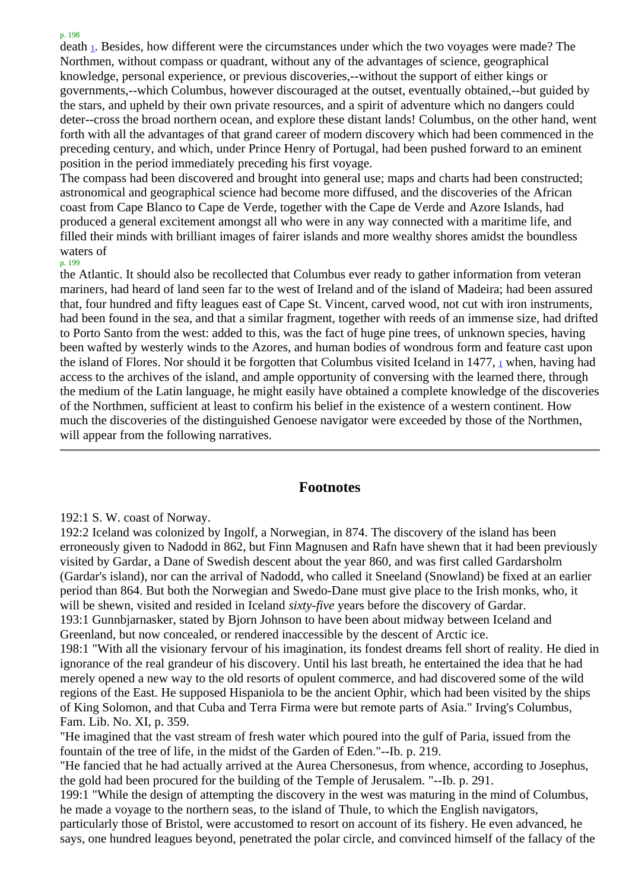death [1](http://www.sacred-texts.com/neu/nda/#fn_20). Besides, how different were the circumstances under which the two voyages were made? The Northmen, without compass or quadrant, without any of the advantages of science, geographical knowledge, personal experience, or previous discoveries,--without the support of either kings or governments,--which Columbus, however discouraged at the outset, eventually obtained,--but guided by the stars, and upheld by their own private resources, and a spirit of adventure which no dangers could deter--cross the broad northern ocean, and explore these distant lands! Columbus, on the other hand, went forth with all the advantages of that grand career of modern discovery which had been commenced in the preceding century, and which, under Prince Henry of Portugal, had been pushed forward to an eminent position in the period immediately preceding his first voyage.

The compass had been discovered and brought into general use; maps and charts had been constructed; astronomical and geographical science had become more diffused, and the discoveries of the African coast from Cape Blanco to Cape de Verde, together with the Cape de Verde and Azore Islands, had produced a general excitement amongst all who were in any way connected with a maritime life, and filled their minds with brilliant images of fairer islands and more wealthy shores amidst the boundless waters of

### p. 199

the Atlantic. It should also be recollected that Columbus ever ready to gather information from veteran mariners, had heard of land seen far to the west of Ireland and of the island of Madeira; had been assured that, four hundred and fifty leagues east of Cape St. Vincent, carved wood, not cut with iron instruments, had been found in the sea, and that a similar fragment, together with reeds of an immense size, had drifted to Porto Santo from the west: added to this, was the fact of huge pine trees, of unknown species, having been wafted by westerly winds to the Azores, and human bodies of wondrous form and feature cast upon the island of Flores. Nor should it be forgotten that Columbus visited Iceland in [1](http://www.sacred-texts.com/neu/nda/#fn_21)477,  $\frac{1}{2}$  when, having had access to the archives of the island, and ample opportunity of conversing with the learned there, through the medium of the Latin language, he might easily have obtained a complete knowledge of the discoveries of the Northmen, sufficient at least to confirm his belief in the existence of a western continent. How much the discoveries of the distinguished Genoese navigator were exceeded by those of the Northmen, will appear from the following narratives.

### **Footnotes**

### 192:1 S. W. coast of Norway.

192:2 Iceland was colonized by Ingolf, a Norwegian, in 874. The discovery of the island has been erroneously given to Nadodd in 862, but Finn Magnusen and Rafn have shewn that it had been previously visited by Gardar, a Dane of Swedish descent about the year 860, and was first called Gardarsholm (Gardar's island), nor can the arrival of Nadodd, who called it Sneeland (Snowland) be fixed at an earlier period than 864. But both the Norwegian and Swedo-Dane must give place to the Irish monks, who, it will be shewn, visited and resided in Iceland *sixty-five* years before the discovery of Gardar. 193:1 Gunnbjarnasker, stated by Bjorn Johnson to have been about midway between Iceland and Greenland, but now concealed, or rendered inaccessible by the descent of Arctic ice.

198:1 "With all the visionary fervour of his imagination, its fondest dreams fell short of reality. He died in ignorance of the real grandeur of his discovery. Until his last breath, he entertained the idea that he had merely opened a new way to the old resorts of opulent commerce, and had discovered some of the wild regions of the East. He supposed Hispaniola to be the ancient Ophir, which had been visited by the ships of King Solomon, and that Cuba and Terra Firma were but remote parts of Asia." Irving's Columbus, Fam. Lib. No. XI, p. 359.

"He imagined that the vast stream of fresh water which poured into the gulf of Paria, issued from the fountain of the tree of life, in the midst of the Garden of Eden."--Ib. p. 219.

"He fancied that he had actually arrived at the Aurea Chersonesus, from whence, according to Josephus, the gold had been procured for the building of the Temple of Jerusalem. "--Ib. p. 291.

199:1 "While the design of attempting the discovery in the west was maturing in the mind of Columbus, he made a voyage to the northern seas, to the island of Thule, to which the English navigators,

particularly those of Bristol, were accustomed to resort on account of its fishery. He even advanced, he says, one hundred leagues beyond, penetrated the polar circle, and convinced himself of the fallacy of the

#### p. 198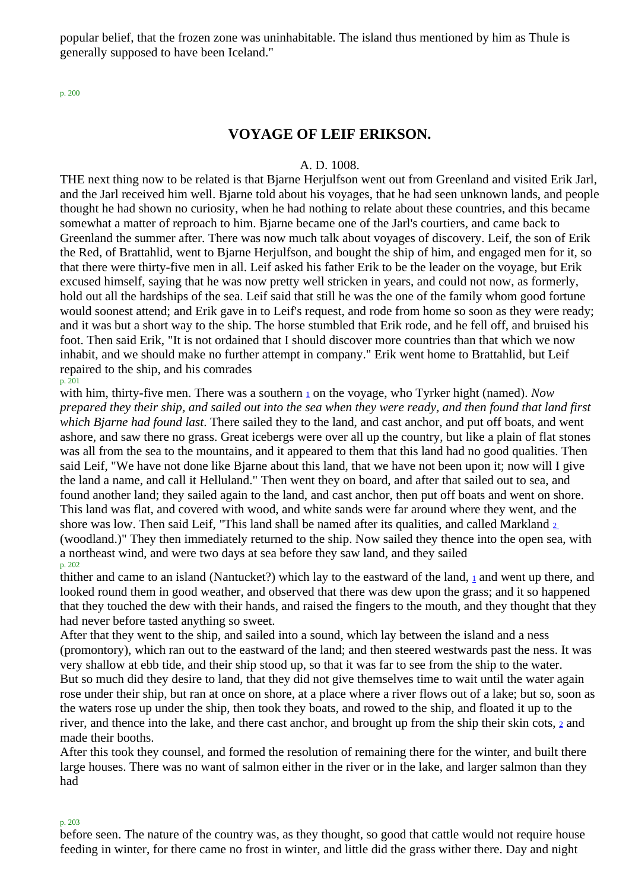popular belief, that the frozen zone was uninhabitable. The island thus mentioned by him as Thule is generally supposed to have been Iceland."

p. 200

## **VOYAGE OF LEIF ERIKSON.**

### A. D. 1008.

THE next thing now to be related is that Bjarne Herjulfson went out from Greenland and visited Erik Jarl, and the Jarl received him well. Bjarne told about his voyages, that he had seen unknown lands, and people thought he had shown no curiosity, when he had nothing to relate about these countries, and this became somewhat a matter of reproach to him. Bjarne became one of the Jarl's courtiers, and came back to Greenland the summer after. There was now much talk about voyages of discovery. Leif, the son of Erik the Red, of Brattahlid, went to Bjarne Herjulfson, and bought the ship of him, and engaged men for it, so that there were thirty-five men in all. Leif asked his father Erik to be the leader on the voyage, but Erik excused himself, saying that he was now pretty well stricken in years, and could not now, as formerly, hold out all the hardships of the sea. Leif said that still he was the one of the family whom good fortune would soonest attend; and Erik gave in to Leif's request, and rode from home so soon as they were ready; and it was but a short way to the ship. The horse stumbled that Erik rode, and he fell off, and bruised his foot. Then said Erik, "It is not ordained that I should discover more countries than that which we now inhabit, and we should make no further attempt in company." Erik went home to Brattahlid, but Leif repaired to the ship, and his comrades

### p. 201

with him, thirty-five men. There was a southern  $\frac{1}{2}$  $\frac{1}{2}$  $\frac{1}{2}$  on the voyage, who Tyrker hight (named). *Now prepared they their ship, and sailed out into the sea when they were ready, and then found that land first which Bjarne had found last*. There sailed they to the land, and cast anchor, and put off boats, and went ashore, and saw there no grass. Great icebergs were over all up the country, but like a plain of flat stones was all from the sea to the mountains, and it appeared to them that this land had no good qualities. Then said Leif, "We have not done like Bjarne about this land, that we have not been upon it; now will I give the land a name, and call it Helluland." Then went they on board, and after that sailed out to sea, and found another land; they sailed again to the land, and cast anchor, then put off boats and went on shore. This land was flat, and covered with wood, and white sands were far around where they went, and the shore was low. Then said Leif, "This land shall be named after its qualities, and called Markland  $\frac{2}{3}$  $\frac{2}{3}$  $\frac{2}{3}$ (woodland.)" They then immediately returned to the ship. Now sailed they thence into the open sea, with a northeast wind, and were two days at sea before they saw land, and they sailed p. 202

thither and came to an island (Nantucket?) which lay to the eastward of the land,  $_1$  $_1$  and went up there, and looked round them in good weather, and observed that there was dew upon the grass; and it so happened that they touched the dew with their hands, and raised the fingers to the mouth, and they thought that they had never before tasted anything so sweet.

After that they went to the ship, and sailed into a sound, which lay between the island and a ness (promontory), which ran out to the eastward of the land; and then steered westwards past the ness. It was very shallow at ebb tide, and their ship stood up, so that it was far to see from the ship to the water. But so much did they desire to land, that they did not give themselves time to wait until the water again rose under their ship, but ran at once on shore, at a place where a river flows out of a lake; but so, soon as the waters rose up under the ship, then took they boats, and rowed to the ship, and floated it up to the river, and thence into the lake, and there cast anchor, and brought up from the ship their skin cots, [2](http://www.sacred-texts.com/neu/nda/#fn_25) and made their booths.

After this took they counsel, and formed the resolution of remaining there for the winter, and built there large houses. There was no want of salmon either in the river or in the lake, and larger salmon than they had

#### p. 203

before seen. The nature of the country was, as they thought, so good that cattle would not require house feeding in winter, for there came no frost in winter, and little did the grass wither there. Day and night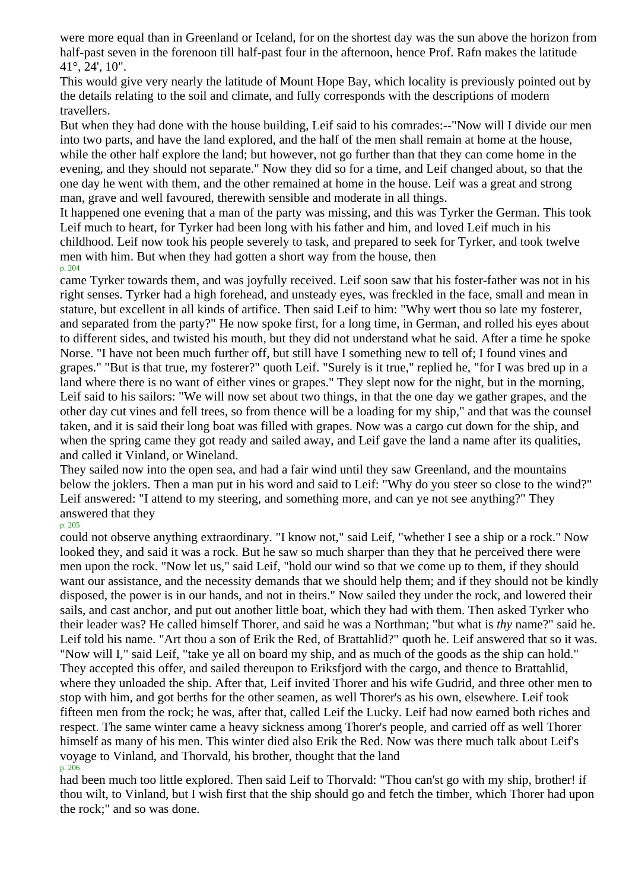were more equal than in Greenland or Iceland, for on the shortest day was the sun above the horizon from half-past seven in the forenoon till half-past four in the afternoon, hence Prof. Rafn makes the latitude 41°, 24', 10".

This would give very nearly the latitude of Mount Hope Bay, which locality is previously pointed out by the details relating to the soil and climate, and fully corresponds with the descriptions of modern travellers.

But when they had done with the house building, Leif said to his comrades:--"Now will I divide our men into two parts, and have the land explored, and the half of the men shall remain at home at the house, while the other half explore the land; but however, not go further than that they can come home in the evening, and they should not separate." Now they did so for a time, and Leif changed about, so that the one day he went with them, and the other remained at home in the house. Leif was a great and strong man, grave and well favoured, therewith sensible and moderate in all things.

It happened one evening that a man of the party was missing, and this was Tyrker the German. This took Leif much to heart, for Tyrker had been long with his father and him, and loved Leif much in his childhood. Leif now took his people severely to task, and prepared to seek for Tyrker, and took twelve men with him. But when they had gotten a short way from the house, then p. 204

came Tyrker towards them, and was joyfully received. Leif soon saw that his foster-father was not in his right senses. Tyrker had a high forehead, and unsteady eyes, was freckled in the face, small and mean in stature, but excellent in all kinds of artifice. Then said Leif to him: "Why wert thou so late my fosterer, and separated from the party?" He now spoke first, for a long time, in German, and rolled his eyes about to different sides, and twisted his mouth, but they did not understand what he said. After a time he spoke Norse. "I have not been much further off, but still have I something new to tell of; I found vines and grapes." "But is that true, my fosterer?" quoth Leif. "Surely is it true," replied he, "for I was bred up in a land where there is no want of either vines or grapes." They slept now for the night, but in the morning, Leif said to his sailors: "We will now set about two things, in that the one day we gather grapes, and the other day cut vines and fell trees, so from thence will be a loading for my ship," and that was the counsel taken, and it is said their long boat was filled with grapes. Now was a cargo cut down for the ship, and when the spring came they got ready and sailed away, and Leif gave the land a name after its qualities, and called it Vinland, or Wineland.

They sailed now into the open sea, and had a fair wind until they saw Greenland, and the mountains below the joklers. Then a man put in his word and said to Leif: "Why do you steer so close to the wind?" Leif answered: "I attend to my steering, and something more, and can ye not see anything?" They answered that they

p. 205

could not observe anything extraordinary. "I know not," said Leif, "whether I see a ship or a rock." Now looked they, and said it was a rock. But he saw so much sharper than they that he perceived there were men upon the rock. "Now let us," said Leif, "hold our wind so that we come up to them, if they should want our assistance, and the necessity demands that we should help them; and if they should not be kindly disposed, the power is in our hands, and not in theirs." Now sailed they under the rock, and lowered their sails, and cast anchor, and put out another little boat, which they had with them. Then asked Tyrker who their leader was? He called himself Thorer, and said he was a Northman; "but what is *thy* name?" said he. Leif told his name. "Art thou a son of Erik the Red, of Brattahlid?" quoth he. Leif answered that so it was. "Now will I," said Leif, "take ye all on board my ship, and as much of the goods as the ship can hold." They accepted this offer, and sailed thereupon to Eriksfjord with the cargo, and thence to Brattahlid, where they unloaded the ship. After that, Leif invited Thorer and his wife Gudrid, and three other men to stop with him, and got berths for the other seamen, as well Thorer's as his own, elsewhere. Leif took fifteen men from the rock; he was, after that, called Leif the Lucky. Leif had now earned both riches and respect. The same winter came a heavy sickness among Thorer's people, and carried off as well Thorer himself as many of his men. This winter died also Erik the Red. Now was there much talk about Leif's voyage to Vinland, and Thorvald, his brother, thought that the land p. 206

had been much too little explored. Then said Leif to Thorvald: "Thou can'st go with my ship, brother! if thou wilt, to Vinland, but I wish first that the ship should go and fetch the timber, which Thorer had upon the rock;" and so was done.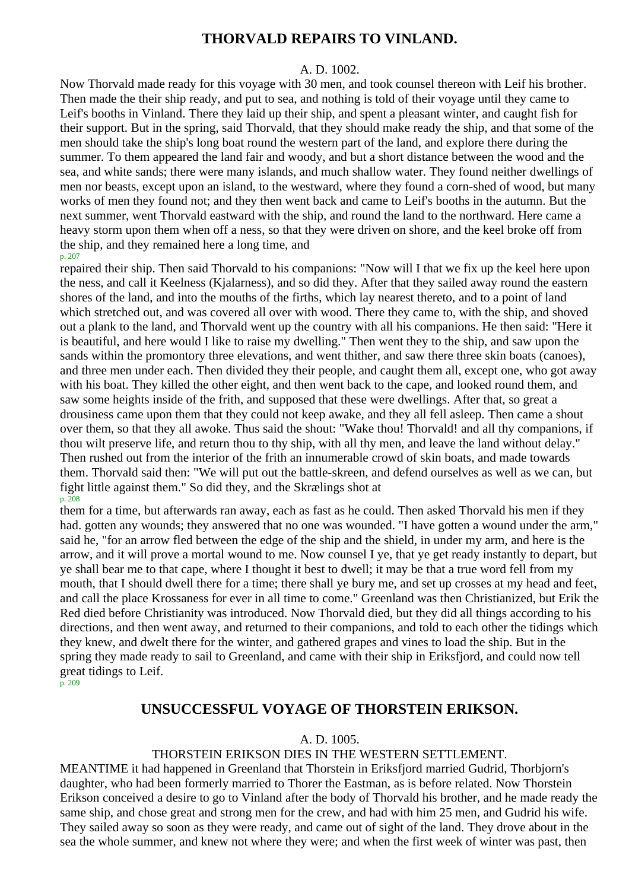# **THORVALD REPAIRS TO VINLAND.**

### A. D. 1002.

Now Thorvald made ready for this voyage with 30 men, and took counsel thereon with Leif his brother. Then made the their ship ready, and put to sea, and nothing is told of their voyage until they came to Leif's booths in Vinland. There they laid up their ship, and spent a pleasant winter, and caught fish for their support. But in the spring, said Thorvald, that they should make ready the ship, and that some of the men should take the ship's long boat round the western part of the land, and explore there during the summer. To them appeared the land fair and woody, and but a short distance between the wood and the sea, and white sands; there were many islands, and much shallow water. They found neither dwellings of men nor beasts, except upon an island, to the westward, where they found a corn-shed of wood, but many works of men they found not; and they then went back and came to Leif's booths in the autumn. But the next summer, went Thorvald eastward with the ship, and round the land to the northward. Here came a heavy storm upon them when off a ness, so that they were driven on shore, and the keel broke off from the ship, and they remained here a long time, and p. 207

repaired their ship. Then said Thorvald to his companions: "Now will I that we fix up the keel here upon the ness, and call it Keelness (Kjalarness), and so did they. After that they sailed away round the eastern shores of the land, and into the mouths of the firths, which lay nearest thereto, and to a point of land which stretched out, and was covered all over with wood. There they came to, with the ship, and shoved out a plank to the land, and Thorvald went up the country with all his companions. He then said: "Here it is beautiful, and here would I like to raise my dwelling." Then went they to the ship, and saw upon the sands within the promontory three elevations, and went thither, and saw there three skin boats (canoes), and three men under each. Then divided they their people, and caught them all, except one, who got away with his boat. They killed the other eight, and then went back to the cape, and looked round them, and saw some heights inside of the frith, and supposed that these were dwellings. After that, so great a drousiness came upon them that they could not keep awake, and they all fell asleep. Then came a shout over them, so that they all awoke. Thus said the shout: "Wake thou! Thorvald! and all thy companions, if thou wilt preserve life, and return thou to thy ship, with all thy men, and leave the land without delay." Then rushed out from the interior of the frith an innumerable crowd of skin boats, and made towards them. Thorvald said then: "We will put out the battle-skreen, and defend ourselves as well as we can, but fight little against them." So did they, and the Skrælings shot at p. 208

them for a time, but afterwards ran away, each as fast as he could. Then asked Thorvald his men if they had. gotten any wounds; they answered that no one was wounded. "I have gotten a wound under the arm," said he, "for an arrow fled between the edge of the ship and the shield, in under my arm, and here is the arrow, and it will prove a mortal wound to me. Now counsel I ye, that ye get ready instantly to depart, but ye shall bear me to that cape, where I thought it best to dwell; it may be that a true word fell from my mouth, that I should dwell there for a time; there shall ye bury me, and set up crosses at my head and feet, and call the place Krossaness for ever in all time to come." Greenland was then Christianized, but Erik the Red died before Christianity was introduced. Now Thorvald died, but they did all things according to his directions, and then went away, and returned to their companions, and told to each other the tidings which they knew, and dwelt there for the winter, and gathered grapes and vines to load the ship. But in the spring they made ready to sail to Greenland, and came with their ship in Eriksfjord, and could now tell great tidings to Leif.

p. 209

## **UNSUCCESSFUL VOYAGE OF THORSTEIN ERIKSON.**

A. D. 1005.

### THORSTEIN ERIKSON DIES IN THE WESTERN SETTLEMENT.

MEANTIME it had happened in Greenland that Thorstein in Eriksfjord married Gudrid, Thorbjorn's daughter, who had been formerly married to Thorer the Eastman, as is before related. Now Thorstein Erikson conceived a desire to go to Vinland after the body of Thorvald his brother, and he made ready the same ship, and chose great and strong men for the crew, and had with him 25 men, and Gudrid his wife. They sailed away so soon as they were ready, and came out of sight of the land. They drove about in the sea the whole summer, and knew not where they were; and when the first week of winter was past, then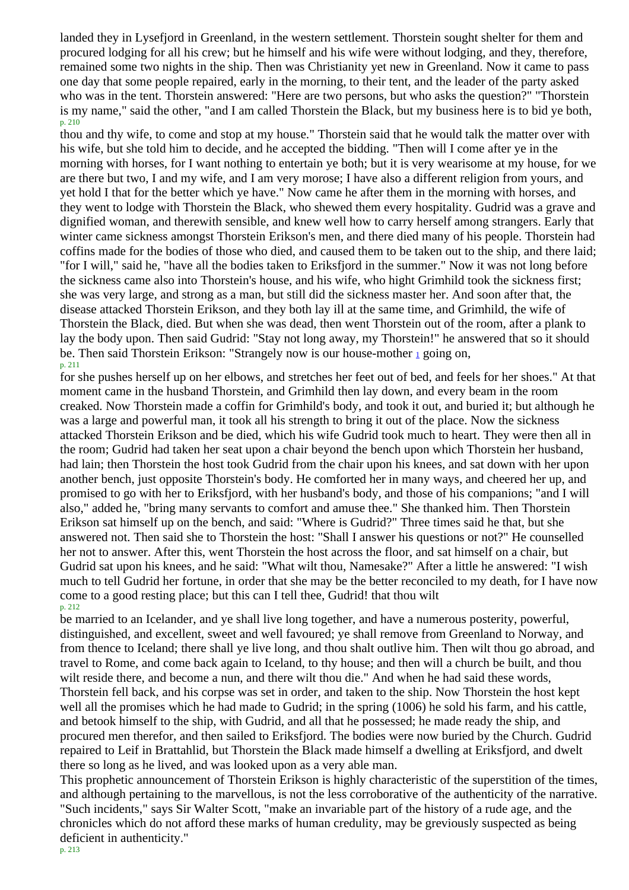landed they in Lysefjord in Greenland, in the western settlement. Thorstein sought shelter for them and procured lodging for all his crew; but he himself and his wife were without lodging, and they, therefore, remained some two nights in the ship. Then was Christianity yet new in Greenland. Now it came to pass one day that some people repaired, early in the morning, to their tent, and the leader of the party asked who was in the tent. Thorstein answered: "Here are two persons, but who asks the question?" "Thorstein is my name," said the other, "and I am called Thorstein the Black, but my business here is to bid ye both, p. 210

thou and thy wife, to come and stop at my house." Thorstein said that he would talk the matter over with his wife, but she told him to decide, and he accepted the bidding. "Then will I come after ye in the morning with horses, for I want nothing to entertain ye both; but it is very wearisome at my house, for we are there but two, I and my wife, and I am very morose; I have also a different religion from yours, and yet hold I that for the better which ye have." Now came he after them in the morning with horses, and they went to lodge with Thorstein the Black, who shewed them every hospitality. Gudrid was a grave and dignified woman, and therewith sensible, and knew well how to carry herself among strangers. Early that winter came sickness amongst Thorstein Erikson's men, and there died many of his people. Thorstein had coffins made for the bodies of those who died, and caused them to be taken out to the ship, and there laid; "for I will," said he, "have all the bodies taken to Eriksfjord in the summer." Now it was not long before the sickness came also into Thorstein's house, and his wife, who hight Grimhild took the sickness first; she was very large, and strong as a man, but still did the sickness master her. And soon after that, the disease attacked Thorstein Erikson, and they both lay ill at the same time, and Grimhild, the wife of Thorstein the Black, died. But when she was dead, then went Thorstein out of the room, after a plank to lay the body upon. Then said Gudrid: "Stay not long away, my Thorstein!" he answered that so it should be. Then said Thorstein Erikson: "Strangely now is our house-mother [1](http://www.sacred-texts.com/neu/nda/#fn_26) going on, p. 211

for she pushes herself up on her elbows, and stretches her feet out of bed, and feels for her shoes." At that moment came in the husband Thorstein, and Grimhild then lay down, and every beam in the room creaked. Now Thorstein made a coffin for Grimhild's body, and took it out, and buried it; but although he was a large and powerful man, it took all his strength to bring it out of the place. Now the sickness attacked Thorstein Erikson and be died, which his wife Gudrid took much to heart. They were then all in the room; Gudrid had taken her seat upon a chair beyond the bench upon which Thorstein her husband, had lain; then Thorstein the host took Gudrid from the chair upon his knees, and sat down with her upon another bench, just opposite Thorstein's body. He comforted her in many ways, and cheered her up, and promised to go with her to Eriksfjord, with her husband's body, and those of his companions; "and I will also," added he, "bring many servants to comfort and amuse thee." She thanked him. Then Thorstein Erikson sat himself up on the bench, and said: "Where is Gudrid?" Three times said he that, but she answered not. Then said she to Thorstein the host: "Shall I answer his questions or not?" He counselled her not to answer. After this, went Thorstein the host across the floor, and sat himself on a chair, but Gudrid sat upon his knees, and he said: "What wilt thou, Namesake?" After a little he answered: "I wish much to tell Gudrid her fortune, in order that she may be the better reconciled to my death, for I have now come to a good resting place; but this can I tell thee, Gudrid! that thou wilt p. 212

be married to an Icelander, and ye shall live long together, and have a numerous posterity, powerful, distinguished, and excellent, sweet and well favoured; ye shall remove from Greenland to Norway, and from thence to Iceland; there shall ye live long, and thou shalt outlive him. Then wilt thou go abroad, and travel to Rome, and come back again to Iceland, to thy house; and then will a church be built, and thou wilt reside there, and become a nun, and there wilt thou die." And when he had said these words, Thorstein fell back, and his corpse was set in order, and taken to the ship. Now Thorstein the host kept well all the promises which he had made to Gudrid; in the spring (1006) he sold his farm, and his cattle, and betook himself to the ship, with Gudrid, and all that he possessed; he made ready the ship, and procured men therefor, and then sailed to Eriksfjord. The bodies were now buried by the Church. Gudrid repaired to Leif in Brattahlid, but Thorstein the Black made himself a dwelling at Eriksfjord, and dwelt there so long as he lived, and was looked upon as a very able man.

This prophetic announcement of Thorstein Erikson is highly characteristic of the superstition of the times, and although pertaining to the marvellous, is not the less corroborative of the authenticity of the narrative. "Such incidents," says Sir Walter Scott, "make an invariable part of the history of a rude age, and the chronicles which do not afford these marks of human credulity, may be greviously suspected as being deficient in authenticity."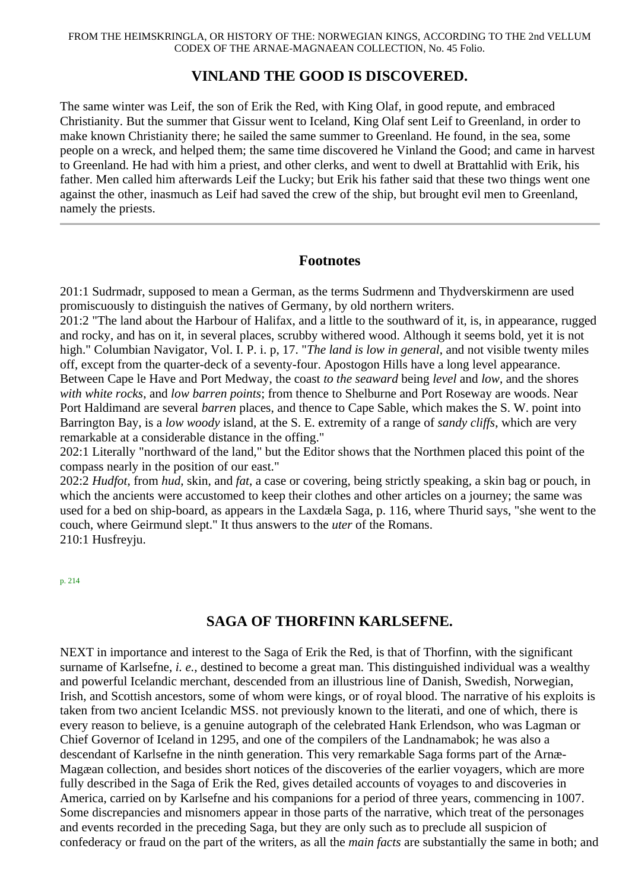# **VINLAND THE GOOD IS DISCOVERED.**

The same winter was Leif, the son of Erik the Red, with King Olaf, in good repute, and embraced Christianity. But the summer that Gissur went to Iceland, King Olaf sent Leif to Greenland, in order to make known Christianity there; he sailed the same summer to Greenland. He found, in the sea, some people on a wreck, and helped them; the same time discovered he Vinland the Good; and came in harvest to Greenland. He had with him a priest, and other clerks, and went to dwell at Brattahlid with Erik, his father. Men called him afterwards Leif the Lucky; but Erik his father said that these two things went one against the other, inasmuch as Leif had saved the crew of the ship, but brought evil men to Greenland, namely the priests.

### **Footnotes**

201:1 Sudrmadr, supposed to mean a German, as the terms Sudrmenn and Thydverskirmenn are used promiscuously to distinguish the natives of Germany, by old northern writers.

201:2 "The land about the Harbour of Halifax, and a little to the southward of it, is, in appearance, rugged and rocky, and has on it, in several places, scrubby withered wood. Although it seems bold, yet it is not high." Columbian Navigator, Vol. I. P. i. p, 17. "*The land is low in general*, and not visible twenty miles off, except from the quarter-deck of a seventy-four. Apostogon Hills have a long level appearance. Between Cape le Have and Port Medway, the coast *to the seaward* being *level* and *low*, and the shores *with white rocks*, and *low barren points*; from thence to Shelburne and Port Roseway are woods. Near Port Haldimand are several *barren* places, and thence to Cape Sable, which makes the S. W. point into Barrington Bay, is a *low woody* island, at the S. E. extremity of a range of *sandy cliffs*, which are very remarkable at a considerable distance in the offing."

202:1 Literally "northward of the land," but the Editor shows that the Northmen placed this point of the compass nearly in the position of our east."

202:2 *Hudfot*, from *hud*, skin, and *fat*, a case or covering, being strictly speaking, a skin bag or pouch, in which the ancients were accustomed to keep their clothes and other articles on a journey; the same was used for a bed on ship-board, as appears in the Laxdæla Saga, p. 116, where Thurid says, "she went to the couch, where Geirmund slept." It thus answers to the *uter* of the Romans. 210:1 Husfreyju.

p. 214

# **SAGA OF THORFINN KARLSEFNE.**

NEXT in importance and interest to the Saga of Erik the Red, is that of Thorfinn, with the significant surname of Karlsefne, *i. e.*, destined to become a great man. This distinguished individual was a wealthy and powerful Icelandic merchant, descended from an illustrious line of Danish, Swedish, Norwegian, Irish, and Scottish ancestors, some of whom were kings, or of royal blood. The narrative of his exploits is taken from two ancient Icelandic MSS. not previously known to the literati, and one of which, there is every reason to believe, is a genuine autograph of the celebrated Hank Erlendson, who was Lagman or Chief Governor of Iceland in 1295, and one of the compilers of the Landnamabok; he was also a descendant of Karlsefne in the ninth generation. This very remarkable Saga forms part of the Arnæ-Magæan collection, and besides short notices of the discoveries of the earlier voyagers, which are more fully described in the Saga of Erik the Red, gives detailed accounts of voyages to and discoveries in America, carried on by Karlsefne and his companions for a period of three years, commencing in 1007. Some discrepancies and misnomers appear in those parts of the narrative, which treat of the personages and events recorded in the preceding Saga, but they are only such as to preclude all suspicion of confederacy or fraud on the part of the writers, as all the *main facts* are substantially the same in both; and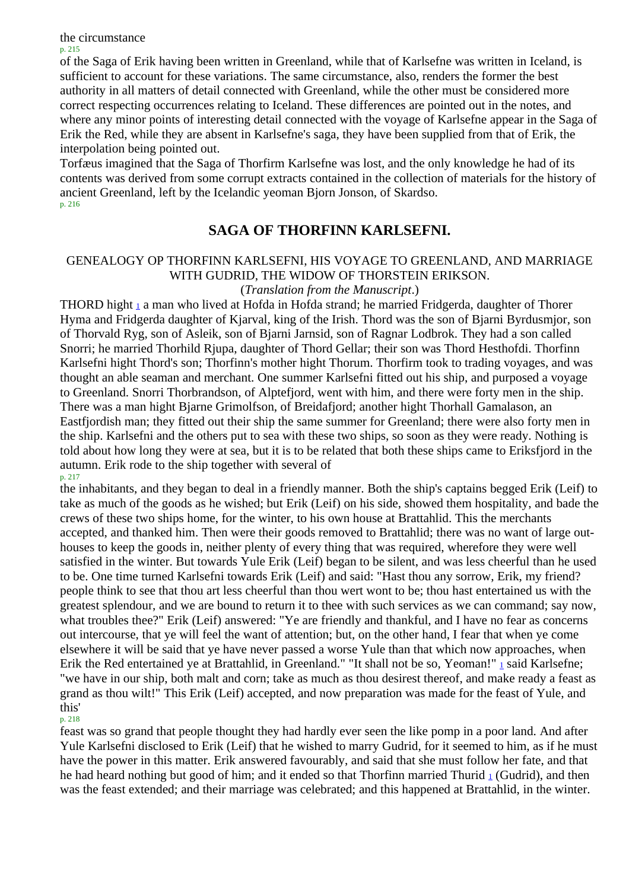the circumstance p. 215

of the Saga of Erik having been written in Greenland, while that of Karlsefne was written in Iceland, is sufficient to account for these variations. The same circumstance, also, renders the former the best authority in all matters of detail connected with Greenland, while the other must be considered more correct respecting occurrences relating to Iceland. These differences are pointed out in the notes, and where any minor points of interesting detail connected with the voyage of Karlsefne appear in the Saga of Erik the Red, while they are absent in Karlsefne's saga, they have been supplied from that of Erik, the interpolation being pointed out.

Torfæus imagined that the Saga of Thorfirm Karlsefne was lost, and the only knowledge he had of its contents was derived from some corrupt extracts contained in the collection of materials for the history of ancient Greenland, left by the Icelandic yeoman Bjorn Jonson, of Skardso. p. 216

# **SAGA OF THORFINN KARLSEFNI.**

# GENEALOGY OP THORFINN KARLSEFNI, HIS VOYAGE TO GREENLAND, AND MARRIAGE WITH GUDRID, THE WIDOW OF THORSTEIN ERIKSON.

(*Translation from the Manuscript*.)

THORD hight [1](http://www.sacred-texts.com/neu/nda/#fn_27) a man who lived at Hofda in Hofda strand; he married Fridgerda, daughter of Thorer Hyma and Fridgerda daughter of Kjarval, king of the Irish. Thord was the son of Bjarni Byrdusmjor, son of Thorvald Ryg, son of Asleik, son of Bjarni Jarnsid, son of Ragnar Lodbrok. They had a son called Snorri; he married Thorhild Rjupa, daughter of Thord Gellar; their son was Thord Hesthofdi. Thorfinn Karlsefni hight Thord's son; Thorfinn's mother hight Thorum. Thorfirm took to trading voyages, and was thought an able seaman and merchant. One summer Karlsefni fitted out his ship, and purposed a voyage to Greenland. Snorri Thorbrandson, of Alptefjord, went with him, and there were forty men in the ship. There was a man hight Bjarne Grimolfson, of Breidafjord; another hight Thorhall Gamalason, an Eastfjordish man; they fitted out their ship the same summer for Greenland; there were also forty men in the ship. Karlsefni and the others put to sea with these two ships, so soon as they were ready. Nothing is told about how long they were at sea, but it is to be related that both these ships came to Eriksfjord in the autumn. Erik rode to the ship together with several of p. 217

the inhabitants, and they began to deal in a friendly manner. Both the ship's captains begged Erik (Leif) to take as much of the goods as he wished; but Erik (Leif) on his side, showed them hospitality, and bade the crews of these two ships home, for the winter, to his own house at Brattahlid. This the merchants accepted, and thanked him. Then were their goods removed to Brattahlid; there was no want of large outhouses to keep the goods in, neither plenty of every thing that was required, wherefore they were well satisfied in the winter. But towards Yule Erik (Leif) began to be silent, and was less cheerful than he used to be. One time turned Karlsefni towards Erik (Leif) and said: "Hast thou any sorrow, Erik, my friend? people think to see that thou art less cheerful than thou wert wont to be; thou hast entertained us with the greatest splendour, and we are bound to return it to thee with such services as we can command; say now, what troubles thee?" Erik (Leif) answered: "Ye are friendly and thankful, and I have no fear as concerns out intercourse, that ye will feel the want of attention; but, on the other hand, I fear that when ye come elsewhere it will be said that ye have never passed a worse Yule than that which now approaches, when Erik the Red entertained ye at Brattahlid, in Greenland." "It shall not be so, Yeoman!" [1](http://www.sacred-texts.com/neu/nda/#fn_28) said Karlsefne; "we have in our ship, both malt and corn; take as much as thou desirest thereof, and make ready a feast as grand as thou wilt!" This Erik (Leif) accepted, and now preparation was made for the feast of Yule, and this' p. 218

feast was so grand that people thought they had hardly ever seen the like pomp in a poor land. And after Yule Karlsefni disclosed to Erik (Leif) that he wished to marry Gudrid, for it seemed to him, as if he must have the power in this matter. Erik answered favourably, and said that she must follow her fate, and that he had heard nothing but good of him; and it ended so that Thorfinn married Thurid [1](http://www.sacred-texts.com/neu/nda/#fn_29) (Gudrid), and then was the feast extended; and their marriage was celebrated; and this happened at Brattahlid, in the winter.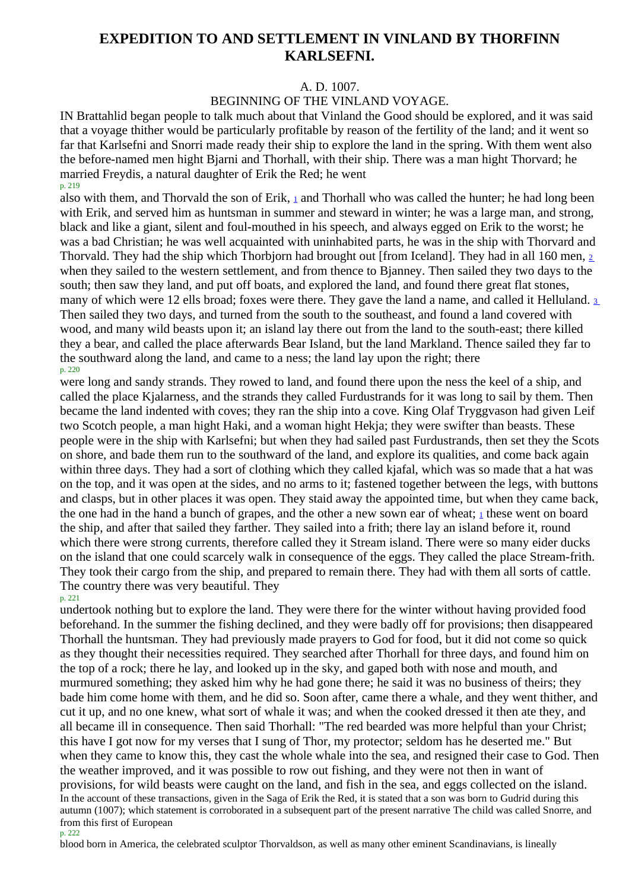# **EXPEDITION TO AND SETTLEMENT IN VINLAND BY THORFINN KARLSEFNI.**

### A. D. 1007.

## BEGINNING OF THE VINLAND VOYAGE.

IN Brattahlid began people to talk much about that Vinland the Good should be explored, and it was said that a voyage thither would be particularly profitable by reason of the fertility of the land; and it went so far that Karlsefni and Snorri made ready their ship to explore the land in the spring. With them went also the before-named men hight Bjarni and Thorhall, with their ship. There was a man hight Thorvard; he married Freydis, a natural daughter of Erik the Red; he went p. 219

also with them, and Thorvald the son of Erik, [1](http://www.sacred-texts.com/neu/nda/#fn_30) and Thorhall who was called the hunter; he had long been with Erik, and served him as huntsman in summer and steward in winter; he was a large man, and strong, black and like a giant, silent and foul-mouthed in his speech, and always egged on Erik to the worst; he was a bad Christian; he was well acquainted with uninhabited parts, he was in the ship with Thorvard and Thorvald. They had the ship which Thorbjorn had brought out [from Iceland]. They had in all 160 men, [2](http://www.sacred-texts.com/neu/nda/#fn_31) when they sailed to the western settlement, and from thence to Bjanney. Then sailed they two days to the south; then saw they land, and put off boats, and explored the land, and found there great flat stones, many of which were 12 ells broad; foxes were there. They gave the land a name, and called it Helluland. [3](http://www.sacred-texts.com/neu/nda/#fn_32) Then sailed they two days, and turned from the south to the southeast, and found a land covered with wood, and many wild beasts upon it; an island lay there out from the land to the south-east; there killed they a bear, and called the place afterwards Bear Island, but the land Markland. Thence sailed they far to the southward along the land, and came to a ness; the land lay upon the right; there p. 220

were long and sandy strands. They rowed to land, and found there upon the ness the keel of a ship, and called the place Kjalarness, and the strands they called Furdustrands for it was long to sail by them. Then became the land indented with coves; they ran the ship into a cove. King Olaf Tryggvason had given Leif two Scotch people, a man hight Haki, and a woman hight Hekja; they were swifter than beasts. These people were in the ship with Karlsefni; but when they had sailed past Furdustrands, then set they the Scots on shore, and bade them run to the southward of the land, and explore its qualities, and come back again within three days. They had a sort of clothing which they called kjafal, which was so made that a hat was on the top, and it was open at the sides, and no arms to it; fastened together between the legs, with buttons and clasps, but in other places it was open. They staid away the appointed time, but when they came back, the one had in the hand a bunch of grapes, and the other a new sown ear of wheat;  $_1$  $_1$  these went on board the ship, and after that sailed they farther. They sailed into a frith; there lay an island before it, round which there were strong currents, therefore called they it Stream island. There were so many eider ducks on the island that one could scarcely walk in consequence of the eggs. They called the place Stream-frith. They took their cargo from the ship, and prepared to remain there. They had with them all sorts of cattle. The country there was very beautiful. They p. 221

undertook nothing but to explore the land. They were there for the winter without having provided food beforehand. In the summer the fishing declined, and they were badly off for provisions; then disappeared Thorhall the huntsman. They had previously made prayers to God for food, but it did not come so quick as they thought their necessities required. They searched after Thorhall for three days, and found him on the top of a rock; there he lay, and looked up in the sky, and gaped both with nose and mouth, and murmured something; they asked him why he had gone there; he said it was no business of theirs; they bade him come home with them, and he did so. Soon after, came there a whale, and they went thither, and cut it up, and no one knew, what sort of whale it was; and when the cooked dressed it then ate they, and all became ill in consequence. Then said Thorhall: "The red bearded was more helpful than your Christ; this have I got now for my verses that I sung of Thor, my protector; seldom has he deserted me." But when they came to know this, they cast the whole whale into the sea, and resigned their case to God. Then the weather improved, and it was possible to row out fishing, and they were not then in want of provisions, for wild beasts were caught on the land, and fish in the sea, and eggs collected on the island. In the account of these transactions, given in the Saga of Erik the Red, it is stated that a son was born to Gudrid during this autumn (1007); which statement is corroborated in a subsequent part of the present narrative The child was called Snorre, and from this first of European p. 222

blood born in America, the celebrated sculptor Thorvaldson, as well as many other eminent Scandinavians, is lineally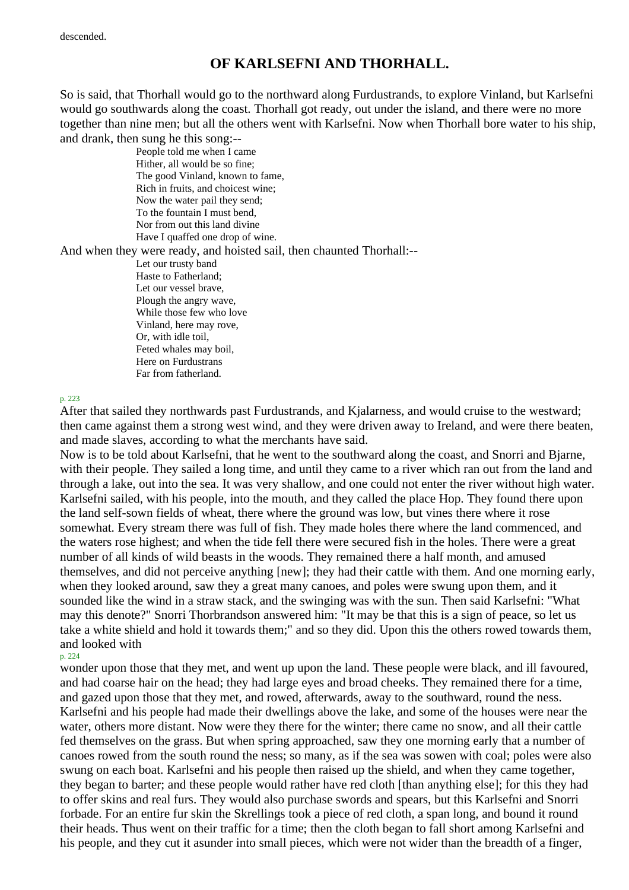# **OF KARLSEFNI AND THORHALL.**

So is said, that Thorhall would go to the northward along Furdustrands, to explore Vinland, but Karlsefni would go southwards along the coast. Thorhall got ready, out under the island, and there were no more together than nine men; but all the others went with Karlsefni. Now when Thorhall bore water to his ship, and drank, then sung he this song:--

People told me when I came Hither, all would be so fine; The good Vinland, known to fame, Rich in fruits, and choicest wine; Now the water pail they send; To the fountain I must bend, Nor from out this land divine Have I quaffed one drop of wine. And when they were ready, and hoisted sail, then chaunted Thorhall:-- Let our trusty band Haste to Fatherland; Let our vessel brave, Plough the angry wave, While those few who love Vinland, here may rove, Or, with idle toil, Feted whales may boil, Here on Furdustrans Far from fatherland.

#### p. 223

After that sailed they northwards past Furdustrands, and Kjalarness, and would cruise to the westward; then came against them a strong west wind, and they were driven away to Ireland, and were there beaten, and made slaves, according to what the merchants have said.

Now is to be told about Karlsefni, that he went to the southward along the coast, and Snorri and Bjarne, with their people. They sailed a long time, and until they came to a river which ran out from the land and through a lake, out into the sea. It was very shallow, and one could not enter the river without high water. Karlsefni sailed, with his people, into the mouth, and they called the place Hop. They found there upon the land self-sown fields of wheat, there where the ground was low, but vines there where it rose somewhat. Every stream there was full of fish. They made holes there where the land commenced, and the waters rose highest; and when the tide fell there were secured fish in the holes. There were a great number of all kinds of wild beasts in the woods. They remained there a half month, and amused themselves, and did not perceive anything [new]; they had their cattle with them. And one morning early, when they looked around, saw they a great many canoes, and poles were swung upon them, and it sounded like the wind in a straw stack, and the swinging was with the sun. Then said Karlsefni: "What may this denote?" Snorri Thorbrandson answered him: "It may be that this is a sign of peace, so let us take a white shield and hold it towards them;" and so they did. Upon this the others rowed towards them, and looked with

p. 224

wonder upon those that they met, and went up upon the land. These people were black, and ill favoured, and had coarse hair on the head; they had large eyes and broad cheeks. They remained there for a time, and gazed upon those that they met, and rowed, afterwards, away to the southward, round the ness. Karlsefni and his people had made their dwellings above the lake, and some of the houses were near the water, others more distant. Now were they there for the winter; there came no snow, and all their cattle fed themselves on the grass. But when spring approached, saw they one morning early that a number of canoes rowed from the south round the ness; so many, as if the sea was sowen with coal; poles were also swung on each boat. Karlsefni and his people then raised up the shield, and when they came together, they began to barter; and these people would rather have red cloth [than anything else]; for this they had to offer skins and real furs. They would also purchase swords and spears, but this Karlsefni and Snorri forbade. For an entire fur skin the Skrellings took a piece of red cloth, a span long, and bound it round their heads. Thus went on their traffic for a time; then the cloth began to fall short among Karlsefni and his people, and they cut it asunder into small pieces, which were not wider than the breadth of a finger,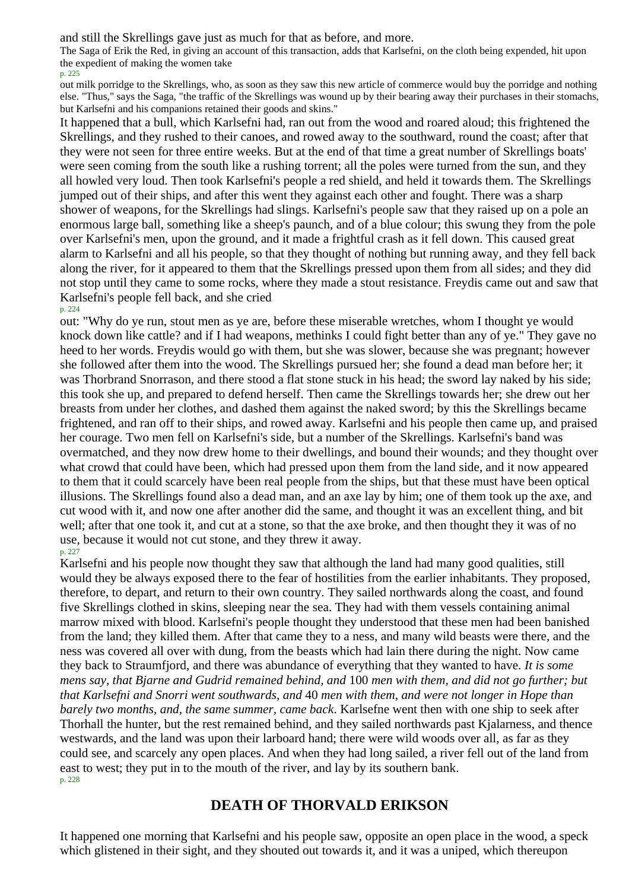and still the Skrellings gave just as much for that as before, and more.

The Saga of Erik the Red, in giving an account of this transaction, adds that Karlsefni, on the cloth being expended, hit upon the expedient of making the women take p. 225

out milk porridge to the Skrellings, who, as soon as they saw this new article of commerce would buy the porridge and nothing else. "Thus," says the Saga, "the traffic of the Skrellings was wound up by their bearing away their purchases in their stomachs, but Karlsefni and his companions retained their goods and skins."

It happened that a bull, which Karlsefni had, ran out from the wood and roared aloud; this frightened the Skrellings, and they rushed to their canoes, and rowed away to the southward, round the coast; after that they were not seen for three entire weeks. But at the end of that time a great number of Skrellings boats' were seen coming from the south like a rushing torrent; all the poles were turned from the sun, and they all howled very loud. Then took Karlsefni's people a red shield, and held it towards them. The Skrellings jumped out of their ships, and after this went they against each other and fought. There was a sharp shower of weapons, for the Skrellings had slings. Karlsefni's people saw that they raised up on a pole an enormous large ball, something like a sheep's paunch, and of a blue colour; this swung they from the pole over Karlsefni's men, upon the ground, and it made a frightful crash as it fell down. This caused great alarm to Karlsefni and all his people, so that they thought of nothing but running away, and they fell back along the river, for it appeared to them that the Skrellings pressed upon them from all sides; and they did not stop until they came to some rocks, where they made a stout resistance. Freydis came out and saw that Karlsefni's people fell back, and she cried p. 224

out: "Why do ye run, stout men as ye are, before these miserable wretches, whom I thought ye would knock down like cattle? and if I had weapons, methinks I could fight better than any of ye." They gave no heed to her words. Freydis would go with them, but she was slower, because she was pregnant; however she followed after them into the wood. The Skrellings pursued her; she found a dead man before her; it was Thorbrand Snorrason, and there stood a flat stone stuck in his head; the sword lay naked by his side; this took she up, and prepared to defend herself. Then came the Skrellings towards her; she drew out her breasts from under her clothes, and dashed them against the naked sword; by this the Skrellings became frightened, and ran off to their ships, and rowed away. Karlsefni and his people then came up, and praised her courage. Two men fell on Karlsefni's side, but a number of the Skrellings. Karlsefni's band was overmatched, and they now drew home to their dwellings, and bound their wounds; and they thought over what crowd that could have been, which had pressed upon them from the land side, and it now appeared to them that it could scarcely have been real people from the ships, but that these must have been optical illusions. The Skrellings found also a dead man, and an axe lay by him; one of them took up the axe, and cut wood with it, and now one after another did the same, and thought it was an excellent thing, and bit well; after that one took it, and cut at a stone, so that the axe broke, and then thought they it was of no use, because it would not cut stone, and they threw it away. p. 227

Karlsefni and his people now thought they saw that although the land had many good qualities, still would they be always exposed there to the fear of hostilities from the earlier inhabitants. They proposed, therefore, to depart, and return to their own country. They sailed northwards along the coast, and found five Skrellings clothed in skins, sleeping near the sea. They had with them vessels containing animal marrow mixed with blood. Karlsefni's people thought they understood that these men had been banished from the land; they killed them. After that came they to a ness, and many wild beasts were there, and the ness was covered all over with dung, from the beasts which had lain there during the night. Now came they back to Straumfjord, and there was abundance of everything that they wanted to have. *It is some mens say, that Bjarne and Gudrid remained behind, and* 100 *men with them, and did not go further; but that Karlsefni and Snorri went southwards, and* 40 *men with them, and were not longer in Hope than barely two months, and, the same summer, came back*. Karlsefne went then with one ship to seek after Thorhall the hunter, but the rest remained behind, and they sailed northwards past Kjalarness, and thence westwards, and the land was upon their larboard hand; there were wild woods over all, as far as they could see, and scarcely any open places. And when they had long sailed, a river fell out of the land from east to west; they put in to the mouth of the river, and lay by its southern bank. p. 228

# **DEATH OF THORVALD ERIKSON**

It happened one morning that Karlsefni and his people saw, opposite an open place in the wood, a speck which glistened in their sight, and they shouted out towards it, and it was a uniped, which thereupon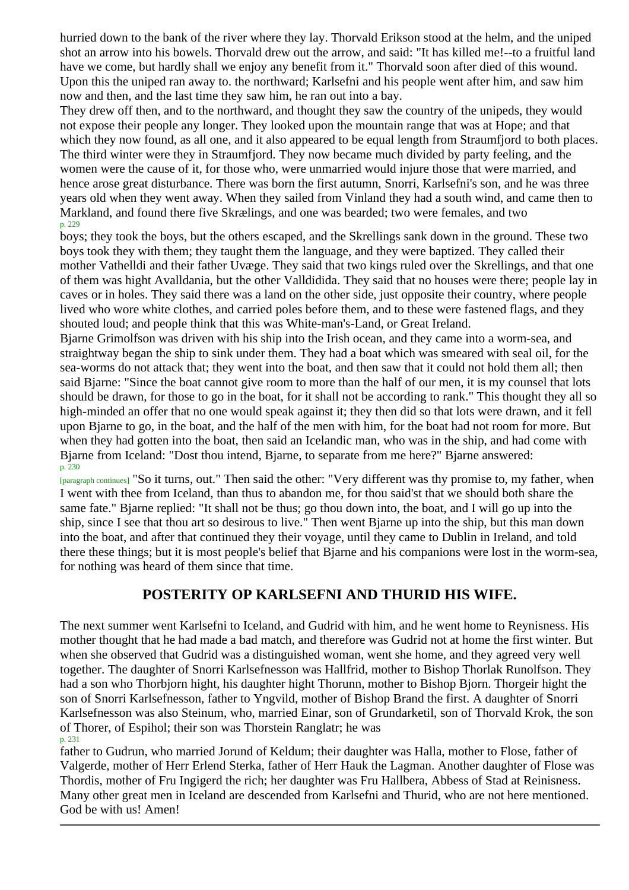hurried down to the bank of the river where they lay. Thorvald Erikson stood at the helm, and the uniped shot an arrow into his bowels. Thorvald drew out the arrow, and said: "It has killed me!--to a fruitful land have we come, but hardly shall we enjoy any benefit from it." Thorvald soon after died of this wound. Upon this the uniped ran away to. the northward; Karlsefni and his people went after him, and saw him now and then, and the last time they saw him, he ran out into a bay.

They drew off then, and to the northward, and thought they saw the country of the unipeds, they would not expose their people any longer. They looked upon the mountain range that was at Hope; and that which they now found, as all one, and it also appeared to be equal length from Straumfjord to both places. The third winter were they in Straumfjord. They now became much divided by party feeling, and the women were the cause of it, for those who, were unmarried would injure those that were married, and hence arose great disturbance. There was born the first autumn, Snorri, Karlsefni's son, and he was three years old when they went away. When they sailed from Vinland they had a south wind, and came then to Markland, and found there five Skrælings, and one was bearded; two were females, and two p. 229

boys; they took the boys, but the others escaped, and the Skrellings sank down in the ground. These two boys took they with them; they taught them the language, and they were baptized. They called their mother Vathelldi and their father Uvæge. They said that two kings ruled over the Skrellings, and that one of them was hight Avalldania, but the other Valldidida. They said that no houses were there; people lay in caves or in holes. They said there was a land on the other side, just opposite their country, where people lived who wore white clothes, and carried poles before them, and to these were fastened flags, and they shouted loud; and people think that this was White-man's-Land, or Great Ireland.

Bjarne Grimolfson was driven with his ship into the Irish ocean, and they came into a worm-sea, and straightway began the ship to sink under them. They had a boat which was smeared with seal oil, for the sea-worms do not attack that; they went into the boat, and then saw that it could not hold them all; then said Bjarne: "Since the boat cannot give room to more than the half of our men, it is my counsel that lots should be drawn, for those to go in the boat, for it shall not be according to rank." This thought they all so high-minded an offer that no one would speak against it; they then did so that lots were drawn, and it fell upon Bjarne to go, in the boat, and the half of the men with him, for the boat had not room for more. But when they had gotten into the boat, then said an Icelandic man, who was in the ship, and had come with Bjarne from Iceland: "Dost thou intend, Bjarne, to separate from me here?" Bjarne answered: p. 230

[paragraph continues] "So it turns, out." Then said the other: "Very different was thy promise to, my father, when I went with thee from Iceland, than thus to abandon me, for thou said'st that we should both share the same fate." Bjarne replied: "It shall not be thus; go thou down into, the boat, and I will go up into the ship, since I see that thou art so desirous to live." Then went Bjarne up into the ship, but this man down into the boat, and after that continued they their voyage, until they came to Dublin in Ireland, and told there these things; but it is most people's belief that Bjarne and his companions were lost in the worm-sea, for nothing was heard of them since that time.

# **POSTERITY OP KARLSEFNI AND THURID HIS WIFE.**

The next summer went Karlsefni to Iceland, and Gudrid with him, and he went home to Reynisness. His mother thought that he had made a bad match, and therefore was Gudrid not at home the first winter. But when she observed that Gudrid was a distinguished woman, went she home, and they agreed very well together. The daughter of Snorri Karlsefnesson was Hallfrid, mother to Bishop Thorlak Runolfson. They had a son who Thorbjorn hight, his daughter hight Thorunn, mother to Bishop Bjorn. Thorgeir hight the son of Snorri Karlsefnesson, father to Yngvild, mother of Bishop Brand the first. A daughter of Snorri Karlsefnesson was also Steinum, who, married Einar, son of Grundarketil, son of Thorvald Krok, the son of Thorer, of Espihol; their son was Thorstein Ranglatr; he was p. 231

father to Gudrun, who married Jorund of Keldum; their daughter was Halla, mother to Flose, father of Valgerde, mother of Herr Erlend Sterka, father of Herr Hauk the Lagman. Another daughter of Flose was Thordis, mother of Fru Ingigerd the rich; her daughter was Fru Hallbera, Abbess of Stad at Reinisness. Many other great men in Iceland are descended from Karlsefni and Thurid, who are not here mentioned. God be with us! Amen!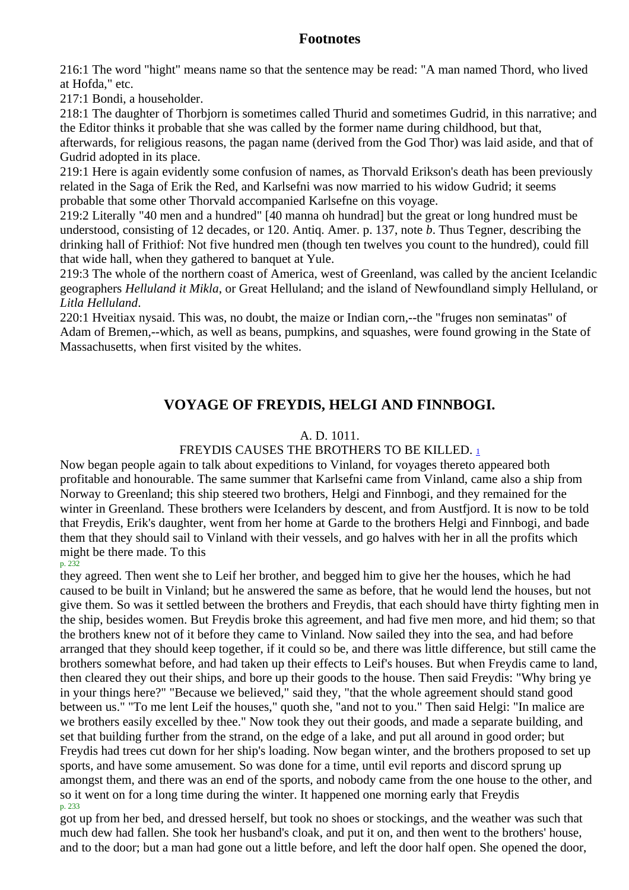# **Footnotes**

216:1 The word "hight" means name so that the sentence may be read: "A man named Thord, who lived at Hofda," etc.

217:1 Bondi, a householder.

218:1 The daughter of Thorbjorn is sometimes called Thurid and sometimes Gudrid, in this narrative; and the Editor thinks it probable that she was called by the former name during childhood, but that,

afterwards, for religious reasons, the pagan name (derived from the God Thor) was laid aside, and that of Gudrid adopted in its place.

219:1 Here is again evidently some confusion of names, as Thorvald Erikson's death has been previously related in the Saga of Erik the Red, and Karlsefni was now married to his widow Gudrid; it seems probable that some other Thorvald accompanied Karlsefne on this voyage.

219:2 Literally "40 men and a hundred" [40 manna oh hundrad] but the great or long hundred must be understood, consisting of 12 decades, or 120. Antiq. Amer. p. 137, note *b*. Thus Tegner, describing the drinking hall of Frithiof: Not five hundred men (though ten twelves you count to the hundred), could fill that wide hall, when they gathered to banquet at Yule.

219:3 The whole of the northern coast of America, west of Greenland, was called by the ancient Icelandic geographers *Helluland it Mikla*, or Great Helluland; and the island of Newfoundland simply Helluland, or *Litla Helluland*.

220:1 Hveitiax nysaid. This was, no doubt, the maize or Indian corn,--the "fruges non seminatas" of Adam of Bremen,--which, as well as beans, pumpkins, and squashes, were found growing in the State of Massachusetts, when first visited by the whites.

# **VOYAGE OF FREYDIS, HELGI AND FINNBOGI.**

## A. D. 1011.

# FREYDIS CAUSES THE BROTHERS TO BE KILLED. [1](http://www.sacred-texts.com/neu/nda/#fn_34)

Now began people again to talk about expeditions to Vinland, for voyages thereto appeared both profitable and honourable. The same summer that Karlsefni came from Vinland, came also a ship from Norway to Greenland; this ship steered two brothers, Helgi and Finnbogi, and they remained for the winter in Greenland. These brothers were Icelanders by descent, and from Austfjord. It is now to be told that Freydis, Erik's daughter, went from her home at Garde to the brothers Helgi and Finnbogi, and bade them that they should sail to Vinland with their vessels, and go halves with her in all the profits which might be there made. To this p. 232

they agreed. Then went she to Leif her brother, and begged him to give her the houses, which he had caused to be built in Vinland; but he answered the same as before, that he would lend the houses, but not give them. So was it settled between the brothers and Freydis, that each should have thirty fighting men in the ship, besides women. But Freydis broke this agreement, and had five men more, and hid them; so that the brothers knew not of it before they came to Vinland. Now sailed they into the sea, and had before arranged that they should keep together, if it could so be, and there was little difference, but still came the brothers somewhat before, and had taken up their effects to Leif's houses. But when Freydis came to land, then cleared they out their ships, and bore up their goods to the house. Then said Freydis: "Why bring ye in your things here?" "Because we believed," said they, "that the whole agreement should stand good between us." "To me lent Leif the houses," quoth she, "and not to you." Then said Helgi: "In malice are we brothers easily excelled by thee." Now took they out their goods, and made a separate building, and set that building further from the strand, on the edge of a lake, and put all around in good order; but Freydis had trees cut down for her ship's loading. Now began winter, and the brothers proposed to set up sports, and have some amusement. So was done for a time, until evil reports and discord sprung up amongst them, and there was an end of the sports, and nobody came from the one house to the other, and so it went on for a long time during the winter. It happened one morning early that Freydis p. 233

got up from her bed, and dressed herself, but took no shoes or stockings, and the weather was such that much dew had fallen. She took her husband's cloak, and put it on, and then went to the brothers' house, and to the door; but a man had gone out a little before, and left the door half open. She opened the door,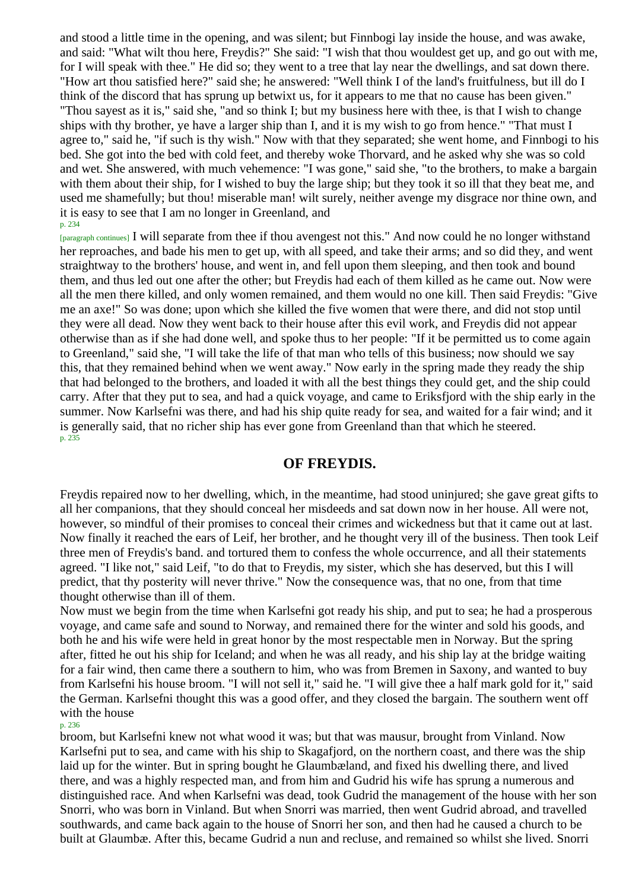and stood a little time in the opening, and was silent; but Finnbogi lay inside the house, and was awake, and said: "What wilt thou here, Freydis?" She said: "I wish that thou wouldest get up, and go out with me, for I will speak with thee." He did so; they went to a tree that lay near the dwellings, and sat down there. "How art thou satisfied here?" said she; he answered: "Well think I of the land's fruitfulness, but ill do I think of the discord that has sprung up betwixt us, for it appears to me that no cause has been given." "Thou sayest as it is," said she, "and so think I; but my business here with thee, is that I wish to change ships with thy brother, ye have a larger ship than I, and it is my wish to go from hence." "That must I agree to," said he, "if such is thy wish." Now with that they separated; she went home, and Finnbogi to his bed. She got into the bed with cold feet, and thereby woke Thorvard, and he asked why she was so cold and wet. She answered, with much vehemence: "I was gone," said she, "to the brothers, to make a bargain with them about their ship, for I wished to buy the large ship; but they took it so ill that they beat me, and used me shamefully; but thou! miserable man! wilt surely, neither avenge my disgrace nor thine own, and it is easy to see that I am no longer in Greenland, and p. 234

[paragraph continues] I will separate from thee if thou avengest not this." And now could he no longer withstand her reproaches, and bade his men to get up, with all speed, and take their arms; and so did they, and went straightway to the brothers' house, and went in, and fell upon them sleeping, and then took and bound them, and thus led out one after the other; but Freydis had each of them killed as he came out. Now were all the men there killed, and only women remained, and them would no one kill. Then said Freydis: "Give me an axe!" So was done; upon which she killed the five women that were there, and did not stop until they were all dead. Now they went back to their house after this evil work, and Freydis did not appear otherwise than as if she had done well, and spoke thus to her people: "If it be permitted us to come again to Greenland," said she, "I will take the life of that man who tells of this business; now should we say this, that they remained behind when we went away." Now early in the spring made they ready the ship that had belonged to the brothers, and loaded it with all the best things they could get, and the ship could carry. After that they put to sea, and had a quick voyage, and came to Eriksfjord with the ship early in the summer. Now Karlsefni was there, and had his ship quite ready for sea, and waited for a fair wind; and it is generally said, that no richer ship has ever gone from Greenland than that which he steered. p. 235

## **OF FREYDIS.**

Freydis repaired now to her dwelling, which, in the meantime, had stood uninjured; she gave great gifts to all her companions, that they should conceal her misdeeds and sat down now in her house. All were not, however, so mindful of their promises to conceal their crimes and wickedness but that it came out at last. Now finally it reached the ears of Leif, her brother, and he thought very ill of the business. Then took Leif three men of Freydis's band. and tortured them to confess the whole occurrence, and all their statements agreed. "I like not," said Leif, "to do that to Freydis, my sister, which she has deserved, but this I will predict, that thy posterity will never thrive." Now the consequence was, that no one, from that time thought otherwise than ill of them.

Now must we begin from the time when Karlsefni got ready his ship, and put to sea; he had a prosperous voyage, and came safe and sound to Norway, and remained there for the winter and sold his goods, and both he and his wife were held in great honor by the most respectable men in Norway. But the spring after, fitted he out his ship for Iceland; and when he was all ready, and his ship lay at the bridge waiting for a fair wind, then came there a southern to him, who was from Bremen in Saxony, and wanted to buy from Karlsefni his house broom. "I will not sell it," said he. "I will give thee a half mark gold for it," said the German. Karlsefni thought this was a good offer, and they closed the bargain. The southern went off with the house

### p. 236

broom, but Karlsefni knew not what wood it was; but that was mausur, brought from Vinland. Now Karlsefni put to sea, and came with his ship to Skagafjord, on the northern coast, and there was the ship laid up for the winter. But in spring bought he Glaumbæland, and fixed his dwelling there, and lived there, and was a highly respected man, and from him and Gudrid his wife has sprung a numerous and distinguished race. And when Karlsefni was dead, took Gudrid the management of the house with her son Snorri, who was born in Vinland. But when Snorri was married, then went Gudrid abroad, and travelled southwards, and came back again to the house of Snorri her son, and then had he caused a church to be built at Glaumbæ. After this, became Gudrid a nun and recluse, and remained so whilst she lived. Snorri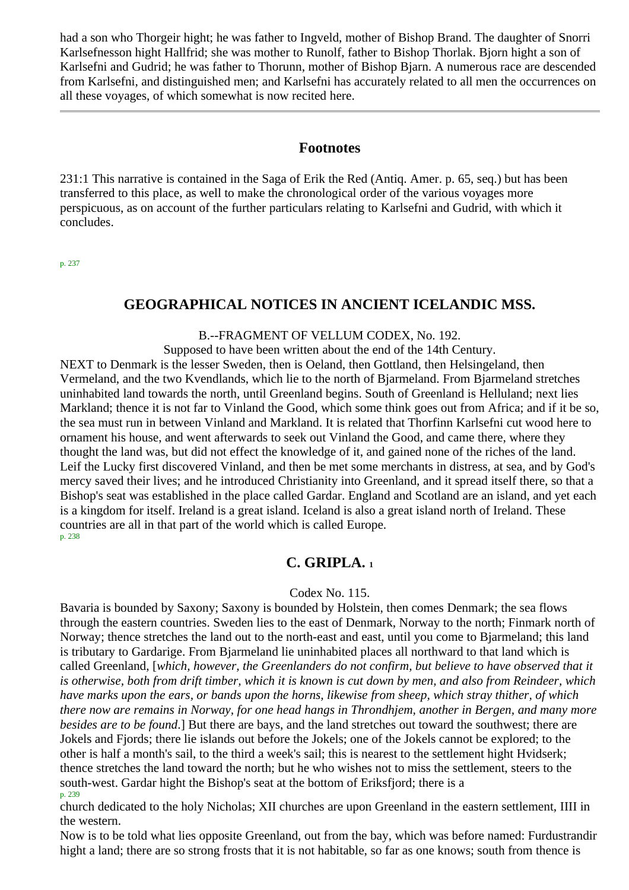had a son who Thorgeir hight; he was father to Ingveld, mother of Bishop Brand. The daughter of Snorri Karlsefnesson hight Hallfrid; she was mother to Runolf, father to Bishop Thorlak. Bjorn hight a son of Karlsefni and Gudrid; he was father to Thorunn, mother of Bishop Bjarn. A numerous race are descended from Karlsefni, and distinguished men; and Karlsefni has accurately related to all men the occurrences on all these voyages, of which somewhat is now recited here.

### **Footnotes**

231:1 This narrative is contained in the Saga of Erik the Red (Antiq. Amer. p. 65, seq.) but has been transferred to this place, as well to make the chronological order of the various voyages more perspicuous, as on account of the further particulars relating to Karlsefni and Gudrid, with which it concludes.

p. 237

## **GEOGRAPHICAL NOTICES IN ANCIENT ICELANDIC MSS.**

### B.--FRAGMENT OF VELLUM CODEX, No. 192.

Supposed to have been written about the end of the 14th Century.

NEXT to Denmark is the lesser Sweden, then is Oeland, then Gottland, then Helsingeland, then Vermeland, and the two Kvendlands, which lie to the north of Bjarmeland. From Bjarmeland stretches uninhabited land towards the north, until Greenland begins. South of Greenland is Helluland; next lies Markland; thence it is not far to Vinland the Good, which some think goes out from Africa; and if it be so, the sea must run in between Vinland and Markland. It is related that Thorfinn Karlsefni cut wood here to ornament his house, and went afterwards to seek out Vinland the Good, and came there, where they thought the land was, but did not effect the knowledge of it, and gained none of the riches of the land. Leif the Lucky first discovered Vinland, and then be met some merchants in distress, at sea, and by God's mercy saved their lives; and he introduced Christianity into Greenland, and it spread itself there, so that a Bishop's seat was established in the place called Gardar. England and Scotland are an island, and yet each is a kingdom for itself. Ireland is a great island. Iceland is also a great island north of Ireland. These countries are all in that part of the world which is called Europe. p. 238

# **C. GRIPLA. <sup>1</sup>**

### Codex No. 115.

Bavaria is bounded by Saxony; Saxony is bounded by Holstein, then comes Denmark; the sea flows through the eastern countries. Sweden lies to the east of Denmark, Norway to the north; Finmark north of Norway; thence stretches the land out to the north-east and east, until you come to Bjarmeland; this land is tributary to Gardarige. From Bjarmeland lie uninhabited places all northward to that land which is called Greenland, [*which, however, the Greenlanders do not confirm, but believe to have observed that it is otherwise, both from drift timber, which it is known is cut down by men, and also from Reindeer, which have marks upon the ears, or bands upon the horns, likewise from sheep, which stray thither, of which there now are remains in Norway, for one head hangs in Throndhjem, another in Bergen, and many more besides are to be found*.] But there are bays, and the land stretches out toward the southwest; there are Jokels and Fjords; there lie islands out before the Jokels; one of the Jokels cannot be explored; to the other is half a month's sail, to the third a week's sail; this is nearest to the settlement hight Hvidserk; thence stretches the land toward the north; but he who wishes not to miss the settlement, steers to the south-west. Gardar hight the Bishop's seat at the bottom of Eriksfjord; there is a p. 239

church dedicated to the holy Nicholas; XII churches are upon Greenland in the eastern settlement, IIII in the western.

Now is to be told what lies opposite Greenland, out from the bay, which was before named: Furdustrandir hight a land; there are so strong frosts that it is not habitable, so far as one knows; south from thence is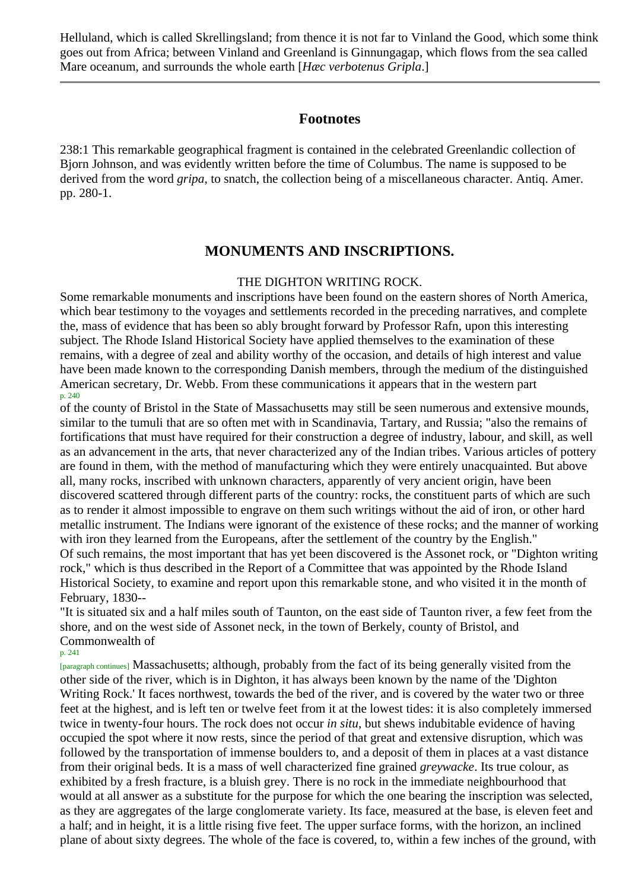Helluland, which is called Skrellingsland; from thence it is not far to Vinland the Good, which some think goes out from Africa; between Vinland and Greenland is Ginnungagap, which flows from the sea called Mare oceanum, and surrounds the whole earth [*Hæc verbotenus Gripla*.]

## **Footnotes**

238:1 This remarkable geographical fragment is contained in the celebrated Greenlandic collection of Bjorn Johnson, and was evidently written before the time of Columbus. The name is supposed to be derived from the word *gripa*, to snatch, the collection being of a miscellaneous character. Antiq. Amer. pp. 280-1.

# **MONUMENTS AND INSCRIPTIONS.**

## THE DIGHTON WRITING ROCK.

Some remarkable monuments and inscriptions have been found on the eastern shores of North America, which bear testimony to the voyages and settlements recorded in the preceding narratives, and complete the, mass of evidence that has been so ably brought forward by Professor Rafn, upon this interesting subject. The Rhode Island Historical Society have applied themselves to the examination of these remains, with a degree of zeal and ability worthy of the occasion, and details of high interest and value have been made known to the corresponding Danish members, through the medium of the distinguished American secretary, Dr. Webb. From these communications it appears that in the western part p. 240

of the county of Bristol in the State of Massachusetts may still be seen numerous and extensive mounds, similar to the tumuli that are so often met with in Scandinavia, Tartary, and Russia; "also the remains of fortifications that must have required for their construction a degree of industry, labour, and skill, as well as an advancement in the arts, that never characterized any of the Indian tribes. Various articles of pottery are found in them, with the method of manufacturing which they were entirely unacquainted. But above all, many rocks, inscribed with unknown characters, apparently of very ancient origin, have been discovered scattered through different parts of the country: rocks, the constituent parts of which are such as to render it almost impossible to engrave on them such writings without the aid of iron, or other hard metallic instrument. The Indians were ignorant of the existence of these rocks; and the manner of working with iron they learned from the Europeans, after the settlement of the country by the English." Of such remains, the most important that has yet been discovered is the Assonet rock, or "Dighton writing rock," which is thus described in the Report of a Committee that was appointed by the Rhode Island Historical Society, to examine and report upon this remarkable stone, and who visited it in the month of February, 1830--

"It is situated six and a half miles south of Taunton, on the east side of Taunton river, a few feet from the shore, and on the west side of Assonet neck, in the town of Berkely, county of Bristol, and Commonwealth of

p. 241

[paragraph continues] Massachusetts; although, probably from the fact of its being generally visited from the other side of the river, which is in Dighton, it has always been known by the name of the 'Dighton Writing Rock.' It faces northwest, towards the bed of the river, and is covered by the water two or three feet at the highest, and is left ten or twelve feet from it at the lowest tides: it is also completely immersed twice in twenty-four hours. The rock does not occur *in situ*, but shews indubitable evidence of having occupied the spot where it now rests, since the period of that great and extensive disruption, which was followed by the transportation of immense boulders to, and a deposit of them in places at a vast distance from their original beds. It is a mass of well characterized fine grained *greywacke*. Its true colour, as exhibited by a fresh fracture, is a bluish grey. There is no rock in the immediate neighbourhood that would at all answer as a substitute for the purpose for which the one bearing the inscription was selected, as they are aggregates of the large conglomerate variety. Its face, measured at the base, is eleven feet and a half; and in height, it is a little rising five feet. The upper surface forms, with the horizon, an inclined plane of about sixty degrees. The whole of the face is covered, to, within a few inches of the ground, with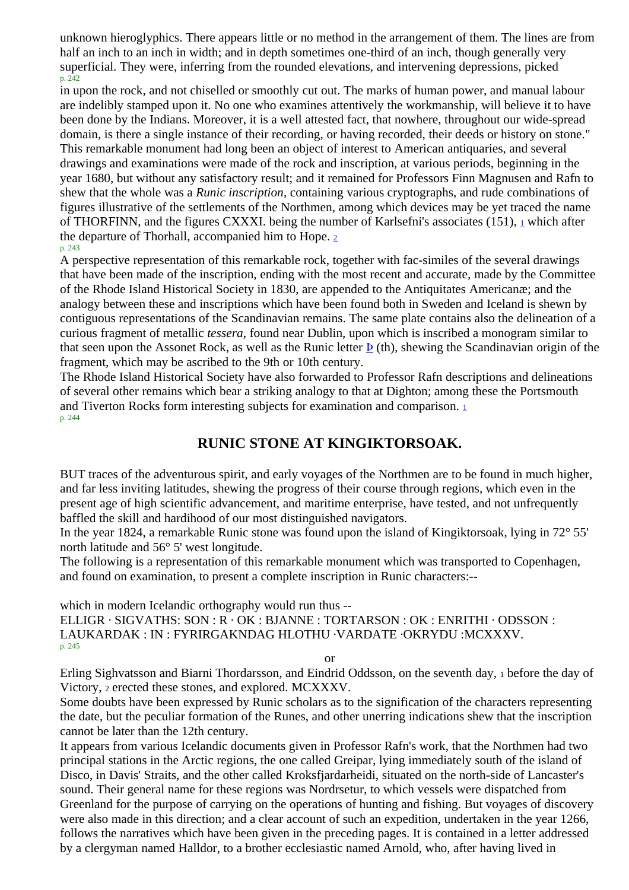unknown hieroglyphics. There appears little or no method in the arrangement of them. The lines are from half an inch to an inch in width; and in depth sometimes one-third of an inch, though generally very superficial. They were, inferring from the rounded elevations, and intervening depressions, picked p. 242

in upon the rock, and not chiselled or smoothly cut out. The marks of human power, and manual labour are indelibly stamped upon it. No one who examines attentively the workmanship, will believe it to have been done by the Indians. Moreover, it is a well attested fact, that nowhere, throughout our wide-spread domain, is there a single instance of their recording, or having recorded, their deeds or history on stone." This remarkable monument had long been an object of interest to American antiquaries, and several drawings and examinations were made of the rock and inscription, at various periods, beginning in the year 1680, but without any satisfactory result; and it remained for Professors Finn Magnusen and Rafn to shew that the whole was a *Runic inscription*, containing various cryptographs, and rude combinations of figures illustrative of the settlements of the Northmen, among which devices may be yet traced the name of THORFINN, and the figures CXXXI. being the number of Karlsefni's associates ([1](http://www.sacred-texts.com/neu/nda/#fn_36)51),  $\frac{1}{2}$  which after the departure of Thorhall, accompanied him to Hope. [2](http://www.sacred-texts.com/neu/nda/#fn_37) p. 243

A perspective representation of this remarkable rock, together with fac-similes of the several drawings that have been made of the inscription, ending with the most recent and accurate, made by the Committee of the Rhode Island Historical Society in 1830, are appended to the Antiquitates Americanæ; and the analogy between these and inscriptions which have been found both in Sweden and Iceland is shewn by contiguous representations of the Scandinavian remains. The same plate contains also the delineation of a curious fragment of metallic *tessera*, found near Dublin, upon which is inscribed a monogram similar to that seen upon the Assonet Rock, as well as the Runic letter  $\underline{b}$  (th), shewing the Scandinavian origin of the fragment, which may be ascribed to the 9th or 10th century.

The Rhode Island Historical Society have also forwarded to Professor Rafn descriptions and delineations of several other remains which bear a striking analogy to that at Dighton; among these the Portsmouth and Tiverton Rocks form interesting subjects for examination and comparison. [1](http://www.sacred-texts.com/neu/nda/#fn_38) p. 244

# **RUNIC STONE AT KINGIKTORSOAK.**

BUT traces of the adventurous spirit, and early voyages of the Northmen are to be found in much higher, and far less inviting latitudes, shewing the progress of their course through regions, which even in the present age of high scientific advancement, and maritime enterprise, have tested, and not unfrequently baffled the skill and hardihood of our most distinguished navigators.

In the year 1824, a remarkable Runic stone was found upon the island of Kingiktorsoak, lying in 72° 55' north latitude and 56° 5' west longitude.

The following is a representation of this remarkable monument which was transported to Copenhagen, and found on examination, to present a complete inscription in Runic characters:--

which in modern Icelandic orthography would run thus --

ELLIGR · SIGVATHS: SON : R · OK : BJANNE : TORTARSON : OK : ENRITHI · ODSSON : LAUKARDAK : IN : FYRIRGAKNDAG HLOTHU ·VARDATE ·OKRYDU :MCXXXV. p. 245

or

Erling Sighvatsson and Biarni Thordarsson, and Eindrid Oddsson, on the seventh day, <sup>1</sup> before the day of Victory, <sup>2</sup> erected these stones, and explored. MCXXXV.

Some doubts have been expressed by Runic scholars as to the signification of the characters representing the date, but the peculiar formation of the Runes, and other unerring indications shew that the inscription cannot be later than the 12th century.

It appears from various Icelandic documents given in Professor Rafn's work, that the Northmen had two principal stations in the Arctic regions, the one called Greipar, lying immediately south of the island of Disco, in Davis' Straits, and the other called Kroksfjardarheidi, situated on the north-side of Lancaster's sound. Their general name for these regions was Nordrsetur, to which vessels were dispatched from Greenland for the purpose of carrying on the operations of hunting and fishing. But voyages of discovery were also made in this direction; and a clear account of such an expedition, undertaken in the year 1266, follows the narratives which have been given in the preceding pages. It is contained in a letter addressed by a clergyman named Halldor, to a brother ecclesiastic named Arnold, who, after having lived in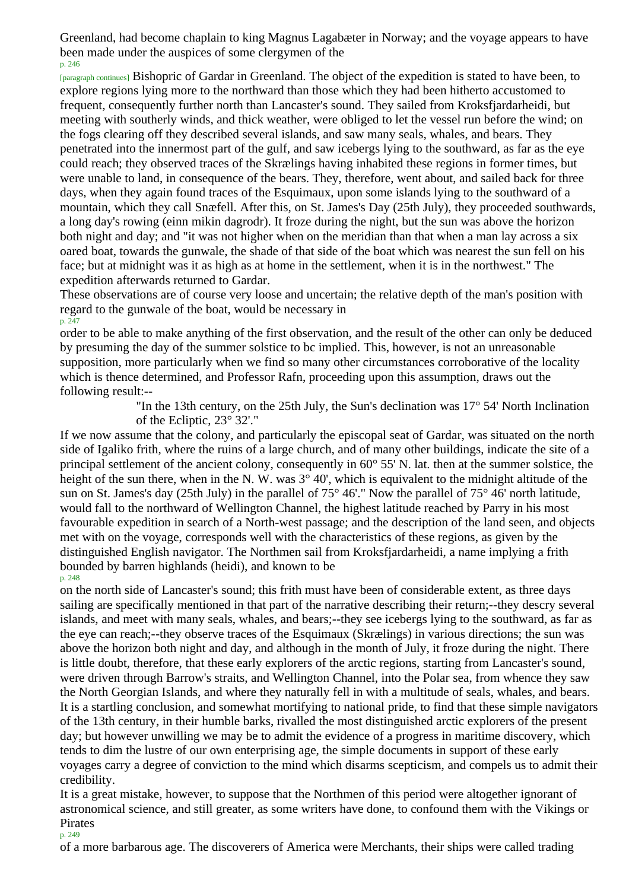Greenland, had become chaplain to king Magnus Lagabæter in Norway; and the voyage appears to have been made under the auspices of some clergymen of the p. 246

[paragraph continues] Bishopric of Gardar in Greenland. The object of the expedition is stated to have been, to explore regions lying more to the northward than those which they had been hitherto accustomed to frequent, consequently further north than Lancaster's sound. They sailed from Kroksfjardarheidi, but meeting with southerly winds, and thick weather, were obliged to let the vessel run before the wind; on the fogs clearing off they described several islands, and saw many seals, whales, and bears. They penetrated into the innermost part of the gulf, and saw icebergs lying to the southward, as far as the eye could reach; they observed traces of the Skrælings having inhabited these regions in former times, but were unable to land, in consequence of the bears. They, therefore, went about, and sailed back for three days, when they again found traces of the Esquimaux, upon some islands lying to the southward of a mountain, which they call Snæfell. After this, on St. James's Day (25th July), they proceeded southwards, a long day's rowing (einn mikin dagrodr). It froze during the night, but the sun was above the horizon both night and day; and "it was not higher when on the meridian than that when a man lay across a six oared boat, towards the gunwale, the shade of that side of the boat which was nearest the sun fell on his face; but at midnight was it as high as at home in the settlement, when it is in the northwest." The expedition afterwards returned to Gardar.

These observations are of course very loose and uncertain; the relative depth of the man's position with regard to the gunwale of the boat, would be necessary in p. 247

order to be able to make anything of the first observation, and the result of the other can only be deduced by presuming the day of the summer solstice to bc implied. This, however, is not an unreasonable supposition, more particularly when we find so many other circumstances corroborative of the locality which is thence determined, and Professor Rafn, proceeding upon this assumption, draws out the following result:--

> "In the 13th century, on the 25th July, the Sun's declination was 17° 54' North Inclination of the Ecliptic, 23° 32'."

If we now assume that the colony, and particularly the episcopal seat of Gardar, was situated on the north side of Igaliko frith, where the ruins of a large church, and of many other buildings, indicate the site of a principal settlement of the ancient colony, consequently in 60° 55' N. lat. then at the summer solstice, the height of the sun there, when in the N. W. was  $3^{\circ}$  40', which is equivalent to the midnight altitude of the sun on St. James's day (25th July) in the parallel of 75° 46'." Now the parallel of 75° 46' north latitude, would fall to the northward of Wellington Channel, the highest latitude reached by Parry in his most favourable expedition in search of a North-west passage; and the description of the land seen, and objects met with on the voyage, corresponds well with the characteristics of these regions, as given by the distinguished English navigator. The Northmen sail from Kroksfjardarheidi, a name implying a frith bounded by barren highlands (heidi), and known to be p. 248

on the north side of Lancaster's sound; this frith must have been of considerable extent, as three days sailing are specifically mentioned in that part of the narrative describing their return;--they descry several islands, and meet with many seals, whales, and bears;--they see icebergs lying to the southward, as far as the eye can reach;--they observe traces of the Esquimaux (Skrælings) in various directions; the sun was above the horizon both night and day, and although in the month of July, it froze during the night. There is little doubt, therefore, that these early explorers of the arctic regions, starting from Lancaster's sound, were driven through Barrow's straits, and Wellington Channel, into the Polar sea, from whence they saw the North Georgian Islands, and where they naturally fell in with a multitude of seals, whales, and bears. It is a startling conclusion, and somewhat mortifying to national pride, to find that these simple navigators of the 13th century, in their humble barks, rivalled the most distinguished arctic explorers of the present day; but however unwilling we may be to admit the evidence of a progress in maritime discovery, which tends to dim the lustre of our own enterprising age, the simple documents in support of these early voyages carry a degree of conviction to the mind which disarms scepticism, and compels us to admit their credibility.

It is a great mistake, however, to suppose that the Northmen of this period were altogether ignorant of astronomical science, and still greater, as some writers have done, to confound them with the Vikings or Pirates p. 249

of a more barbarous age. The discoverers of America were Merchants, their ships were called trading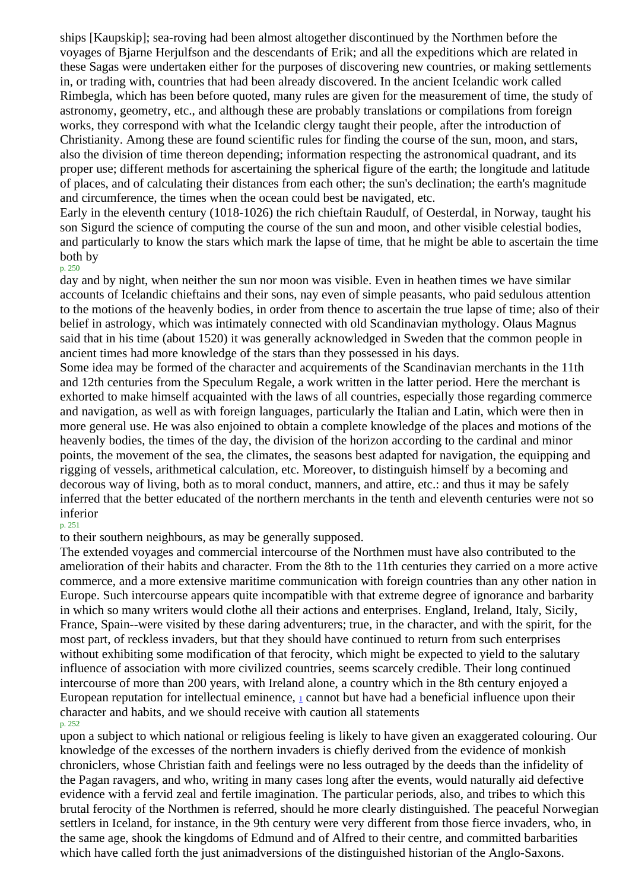ships [Kaupskip]; sea-roving had been almost altogether discontinued by the Northmen before the voyages of Bjarne Herjulfson and the descendants of Erik; and all the expeditions which are related in these Sagas were undertaken either for the purposes of discovering new countries, or making settlements in, or trading with, countries that had been already discovered. In the ancient Icelandic work called Rimbegla, which has been before quoted, many rules are given for the measurement of time, the study of astronomy, geometry, etc., and although these are probably translations or compilations from foreign works, they correspond with what the Icelandic clergy taught their people, after the introduction of Christianity. Among these are found scientific rules for finding the course of the sun, moon, and stars, also the division of time thereon depending; information respecting the astronomical quadrant, and its proper use; different methods for ascertaining the spherical figure of the earth; the longitude and latitude of places, and of calculating their distances from each other; the sun's declination; the earth's magnitude and circumference, the times when the ocean could best be navigated, etc.

Early in the eleventh century (1018-1026) the rich chieftain Raudulf, of Oesterdal, in Norway, taught his son Sigurd the science of computing the course of the sun and moon, and other visible celestial bodies, and particularly to know the stars which mark the lapse of time, that he might be able to ascertain the time both by

# p. 250

day and by night, when neither the sun nor moon was visible. Even in heathen times we have similar accounts of Icelandic chieftains and their sons, nay even of simple peasants, who paid sedulous attention to the motions of the heavenly bodies, in order from thence to ascertain the true lapse of time; also of their belief in astrology, which was intimately connected with old Scandinavian mythology. Olaus Magnus said that in his time (about 1520) it was generally acknowledged in Sweden that the common people in ancient times had more knowledge of the stars than they possessed in his days.

Some idea may be formed of the character and acquirements of the Scandinavian merchants in the 11th and 12th centuries from the Speculum Regale, a work written in the latter period. Here the merchant is exhorted to make himself acquainted with the laws of all countries, especially those regarding commerce and navigation, as well as with foreign languages, particularly the Italian and Latin, which were then in more general use. He was also enjoined to obtain a complete knowledge of the places and motions of the heavenly bodies, the times of the day, the division of the horizon according to the cardinal and minor points, the movement of the sea, the climates, the seasons best adapted for navigation, the equipping and rigging of vessels, arithmetical calculation, etc. Moreover, to distinguish himself by a becoming and decorous way of living, both as to moral conduct, manners, and attire, etc.: and thus it may be safely inferred that the better educated of the northern merchants in the tenth and eleventh centuries were not so inferior p. 251

to their southern neighbours, as may be generally supposed.

The extended voyages and commercial intercourse of the Northmen must have also contributed to the amelioration of their habits and character. From the 8th to the 11th centuries they carried on a more active commerce, and a more extensive maritime communication with foreign countries than any other nation in Europe. Such intercourse appears quite incompatible with that extreme degree of ignorance and barbarity in which so many writers would clothe all their actions and enterprises. England, Ireland, Italy, Sicily, France, Spain--were visited by these daring adventurers; true, in the character, and with the spirit, for the most part, of reckless invaders, but that they should have continued to return from such enterprises without exhibiting some modification of that ferocity, which might be expected to yield to the salutary influence of association with more civilized countries, seems scarcely credible. Their long continued intercourse of more than 200 years, with Ireland alone, a country which in the 8th century enjoyed a European reputation for intellectual eminence,  $\frac{1}{2}$  $\frac{1}{2}$  $\frac{1}{2}$  cannot but have had a beneficial influence upon their character and habits, and we should receive with caution all statements p. 252

upon a subject to which national or religious feeling is likely to have given an exaggerated colouring. Our knowledge of the excesses of the northern invaders is chiefly derived from the evidence of monkish chroniclers, whose Christian faith and feelings were no less outraged by the deeds than the infidelity of the Pagan ravagers, and who, writing in many cases long after the events, would naturally aid defective evidence with a fervid zeal and fertile imagination. The particular periods, also, and tribes to which this brutal ferocity of the Northmen is referred, should he more clearly distinguished. The peaceful Norwegian settlers in Iceland, for instance, in the 9th century were very different from those fierce invaders, who, in the same age, shook the kingdoms of Edmund and of Alfred to their centre, and committed barbarities which have called forth the just animadversions of the distinguished historian of the Anglo-Saxons.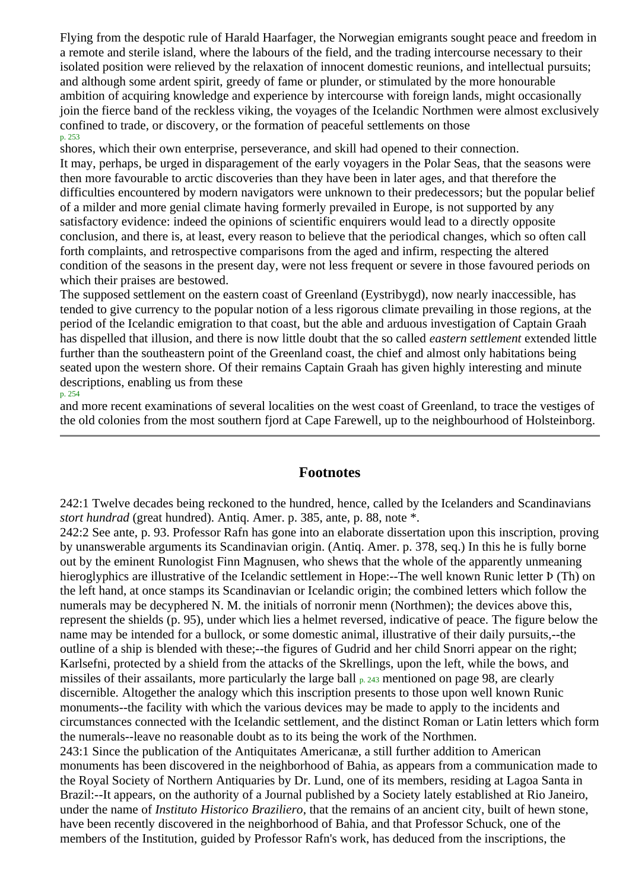Flying from the despotic rule of Harald Haarfager, the Norwegian emigrants sought peace and freedom in a remote and sterile island, where the labours of the field, and the trading intercourse necessary to their isolated position were relieved by the relaxation of innocent domestic reunions, and intellectual pursuits; and although some ardent spirit, greedy of fame or plunder, or stimulated by the more honourable ambition of acquiring knowledge and experience by intercourse with foreign lands, might occasionally join the fierce band of the reckless viking, the voyages of the Icelandic Northmen were almost exclusively confined to trade, or discovery, or the formation of peaceful settlements on those p. 253

shores, which their own enterprise, perseverance, and skill had opened to their connection. It may, perhaps, be urged in disparagement of the early voyagers in the Polar Seas, that the seasons were then more favourable to arctic discoveries than they have been in later ages, and that therefore the difficulties encountered by modern navigators were unknown to their predecessors; but the popular belief of a milder and more genial climate having formerly prevailed in Europe, is not supported by any satisfactory evidence: indeed the opinions of scientific enquirers would lead to a directly opposite conclusion, and there is, at least, every reason to believe that the periodical changes, which so often call forth complaints, and retrospective comparisons from the aged and infirm, respecting the altered condition of the seasons in the present day, were not less frequent or severe in those favoured periods on which their praises are bestowed.

The supposed settlement on the eastern coast of Greenland (Eystribygd), now nearly inaccessible, has tended to give currency to the popular notion of a less rigorous climate prevailing in those regions, at the period of the Icelandic emigration to that coast, but the able and arduous investigation of Captain Graah has dispelled that illusion, and there is now little doubt that the so called *eastern settlement* extended little further than the southeastern point of the Greenland coast, the chief and almost only habitations being seated upon the western shore. Of their remains Captain Graah has given highly interesting and minute descriptions, enabling us from these p. 254

and more recent examinations of several localities on the west coast of Greenland, to trace the vestiges of the old colonies from the most southern fjord at Cape Farewell, up to the neighbourhood of Holsteinborg.

## **Footnotes**

242:1 Twelve decades being reckoned to the hundred, hence, called by the Icelanders and Scandinavians *stort hundrad* (great hundred). Antiq. Amer. p. 385, ante, p. 88, note \*.

242:2 See ante, p. 93. Professor Rafn has gone into an elaborate dissertation upon this inscription, proving by unanswerable arguments its Scandinavian origin. (Antiq. Amer. p. 378, seq.) In this he is fully borne out by the eminent Runologist Finn Magnusen, who shews that the whole of the apparently unmeaning hieroglyphics are illustrative of the Icelandic settlement in Hope:--The well known Runic letter Þ (Th) on the left hand, at once stamps its Scandinavian or Icelandic origin; the combined letters which follow the numerals may be decyphered N. M. the initials of norronir menn (Northmen); the devices above this, represent the shields (p. 95), under which lies a helmet reversed, indicative of peace. The figure below the name may be intended for a bullock, or some domestic animal, illustrative of their daily pursuits,--the outline of a ship is blended with these;--the figures of Gudrid and her child Snorri appear on the right; Karlsefni, protected by a shield from the attacks of the Skrellings, upon the left, while the bows, and missiles of their assailants, more particularly the large ball  $_{p.}$   $_{243}$  mentioned on page 98, are clearly discernible. Altogether the analogy which this inscription presents to those upon well known Runic monuments--the facility with which the various devices may be made to apply to the incidents and circumstances connected with the Icelandic settlement, and the distinct Roman or Latin letters which form the numerals--leave no reasonable doubt as to its being the work of the Northmen. 243:1 Since the publication of the Antiquitates Americanæ, a still further addition to American monuments has been discovered in the neighborhood of Bahia, as appears from a communication made to the Royal Society of Northern Antiquaries by Dr. Lund, one of its members, residing at Lagoa Santa in Brazil:--It appears, on the authority of a Journal published by a Society lately established at Rio Janeiro,

under the name of *Instituto Historico Braziliero*, that the remains of an ancient city, built of hewn stone, have been recently discovered in the neighborhood of Bahia, and that Professor Schuck, one of the members of the Institution, guided by Professor Rafn's work, has deduced from the inscriptions, the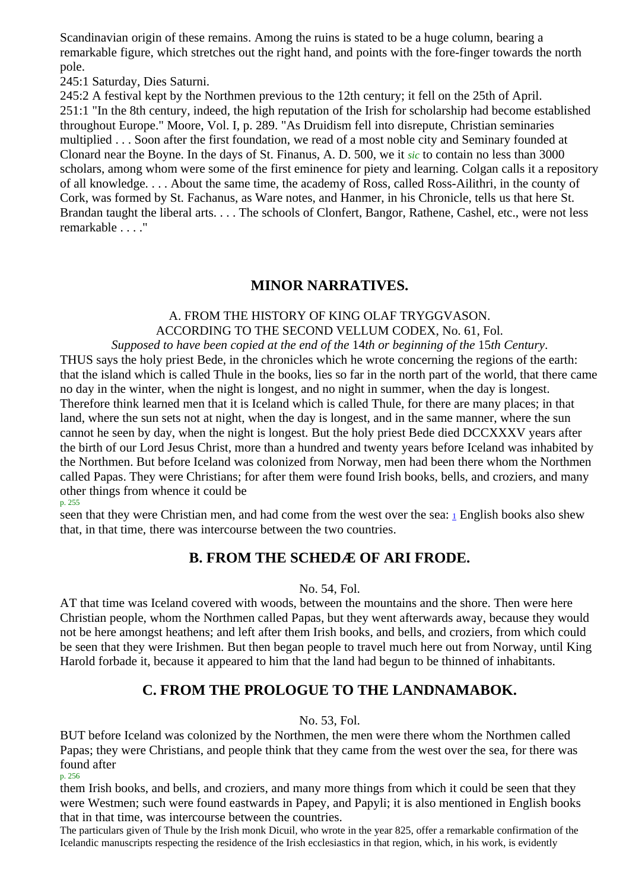Scandinavian origin of these remains. Among the ruins is stated to be a huge column, bearing a remarkable figure, which stretches out the right hand, and points with the fore-finger towards the north pole.

### 245:1 Saturday, Dies Saturni.

245:2 A festival kept by the Northmen previous to the 12th century; it fell on the 25th of April. 251:1 "In the 8th century, indeed, the high reputation of the Irish for scholarship had become established throughout Europe." Moore, Vol. I, p. 289. "As Druidism fell into disrepute, Christian seminaries multiplied . . . Soon after the first foundation, we read of a most noble city and Seminary founded at Clonard near the Boyne. In the days of St. Finanus, A. D. 500, we it *sic* to contain no less than 3000 scholars, among whom were some of the first eminence for piety and learning. Colgan calls it a repository of all knowledge. . . . About the same time, the academy of Ross, called Ross-Ailithri, in the county of Cork, was formed by St. Fachanus, as Ware notes, and Hanmer, in his Chronicle, tells us that here St. Brandan taught the liberal arts. . . . The schools of Clonfert, Bangor, Rathene, Cashel, etc., were not less remarkable . . . ."

## **MINOR NARRATIVES.**

### A. FROM THE HISTORY OF KING OLAF TRYGGVASON. ACCORDING TO THE SECOND VELLUM CODEX, No. 61, Fol. *Supposed to have been copied at the end of the* 14*th or beginning of the* 15*th Century*.

THUS says the holy priest Bede, in the chronicles which he wrote concerning the regions of the earth: that the island which is called Thule in the books, lies so far in the north part of the world, that there came no day in the winter, when the night is longest, and no night in summer, when the day is longest. Therefore think learned men that it is Iceland which is called Thule, for there are many places; in that land, where the sun sets not at night, when the day is longest, and in the same manner, where the sun cannot he seen by day, when the night is longest. But the holy priest Bede died DCCXXXV years after the birth of our Lord Jesus Christ, more than a hundred and twenty years before Iceland was inhabited by the Northmen. But before Iceland was colonized from Norway, men had been there whom the Northmen called Papas. They were Christians; for after them were found Irish books, bells, and croziers, and many other things from whence it could be p. 255

seen that they were Christian men, and had come from the west over the sea: [1](http://www.sacred-texts.com/neu/nda/#fn_42) English books also shew that, in that time, there was intercourse between the two countries.

# **B. FROM THE SCHEDÆ OF ARI FRODE.**

No. 54, Fol.

AT that time was Iceland covered with woods, between the mountains and the shore. Then were here Christian people, whom the Northmen called Papas, but they went afterwards away, because they would not be here amongst heathens; and left after them Irish books, and bells, and croziers, from which could be seen that they were Irishmen. But then began people to travel much here out from Norway, until King Harold forbade it, because it appeared to him that the land had begun to be thinned of inhabitants.

# **C. FROM THE PROLOGUE TO THE LANDNAMABOK.**

No. 53, Fol.

BUT before Iceland was colonized by the Northmen, the men were there whom the Northmen called Papas; they were Christians, and people think that they came from the west over the sea, for there was found after p. 256

them Irish books, and bells, and croziers, and many more things from which it could be seen that they were Westmen; such were found eastwards in Papey, and Papyli; it is also mentioned in English books that in that time, was intercourse between the countries.

The particulars given of Thule by the Irish monk Dicuil, who wrote in the year 825, offer a remarkable confirmation of the Icelandic manuscripts respecting the residence of the Irish ecclesiastics in that region, which, in his work, is evidently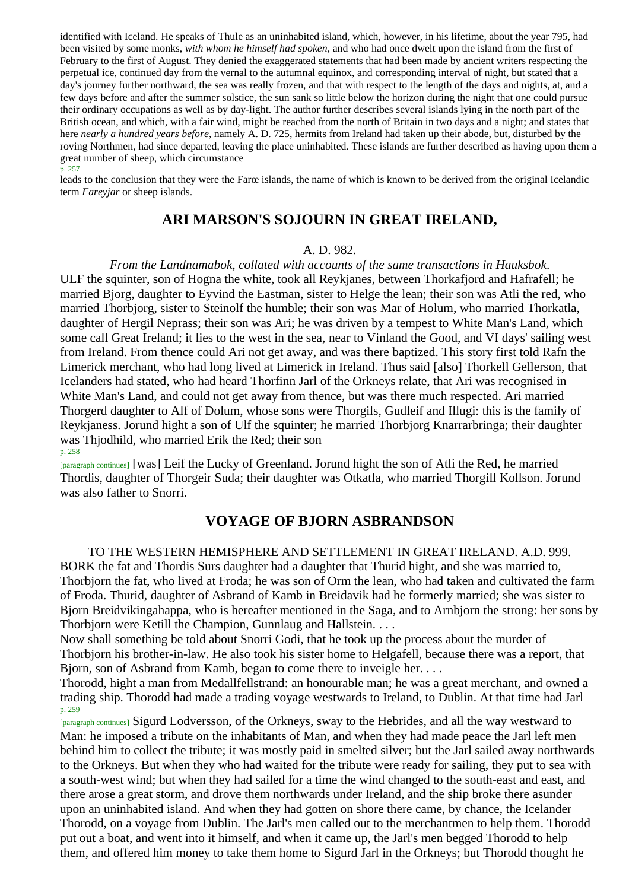identified with Iceland. He speaks of Thule as an uninhabited island, which, however, in his lifetime, about the year 795, had been visited by some monks, *with whom he himself had spoken*, and who had once dwelt upon the island from the first of February to the first of August. They denied the exaggerated statements that had been made by ancient writers respecting the perpetual ice, continued day from the vernal to the autumnal equinox, and corresponding interval of night, but stated that a day's journey further northward, the sea was really frozen, and that with respect to the length of the days and nights, at, and a few days before and after the summer solstice, the sun sank so little below the horizon during the night that one could pursue their ordinary occupations as well as by day-light. The author further describes several islands lying in the north part of the British ocean, and which, with a fair wind, might be reached from the north of Britain in two days and a night; and states that here *nearly a hundred years before*, namely A. D. 725, hermits from Ireland had taken up their abode, but, disturbed by the roving Northmen, had since departed, leaving the place uninhabited. These islands are further described as having upon them a great number of sheep, which circumstance p. 257

leads to the conclusion that they were the Farœ islands, the name of which is known to be derived from the original Icelandic term *Fareyjar* or sheep islands.

# **ARI MARSON'S SOJOURN IN GREAT IRELAND,**

### A. D. 982.

*From the Landnamabok, collated with accounts of the same transactions in Hauksbok*.

ULF the squinter, son of Hogna the white, took all Reykjanes, between Thorkafjord and Hafrafell; he married Bjorg, daughter to Eyvind the Eastman, sister to Helge the lean; their son was Atli the red, who married Thorbjorg, sister to Steinolf the humble; their son was Mar of Holum, who married Thorkatla, daughter of Hergil Neprass; their son was Ari; he was driven by a tempest to White Man's Land, which some call Great Ireland; it lies to the west in the sea, near to Vinland the Good, and VI days' sailing west from Ireland. From thence could Ari not get away, and was there baptized. This story first told Rafn the Limerick merchant, who had long lived at Limerick in Ireland. Thus said [also] Thorkell Gellerson, that Icelanders had stated, who had heard Thorfinn Jarl of the Orkneys relate, that Ari was recognised in White Man's Land, and could not get away from thence, but was there much respected. Ari married Thorgerd daughter to Alf of Dolum, whose sons were Thorgils, Gudleif and Illugi: this is the family of Reykjaness. Jorund hight a son of Ulf the squinter; he married Thorbjorg Knarrarbringa; their daughter was Thjodhild, who married Erik the Red; their son p. 258

[paragraph continues] [was] Leif the Lucky of Greenland. Jorund hight the son of Atli the Red, he married Thordis, daughter of Thorgeir Suda; their daughter was Otkatla, who married Thorgill Kollson. Jorund was also father to Snorri.

## **VOYAGE OF BJORN ASBRANDSON**

TO THE WESTERN HEMISPHERE AND SETTLEMENT IN GREAT IRELAND. A.D. 999. BORK the fat and Thordis Surs daughter had a daughter that Thurid hight, and she was married to, Thorbjorn the fat, who lived at Froda; he was son of Orm the lean, who had taken and cultivated the farm of Froda. Thurid, daughter of Asbrand of Kamb in Breidavik had he formerly married; she was sister to Bjorn Breidvikingahappa, who is hereafter mentioned in the Saga, and to Arnbjorn the strong: her sons by Thorbjorn were Ketill the Champion, Gunnlaug and Hallstein. . . .

Now shall something be told about Snorri Godi, that he took up the process about the murder of Thorbjorn his brother-in-law. He also took his sister home to Helgafell, because there was a report, that Bjorn, son of Asbrand from Kamb, began to come there to inveigle her. . . .

Thorodd, hight a man from Medallfellstrand: an honourable man; he was a great merchant, and owned a trading ship. Thorodd had made a trading voyage westwards to Ireland, to Dublin. At that time had Jarl p. 259

[paragraph continues] Sigurd Lodversson, of the Orkneys, sway to the Hebrides, and all the way westward to Man: he imposed a tribute on the inhabitants of Man, and when they had made peace the Jarl left men behind him to collect the tribute; it was mostly paid in smelted silver; but the Jarl sailed away northwards to the Orkneys. But when they who had waited for the tribute were ready for sailing, they put to sea with a south-west wind; but when they had sailed for a time the wind changed to the south-east and east, and there arose a great storm, and drove them northwards under Ireland, and the ship broke there asunder upon an uninhabited island. And when they had gotten on shore there came, by chance, the Icelander Thorodd, on a voyage from Dublin. The Jarl's men called out to the merchantmen to help them. Thorodd put out a boat, and went into it himself, and when it came up, the Jarl's men begged Thorodd to help them, and offered him money to take them home to Sigurd Jarl in the Orkneys; but Thorodd thought he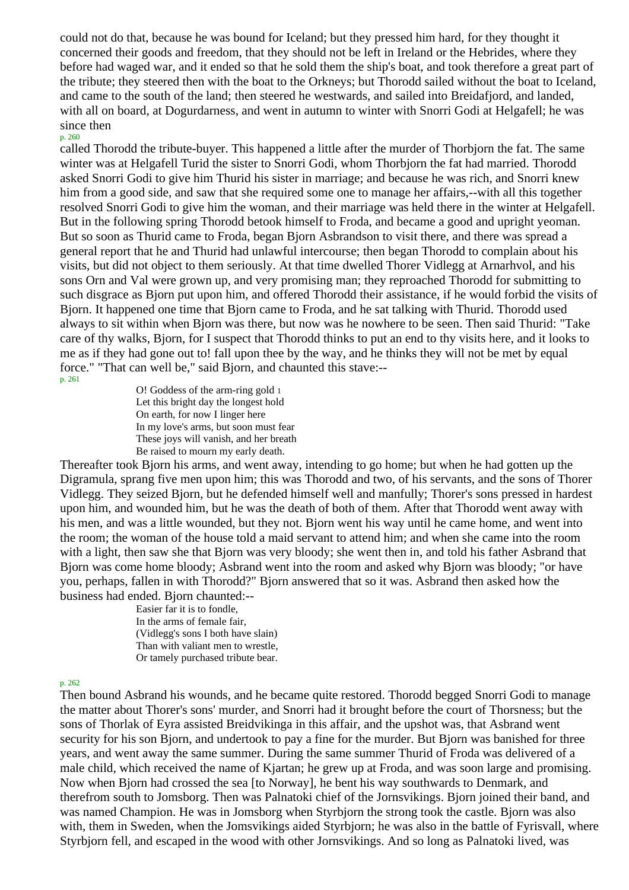could not do that, because he was bound for Iceland; but they pressed him hard, for they thought it concerned their goods and freedom, that they should not be left in Ireland or the Hebrides, where they before had waged war, and it ended so that he sold them the ship's boat, and took therefore a great part of the tribute; they steered then with the boat to the Orkneys; but Thorodd sailed without the boat to Iceland, and came to the south of the land; then steered he westwards, and sailed into Breidafjord, and landed, with all on board, at Dogurdarness, and went in autumn to winter with Snorri Godi at Helgafell; he was since then p. 260

called Thorodd the tribute-buyer. This happened a little after the murder of Thorbjorn the fat. The same winter was at Helgafell Turid the sister to Snorri Godi, whom Thorbjorn the fat had married. Thorodd asked Snorri Godi to give him Thurid his sister in marriage; and because he was rich, and Snorri knew him from a good side, and saw that she required some one to manage her affairs,--with all this together resolved Snorri Godi to give him the woman, and their marriage was held there in the winter at Helgafell. But in the following spring Thorodd betook himself to Froda, and became a good and upright yeoman. But so soon as Thurid came to Froda, began Bjorn Asbrandson to visit there, and there was spread a general report that he and Thurid had unlawful intercourse; then began Thorodd to complain about his visits, but did not object to them seriously. At that time dwelled Thorer Vidlegg at Arnarhvol, and his sons Orn and Val were grown up, and very promising man; they reproached Thorodd for submitting to such disgrace as Bjorn put upon him, and offered Thorodd their assistance, if he would forbid the visits of Bjorn. It happened one time that Bjorn came to Froda, and he sat talking with Thurid. Thorodd used always to sit within when Bjorn was there, but now was he nowhere to be seen. Then said Thurid: "Take care of thy walks, Bjorn, for I suspect that Thorodd thinks to put an end to thy visits here, and it looks to me as if they had gone out to! fall upon thee by the way, and he thinks they will not be met by equal force." "That can well be," said Bjorn, and chaunted this stave:- p. 261

> O! Goddess of the arm-ring gold 1 Let this bright day the longest hold On earth, for now I linger here In my love's arms, but soon must fear These joys will vanish, and her breath Be raised to mourn my early death.

Thereafter took Bjorn his arms, and went away, intending to go home; but when he had gotten up the Digramula, sprang five men upon him; this was Thorodd and two, of his servants, and the sons of Thorer Vidlegg. They seized Bjorn, but he defended himself well and manfully; Thorer's sons pressed in hardest upon him, and wounded him, but he was the death of both of them. After that Thorodd went away with his men, and was a little wounded, but they not. Bjorn went his way until he came home, and went into the room; the woman of the house told a maid servant to attend him; and when she came into the room with a light, then saw she that Bjorn was very bloody; she went then in, and told his father Asbrand that Bjorn was come home bloody; Asbrand went into the room and asked why Bjorn was bloody; "or have you, perhaps, fallen in with Thorodd?" Bjorn answered that so it was. Asbrand then asked how the business had ended. Bjorn chaunted:--

Easier far it is to fondle, In the arms of female fair, (Vidlegg's sons I both have slain) Than with valiant men to wrestle, Or tamely purchased tribute bear.

#### p. 262

Then bound Asbrand his wounds, and he became quite restored. Thorodd begged Snorri Godi to manage the matter about Thorer's sons' murder, and Snorri had it brought before the court of Thorsness; but the sons of Thorlak of Eyra assisted Breidvikinga in this affair, and the upshot was, that Asbrand went security for his son Bjorn, and undertook to pay a fine for the murder. But Bjorn was banished for three years, and went away the same summer. During the same summer Thurid of Froda was delivered of a male child, which received the name of Kjartan; he grew up at Froda, and was soon large and promising. Now when Bjorn had crossed the sea [to Norway], he bent his way southwards to Denmark, and therefrom south to Jomsborg. Then was Palnatoki chief of the Jornsvikings. Bjorn joined their band, and was named Champion. He was in Jomsborg when Styrbjorn the strong took the castle. Bjorn was also with, them in Sweden, when the Jomsvikings aided Styrbjorn; he was also in the battle of Fyrisvall, where Styrbjorn fell, and escaped in the wood with other Jornsvikings. And so long as Palnatoki lived, was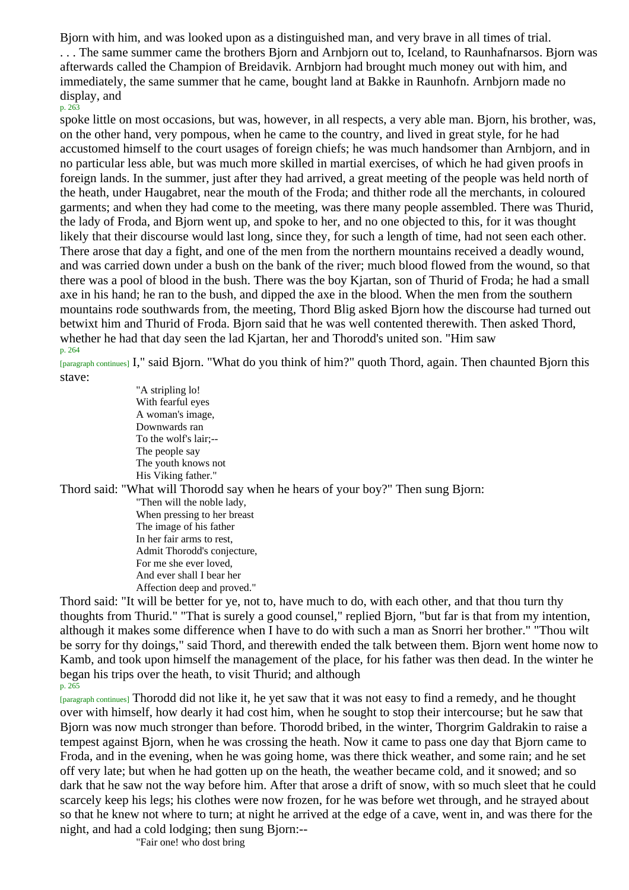Bjorn with him, and was looked upon as a distinguished man, and very brave in all times of trial. . . . The same summer came the brothers Bjorn and Arnbjorn out to, Iceland, to Raunhafnarsos. Bjorn was afterwards called the Champion of Breidavik. Arnbjorn had brought much money out with him, and immediately, the same summer that he came, bought land at Bakke in Raunhofn. Arnbjorn made no display, and p. 263

spoke little on most occasions, but was, however, in all respects, a very able man. Bjorn, his brother, was, on the other hand, very pompous, when he came to the country, and lived in great style, for he had accustomed himself to the court usages of foreign chiefs; he was much handsomer than Arnbjorn, and in no particular less able, but was much more skilled in martial exercises, of which he had given proofs in foreign lands. In the summer, just after they had arrived, a great meeting of the people was held north of the heath, under Haugabret, near the mouth of the Froda; and thither rode all the merchants, in coloured garments; and when they had come to the meeting, was there many people assembled. There was Thurid, the lady of Froda, and Bjorn went up, and spoke to her, and no one objected to this, for it was thought likely that their discourse would last long, since they, for such a length of time, had not seen each other. There arose that day a fight, and one of the men from the northern mountains received a deadly wound, and was carried down under a bush on the bank of the river; much blood flowed from the wound, so that there was a pool of blood in the bush. There was the boy Kjartan, son of Thurid of Froda; he had a small axe in his hand; he ran to the bush, and dipped the axe in the blood. When the men from the southern mountains rode southwards from, the meeting, Thord Blig asked Bjorn how the discourse had turned out betwixt him and Thurid of Froda. Bjorn said that he was well contented therewith. Then asked Thord, whether he had that day seen the lad Kjartan, her and Thorodd's united son. "Him saw p. 264

[paragraph continues] I," said Bjorn. "What do you think of him?" quoth Thord, again. Then chaunted Bjorn this stave:

> "A stripling lo! With fearful eyes A woman's image, Downwards ran To the wolf's lair;-- The people say The youth knows not His Viking father."

Thord said: "What will Thorodd say when he hears of your boy?" Then sung Bjorn:

"Then will the noble lady, When pressing to her breast The image of his father In her fair arms to rest, Admit Thorodd's conjecture, For me she ever loved, And ever shall I bear her Affection deep and proved."

Thord said: "It will be better for ye, not to, have much to do, with each other, and that thou turn thy thoughts from Thurid." "That is surely a good counsel," replied Bjorn, "but far is that from my intention, although it makes some difference when I have to do with such a man as Snorri her brother." "Thou wilt be sorry for thy doings," said Thord, and therewith ended the talk between them. Bjorn went home now to Kamb, and took upon himself the management of the place, for his father was then dead. In the winter he began his trips over the heath, to visit Thurid; and although p. 265

[paragraph continues] Thorodd did not like it, he yet saw that it was not easy to find a remedy, and he thought over with himself, how dearly it had cost him, when he sought to stop their intercourse; but he saw that Bjorn was now much stronger than before. Thorodd bribed, in the winter, Thorgrim Galdrakin to raise a tempest against Bjorn, when he was crossing the heath. Now it came to pass one day that Bjorn came to Froda, and in the evening, when he was going home, was there thick weather, and some rain; and he set off very late; but when he had gotten up on the heath, the weather became cold, and it snowed; and so dark that he saw not the way before him. After that arose a drift of snow, with so much sleet that he could scarcely keep his legs; his clothes were now frozen, for he was before wet through, and he strayed about so that he knew not where to turn; at night he arrived at the edge of a cave, went in, and was there for the night, and had a cold lodging; then sung Bjorn:--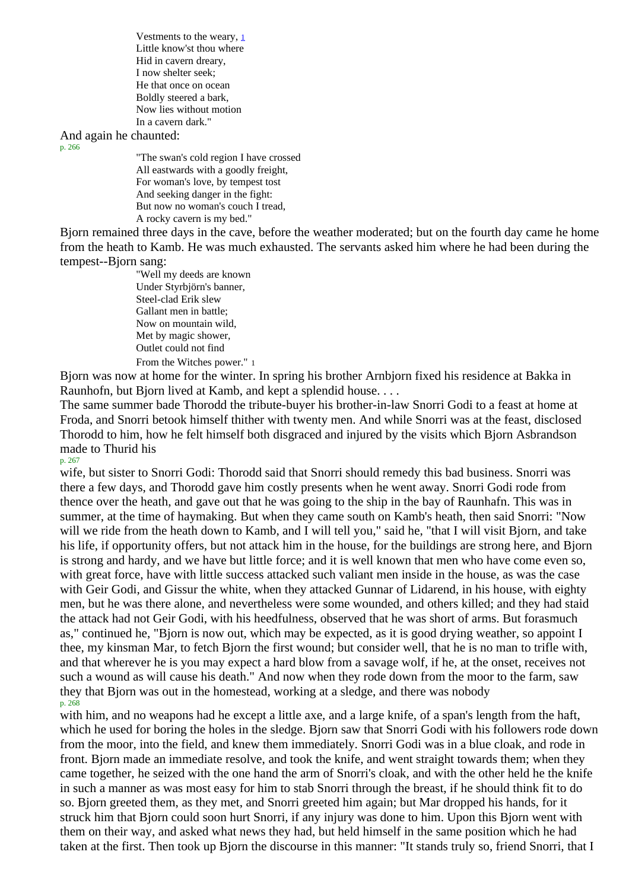Vestments to the weary, [1](http://www.sacred-texts.com/neu/nda/#fn_44) Little know'st thou where Hid in cavern dreary, I now shelter seek; He that once on ocean Boldly steered a bark, Now lies without motion In a cavern dark."

And again he chaunted:

p. 266

"The swan's cold region I have crossed All eastwards with a goodly freight, For woman's love, by tempest tost And seeking danger in the fight: But now no woman's couch I tread, A rocky cavern is my bed."

Bjorn remained three days in the cave, before the weather moderated; but on the fourth day came he home from the heath to Kamb. He was much exhausted. The servants asked him where he had been during the tempest--Bjorn sang:

"Well my deeds are known Under Styrbjörn's banner, Steel-clad Erik slew Gallant men in battle; Now on mountain wild, Met by magic shower, Outlet could not find From the Witches power." 1

Bjorn was now at home for the winter. In spring his brother Arnbjorn fixed his residence at Bakka in Raunhofn, but Bjorn lived at Kamb, and kept a splendid house. . . .

The same summer bade Thorodd the tribute-buyer his brother-in-law Snorri Godi to a feast at home at Froda, and Snorri betook himself thither with twenty men. And while Snorri was at the feast, disclosed Thorodd to him, how he felt himself both disgraced and injured by the visits which Bjorn Asbrandson made to Thurid his

### p. 267

wife, but sister to Snorri Godi: Thorodd said that Snorri should remedy this bad business. Snorri was there a few days, and Thorodd gave him costly presents when he went away. Snorri Godi rode from thence over the heath, and gave out that he was going to the ship in the bay of Raunhafn. This was in summer, at the time of haymaking. But when they came south on Kamb's heath, then said Snorri: "Now will we ride from the heath down to Kamb, and I will tell you," said he, "that I will visit Bjorn, and take his life, if opportunity offers, but not attack him in the house, for the buildings are strong here, and Bjorn is strong and hardy, and we have but little force; and it is well known that men who have come even so, with great force, have with little success attacked such valiant men inside in the house, as was the case with Geir Godi, and Gissur the white, when they attacked Gunnar of Lidarend, in his house, with eighty men, but he was there alone, and nevertheless were some wounded, and others killed; and they had staid the attack had not Geir Godi, with his heedfulness, observed that he was short of arms. But forasmuch as," continued he, "Bjorn is now out, which may be expected, as it is good drying weather, so appoint I thee, my kinsman Mar, to fetch Bjorn the first wound; but consider well, that he is no man to trifle with, and that wherever he is you may expect a hard blow from a savage wolf, if he, at the onset, receives not such a wound as will cause his death." And now when they rode down from the moor to the farm, saw they that Bjorn was out in the homestead, working at a sledge, and there was nobody p. 268

with him, and no weapons had he except a little axe, and a large knife, of a span's length from the haft, which he used for boring the holes in the sledge. Bjorn saw that Snorri Godi with his followers rode down from the moor, into the field, and knew them immediately. Snorri Godi was in a blue cloak, and rode in front. Bjorn made an immediate resolve, and took the knife, and went straight towards them; when they came together, he seized with the one hand the arm of Snorri's cloak, and with the other held he the knife in such a manner as was most easy for him to stab Snorri through the breast, if he should think fit to do so. Bjorn greeted them, as they met, and Snorri greeted him again; but Mar dropped his hands, for it struck him that Bjorn could soon hurt Snorri, if any injury was done to him. Upon this Bjorn went with them on their way, and asked what news they had, but held himself in the same position which he had taken at the first. Then took up Bjorn the discourse in this manner: "It stands truly so, friend Snorri, that I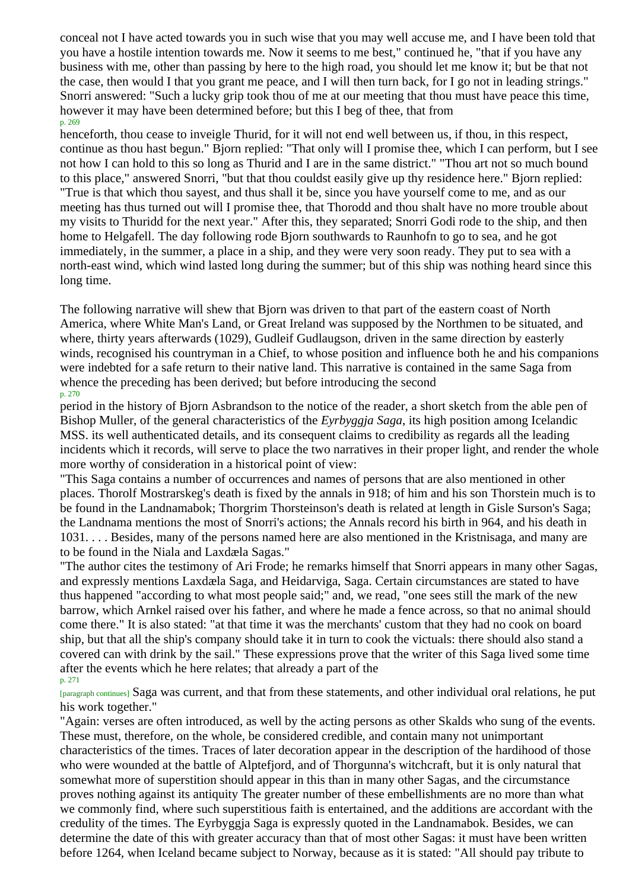conceal not I have acted towards you in such wise that you may well accuse me, and I have been told that you have a hostile intention towards me. Now it seems to me best," continued he, "that if you have any business with me, other than passing by here to the high road, you should let me know it; but be that not the case, then would I that you grant me peace, and I will then turn back, for I go not in leading strings." Snorri answered: "Such a lucky grip took thou of me at our meeting that thou must have peace this time, however it may have been determined before; but this I beg of thee, that from p. 269

henceforth, thou cease to inveigle Thurid, for it will not end well between us, if thou, in this respect, continue as thou hast begun." Bjorn replied: "That only will I promise thee, which I can perform, but I see not how I can hold to this so long as Thurid and I are in the same district." "Thou art not so much bound to this place," answered Snorri, "but that thou couldst easily give up thy residence here." Bjorn replied: "True is that which thou sayest, and thus shall it be, since you have yourself come to me, and as our meeting has thus turned out will I promise thee, that Thorodd and thou shalt have no more trouble about my visits to Thuridd for the next year." After this, they separated; Snorri Godi rode to the ship, and then home to Helgafell. The day following rode Bjorn southwards to Raunhofn to go to sea, and he got immediately, in the summer, a place in a ship, and they were very soon ready. They put to sea with a north-east wind, which wind lasted long during the summer; but of this ship was nothing heard since this long time.

The following narrative will shew that Bjorn was driven to that part of the eastern coast of North America, where White Man's Land, or Great Ireland was supposed by the Northmen to be situated, and where, thirty years afterwards (1029), Gudleif Gudlaugson, driven in the same direction by easterly winds, recognised his countryman in a Chief, to whose position and influence both he and his companions were indebted for a safe return to their native land. This narrative is contained in the same Saga from whence the preceding has been derived; but before introducing the second p. 270

period in the history of Bjorn Asbrandson to the notice of the reader, a short sketch from the able pen of Bishop Muller, of the general characteristics of the *Eyrbyggja Saga*, its high position among Icelandic MSS. its well authenticated details, and its consequent claims to credibility as regards all the leading incidents which it records, will serve to place the two narratives in their proper light, and render the whole more worthy of consideration in a historical point of view:

"This Saga contains a number of occurrences and names of persons that are also mentioned in other places. Thorolf Mostrarskeg's death is fixed by the annals in 918; of him and his son Thorstein much is to be found in the Landnamabok; Thorgrim Thorsteinson's death is related at length in Gisle Surson's Saga; the Landnama mentions the most of Snorri's actions; the Annals record his birth in 964, and his death in 1031. . . . Besides, many of the persons named here are also mentioned in the Kristnisaga, and many are to be found in the Niala and Laxdæla Sagas."

"The author cites the testimony of Ari Frode; he remarks himself that Snorri appears in many other Sagas, and expressly mentions Laxdæla Saga, and Heidarviga, Saga. Certain circumstances are stated to have thus happened "according to what most people said;" and, we read, "one sees still the mark of the new barrow, which Arnkel raised over his father, and where he made a fence across, so that no animal should come there." It is also stated: "at that time it was the merchants' custom that they had no cook on board ship, but that all the ship's company should take it in turn to cook the victuals: there should also stand a covered can with drink by the sail." These expressions prove that the writer of this Saga lived some time after the events which he here relates; that already a part of the p. 271

[paragraph continues] Saga was current, and that from these statements, and other individual oral relations, he put his work together."

"Again: verses are often introduced, as well by the acting persons as other Skalds who sung of the events. These must, therefore, on the whole, be considered credible, and contain many not unimportant characteristics of the times. Traces of later decoration appear in the description of the hardihood of those who were wounded at the battle of Alptefjord, and of Thorgunna's witchcraft, but it is only natural that somewhat more of superstition should appear in this than in many other Sagas, and the circumstance proves nothing against its antiquity The greater number of these embellishments are no more than what we commonly find, where such superstitious faith is entertained, and the additions are accordant with the credulity of the times. The Eyrbyggja Saga is expressly quoted in the Landnamabok. Besides, we can determine the date of this with greater accuracy than that of most other Sagas: it must have been written before 1264, when Iceland became subject to Norway, because as it is stated: "All should pay tribute to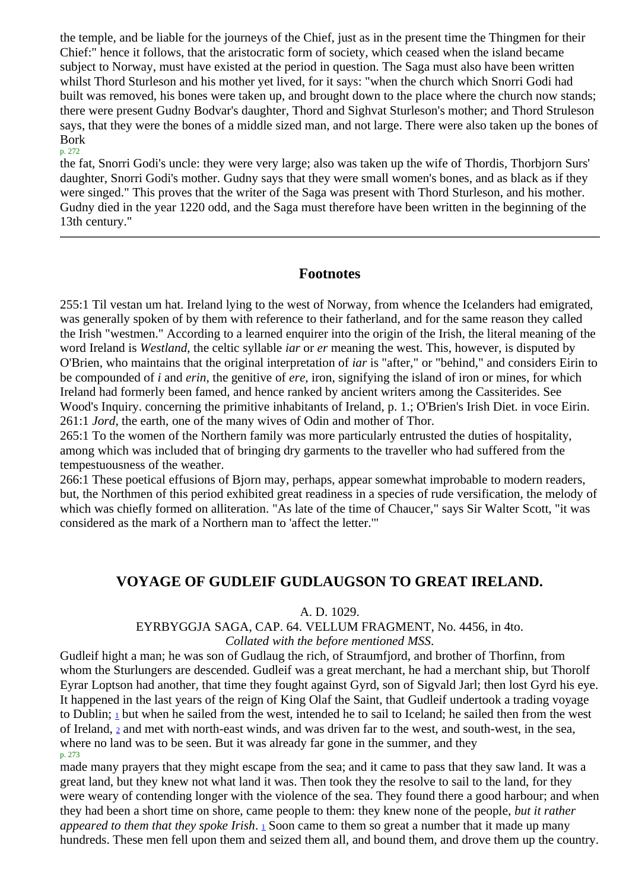the temple, and be liable for the journeys of the Chief, just as in the present time the Thingmen for their Chief:" hence it follows, that the aristocratic form of society, which ceased when the island became subject to Norway, must have existed at the period in question. The Saga must also have been written whilst Thord Sturleson and his mother yet lived, for it says: "when the church which Snorri Godi had built was removed, his bones were taken up, and brought down to the place where the church now stands; there were present Gudny Bodvar's daughter, Thord and Sighvat Sturleson's mother; and Thord Struleson says, that they were the bones of a middle sized man, and not large. There were also taken up the bones of Bork p. 272

the fat, Snorri Godi's uncle: they were very large; also was taken up the wife of Thordis, Thorbjorn Surs' daughter, Snorri Godi's mother. Gudny says that they were small women's bones, and as black as if they were singed." This proves that the writer of the Saga was present with Thord Sturleson, and his mother. Gudny died in the year 1220 odd, and the Saga must therefore have been written in the beginning of the 13th century."

## **Footnotes**

255:1 Til vestan um hat. Ireland lying to the west of Norway, from whence the Icelanders had emigrated, was generally spoken of by them with reference to their fatherland, and for the same reason they called the Irish "westmen." According to a learned enquirer into the origin of the Irish, the literal meaning of the word Ireland is *Westland*, the celtic syllable *iar* or *er* meaning the west. This, however, is disputed by O'Brien, who maintains that the original interpretation of *iar* is "after," or "behind," and considers Eirin to be compounded of *i* and *erin*, the genitive of *ere*, iron, signifying the island of iron or mines, for which Ireland had formerly been famed, and hence ranked by ancient writers among the Cassiterides. See Wood's Inquiry. concerning the primitive inhabitants of Ireland, p. 1.; O'Brien's Irish Diet. in voce Eirin. 261:1 *Jord*, the earth, one of the many wives of Odin and mother of Thor.

265:1 To the women of the Northern family was more particularly entrusted the duties of hospitality, among which was included that of bringing dry garments to the traveller who had suffered from the tempestuousness of the weather.

266:1 These poetical effusions of Bjorn may, perhaps, appear somewhat improbable to modern readers, but, the Northmen of this period exhibited great readiness in a species of rude versification, the melody of which was chiefly formed on alliteration. "As late of the time of Chaucer," says Sir Walter Scott, "it was considered as the mark of a Northern man to 'affect the letter.'"

# **VOYAGE OF GUDLEIF GUDLAUGSON TO GREAT IRELAND.**

A. D. 1029.

EYRBYGGJA SAGA, CAP. 64. VELLUM FRAGMENT, No. 4456, in 4to. *Collated with the before mentioned MSS*.

Gudleif hight a man; he was son of Gudlaug the rich, of Straumfjord, and brother of Thorfinn, from whom the Sturlungers are descended. Gudleif was a great merchant, he had a merchant ship, but Thorolf Eyrar Loptson had another, that time they fought against Gyrd, son of Sigvald Jarl; then lost Gyrd his eye. It happened in the last years of the reign of King Olaf the Saint, that Gudleif undertook a trading voyage to Dublin; [1](http://www.sacred-texts.com/neu/nda/#fn_46) but when he sailed from the west, intended he to sail to Iceland; he sailed then from the west of Ireland, [2](http://www.sacred-texts.com/neu/nda/#fn_47) and met with north-east winds, and was driven far to the west, and south-west, in the sea, where no land was to be seen. But it was already far gone in the summer, and they p. 273

made many prayers that they might escape from the sea; and it came to pass that they saw land. It was a great land, but they knew not what land it was. Then took they the resolve to sail to the land, for they were weary of contending longer with the violence of the sea. They found there a good harbour; and when they had been a short time on shore, came people to them: they knew none of the people, *but it rather appeared to them that they spoke Irish*. [1](http://www.sacred-texts.com/neu/nda/#fn_48) Soon came to them so great a number that it made up many hundreds. These men fell upon them and seized them all, and bound them, and drove them up the country.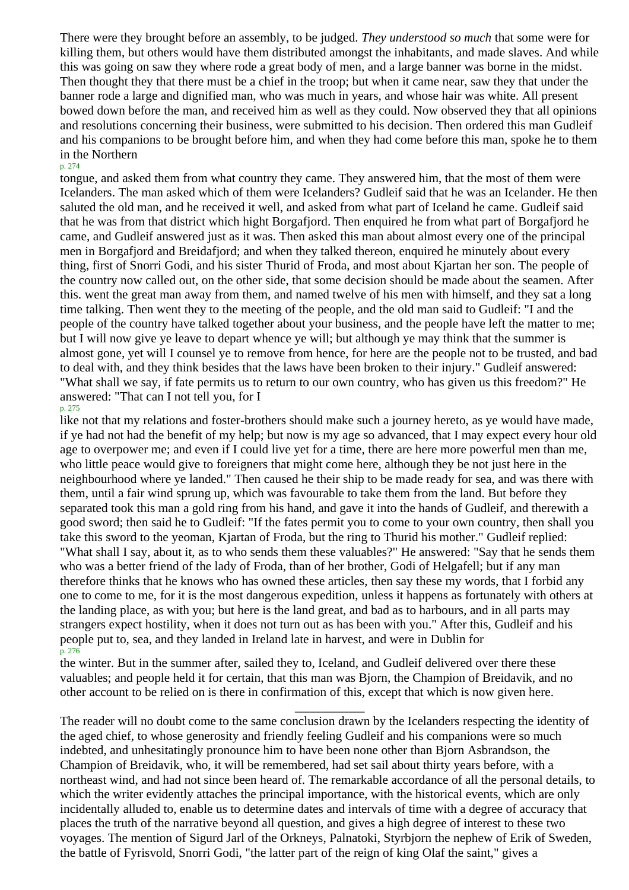There were they brought before an assembly, to be judged. *They understood so much* that some were for killing them, but others would have them distributed amongst the inhabitants, and made slaves. And while this was going on saw they where rode a great body of men, and a large banner was borne in the midst. Then thought they that there must be a chief in the troop; but when it came near, saw they that under the banner rode a large and dignified man, who was much in years, and whose hair was white. All present bowed down before the man, and received him as well as they could. Now observed they that all opinions and resolutions concerning their business, were submitted to his decision. Then ordered this man Gudleif and his companions to be brought before him, and when they had come before this man, spoke he to them in the Northern

#### p. 274

tongue, and asked them from what country they came. They answered him, that the most of them were Icelanders. The man asked which of them were Icelanders? Gudleif said that he was an Icelander. He then saluted the old man, and he received it well, and asked from what part of Iceland he came. Gudleif said that he was from that district which hight Borgafjord. Then enquired he from what part of Borgafjord he came, and Gudleif answered just as it was. Then asked this man about almost every one of the principal men in Borgafjord and Breidafjord; and when they talked thereon, enquired he minutely about every thing, first of Snorri Godi, and his sister Thurid of Froda, and most about Kjartan her son. The people of the country now called out, on the other side, that some decision should be made about the seamen. After this. went the great man away from them, and named twelve of his men with himself, and they sat a long time talking. Then went they to the meeting of the people, and the old man said to Gudleif: "I and the people of the country have talked together about your business, and the people have left the matter to me; but I will now give ye leave to depart whence ye will; but although ye may think that the summer is almost gone, yet will I counsel ye to remove from hence, for here are the people not to be trusted, and bad to deal with, and they think besides that the laws have been broken to their injury." Gudleif answered: "What shall we say, if fate permits us to return to our own country, who has given us this freedom?" He answered: "That can I not tell you, for I

#### p. 275

like not that my relations and foster-brothers should make such a journey hereto, as ye would have made, if ye had not had the benefit of my help; but now is my age so advanced, that I may expect every hour old age to overpower me; and even if I could live yet for a time, there are here more powerful men than me, who little peace would give to foreigners that might come here, although they be not just here in the neighbourhood where ye landed." Then caused he their ship to be made ready for sea, and was there with them, until a fair wind sprung up, which was favourable to take them from the land. But before they separated took this man a gold ring from his hand, and gave it into the hands of Gudleif, and therewith a good sword; then said he to Gudleif: "If the fates permit you to come to your own country, then shall you take this sword to the yeoman, Kjartan of Froda, but the ring to Thurid his mother." Gudleif replied: "What shall I say, about it, as to who sends them these valuables?" He answered: "Say that he sends them who was a better friend of the lady of Froda, than of her brother, Godi of Helgafell; but if any man therefore thinks that he knows who has owned these articles, then say these my words, that I forbid any one to come to me, for it is the most dangerous expedition, unless it happens as fortunately with others at the landing place, as with you; but here is the land great, and bad as to harbours, and in all parts may strangers expect hostility, when it does not turn out as has been with you." After this, Gudleif and his people put to, sea, and they landed in Ireland late in harvest, and were in Dublin for p. 276

the winter. But in the summer after, sailed they to, Iceland, and Gudleif delivered over there these valuables; and people held it for certain, that this man was Bjorn, the Champion of Breidavik, and no other account to be relied on is there in confirmation of this, except that which is now given here.

The reader will no doubt come to the same conclusion drawn by the Icelanders respecting the identity of the aged chief, to whose generosity and friendly feeling Gudleif and his companions were so much indebted, and unhesitatingly pronounce him to have been none other than Bjorn Asbrandson, the Champion of Breidavik, who, it will be remembered, had set sail about thirty years before, with a northeast wind, and had not since been heard of. The remarkable accordance of all the personal details, to which the writer evidently attaches the principal importance, with the historical events, which are only incidentally alluded to, enable us to determine dates and intervals of time with a degree of accuracy that places the truth of the narrative beyond all question, and gives a high degree of interest to these two voyages. The mention of Sigurd Jarl of the Orkneys, Palnatoki, Styrbjorn the nephew of Erik of Sweden, the battle of Fyrisvold, Snorri Godi, "the latter part of the reign of king Olaf the saint," gives a

 $\overline{\phantom{a}}$  , where  $\overline{\phantom{a}}$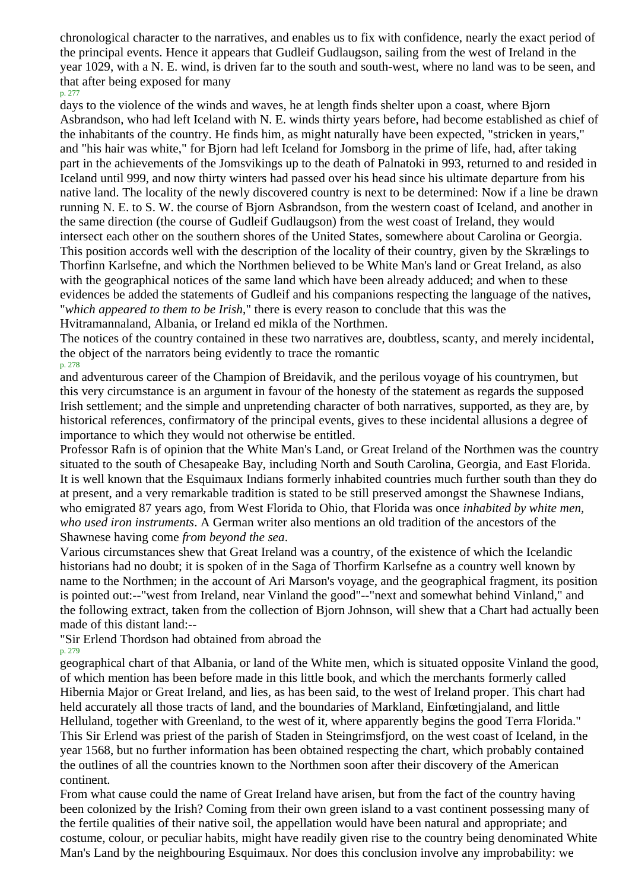chronological character to the narratives, and enables us to fix with confidence, nearly the exact period of the principal events. Hence it appears that Gudleif Gudlaugson, sailing from the west of Ireland in the year 1029, with a N. E. wind, is driven far to the south and south-west, where no land was to be seen, and that after being exposed for many p. 277

days to the violence of the winds and waves, he at length finds shelter upon a coast, where Bjorn Asbrandson, who had left Iceland with N. E. winds thirty years before, had become established as chief of the inhabitants of the country. He finds him, as might naturally have been expected, "stricken in years," and "his hair was white," for Bjorn had left Iceland for Jomsborg in the prime of life, had, after taking part in the achievements of the Jomsvikings up to the death of Palnatoki in 993, returned to and resided in Iceland until 999, and now thirty winters had passed over his head since his ultimate departure from his native land. The locality of the newly discovered country is next to be determined: Now if a line be drawn running N. E. to S. W. the course of Bjorn Asbrandson, from the western coast of Iceland, and another in the same direction (the course of Gudleif Gudlaugson) from the west coast of Ireland, they would intersect each other on the southern shores of the United States, somewhere about Carolina or Georgia. This position accords well with the description of the locality of their country, given by the Skrælings to Thorfinn Karlsefne, and which the Northmen believed to be White Man's land or Great Ireland, as also with the geographical notices of the same land which have been already adduced; and when to these evidences be added the statements of Gudleif and his companions respecting the language of the natives, "*which appeared to them to be Irish*," there is every reason to conclude that this was the Hvitramannaland, Albania, or Ireland ed mikla of the Northmen.

The notices of the country contained in these two narratives are, doubtless, scanty, and merely incidental, the object of the narrators being evidently to trace the romantic p. 278

and adventurous career of the Champion of Breidavik, and the perilous voyage of his countrymen, but this very circumstance is an argument in favour of the honesty of the statement as regards the supposed Irish settlement; and the simple and unpretending character of both narratives, supported, as they are, by historical references, confirmatory of the principal events, gives to these incidental allusions a degree of importance to which they would not otherwise be entitled.

Professor Rafn is of opinion that the White Man's Land, or Great Ireland of the Northmen was the country situated to the south of Chesapeake Bay, including North and South Carolina, Georgia, and East Florida. It is well known that the Esquimaux Indians formerly inhabited countries much further south than they do at present, and a very remarkable tradition is stated to be still preserved amongst the Shawnese Indians, who emigrated 87 years ago, from West Florida to Ohio, that Florida was once *inhabited by white men, who used iron instruments*. A German writer also mentions an old tradition of the ancestors of the Shawnese having come *from beyond the sea*.

Various circumstances shew that Great Ireland was a country, of the existence of which the Icelandic historians had no doubt; it is spoken of in the Saga of Thorfirm Karlsefne as a country well known by name to the Northmen; in the account of Ari Marson's voyage, and the geographical fragment, its position is pointed out:--"west from Ireland, near Vinland the good"--"next and somewhat behind Vinland," and the following extract, taken from the collection of Bjorn Johnson, will shew that a Chart had actually been made of this distant land:--

"Sir Erlend Thordson had obtained from abroad the p. 279

geographical chart of that Albania, or land of the White men, which is situated opposite Vinland the good, of which mention has been before made in this little book, and which the merchants formerly called Hibernia Major or Great Ireland, and lies, as has been said, to the west of Ireland proper. This chart had held accurately all those tracts of land, and the boundaries of Markland, Einfœtingjaland, and little Helluland, together with Greenland, to the west of it, where apparently begins the good Terra Florida." This Sir Erlend was priest of the parish of Staden in Steingrimsfjord, on the west coast of Iceland, in the year 1568, but no further information has been obtained respecting the chart, which probably contained the outlines of all the countries known to the Northmen soon after their discovery of the American continent.

From what cause could the name of Great Ireland have arisen, but from the fact of the country having been colonized by the Irish? Coming from their own green island to a vast continent possessing many of the fertile qualities of their native soil, the appellation would have been natural and appropriate; and costume, colour, or peculiar habits, might have readily given rise to the country being denominated White Man's Land by the neighbouring Esquimaux. Nor does this conclusion involve any improbability: we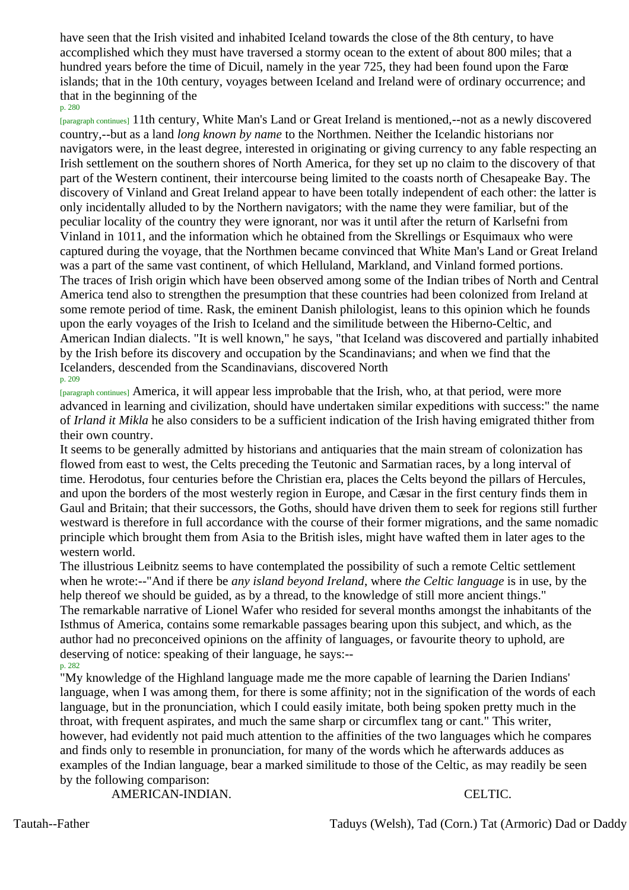have seen that the Irish visited and inhabited Iceland towards the close of the 8th century, to have accomplished which they must have traversed a stormy ocean to the extent of about 800 miles; that a hundred years before the time of Dicuil, namely in the year 725, they had been found upon the Farœ islands; that in the 10th century, voyages between Iceland and Ireland were of ordinary occurrence; and that in the beginning of the p. 280

[paragraph continues] 11th century, White Man's Land or Great Ireland is mentioned,--not as a newly discovered country,--but as a land *long known by name* to the Northmen. Neither the Icelandic historians nor navigators were, in the least degree, interested in originating or giving currency to any fable respecting an Irish settlement on the southern shores of North America, for they set up no claim to the discovery of that part of the Western continent, their intercourse being limited to the coasts north of Chesapeake Bay. The discovery of Vinland and Great Ireland appear to have been totally independent of each other: the latter is only incidentally alluded to by the Northern navigators; with the name they were familiar, but of the peculiar locality of the country they were ignorant, nor was it until after the return of Karlsefni from Vinland in 1011, and the information which he obtained from the Skrellings or Esquimaux who were captured during the voyage, that the Northmen became convinced that White Man's Land or Great Ireland was a part of the same vast continent, of which Helluland, Markland, and Vinland formed portions. The traces of Irish origin which have been observed among some of the Indian tribes of North and Central America tend also to strengthen the presumption that these countries had been colonized from Ireland at some remote period of time. Rask, the eminent Danish philologist, leans to this opinion which he founds upon the early voyages of the Irish to Iceland and the similitude between the Hiberno-Celtic, and American Indian dialects. "It is well known," he says, "that Iceland was discovered and partially inhabited by the Irish before its discovery and occupation by the Scandinavians; and when we find that the Icelanders, descended from the Scandinavians, discovered North p. 209

[paragraph continues] America, it will appear less improbable that the Irish, who, at that period, were more advanced in learning and civilization, should have undertaken similar expeditions with success:" the name of *Irland it Mikla* he also considers to be a sufficient indication of the Irish having emigrated thither from their own country.

It seems to be generally admitted by historians and antiquaries that the main stream of colonization has flowed from east to west, the Celts preceding the Teutonic and Sarmatian races, by a long interval of time. Herodotus, four centuries before the Christian era, places the Celts beyond the pillars of Hercules, and upon the borders of the most westerly region in Europe, and Cæsar in the first century finds them in Gaul and Britain; that their successors, the Goths, should have driven them to seek for regions still further westward is therefore in full accordance with the course of their former migrations, and the same nomadic principle which brought them from Asia to the British isles, might have wafted them in later ages to the western world.

The illustrious Leibnitz seems to have contemplated the possibility of such a remote Celtic settlement when he wrote:--"And if there be *any island beyond Ireland*, where *the Celtic language* is in use, by the help thereof we should be guided, as by a thread, to the knowledge of still more ancient things." The remarkable narrative of Lionel Wafer who resided for several months amongst the inhabitants of the Isthmus of America, contains some remarkable passages bearing upon this subject, and which, as the author had no preconceived opinions on the affinity of languages, or favourite theory to uphold, are deserving of notice: speaking of their language, he says:- p. 282

"My knowledge of the Highland language made me the more capable of learning the Darien Indians' language, when I was among them, for there is some affinity; not in the signification of the words of each language, but in the pronunciation, which I could easily imitate, both being spoken pretty much in the throat, with frequent aspirates, and much the same sharp or circumflex tang or cant." This writer, however, had evidently not paid much attention to the affinities of the two languages which he compares and finds only to resemble in pronunciation, for many of the words which he afterwards adduces as examples of the Indian language, bear a marked similitude to those of the Celtic, as may readily be seen by the following comparison:

AMERICAN-INDIAN. CELTIC.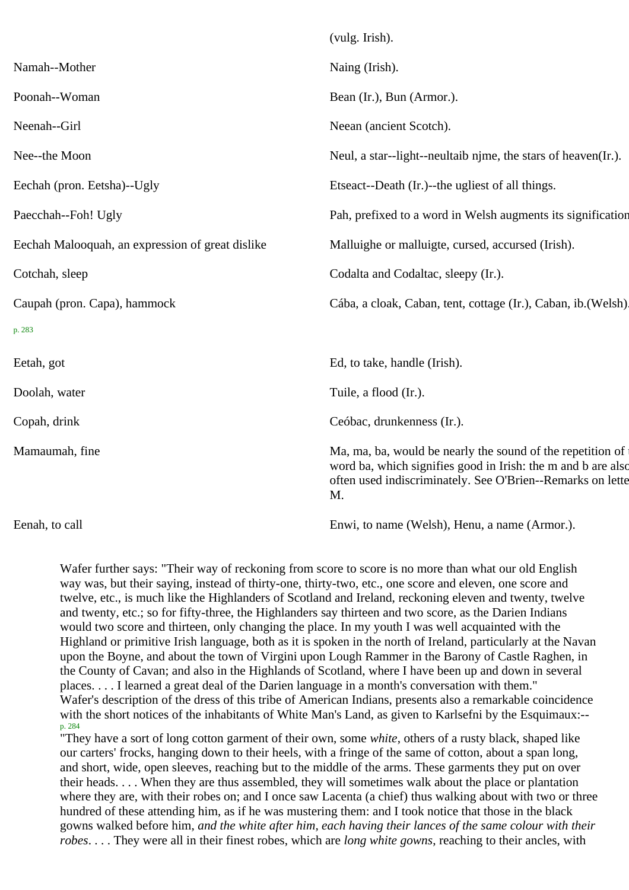|                                                  | (vulg. Irish).                                                                                                                                                                                 |
|--------------------------------------------------|------------------------------------------------------------------------------------------------------------------------------------------------------------------------------------------------|
| Namah--Mother                                    | Naing (Irish).                                                                                                                                                                                 |
| Poonah--Woman                                    | Bean (Ir.), Bun (Armor.).                                                                                                                                                                      |
| Neenah--Girl                                     | Neean (ancient Scotch).                                                                                                                                                                        |
| Nee--the Moon                                    | Neul, a star--light--neultaib njme, the stars of heaven(Ir.).                                                                                                                                  |
| Eechah (pron. Eetsha)--Ugly                      | Etseact--Death (Ir.)--the ugliest of all things.                                                                                                                                               |
| Paecchah--Foh! Ugly                              | Pah, prefixed to a word in Welsh augments its signification                                                                                                                                    |
| Eechah Malooquah, an expression of great dislike | Malluighe or malluigte, cursed, accursed (Irish).                                                                                                                                              |
| Cotchah, sleep                                   | Codalta and Codaltac, sleepy (Ir.).                                                                                                                                                            |
| Caupah (pron. Capa), hammock                     | Cába, a cloak, Caban, tent, cottage (Ir.), Caban, ib. (Welsh).                                                                                                                                 |
| p. 283                                           |                                                                                                                                                                                                |
| Eetah, got                                       | Ed, to take, handle (Irish).                                                                                                                                                                   |
| Doolah, water                                    | Tuile, a flood (Ir.).                                                                                                                                                                          |
| Copah, drink                                     | Ceóbac, drunkenness (Ir.).                                                                                                                                                                     |
| Mamaumah, fine                                   | Ma, ma, ba, would be nearly the sound of the repetition of<br>word ba, which signifies good in Irish: the m and b are also<br>often used indiscriminately. See O'Brien--Remarks on lette<br>M. |
| Eenah, to call                                   | Enwi, to name (Welsh), Henu, a name (Armor.).                                                                                                                                                  |

Wafer further says: "Their way of reckoning from score to score is no more than what our old English way was, but their saying, instead of thirty-one, thirty-two, etc., one score and eleven, one score and twelve, etc., is much like the Highlanders of Scotland and Ireland, reckoning eleven and twenty, twelve and twenty, etc.; so for fifty-three, the Highlanders say thirteen and two score, as the Darien Indians would two score and thirteen, only changing the place. In my youth I was well acquainted with the Highland or primitive Irish language, both as it is spoken in the north of Ireland, particularly at the Navan upon the Boyne, and about the town of Virgini upon Lough Rammer in the Barony of Castle Raghen, in the County of Cavan; and also in the Highlands of Scotland, where I have been up and down in several places. . . . I learned a great deal of the Darien language in a month's conversation with them." Wafer's description of the dress of this tribe of American Indians, presents also a remarkable coincidence with the short notices of the inhabitants of White Man's Land, as given to Karlsefni by the Esquimaux:-p. 284

"They have a sort of long cotton garment of their own, some *white*, others of a rusty black, shaped like our carters' frocks, hanging down to their heels, with a fringe of the same of cotton, about a span long, and short, wide, open sleeves, reaching but to the middle of the arms. These garments they put on over their heads. . . . When they are thus assembled, they will sometimes walk about the place or plantation where they are, with their robes on; and I once saw Lacenta (a chief) thus walking about with two or three hundred of these attending him, as if he was mustering them: and I took notice that those in the black gowns walked before him, *and the white after him, each having their lances of the same colour with their robes*. . . . They were all in their finest robes, which are *long white gowns*, reaching to their ancles, with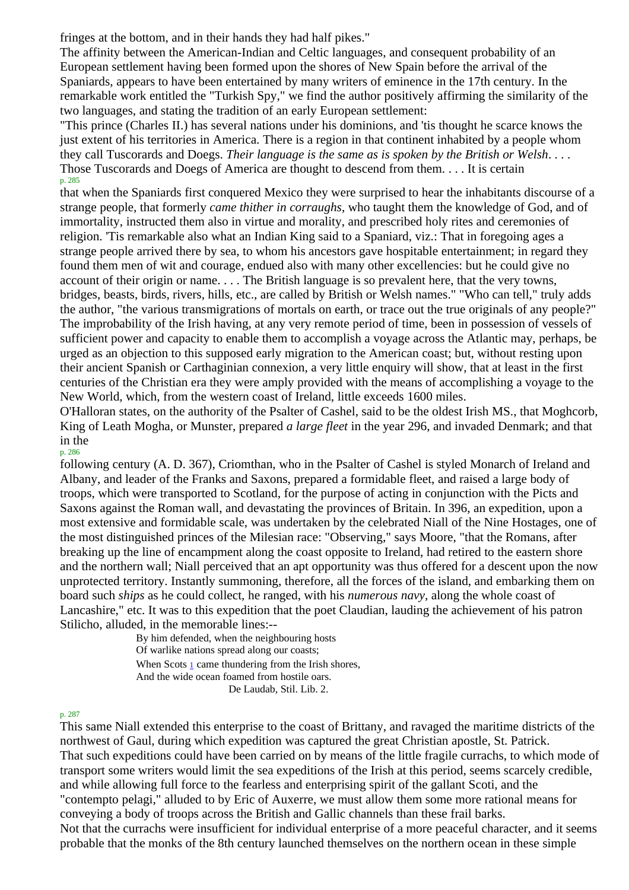fringes at the bottom, and in their hands they had half pikes."

The affinity between the American-Indian and Celtic languages, and consequent probability of an European settlement having been formed upon the shores of New Spain before the arrival of the Spaniards, appears to have been entertained by many writers of eminence in the 17th century. In the remarkable work entitled the "Turkish Spy," we find the author positively affirming the similarity of the two languages, and stating the tradition of an early European settlement:

"This prince (Charles II.) has several nations under his dominions, and 'tis thought he scarce knows the just extent of his territories in America. There is a region in that continent inhabited by a people whom they call Tuscorards and Doegs. *Their language is the same as is spoken by the British or Welsh*. . . . Those Tuscorards and Doegs of America are thought to descend from them. . . . It is certain p. 285

that when the Spaniards first conquered Mexico they were surprised to hear the inhabitants discourse of a strange people, that formerly *came thither in corraughs*, who taught them the knowledge of God, and of immortality, instructed them also in virtue and morality, and prescribed holy rites and ceremonies of religion. 'Tis remarkable also what an Indian King said to a Spaniard, viz.: That in foregoing ages a strange people arrived there by sea, to whom his ancestors gave hospitable entertainment; in regard they found them men of wit and courage, endued also with many other excellencies: but he could give no account of their origin or name. . . . The British language is so prevalent here, that the very towns, bridges, beasts, birds, rivers, hills, etc., are called by British or Welsh names." "Who can tell," truly adds the author, "the various transmigrations of mortals on earth, or trace out the true originals of any people?" The improbability of the Irish having, at any very remote period of time, been in possession of vessels of sufficient power and capacity to enable them to accomplish a voyage across the Atlantic may, perhaps, be urged as an objection to this supposed early migration to the American coast; but, without resting upon their ancient Spanish or Carthaginian connexion, a very little enquiry will show, that at least in the first centuries of the Christian era they were amply provided with the means of accomplishing a voyage to the New World, which, from the western coast of Ireland, little exceeds 1600 miles.

O'Halloran states, on the authority of the Psalter of Cashel, said to be the oldest Irish MS., that Moghcorb, King of Leath Mogha, or Munster, prepared *a large fleet* in the year 296, and invaded Denmark; and that in the p. 286

following century (A. D. 367), Criomthan, who in the Psalter of Cashel is styled Monarch of Ireland and Albany, and leader of the Franks and Saxons, prepared a formidable fleet, and raised a large body of troops, which were transported to Scotland, for the purpose of acting in conjunction with the Picts and Saxons against the Roman wall, and devastating the provinces of Britain. In 396, an expedition, upon a most extensive and formidable scale, was undertaken by the celebrated Niall of the Nine Hostages, one of the most distinguished princes of the Milesian race: "Observing," says Moore, "that the Romans, after breaking up the line of encampment along the coast opposite to Ireland, had retired to the eastern shore and the northern wall; Niall perceived that an apt opportunity was thus offered for a descent upon the now unprotected territory. Instantly summoning, therefore, all the forces of the island, and embarking them on board such *ships* as he could collect, he ranged, with his *numerous navy*, along the whole coast of Lancashire," etc. It was to this expedition that the poet Claudian, lauding the achievement of his patron Stilicho, alluded, in the memorable lines:--

By him defended, when the neighbouring hosts Of warlike nations spread along our coasts; When Scots [1](http://www.sacred-texts.com/neu/nda/#fn_49) came thundering from the Irish shores, And the wide ocean foamed from hostile oars. De Laudab, Stil. Lib. 2.

#### p. 287

This same Niall extended this enterprise to the coast of Brittany, and ravaged the maritime districts of the northwest of Gaul, during which expedition was captured the great Christian apostle, St. Patrick. That such expeditions could have been carried on by means of the little fragile currachs, to which mode of transport some writers would limit the sea expeditions of the Irish at this period, seems scarcely credible, and while allowing full force to the fearless and enterprising spirit of the gallant Scoti, and the "contempto pelagi," alluded to by Eric of Auxerre, we must allow them some more rational means for conveying a body of troops across the British and Gallic channels than these frail barks. Not that the currachs were insufficient for individual enterprise of a more peaceful character, and it seems probable that the monks of the 8th century launched themselves on the northern ocean in these simple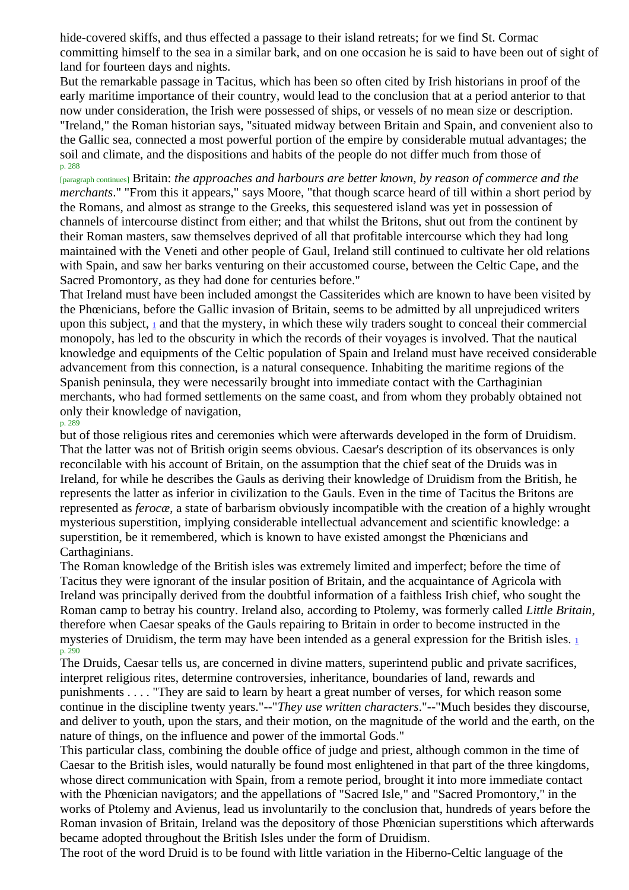hide-covered skiffs, and thus effected a passage to their island retreats; for we find St. Cormac committing himself to the sea in a similar bark, and on one occasion he is said to have been out of sight of land for fourteen days and nights.

But the remarkable passage in Tacitus, which has been so often cited by Irish historians in proof of the early maritime importance of their country, would lead to the conclusion that at a period anterior to that now under consideration, the Irish were possessed of ships, or vessels of no mean size or description. "Ireland," the Roman historian says, "situated midway between Britain and Spain, and convenient also to the Gallic sea, connected a most powerful portion of the empire by considerable mutual advantages; the soil and climate, and the dispositions and habits of the people do not differ much from those of p. 288

[paragraph continues] Britain: *the approaches and harbours are better known, by reason of commerce and the merchants*." "From this it appears," says Moore, "that though scarce heard of till within a short period by the Romans, and almost as strange to the Greeks, this sequestered island was yet in possession of channels of intercourse distinct from either; and that whilst the Britons, shut out from the continent by their Roman masters, saw themselves deprived of all that profitable intercourse which they had long maintained with the Veneti and other people of Gaul, Ireland still continued to cultivate her old relations with Spain, and saw her barks venturing on their accustomed course, between the Celtic Cape, and the Sacred Promontory, as they had done for centuries before."

That Ireland must have been included amongst the Cassiterides which are known to have been visited by the Phœnicians, before the Gallic invasion of Britain, seems to be admitted by all unprejudiced writers upon this subject,  $_1$  $_1$  and that the mystery, in which these wily traders sought to conceal their commercial monopoly, has led to the obscurity in which the records of their voyages is involved. That the nautical knowledge and equipments of the Celtic population of Spain and Ireland must have received considerable advancement from this connection, is a natural consequence. Inhabiting the maritime regions of the Spanish peninsula, they were necessarily brought into immediate contact with the Carthaginian merchants, who had formed settlements on the same coast, and from whom they probably obtained not only their knowledge of navigation,

### p. 289

but of those religious rites and ceremonies which were afterwards developed in the form of Druidism. That the latter was not of British origin seems obvious. Caesar's description of its observances is only reconcilable with his account of Britain, on the assumption that the chief seat of the Druids was in Ireland, for while he describes the Gauls as deriving their knowledge of Druidism from the British, he represents the latter as inferior in civilization to the Gauls. Even in the time of Tacitus the Britons are represented as *ferocæ*, a state of barbarism obviously incompatible with the creation of a highly wrought mysterious superstition, implying considerable intellectual advancement and scientific knowledge: a superstition, be it remembered, which is known to have existed amongst the Phœnicians and Carthaginians.

The Roman knowledge of the British isles was extremely limited and imperfect; before the time of Tacitus they were ignorant of the insular position of Britain, and the acquaintance of Agricola with Ireland was principally derived from the doubtful information of a faithless Irish chief, who sought the Roman camp to betray his country. Ireland also, according to Ptolemy, was formerly called *Little Britain*, therefore when Caesar speaks of the Gauls repairing to Britain in order to become instructed in the mysteries of Druidism, the term may have been intended as a general expression for the British isles. [1](http://www.sacred-texts.com/neu/nda/#fn_51) p. 290

The Druids, Caesar tells us, are concerned in divine matters, superintend public and private sacrifices, interpret religious rites, determine controversies, inheritance, boundaries of land, rewards and punishments . . . . "They are said to learn by heart a great number of verses, for which reason some continue in the discipline twenty years."--"*They use written characters*."--"Much besides they discourse, and deliver to youth, upon the stars, and their motion, on the magnitude of the world and the earth, on the nature of things, on the influence and power of the immortal Gods."

This particular class, combining the double office of judge and priest, although common in the time of Caesar to the British isles, would naturally be found most enlightened in that part of the three kingdoms, whose direct communication with Spain, from a remote period, brought it into more immediate contact with the Phœnician navigators; and the appellations of "Sacred Isle," and "Sacred Promontory," in the works of Ptolemy and Avienus, lead us involuntarily to the conclusion that, hundreds of years before the Roman invasion of Britain, Ireland was the depository of those Phœnician superstitions which afterwards became adopted throughout the British Isles under the form of Druidism.

The root of the word Druid is to be found with little variation in the Hiberno-Celtic language of the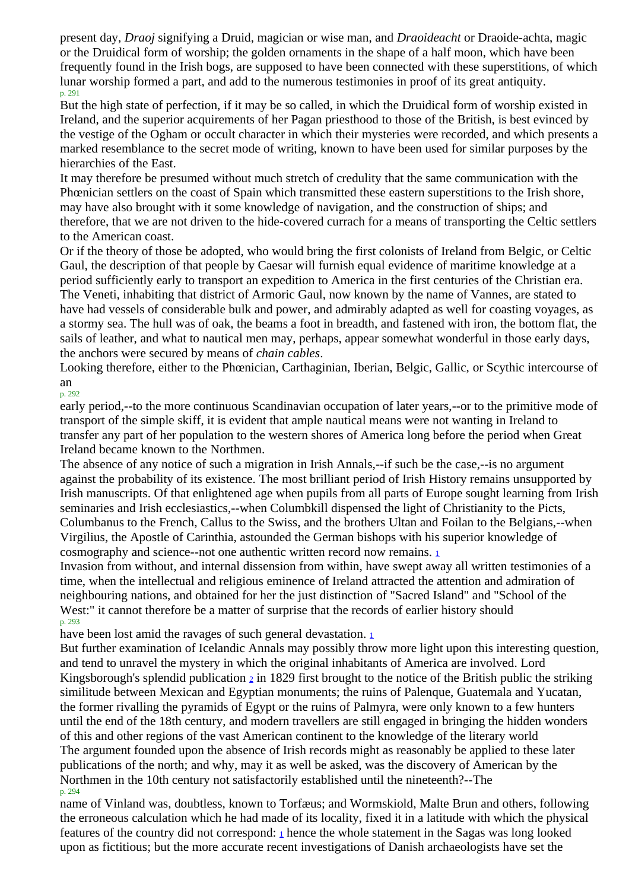present day, *Draoj* signifying a Druid, magician or wise man, and *Draoideacht* or Draoide-achta, magic or the Druidical form of worship; the golden ornaments in the shape of a half moon, which have been frequently found in the Irish bogs, are supposed to have been connected with these superstitions, of which lunar worship formed a part, and add to the numerous testimonies in proof of its great antiquity. p. 291

But the high state of perfection, if it may be so called, in which the Druidical form of worship existed in Ireland, and the superior acquirements of her Pagan priesthood to those of the British, is best evinced by the vestige of the Ogham or occult character in which their mysteries were recorded, and which presents a marked resemblance to the secret mode of writing, known to have been used for similar purposes by the hierarchies of the East.

It may therefore be presumed without much stretch of credulity that the same communication with the Phœnician settlers on the coast of Spain which transmitted these eastern superstitions to the Irish shore, may have also brought with it some knowledge of navigation, and the construction of ships; and therefore, that we are not driven to the hide-covered currach for a means of transporting the Celtic settlers to the American coast.

Or if the theory of those be adopted, who would bring the first colonists of Ireland from Belgic, or Celtic Gaul, the description of that people by Caesar will furnish equal evidence of maritime knowledge at a period sufficiently early to transport an expedition to America in the first centuries of the Christian era. The Veneti, inhabiting that district of Armoric Gaul, now known by the name of Vannes, are stated to have had vessels of considerable bulk and power, and admirably adapted as well for coasting voyages, as a stormy sea. The hull was of oak, the beams a foot in breadth, and fastened with iron, the bottom flat, the sails of leather, and what to nautical men may, perhaps, appear somewhat wonderful in those early days, the anchors were secured by means of *chain cables*.

Looking therefore, either to the Phœnician, Carthaginian, Iberian, Belgic, Gallic, or Scythic intercourse of an

# p. 292

early period,--to the more continuous Scandinavian occupation of later years,--or to the primitive mode of transport of the simple skiff, it is evident that ample nautical means were not wanting in Ireland to transfer any part of her population to the western shores of America long before the period when Great Ireland became known to the Northmen.

The absence of any notice of such a migration in Irish Annals,--if such be the case,--is no argument against the probability of its existence. The most brilliant period of Irish History remains unsupported by Irish manuscripts. Of that enlightened age when pupils from all parts of Europe sought learning from Irish seminaries and Irish ecclesiastics,--when Columbkill dispensed the light of Christianity to the Picts, Columbanus to the French, Callus to the Swiss, and the brothers Ultan and Foilan to the Belgians,--when Virgilius, the Apostle of Carinthia, astounded the German bishops with his superior knowledge of cosmography and science--not one authentic written record now remains. [1](http://www.sacred-texts.com/neu/nda/#fn_52)

Invasion from without, and internal dissension from within, have swept away all written testimonies of a time, when the intellectual and religious eminence of Ireland attracted the attention and admiration of neighbouring nations, and obtained for her the just distinction of "Sacred Island" and "School of the West:" it cannot therefore be a matter of surprise that the records of earlier history should p. 293

have been lost amid the ravages of such general devastation. [1](http://www.sacred-texts.com/neu/nda/#fn_53)

But further examination of Icelandic Annals may possibly throw more light upon this interesting question, and tend to unravel the mystery in which the original inhabitants of America are involved. Lord Kingsborough's splendid publication [2](http://www.sacred-texts.com/neu/nda/#fn_54) in 1829 first brought to the notice of the British public the striking similitude between Mexican and Egyptian monuments; the ruins of Palenque, Guatemala and Yucatan, the former rivalling the pyramids of Egypt or the ruins of Palmyra, were only known to a few hunters until the end of the 18th century, and modern travellers are still engaged in bringing the hidden wonders of this and other regions of the vast American continent to the knowledge of the literary world The argument founded upon the absence of Irish records might as reasonably be applied to these later publications of the north; and why, may it as well be asked, was the discovery of American by the Northmen in the 10th century not satisfactorily established until the nineteenth?--The p. 294

name of Vinland was, doubtless, known to Torfæus; and Wormskiold, Malte Brun and others, following the erroneous calculation which he had made of its locality, fixed it in a latitude with which the physical features of the country did not correspond: [1](http://www.sacred-texts.com/neu/nda/#fn_55) hence the whole statement in the Sagas was long looked upon as fictitious; but the more accurate recent investigations of Danish archaeologists have set the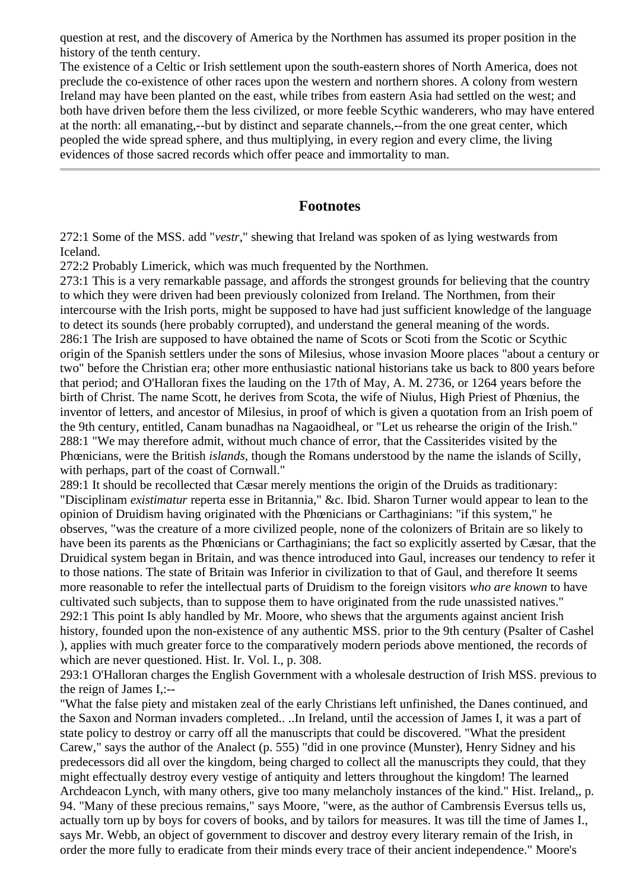question at rest, and the discovery of America by the Northmen has assumed its proper position in the history of the tenth century.

The existence of a Celtic or Irish settlement upon the south-eastern shores of North America, does not preclude the co-existence of other races upon the western and northern shores. A colony from western Ireland may have been planted on the east, while tribes from eastern Asia had settled on the west; and both have driven before them the less civilized, or more feeble Scythic wanderers, who may have entered at the north: all emanating,--but by distinct and separate channels,--from the one great center, which peopled the wide spread sphere, and thus multiplying, in every region and every clime, the living evidences of those sacred records which offer peace and immortality to man.

### **Footnotes**

272:1 Some of the MSS. add "*vestr*," shewing that Ireland was spoken of as lying westwards from Iceland.

272:2 Probably Limerick, which was much frequented by the Northmen.

273:1 This is a very remarkable passage, and affords the strongest grounds for believing that the country to which they were driven had been previously colonized from Ireland. The Northmen, from their intercourse with the Irish ports, might be supposed to have had just sufficient knowledge of the language to detect its sounds (here probably corrupted), and understand the general meaning of the words. 286:1 The Irish are supposed to have obtained the name of Scots or Scoti from the Scotic or Scythic origin of the Spanish settlers under the sons of Milesius, whose invasion Moore places "about a century or two" before the Christian era; other more enthusiastic national historians take us back to 800 years before that period; and O'Halloran fixes the lauding on the 17th of May, A. M. 2736, or 1264 years before the birth of Christ. The name Scott, he derives from Scota, the wife of Niulus, High Priest of Phœnius, the inventor of letters, and ancestor of Milesius, in proof of which is given a quotation from an Irish poem of the 9th century, entitled, Canam bunadhas na Nagaoidheal, or "Let us rehearse the origin of the Irish." 288:1 "We may therefore admit, without much chance of error, that the Cassiterides visited by the Phœnicians, were the British *islands*, though the Romans understood by the name the islands of Scilly, with perhaps, part of the coast of Cornwall."

289:1 It should be recollected that Cæsar merely mentions the origin of the Druids as traditionary: "Disciplinam *existimatur* reperta esse in Britannia," &c. Ibid. Sharon Turner would appear to lean to the opinion of Druidism having originated with the Phœnicians or Carthaginians: "if this system," he observes, "was the creature of a more civilized people, none of the colonizers of Britain are so likely to have been its parents as the Phœnicians or Carthaginians; the fact so explicitly asserted by Cæsar, that the Druidical system began in Britain, and was thence introduced into Gaul, increases our tendency to refer it to those nations. The state of Britain was Inferior in civilization to that of Gaul, and therefore It seems more reasonable to refer the intellectual parts of Druidism to the foreign visitors *who are known* to have cultivated such subjects, than to suppose them to have originated from the rude unassisted natives." 292:1 This point Is ably handled by Mr. Moore, who shews that the arguments against ancient Irish history, founded upon the non-existence of any authentic MSS. prior to the 9th century (Psalter of Cashel ), applies with much greater force to the comparatively modern periods above mentioned, the records of which are never questioned. Hist. Ir. Vol. I., p. 308.

293:1 O'Halloran charges the English Government with a wholesale destruction of Irish MSS. previous to the reign of James I,:--

"What the false piety and mistaken zeal of the early Christians left unfinished, the Danes continued, and the Saxon and Norman invaders completed.. ..In Ireland, until the accession of James I, it was a part of state policy to destroy or carry off all the manuscripts that could be discovered. "What the president Carew," says the author of the Analect (p. 555) "did in one province (Munster), Henry Sidney and his predecessors did all over the kingdom, being charged to collect all the manuscripts they could, that they might effectually destroy every vestige of antiquity and letters throughout the kingdom! The learned Archdeacon Lynch, with many others, give too many melancholy instances of the kind." Hist. Ireland,, p. 94. "Many of these precious remains," says Moore, "were, as the author of Cambrensis Eversus tells us, actually torn up by boys for covers of books, and by tailors for measures. It was till the time of James I., says Mr. Webb, an object of government to discover and destroy every literary remain of the Irish, in order the more fully to eradicate from their minds every trace of their ancient independence." Moore's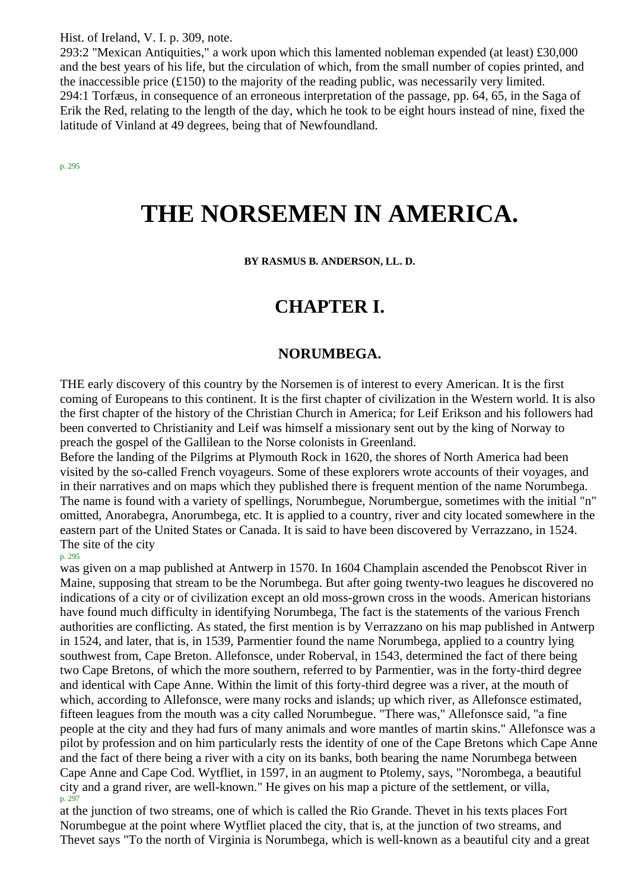Hist. of Ireland, V. I. p. 309, note.

293:2 "Mexican Antiquities," a work upon which this lamented nobleman expended (at least) £30,000 and the best years of his life, but the circulation of which, from the small number of copies printed, and the inaccessible price (£150) to the majority of the reading public, was necessarily very limited. 294:1 Torfæus, in consequence of an erroneous interpretation of the passage, pp. 64, 65, in the Saga of Erik the Red, relating to the length of the day, which he took to be eight hours instead of nine, fixed the latitude of Vinland at 49 degrees, being that of Newfoundland.

p. 295

# **THE NORSEMEN IN AMERICA.**

#### **BY RASMUS B. ANDERSON, LL. D.**

# **CHAPTER I.**

### **NORUMBEGA.**

THE early discovery of this country by the Norsemen is of interest to every American. It is the first coming of Europeans to this continent. It is the first chapter of civilization in the Western world. It is also the first chapter of the history of the Christian Church in America; for Leif Erikson and his followers had been converted to Christianity and Leif was himself a missionary sent out by the king of Norway to preach the gospel of the Gallilean to the Norse colonists in Greenland.

Before the landing of the Pilgrims at Plymouth Rock in 1620, the shores of North America had been visited by the so-called French voyageurs. Some of these explorers wrote accounts of their voyages, and in their narratives and on maps which they published there is frequent mention of the name Norumbega. The name is found with a variety of spellings, Norumbegue, Norumbergue, sometimes with the initial "n" omitted, Anorabegra, Anorumbega, etc. It is applied to a country, river and city located somewhere in the eastern part of the United States or Canada. It is said to have been discovered by Verrazzano, in 1524. The site of the city

#### p. 295

was given on a map published at Antwerp in 1570. In 1604 Champlain ascended the Penobscot River in Maine, supposing that stream to be the Norumbega. But after going twenty-two leagues he discovered no indications of a city or of civilization except an old moss-grown cross in the woods. American historians have found much difficulty in identifying Norumbega, The fact is the statements of the various French authorities are conflicting. As stated, the first mention is by Verrazzano on his map published in Antwerp in 1524, and later, that is, in 1539, Parmentier found the name Norumbega, applied to a country lying southwest from, Cape Breton. Allefonsce, under Roberval, in 1543, determined the fact of there being two Cape Bretons, of which the more southern, referred to by Parmentier, was in the forty-third degree and identical with Cape Anne. Within the limit of this forty-third degree was a river, at the mouth of which, according to Allefonsce, were many rocks and islands; up which river, as Allefonsce estimated, fifteen leagues from the mouth was a city called Norumbegue. "There was," Allefonsce said, "a fine people at the city and they had furs of many animals and wore mantles of martin skins." Allefonsce was a pilot by profession and on him particularly rests the identity of one of the Cape Bretons which Cape Anne and the fact of there being a river with a city on its banks, both bearing the name Norumbega between Cape Anne and Cape Cod. Wytfliet, in 1597, in an augment to Ptolemy, says, "Norombega, a beautiful city and a grand river, are well-known." He gives on his map a picture of the settlement, or villa, p. 297

at the junction of two streams, one of which is called the Rio Grande. Thevet in his texts places Fort Norumbegue at the point where Wytfliet placed the city, that is, at the junction of two streams, and Thevet says "To the north of Virginia is Norumbega, which is well-known as a beautiful city and a great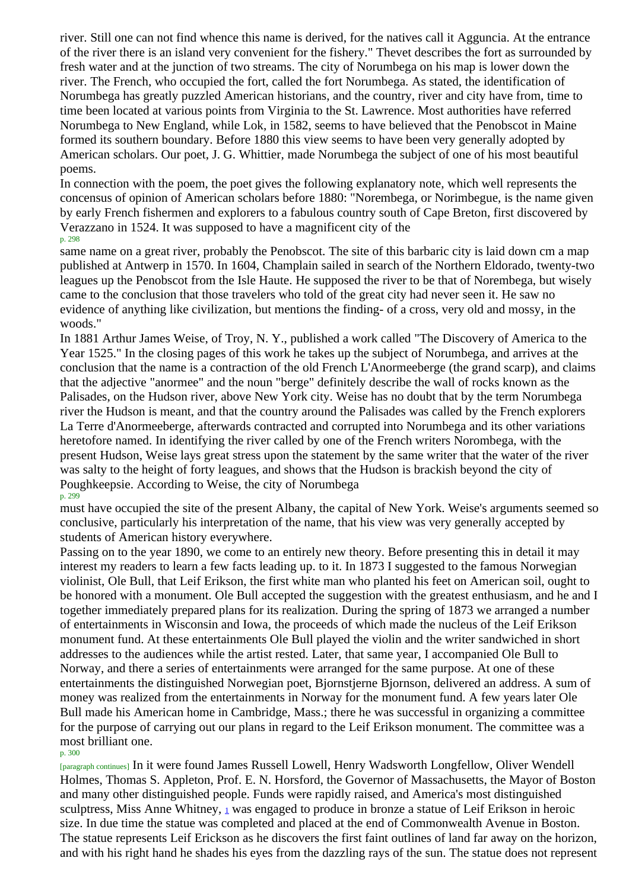river. Still one can not find whence this name is derived, for the natives call it Agguncia. At the entrance of the river there is an island very convenient for the fishery." Thevet describes the fort as surrounded by fresh water and at the junction of two streams. The city of Norumbega on his map is lower down the river. The French, who occupied the fort, called the fort Norumbega. As stated, the identification of Norumbega has greatly puzzled American historians, and the country, river and city have from, time to time been located at various points from Virginia to the St. Lawrence. Most authorities have referred Norumbega to New England, while Lok, in 1582, seems to have believed that the Penobscot in Maine formed its southern boundary. Before 1880 this view seems to have been very generally adopted by American scholars. Our poet, J. G. Whittier, made Norumbega the subject of one of his most beautiful poems.

In connection with the poem, the poet gives the following explanatory note, which well represents the concensus of opinion of American scholars before 1880: "Norembega, or Norimbegue, is the name given by early French fishermen and explorers to a fabulous country south of Cape Breton, first discovered by Verazzano in 1524. It was supposed to have a magnificent city of the p. 298

same name on a great river, probably the Penobscot. The site of this barbaric city is laid down cm a map published at Antwerp in 1570. In 1604, Champlain sailed in search of the Northern Eldorado, twenty-two leagues up the Penobscot from the Isle Haute. He supposed the river to be that of Norembega, but wisely came to the conclusion that those travelers who told of the great city had never seen it. He saw no evidence of anything like civilization, but mentions the finding- of a cross, very old and mossy, in the woods."

In 1881 Arthur James Weise, of Troy, N. Y., published a work called "The Discovery of America to the Year 1525." In the closing pages of this work he takes up the subject of Norumbega, and arrives at the conclusion that the name is a contraction of the old French L'Anormeeberge (the grand scarp), and claims that the adjective "anormee" and the noun "berge" definitely describe the wall of rocks known as the Palisades, on the Hudson river, above New York city. Weise has no doubt that by the term Norumbega river the Hudson is meant, and that the country around the Palisades was called by the French explorers La Terre d'Anormeeberge, afterwards contracted and corrupted into Norumbega and its other variations heretofore named. In identifying the river called by one of the French writers Norombega, with the present Hudson, Weise lays great stress upon the statement by the same writer that the water of the river was salty to the height of forty leagues, and shows that the Hudson is brackish beyond the city of Poughkeepsie. According to Weise, the city of Norumbega p. 299

must have occupied the site of the present Albany, the capital of New York. Weise's arguments seemed so conclusive, particularly his interpretation of the name, that his view was very generally accepted by students of American history everywhere.

Passing on to the year 1890, we come to an entirely new theory. Before presenting this in detail it may interest my readers to learn a few facts leading up. to it. In 1873 I suggested to the famous Norwegian violinist, Ole Bull, that Leif Erikson, the first white man who planted his feet on American soil, ought to be honored with a monument. Ole Bull accepted the suggestion with the greatest enthusiasm, and he and I together immediately prepared plans for its realization. During the spring of 1873 we arranged a number of entertainments in Wisconsin and Iowa, the proceeds of which made the nucleus of the Leif Erikson monument fund. At these entertainments Ole Bull played the violin and the writer sandwiched in short addresses to the audiences while the artist rested. Later, that same year, I accompanied Ole Bull to Norway, and there a series of entertainments were arranged for the same purpose. At one of these entertainments the distinguished Norwegian poet, Bjornstjerne Bjornson, delivered an address. A sum of money was realized from the entertainments in Norway for the monument fund. A few years later Ole Bull made his American home in Cambridge, Mass.; there he was successful in organizing a committee for the purpose of carrying out our plans in regard to the Leif Erikson monument. The committee was a most brilliant one.

#### p. 300

[paragraph continues] In it were found James Russell Lowell, Henry Wadsworth Longfellow, Oliver Wendell Holmes, Thomas S. Appleton, Prof. E. N. Horsford, the Governor of Massachusetts, the Mayor of Boston and many other distinguished people. Funds were rapidly raised, and America's most distinguished sculptress, Miss Anne Whitney,  $\frac{1}{2}$  $\frac{1}{2}$  $\frac{1}{2}$  was engaged to produce in bronze a statue of Leif Erikson in heroic size. In due time the statue was completed and placed at the end of Commonwealth Avenue in Boston. The statue represents Leif Erickson as he discovers the first faint outlines of land far away on the horizon, and with his right hand he shades his eyes from the dazzling rays of the sun. The statue does not represent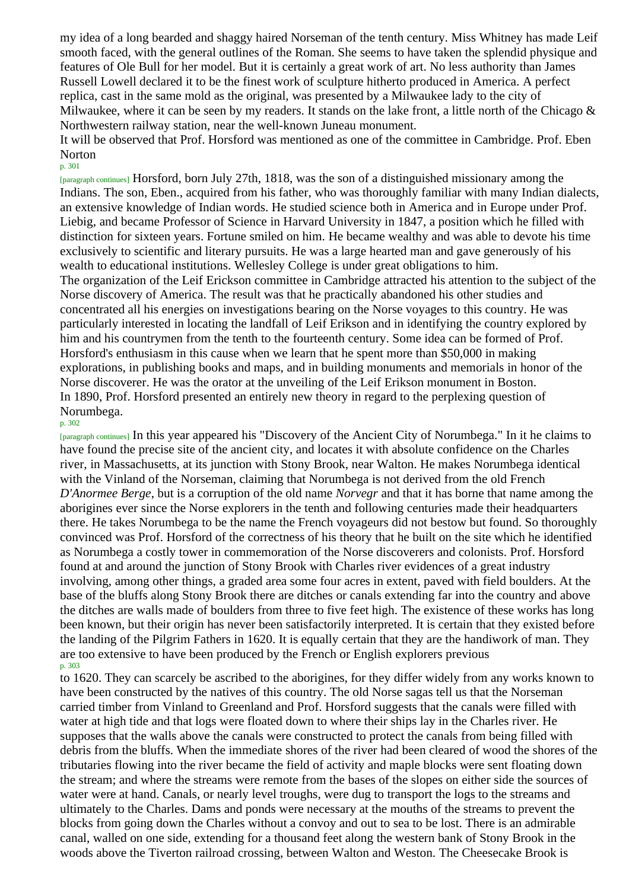my idea of a long bearded and shaggy haired Norseman of the tenth century. Miss Whitney has made Leif smooth faced, with the general outlines of the Roman. She seems to have taken the splendid physique and features of Ole Bull for her model. But it is certainly a great work of art. No less authority than James Russell Lowell declared it to be the finest work of sculpture hitherto produced in America. A perfect replica, cast in the same mold as the original, was presented by a Milwaukee lady to the city of Milwaukee, where it can be seen by my readers. It stands on the lake front, a little north of the Chicago & Northwestern railway station, near the well-known Juneau monument.

It will be observed that Prof. Horsford was mentioned as one of the committee in Cambridge. Prof. Eben Norton p. 301

[paragraph continues] Horsford, born July 27th, 1818, was the son of a distinguished missionary among the Indians. The son, Eben., acquired from his father, who was thoroughly familiar with many Indian dialects, an extensive knowledge of Indian words. He studied science both in America and in Europe under Prof. Liebig, and became Professor of Science in Harvard University in 1847, a position which he filled with distinction for sixteen years. Fortune smiled on him. He became wealthy and was able to devote his time exclusively to scientific and literary pursuits. He was a large hearted man and gave generously of his wealth to educational institutions. Wellesley College is under great obligations to him. The organization of the Leif Erickson committee in Cambridge attracted his attention to the subject of the Norse discovery of America. The result was that he practically abandoned his other studies and concentrated all his energies on investigations bearing on the Norse voyages to this country. He was particularly interested in locating the landfall of Leif Erikson and in identifying the country explored by him and his countrymen from the tenth to the fourteenth century. Some idea can be formed of Prof. Horsford's enthusiasm in this cause when we learn that he spent more than \$50,000 in making explorations, in publishing books and maps, and in building monuments and memorials in honor of the Norse discoverer. He was the orator at the unveiling of the Leif Erikson monument in Boston. In 1890, Prof. Horsford presented an entirely new theory in regard to the perplexing question of Norumbega.

#### p. 302

[paragraph continues] In this year appeared his "Discovery of the Ancient City of Norumbega." In it he claims to have found the precise site of the ancient city, and locates it with absolute confidence on the Charles river, in Massachusetts, at its junction with Stony Brook, near Walton. He makes Norumbega identical with the Vinland of the Norseman, claiming that Norumbega is not derived from the old French *D'Anormee Berge*, but is a corruption of the old name *Norvegr* and that it has borne that name among the aborigines ever since the Norse explorers in the tenth and following centuries made their headquarters there. He takes Norumbega to be the name the French voyageurs did not bestow but found. So thoroughly convinced was Prof. Horsford of the correctness of his theory that he built on the site which he identified as Norumbega a costly tower in commemoration of the Norse discoverers and colonists. Prof. Horsford found at and around the junction of Stony Brook with Charles river evidences of a great industry involving, among other things, a graded area some four acres in extent, paved with field boulders. At the base of the bluffs along Stony Brook there are ditches or canals extending far into the country and above the ditches are walls made of boulders from three to five feet high. The existence of these works has long been known, but their origin has never been satisfactorily interpreted. It is certain that they existed before the landing of the Pilgrim Fathers in 1620. It is equally certain that they are the handiwork of man. They are too extensive to have been produced by the French or English explorers previous p. 303

to 1620. They can scarcely be ascribed to the aborigines, for they differ widely from any works known to have been constructed by the natives of this country. The old Norse sagas tell us that the Norseman carried timber from Vinland to Greenland and Prof. Horsford suggests that the canals were filled with water at high tide and that logs were floated down to where their ships lay in the Charles river. He supposes that the walls above the canals were constructed to protect the canals from being filled with debris from the bluffs. When the immediate shores of the river had been cleared of wood the shores of the tributaries flowing into the river became the field of activity and maple blocks were sent floating down the stream; and where the streams were remote from the bases of the slopes on either side the sources of water were at hand. Canals, or nearly level troughs, were dug to transport the logs to the streams and ultimately to the Charles. Dams and ponds were necessary at the mouths of the streams to prevent the blocks from going down the Charles without a convoy and out to sea to be lost. There is an admirable canal, walled on one side, extending for a thousand feet along the western bank of Stony Brook in the woods above the Tiverton railroad crossing, between Walton and Weston. The Cheesecake Brook is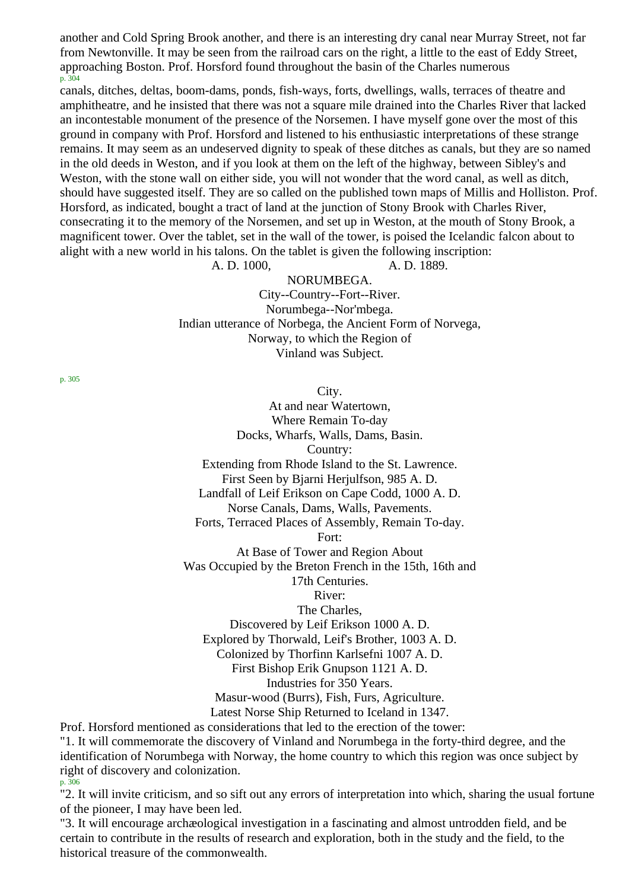another and Cold Spring Brook another, and there is an interesting dry canal near Murray Street, not far from Newtonville. It may be seen from the railroad cars on the right, a little to the east of Eddy Street, approaching Boston. Prof. Horsford found throughout the basin of the Charles numerous p. 304

canals, ditches, deltas, boom-dams, ponds, fish-ways, forts, dwellings, walls, terraces of theatre and amphitheatre, and he insisted that there was not a square mile drained into the Charles River that lacked an incontestable monument of the presence of the Norsemen. I have myself gone over the most of this ground in company with Prof. Horsford and listened to his enthusiastic interpretations of these strange remains. It may seem as an undeserved dignity to speak of these ditches as canals, but they are so named in the old deeds in Weston, and if you look at them on the left of the highway, between Sibley's and Weston, with the stone wall on either side, you will not wonder that the word canal, as well as ditch, should have suggested itself. They are so called on the published town maps of Millis and Holliston. Prof. Horsford, as indicated, bought a tract of land at the junction of Stony Brook with Charles River, consecrating it to the memory of the Norsemen, and set up in Weston, at the mouth of Stony Brook, a magnificent tower. Over the tablet, set in the wall of the tower, is poised the Icelandic falcon about to alight with a new world in his talons. On the tablet is given the following inscription:

A. D. 1000, A. D. 1889.

NORUMBEGA. City--Country--Fort--River. Norumbega--Nor'mbega. Indian utterance of Norbega, the Ancient Form of Norvega, Norway, to which the Region of Vinland was Subject.

p. 305

City.

At and near Watertown, Where Remain To-day Docks, Wharfs, Walls, Dams, Basin. Country: Extending from Rhode Island to the St. Lawrence. First Seen by Bjarni Herjulfson, 985 A. D. Landfall of Leif Erikson on Cape Codd, 1000 A. D. Norse Canals, Dams, Walls, Pavements.

Forts, Terraced Places of Assembly, Remain To-day.

Fort:

At Base of Tower and Region About

Was Occupied by the Breton French in the 15th, 16th and

17th Centuries.

River:

The Charles, Discovered by Leif Erikson 1000 A. D. Explored by Thorwald, Leif's Brother, 1003 A. D. Colonized by Thorfinn Karlsefni 1007 A. D. First Bishop Erik Gnupson 1121 A. D. Industries for 350 Years. Masur-wood (Burrs), Fish, Furs, Agriculture. Latest Norse Ship Returned to Iceland in 1347.

Prof. Horsford mentioned as considerations that led to the erection of the tower:

"1. It will commemorate the discovery of Vinland and Norumbega in the forty-third degree, and the identification of Norumbega with Norway, the home country to which this region was once subject by right of discovery and colonization. p. 306

"2. It will invite criticism, and so sift out any errors of interpretation into which, sharing the usual fortune of the pioneer, I may have been led.

"3. It will encourage archæological investigation in a fascinating and almost untrodden field, and be certain to contribute in the results of research and exploration, both in the study and the field, to the historical treasure of the commonwealth.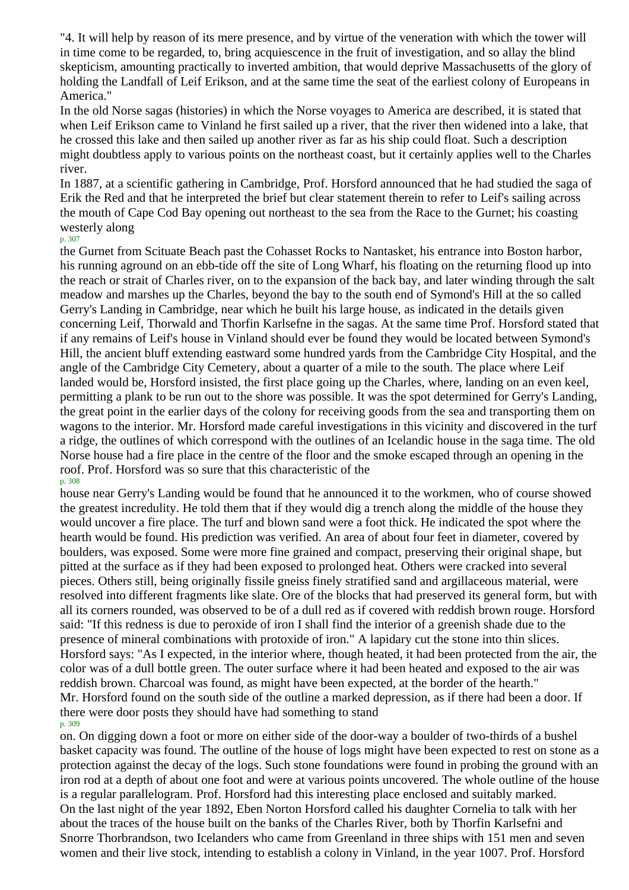"4. It will help by reason of its mere presence, and by virtue of the veneration with which the tower will in time come to be regarded, to, bring acquiescence in the fruit of investigation, and so allay the blind skepticism, amounting practically to inverted ambition, that would deprive Massachusetts of the glory of holding the Landfall of Leif Erikson, and at the same time the seat of the earliest colony of Europeans in America."

In the old Norse sagas (histories) in which the Norse voyages to America are described, it is stated that when Leif Erikson came to Vinland he first sailed up a river, that the river then widened into a lake, that he crossed this lake and then sailed up another river as far as his ship could float. Such a description might doubtless apply to various points on the northeast coast, but it certainly applies well to the Charles river.

In 1887, at a scientific gathering in Cambridge, Prof. Horsford announced that he had studied the saga of Erik the Red and that he interpreted the brief but clear statement therein to refer to Leif's sailing across the mouth of Cape Cod Bay opening out northeast to the sea from the Race to the Gurnet; his coasting westerly along p. 307

the Gurnet from Scituate Beach past the Cohasset Rocks to Nantasket, his entrance into Boston harbor, his running aground on an ebb-tide off the site of Long Wharf, his floating on the returning flood up into the reach or strait of Charles river, on to the expansion of the back bay, and later winding through the salt meadow and marshes up the Charles, beyond the bay to the south end of Symond's Hill at the so called Gerry's Landing in Cambridge, near which he built his large house, as indicated in the details given concerning Leif, Thorwald and Thorfin Karlsefne in the sagas. At the same time Prof. Horsford stated that if any remains of Leif's house in Vinland should ever be found they would be located between Symond's Hill, the ancient bluff extending eastward some hundred yards from the Cambridge City Hospital, and the angle of the Cambridge City Cemetery, about a quarter of a mile to the south. The place where Leif landed would be, Horsford insisted, the first place going up the Charles, where, landing on an even keel, permitting a plank to be run out to the shore was possible. It was the spot determined for Gerry's Landing, the great point in the earlier days of the colony for receiving goods from the sea and transporting them on wagons to the interior. Mr. Horsford made careful investigations in this vicinity and discovered in the turf a ridge, the outlines of which correspond with the outlines of an Icelandic house in the saga time. The old Norse house had a fire place in the centre of the floor and the smoke escaped through an opening in the roof. Prof. Horsford was so sure that this characteristic of the p. 308

house near Gerry's Landing would be found that he announced it to the workmen, who of course showed the greatest incredulity. He told them that if they would dig a trench along the middle of the house they would uncover a fire place. The turf and blown sand were a foot thick. He indicated the spot where the hearth would be found. His prediction was verified. An area of about four feet in diameter, covered by boulders, was exposed. Some were more fine grained and compact, preserving their original shape, but pitted at the surface as if they had been exposed to prolonged heat. Others were cracked into several pieces. Others still, being originally fissile gneiss finely stratified sand and argillaceous material, were resolved into different fragments like slate. Ore of the blocks that had preserved its general form, but with all its corners rounded, was observed to be of a dull red as if covered with reddish brown rouge. Horsford said: "If this redness is due to peroxide of iron I shall find the interior of a greenish shade due to the presence of mineral combinations with protoxide of iron." A lapidary cut the stone into thin slices. Horsford says: "As I expected, in the interior where, though heated, it had been protected from the air, the color was of a dull bottle green. The outer surface where it had been heated and exposed to the air was reddish brown. Charcoal was found, as might have been expected, at the border of the hearth." Mr. Horsford found on the south side of the outline a marked depression, as if there had been a door. If there were door posts they should have had something to stand p. 309

on. On digging down a foot or more on either side of the door-way a boulder of two-thirds of a bushel basket capacity was found. The outline of the house of logs might have been expected to rest on stone as a protection against the decay of the logs. Such stone foundations were found in probing the ground with an iron rod at a depth of about one foot and were at various points uncovered. The whole outline of the house is a regular parallelogram. Prof. Horsford had this interesting place enclosed and suitably marked. On the last night of the year 1892, Eben Norton Horsford called his daughter Cornelia to talk with her about the traces of the house built on the banks of the Charles River, both by Thorfin Karlsefni and Snorre Thorbrandson, two Icelanders who came from Greenland in three ships with 151 men and seven women and their live stock, intending to establish a colony in Vinland, in the year 1007. Prof. Horsford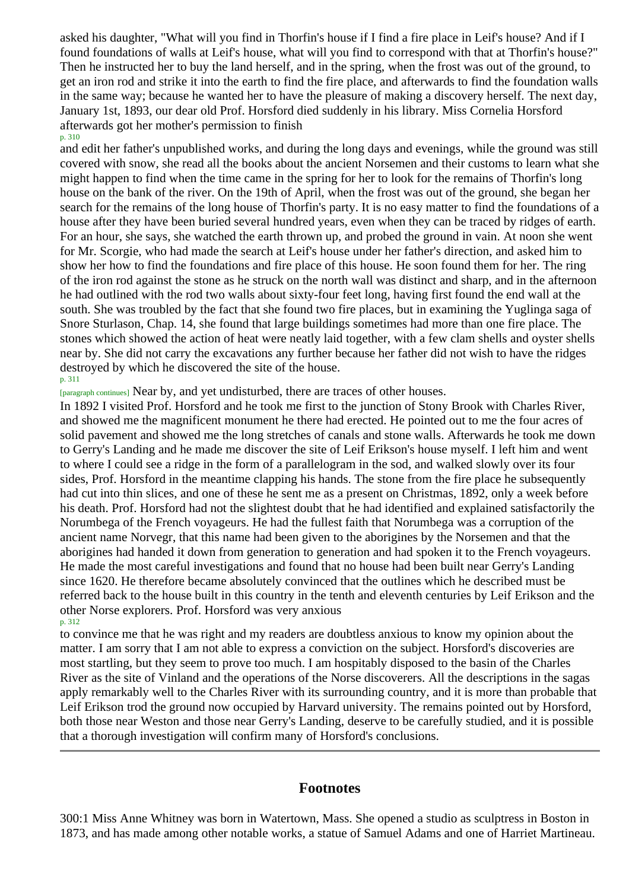asked his daughter, "What will you find in Thorfin's house if I find a fire place in Leif's house? And if I found foundations of walls at Leif's house, what will you find to correspond with that at Thorfin's house?" Then he instructed her to buy the land herself, and in the spring, when the frost was out of the ground, to get an iron rod and strike it into the earth to find the fire place, and afterwards to find the foundation walls in the same way; because he wanted her to have the pleasure of making a discovery herself. The next day, January 1st, 1893, our dear old Prof. Horsford died suddenly in his library. Miss Cornelia Horsford afterwards got her mother's permission to finish p. 310

and edit her father's unpublished works, and during the long days and evenings, while the ground was still covered with snow, she read all the books about the ancient Norsemen and their customs to learn what she might happen to find when the time came in the spring for her to look for the remains of Thorfin's long house on the bank of the river. On the 19th of April, when the frost was out of the ground, she began her search for the remains of the long house of Thorfin's party. It is no easy matter to find the foundations of a house after they have been buried several hundred years, even when they can be traced by ridges of earth. For an hour, she says, she watched the earth thrown up, and probed the ground in vain. At noon she went for Mr. Scorgie, who had made the search at Leif's house under her father's direction, and asked him to show her how to find the foundations and fire place of this house. He soon found them for her. The ring of the iron rod against the stone as he struck on the north wall was distinct and sharp, and in the afternoon he had outlined with the rod two walls about sixty-four feet long, having first found the end wall at the south. She was troubled by the fact that she found two fire places, but in examining the Yuglinga saga of Snore Sturlason, Chap. 14, she found that large buildings sometimes had more than one fire place. The stones which showed the action of heat were neatly laid together, with a few clam shells and oyster shells near by. She did not carry the excavations any further because her father did not wish to have the ridges destroyed by which he discovered the site of the house. p. 311

[paragraph continues] Near by, and yet undisturbed, there are traces of other houses.

In 1892 I visited Prof. Horsford and he took me first to the junction of Stony Brook with Charles River, and showed me the magnificent monument he there had erected. He pointed out to me the four acres of solid pavement and showed me the long stretches of canals and stone walls. Afterwards he took me down to Gerry's Landing and he made me discover the site of Leif Erikson's house myself. I left him and went to where I could see a ridge in the form of a parallelogram in the sod, and walked slowly over its four sides, Prof. Horsford in the meantime clapping his hands. The stone from the fire place he subsequently had cut into thin slices, and one of these he sent me as a present on Christmas, 1892, only a week before his death. Prof. Horsford had not the slightest doubt that he had identified and explained satisfactorily the Norumbega of the French voyageurs. He had the fullest faith that Norumbega was a corruption of the ancient name Norvegr, that this name had been given to the aborigines by the Norsemen and that the aborigines had handed it down from generation to generation and had spoken it to the French voyageurs. He made the most careful investigations and found that no house had been built near Gerry's Landing since 1620. He therefore became absolutely convinced that the outlines which he described must be referred back to the house built in this country in the tenth and eleventh centuries by Leif Erikson and the other Norse explorers. Prof. Horsford was very anxious p. 312

to convince me that he was right and my readers are doubtless anxious to know my opinion about the matter. I am sorry that I am not able to express a conviction on the subject. Horsford's discoveries are most startling, but they seem to prove too much. I am hospitably disposed to the basin of the Charles River as the site of Vinland and the operations of the Norse discoverers. All the descriptions in the sagas apply remarkably well to the Charles River with its surrounding country, and it is more than probable that Leif Erikson trod the ground now occupied by Harvard university. The remains pointed out by Horsford, both those near Weston and those near Gerry's Landing, deserve to be carefully studied, and it is possible that a thorough investigation will confirm many of Horsford's conclusions.

### **Footnotes**

300:1 Miss Anne Whitney was born in Watertown, Mass. She opened a studio as sculptress in Boston in 1873, and has made among other notable works, a statue of Samuel Adams and one of Harriet Martineau.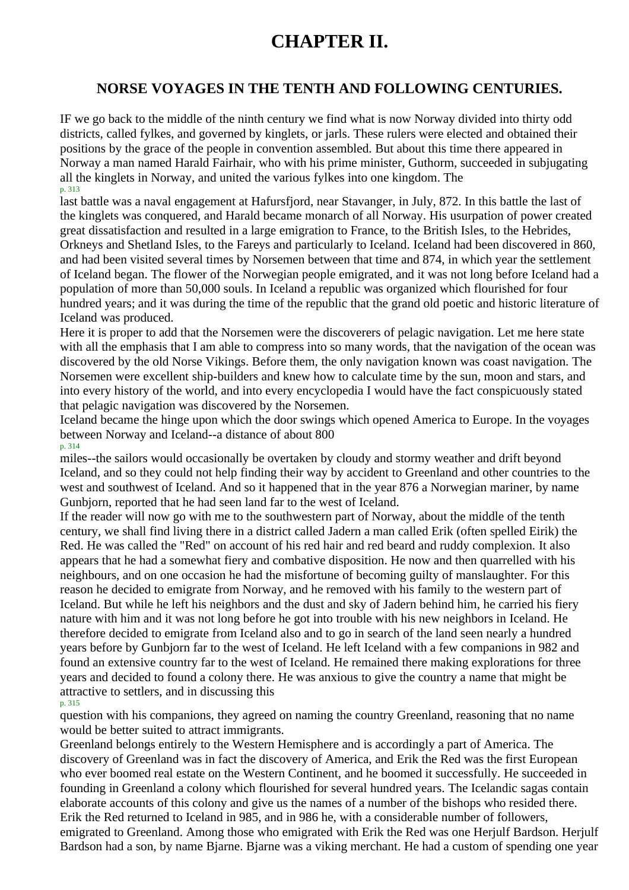# **CHAPTER II.**

# **NORSE VOYAGES IN THE TENTH AND FOLLOWING CENTURIES.**

IF we go back to the middle of the ninth century we find what is now Norway divided into thirty odd districts, called fylkes, and governed by kinglets, or jarls. These rulers were elected and obtained their positions by the grace of the people in convention assembled. But about this time there appeared in Norway a man named Harald Fairhair, who with his prime minister, Guthorm, succeeded in subjugating all the kinglets in Norway, and united the various fylkes into one kingdom. The p. 313

last battle was a naval engagement at Hafursfjord, near Stavanger, in July, 872. In this battle the last of the kinglets was conquered, and Harald became monarch of all Norway. His usurpation of power created great dissatisfaction and resulted in a large emigration to France, to the British Isles, to the Hebrides, Orkneys and Shetland Isles, to the Fareys and particularly to Iceland. Iceland had been discovered in 860, and had been visited several times by Norsemen between that time and 874, in which year the settlement of Iceland began. The flower of the Norwegian people emigrated, and it was not long before Iceland had a population of more than 50,000 souls. In Iceland a republic was organized which flourished for four hundred years; and it was during the time of the republic that the grand old poetic and historic literature of Iceland was produced.

Here it is proper to add that the Norsemen were the discoverers of pelagic navigation. Let me here state with all the emphasis that I am able to compress into so many words, that the navigation of the ocean was discovered by the old Norse Vikings. Before them, the only navigation known was coast navigation. The Norsemen were excellent ship-builders and knew how to calculate time by the sun, moon and stars, and into every history of the world, and into every encyclopedia I would have the fact conspicuously stated that pelagic navigation was discovered by the Norsemen.

Iceland became the hinge upon which the door swings which opened America to Europe. In the voyages between Norway and Iceland--a distance of about 800 p. 314

miles--the sailors would occasionally be overtaken by cloudy and stormy weather and drift beyond Iceland, and so they could not help finding their way by accident to Greenland and other countries to the west and southwest of Iceland. And so it happened that in the year 876 a Norwegian mariner, by name Gunbjorn, reported that he had seen land far to the west of Iceland.

If the reader will now go with me to the southwestern part of Norway, about the middle of the tenth century, we shall find living there in a district called Jadern a man called Erik (often spelled Eirik) the Red. He was called the "Red" on account of his red hair and red beard and ruddy complexion. It also appears that he had a somewhat fiery and combative disposition. He now and then quarrelled with his neighbours, and on one occasion he had the misfortune of becoming guilty of manslaughter. For this reason he decided to emigrate from Norway, and he removed with his family to the western part of Iceland. But while he left his neighbors and the dust and sky of Jadern behind him, he carried his fiery nature with him and it was not long before he got into trouble with his new neighbors in Iceland. He therefore decided to emigrate from Iceland also and to go in search of the land seen nearly a hundred years before by Gunbjorn far to the west of Iceland. He left Iceland with a few companions in 982 and found an extensive country far to the west of Iceland. He remained there making explorations for three years and decided to found a colony there. He was anxious to give the country a name that might be attractive to settlers, and in discussing this p. 315

question with his companions, they agreed on naming the country Greenland, reasoning that no name would be better suited to attract immigrants.

Greenland belongs entirely to the Western Hemisphere and is accordingly a part of America. The discovery of Greenland was in fact the discovery of America, and Erik the Red was the first European who ever boomed real estate on the Western Continent, and he boomed it successfully. He succeeded in founding in Greenland a colony which flourished for several hundred years. The Icelandic sagas contain elaborate accounts of this colony and give us the names of a number of the bishops who resided there. Erik the Red returned to Iceland in 985, and in 986 he, with a considerable number of followers, emigrated to Greenland. Among those who emigrated with Erik the Red was one Herjulf Bardson. Herjulf Bardson had a son, by name Bjarne. Bjarne was a viking merchant. He had a custom of spending one year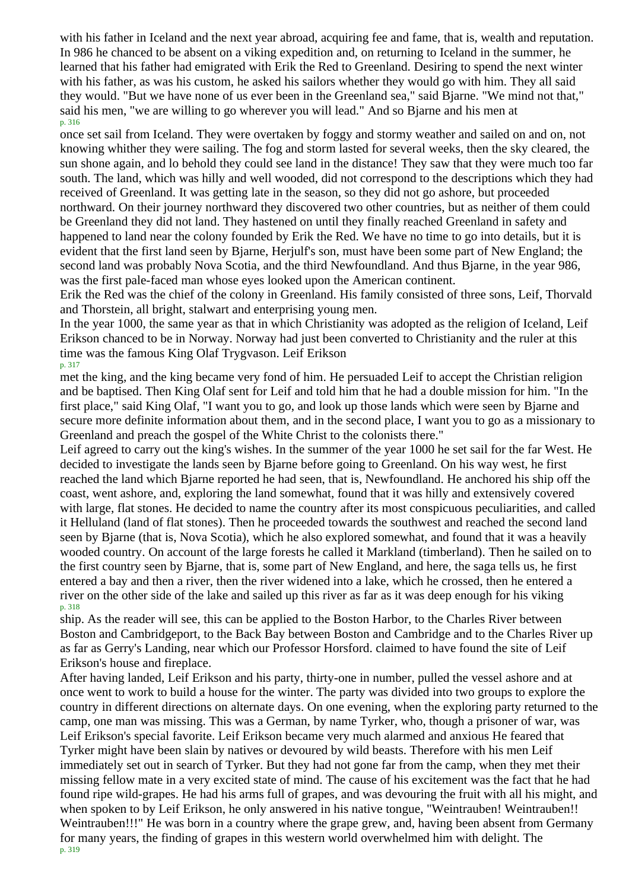with his father in Iceland and the next year abroad, acquiring fee and fame, that is, wealth and reputation. In 986 he chanced to be absent on a viking expedition and, on returning to Iceland in the summer, he learned that his father had emigrated with Erik the Red to Greenland. Desiring to spend the next winter with his father, as was his custom, he asked his sailors whether they would go with him. They all said they would. "But we have none of us ever been in the Greenland sea," said Bjarne. "We mind not that," said his men, "we are willing to go wherever you will lead." And so Bjarne and his men at p. 316

once set sail from Iceland. They were overtaken by foggy and stormy weather and sailed on and on, not knowing whither they were sailing. The fog and storm lasted for several weeks, then the sky cleared, the sun shone again, and lo behold they could see land in the distance! They saw that they were much too far south. The land, which was hilly and well wooded, did not correspond to the descriptions which they had received of Greenland. It was getting late in the season, so they did not go ashore, but proceeded northward. On their journey northward they discovered two other countries, but as neither of them could be Greenland they did not land. They hastened on until they finally reached Greenland in safety and happened to land near the colony founded by Erik the Red. We have no time to go into details, but it is evident that the first land seen by Bjarne, Herjulf's son, must have been some part of New England; the second land was probably Nova Scotia, and the third Newfoundland. And thus Bjarne, in the year 986, was the first pale-faced man whose eyes looked upon the American continent.

Erik the Red was the chief of the colony in Greenland. His family consisted of three sons, Leif, Thorvald and Thorstein, all bright, stalwart and enterprising young men.

In the year 1000, the same year as that in which Christianity was adopted as the religion of Iceland, Leif Erikson chanced to be in Norway. Norway had just been converted to Christianity and the ruler at this time was the famous King Olaf Trygvason. Leif Erikson p. 317

met the king, and the king became very fond of him. He persuaded Leif to accept the Christian religion and be baptised. Then King Olaf sent for Leif and told him that he had a double mission for him. "In the first place," said King Olaf, "I want you to go, and look up those lands which were seen by Bjarne and secure more definite information about them, and in the second place, I want you to go as a missionary to Greenland and preach the gospel of the White Christ to the colonists there."

Leif agreed to carry out the king's wishes. In the summer of the year 1000 he set sail for the far West. He decided to investigate the lands seen by Bjarne before going to Greenland. On his way west, he first reached the land which Bjarne reported he had seen, that is, Newfoundland. He anchored his ship off the coast, went ashore, and, exploring the land somewhat, found that it was hilly and extensively covered with large, flat stones. He decided to name the country after its most conspicuous peculiarities, and called it Helluland (land of flat stones). Then he proceeded towards the southwest and reached the second land seen by Bjarne (that is, Nova Scotia), which he also explored somewhat, and found that it was a heavily wooded country. On account of the large forests he called it Markland (timberland). Then he sailed on to the first country seen by Bjarne, that is, some part of New England, and here, the saga tells us, he first entered a bay and then a river, then the river widened into a lake, which he crossed, then he entered a river on the other side of the lake and sailed up this river as far as it was deep enough for his viking p. 318

ship. As the reader will see, this can be applied to the Boston Harbor, to the Charles River between Boston and Cambridgeport, to the Back Bay between Boston and Cambridge and to the Charles River up as far as Gerry's Landing, near which our Professor Horsford. claimed to have found the site of Leif Erikson's house and fireplace.

After having landed, Leif Erikson and his party, thirty-one in number, pulled the vessel ashore and at once went to work to build a house for the winter. The party was divided into two groups to explore the country in different directions on alternate days. On one evening, when the exploring party returned to the camp, one man was missing. This was a German, by name Tyrker, who, though a prisoner of war, was Leif Erikson's special favorite. Leif Erikson became very much alarmed and anxious He feared that Tyrker might have been slain by natives or devoured by wild beasts. Therefore with his men Leif immediately set out in search of Tyrker. But they had not gone far from the camp, when they met their missing fellow mate in a very excited state of mind. The cause of his excitement was the fact that he had found ripe wild-grapes. He had his arms full of grapes, and was devouring the fruit with all his might, and when spoken to by Leif Erikson, he only answered in his native tongue, "Weintrauben! Weintrauben!! Weintrauben!!!" He was born in a country where the grape grew, and, having been absent from Germany for many years, the finding of grapes in this western world overwhelmed him with delight. The p. 319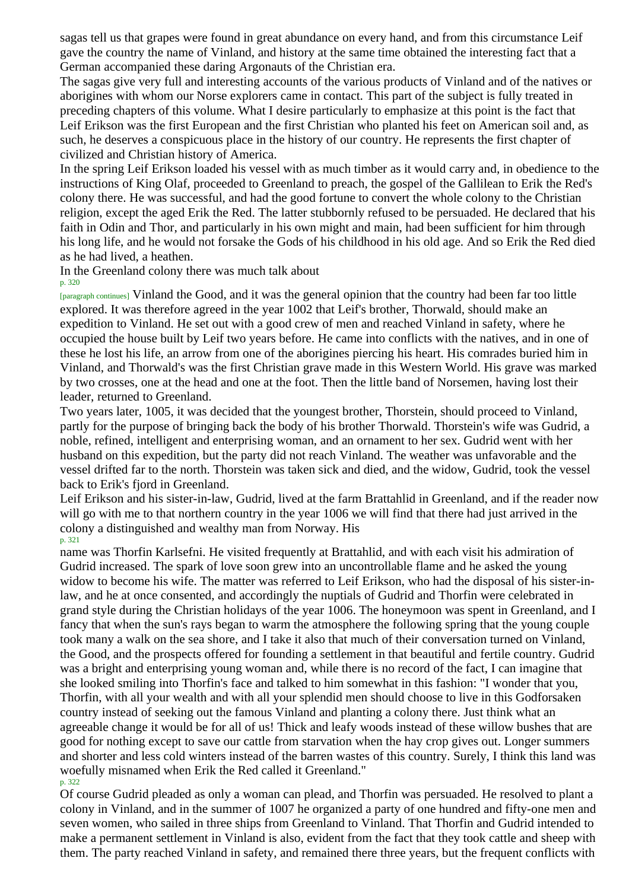sagas tell us that grapes were found in great abundance on every hand, and from this circumstance Leif gave the country the name of Vinland, and history at the same time obtained the interesting fact that a German accompanied these daring Argonauts of the Christian era.

The sagas give very full and interesting accounts of the various products of Vinland and of the natives or aborigines with whom our Norse explorers came in contact. This part of the subject is fully treated in preceding chapters of this volume. What I desire particularly to emphasize at this point is the fact that Leif Erikson was the first European and the first Christian who planted his feet on American soil and, as such, he deserves a conspicuous place in the history of our country. He represents the first chapter of civilized and Christian history of America.

In the spring Leif Erikson loaded his vessel with as much timber as it would carry and, in obedience to the instructions of King Olaf, proceeded to Greenland to preach, the gospel of the Gallilean to Erik the Red's colony there. He was successful, and had the good fortune to convert the whole colony to the Christian religion, except the aged Erik the Red. The latter stubbornly refused to be persuaded. He declared that his faith in Odin and Thor, and particularly in his own might and main, had been sufficient for him through his long life, and he would not forsake the Gods of his childhood in his old age. And so Erik the Red died as he had lived, a heathen.

In the Greenland colony there was much talk about p. 320

[paragraph continues] Vinland the Good, and it was the general opinion that the country had been far too little explored. It was therefore agreed in the year 1002 that Leif's brother, Thorwald, should make an expedition to Vinland. He set out with a good crew of men and reached Vinland in safety, where he occupied the house built by Leif two years before. He came into conflicts with the natives, and in one of these he lost his life, an arrow from one of the aborigines piercing his heart. His comrades buried him in Vinland, and Thorwald's was the first Christian grave made in this Western World. His grave was marked by two crosses, one at the head and one at the foot. Then the little band of Norsemen, having lost their leader, returned to Greenland.

Two years later, 1005, it was decided that the youngest brother, Thorstein, should proceed to Vinland, partly for the purpose of bringing back the body of his brother Thorwald. Thorstein's wife was Gudrid, a noble, refined, intelligent and enterprising woman, and an ornament to her sex. Gudrid went with her husband on this expedition, but the party did not reach Vinland. The weather was unfavorable and the vessel drifted far to the north. Thorstein was taken sick and died, and the widow, Gudrid, took the vessel back to Erik's fiord in Greenland.

Leif Erikson and his sister-in-law, Gudrid, lived at the farm Brattahlid in Greenland, and if the reader now will go with me to that northern country in the year 1006 we will find that there had just arrived in the colony a distinguished and wealthy man from Norway. His p. 321

name was Thorfin Karlsefni. He visited frequently at Brattahlid, and with each visit his admiration of Gudrid increased. The spark of love soon grew into an uncontrollable flame and he asked the young widow to become his wife. The matter was referred to Leif Erikson, who had the disposal of his sister-inlaw, and he at once consented, and accordingly the nuptials of Gudrid and Thorfin were celebrated in grand style during the Christian holidays of the year 1006. The honeymoon was spent in Greenland, and I fancy that when the sun's rays began to warm the atmosphere the following spring that the young couple took many a walk on the sea shore, and I take it also that much of their conversation turned on Vinland, the Good, and the prospects offered for founding a settlement in that beautiful and fertile country. Gudrid was a bright and enterprising young woman and, while there is no record of the fact, I can imagine that she looked smiling into Thorfin's face and talked to him somewhat in this fashion: "I wonder that you, Thorfin, with all your wealth and with all your splendid men should choose to live in this Godforsaken country instead of seeking out the famous Vinland and planting a colony there. Just think what an agreeable change it would be for all of us! Thick and leafy woods instead of these willow bushes that are good for nothing except to save our cattle from starvation when the hay crop gives out. Longer summers and shorter and less cold winters instead of the barren wastes of this country. Surely, I think this land was woefully misnamed when Erik the Red called it Greenland." p. 322

Of course Gudrid pleaded as only a woman can plead, and Thorfin was persuaded. He resolved to plant a colony in Vinland, and in the summer of 1007 he organized a party of one hundred and fifty-one men and seven women, who sailed in three ships from Greenland to Vinland. That Thorfin and Gudrid intended to make a permanent settlement in Vinland is also, evident from the fact that they took cattle and sheep with them. The party reached Vinland in safety, and remained there three years, but the frequent conflicts with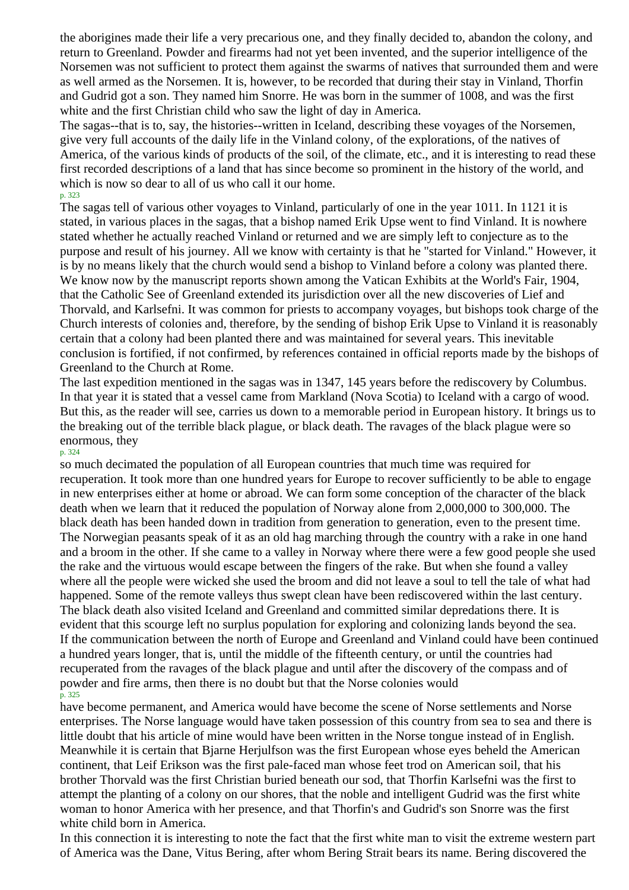the aborigines made their life a very precarious one, and they finally decided to, abandon the colony, and return to Greenland. Powder and firearms had not yet been invented, and the superior intelligence of the Norsemen was not sufficient to protect them against the swarms of natives that surrounded them and were as well armed as the Norsemen. It is, however, to be recorded that during their stay in Vinland, Thorfin and Gudrid got a son. They named him Snorre. He was born in the summer of 1008, and was the first white and the first Christian child who saw the light of day in America.

The sagas--that is to, say, the histories--written in Iceland, describing these voyages of the Norsemen, give very full accounts of the daily life in the Vinland colony, of the explorations, of the natives of America, of the various kinds of products of the soil, of the climate, etc., and it is interesting to read these first recorded descriptions of a land that has since become so prominent in the history of the world, and which is now so dear to all of us who call it our home. p. 323

The sagas tell of various other voyages to Vinland, particularly of one in the year 1011. In 1121 it is stated, in various places in the sagas, that a bishop named Erik Upse went to find Vinland. It is nowhere stated whether he actually reached Vinland or returned and we are simply left to conjecture as to the purpose and result of his journey. All we know with certainty is that he "started for Vinland." However, it is by no means likely that the church would send a bishop to Vinland before a colony was planted there. We know now by the manuscript reports shown among the Vatican Exhibits at the World's Fair, 1904, that the Catholic See of Greenland extended its jurisdiction over all the new discoveries of Lief and Thorvald, and Karlsefni. It was common for priests to accompany voyages, but bishops took charge of the Church interests of colonies and, therefore, by the sending of bishop Erik Upse to Vinland it is reasonably certain that a colony had been planted there and was maintained for several years. This inevitable conclusion is fortified, if not confirmed, by references contained in official reports made by the bishops of Greenland to the Church at Rome.

The last expedition mentioned in the sagas was in 1347, 145 years before the rediscovery by Columbus. In that year it is stated that a vessel came from Markland (Nova Scotia) to Iceland with a cargo of wood. But this, as the reader will see, carries us down to a memorable period in European history. It brings us to the breaking out of the terrible black plague, or black death. The ravages of the black plague were so enormous, they

#### p. 324

so much decimated the population of all European countries that much time was required for recuperation. It took more than one hundred years for Europe to recover sufficiently to be able to engage in new enterprises either at home or abroad. We can form some conception of the character of the black death when we learn that it reduced the population of Norway alone from 2,000,000 to 300,000. The black death has been handed down in tradition from generation to generation, even to the present time. The Norwegian peasants speak of it as an old hag marching through the country with a rake in one hand and a broom in the other. If she came to a valley in Norway where there were a few good people she used the rake and the virtuous would escape between the fingers of the rake. But when she found a valley where all the people were wicked she used the broom and did not leave a soul to tell the tale of what had happened. Some of the remote valleys thus swept clean have been rediscovered within the last century. The black death also visited Iceland and Greenland and committed similar depredations there. It is evident that this scourge left no surplus population for exploring and colonizing lands beyond the sea. If the communication between the north of Europe and Greenland and Vinland could have been continued a hundred years longer, that is, until the middle of the fifteenth century, or until the countries had recuperated from the ravages of the black plague and until after the discovery of the compass and of powder and fire arms, then there is no doubt but that the Norse colonies would p. 325

have become permanent, and America would have become the scene of Norse settlements and Norse enterprises. The Norse language would have taken possession of this country from sea to sea and there is little doubt that his article of mine would have been written in the Norse tongue instead of in English. Meanwhile it is certain that Bjarne Herjulfson was the first European whose eyes beheld the American continent, that Leif Erikson was the first pale-faced man whose feet trod on American soil, that his brother Thorvald was the first Christian buried beneath our sod, that Thorfin Karlsefni was the first to attempt the planting of a colony on our shores, that the noble and intelligent Gudrid was the first white woman to honor America with her presence, and that Thorfin's and Gudrid's son Snorre was the first white child born in America.

In this connection it is interesting to note the fact that the first white man to visit the extreme western part of America was the Dane, Vitus Bering, after whom Bering Strait bears its name. Bering discovered the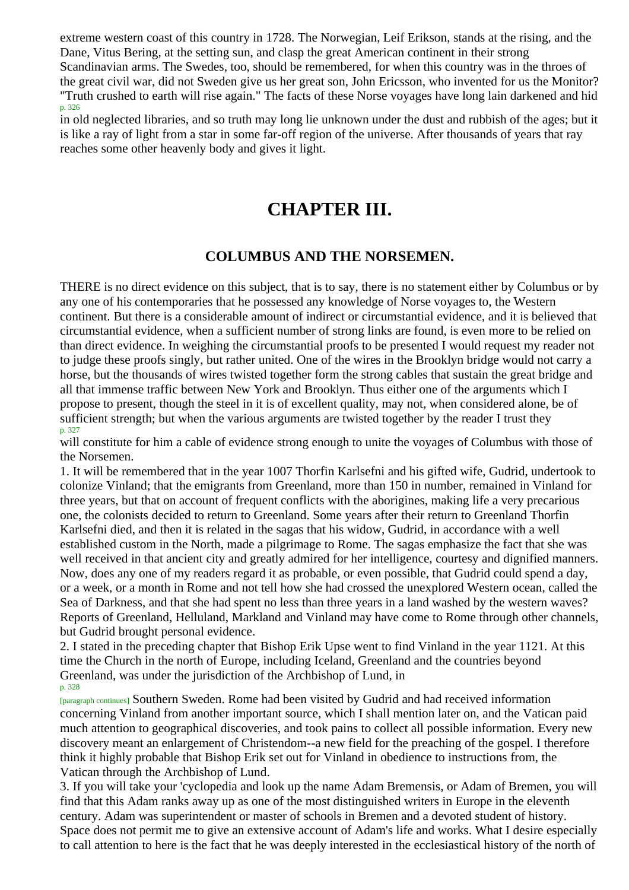extreme western coast of this country in 1728. The Norwegian, Leif Erikson, stands at the rising, and the Dane, Vitus Bering, at the setting sun, and clasp the great American continent in their strong Scandinavian arms. The Swedes, too, should be remembered, for when this country was in the throes of the great civil war, did not Sweden give us her great son, John Ericsson, who invented for us the Monitor? "Truth crushed to earth will rise again." The facts of these Norse voyages have long lain darkened and hid p. 326

in old neglected libraries, and so truth may long lie unknown under the dust and rubbish of the ages; but it is like a ray of light from a star in some far-off region of the universe. After thousands of years that ray reaches some other heavenly body and gives it light.

# **CHAPTER III.**

## **COLUMBUS AND THE NORSEMEN.**

THERE is no direct evidence on this subject, that is to say, there is no statement either by Columbus or by any one of his contemporaries that he possessed any knowledge of Norse voyages to, the Western continent. But there is a considerable amount of indirect or circumstantial evidence, and it is believed that circumstantial evidence, when a sufficient number of strong links are found, is even more to be relied on than direct evidence. In weighing the circumstantial proofs to be presented I would request my reader not to judge these proofs singly, but rather united. One of the wires in the Brooklyn bridge would not carry a horse, but the thousands of wires twisted together form the strong cables that sustain the great bridge and all that immense traffic between New York and Brooklyn. Thus either one of the arguments which I propose to present, though the steel in it is of excellent quality, may not, when considered alone, be of sufficient strength; but when the various arguments are twisted together by the reader I trust they p. 327

will constitute for him a cable of evidence strong enough to unite the voyages of Columbus with those of the Norsemen.

1. It will be remembered that in the year 1007 Thorfin Karlsefni and his gifted wife, Gudrid, undertook to colonize Vinland; that the emigrants from Greenland, more than 150 in number, remained in Vinland for three years, but that on account of frequent conflicts with the aborigines, making life a very precarious one, the colonists decided to return to Greenland. Some years after their return to Greenland Thorfin Karlsefni died, and then it is related in the sagas that his widow, Gudrid, in accordance with a well established custom in the North, made a pilgrimage to Rome. The sagas emphasize the fact that she was well received in that ancient city and greatly admired for her intelligence, courtesy and dignified manners. Now, does any one of my readers regard it as probable, or even possible, that Gudrid could spend a day, or a week, or a month in Rome and not tell how she had crossed the unexplored Western ocean, called the Sea of Darkness, and that she had spent no less than three years in a land washed by the western waves? Reports of Greenland, Helluland, Markland and Vinland may have come to Rome through other channels, but Gudrid brought personal evidence.

2. I stated in the preceding chapter that Bishop Erik Upse went to find Vinland in the year 1121. At this time the Church in the north of Europe, including Iceland, Greenland and the countries beyond Greenland, was under the jurisdiction of the Archbishop of Lund, in p. 328

[paragraph continues] Southern Sweden. Rome had been visited by Gudrid and had received information concerning Vinland from another important source, which I shall mention later on, and the Vatican paid much attention to geographical discoveries, and took pains to collect all possible information. Every new discovery meant an enlargement of Christendom--a new field for the preaching of the gospel. I therefore think it highly probable that Bishop Erik set out for Vinland in obedience to instructions from, the Vatican through the Archbishop of Lund.

3. If you will take your 'cyclopedia and look up the name Adam Bremensis, or Adam of Bremen, you will find that this Adam ranks away up as one of the most distinguished writers in Europe in the eleventh century. Adam was superintendent or master of schools in Bremen and a devoted student of history. Space does not permit me to give an extensive account of Adam's life and works. What I desire especially to call attention to here is the fact that he was deeply interested in the ecclesiastical history of the north of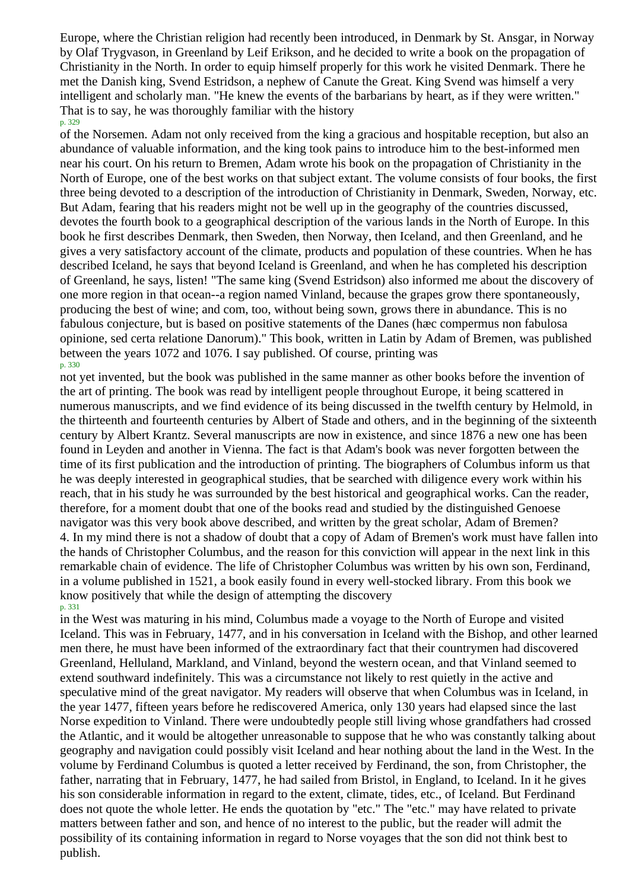Europe, where the Christian religion had recently been introduced, in Denmark by St. Ansgar, in Norway by Olaf Trygvason, in Greenland by Leif Erikson, and he decided to write a book on the propagation of Christianity in the North. In order to equip himself properly for this work he visited Denmark. There he met the Danish king, Svend Estridson, a nephew of Canute the Great. King Svend was himself a very intelligent and scholarly man. "He knew the events of the barbarians by heart, as if they were written." That is to say, he was thoroughly familiar with the history p. 329

of the Norsemen. Adam not only received from the king a gracious and hospitable reception, but also an abundance of valuable information, and the king took pains to introduce him to the best-informed men near his court. On his return to Bremen, Adam wrote his book on the propagation of Christianity in the North of Europe, one of the best works on that subject extant. The volume consists of four books, the first three being devoted to a description of the introduction of Christianity in Denmark, Sweden, Norway, etc. But Adam, fearing that his readers might not be well up in the geography of the countries discussed, devotes the fourth book to a geographical description of the various lands in the North of Europe. In this book he first describes Denmark, then Sweden, then Norway, then Iceland, and then Greenland, and he gives a very satisfactory account of the climate, products and population of these countries. When he has described Iceland, he says that beyond Iceland is Greenland, and when he has completed his description of Greenland, he says, listen! "The same king (Svend Estridson) also informed me about the discovery of one more region in that ocean--a region named Vinland, because the grapes grow there spontaneously, producing the best of wine; and com, too, without being sown, grows there in abundance. This is no fabulous conjecture, but is based on positive statements of the Danes (hæc compermus non fabulosa opinione, sed certa relatione Danorum)." This book, written in Latin by Adam of Bremen, was published between the years 1072 and 1076. I say published. Of course, printing was p. 330

not yet invented, but the book was published in the same manner as other books before the invention of the art of printing. The book was read by intelligent people throughout Europe, it being scattered in numerous manuscripts, and we find evidence of its being discussed in the twelfth century by Helmold, in the thirteenth and fourteenth centuries by Albert of Stade and others, and in the beginning of the sixteenth century by Albert Krantz. Several manuscripts are now in existence, and since 1876 a new one has been found in Leyden and another in Vienna. The fact is that Adam's book was never forgotten between the time of its first publication and the introduction of printing. The biographers of Columbus inform us that he was deeply interested in geographical studies, that be searched with diligence every work within his reach, that in his study he was surrounded by the best historical and geographical works. Can the reader, therefore, for a moment doubt that one of the books read and studied by the distinguished Genoese navigator was this very book above described, and written by the great scholar, Adam of Bremen? 4. In my mind there is not a shadow of doubt that a copy of Adam of Bremen's work must have fallen into the hands of Christopher Columbus, and the reason for this conviction will appear in the next link in this remarkable chain of evidence. The life of Christopher Columbus was written by his own son, Ferdinand, in a volume published in 1521, a book easily found in every well-stocked library. From this book we know positively that while the design of attempting the discovery p. 331

in the West was maturing in his mind, Columbus made a voyage to the North of Europe and visited Iceland. This was in February, 1477, and in his conversation in Iceland with the Bishop, and other learned men there, he must have been informed of the extraordinary fact that their countrymen had discovered Greenland, Helluland, Markland, and Vinland, beyond the western ocean, and that Vinland seemed to extend southward indefinitely. This was a circumstance not likely to rest quietly in the active and speculative mind of the great navigator. My readers will observe that when Columbus was in Iceland, in the year 1477, fifteen years before he rediscovered America, only 130 years had elapsed since the last Norse expedition to Vinland. There were undoubtedly people still living whose grandfathers had crossed the Atlantic, and it would be altogether unreasonable to suppose that he who was constantly talking about geography and navigation could possibly visit Iceland and hear nothing about the land in the West. In the volume by Ferdinand Columbus is quoted a letter received by Ferdinand, the son, from Christopher, the father, narrating that in February, 1477, he had sailed from Bristol, in England, to Iceland. In it he gives his son considerable information in regard to the extent, climate, tides, etc., of Iceland. But Ferdinand does not quote the whole letter. He ends the quotation by "etc." The "etc." may have related to private matters between father and son, and hence of no interest to the public, but the reader will admit the possibility of its containing information in regard to Norse voyages that the son did not think best to publish.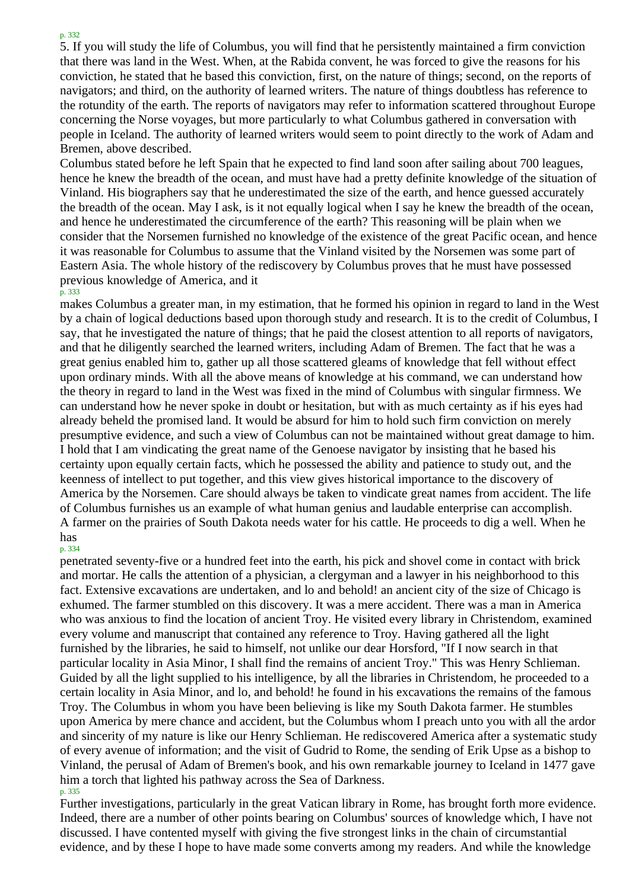5. If you will study the life of Columbus, you will find that he persistently maintained a firm conviction that there was land in the West. When, at the Rabida convent, he was forced to give the reasons for his conviction, he stated that he based this conviction, first, on the nature of things; second, on the reports of navigators; and third, on the authority of learned writers. The nature of things doubtless has reference to the rotundity of the earth. The reports of navigators may refer to information scattered throughout Europe concerning the Norse voyages, but more particularly to what Columbus gathered in conversation with people in Iceland. The authority of learned writers would seem to point directly to the work of Adam and Bremen, above described.

Columbus stated before he left Spain that he expected to find land soon after sailing about 700 leagues, hence he knew the breadth of the ocean, and must have had a pretty definite knowledge of the situation of Vinland. His biographers say that he underestimated the size of the earth, and hence guessed accurately the breadth of the ocean. May I ask, is it not equally logical when I say he knew the breadth of the ocean, and hence he underestimated the circumference of the earth? This reasoning will be plain when we consider that the Norsemen furnished no knowledge of the existence of the great Pacific ocean, and hence it was reasonable for Columbus to assume that the Vinland visited by the Norsemen was some part of Eastern Asia. The whole history of the rediscovery by Columbus proves that he must have possessed previous knowledge of America, and it p. 333

### makes Columbus a greater man, in my estimation, that he formed his opinion in regard to land in the West by a chain of logical deductions based upon thorough study and research. It is to the credit of Columbus, I say, that he investigated the nature of things; that he paid the closest attention to all reports of navigators, and that he diligently searched the learned writers, including Adam of Bremen. The fact that he was a great genius enabled him to, gather up all those scattered gleams of knowledge that fell without effect upon ordinary minds. With all the above means of knowledge at his command, we can understand how the theory in regard to land in the West was fixed in the mind of Columbus with singular firmness. We can understand how he never spoke in doubt or hesitation, but with as much certainty as if his eyes had already beheld the promised land. It would be absurd for him to hold such firm conviction on merely presumptive evidence, and such a view of Columbus can not be maintained without great damage to him. I hold that I am vindicating the great name of the Genoese navigator by insisting that he based his certainty upon equally certain facts, which he possessed the ability and patience to study out, and the keenness of intellect to put together, and this view gives historical importance to the discovery of America by the Norsemen. Care should always be taken to vindicate great names from accident. The life of Columbus furnishes us an example of what human genius and laudable enterprise can accomplish. A farmer on the prairies of South Dakota needs water for his cattle. He proceeds to dig a well. When he has

penetrated seventy-five or a hundred feet into the earth, his pick and shovel come in contact with brick and mortar. He calls the attention of a physician, a clergyman and a lawyer in his neighborhood to this fact. Extensive excavations are undertaken, and lo and behold! an ancient city of the size of Chicago is exhumed. The farmer stumbled on this discovery. It was a mere accident. There was a man in America who was anxious to find the location of ancient Troy. He visited every library in Christendom, examined every volume and manuscript that contained any reference to Troy. Having gathered all the light furnished by the libraries, he said to himself, not unlike our dear Horsford, "If I now search in that particular locality in Asia Minor, I shall find the remains of ancient Troy." This was Henry Schlieman. Guided by all the light supplied to his intelligence, by all the libraries in Christendom, he proceeded to a certain locality in Asia Minor, and lo, and behold! he found in his excavations the remains of the famous Troy. The Columbus in whom you have been believing is like my South Dakota farmer. He stumbles upon America by mere chance and accident, but the Columbus whom I preach unto you with all the ardor and sincerity of my nature is like our Henry Schlieman. He rediscovered America after a systematic study of every avenue of information; and the visit of Gudrid to Rome, the sending of Erik Upse as a bishop to Vinland, the perusal of Adam of Bremen's book, and his own remarkable journey to Iceland in 1477 gave him a torch that lighted his pathway across the Sea of Darkness. p. 335

Further investigations, particularly in the great Vatican library in Rome, has brought forth more evidence. Indeed, there are a number of other points bearing on Columbus' sources of knowledge which, I have not discussed. I have contented myself with giving the five strongest links in the chain of circumstantial evidence, and by these I hope to have made some converts among my readers. And while the knowledge

#### p. 332

p. 334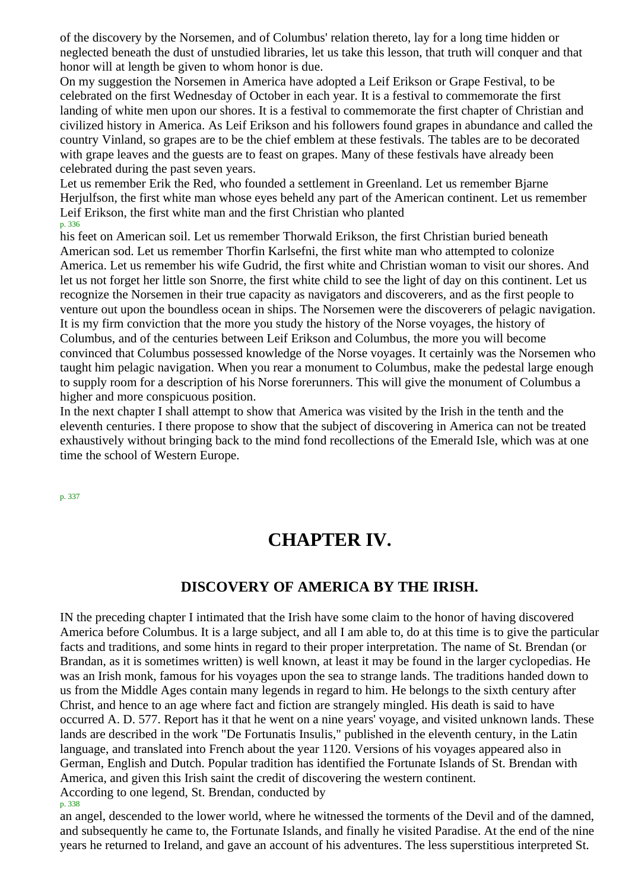of the discovery by the Norsemen, and of Columbus' relation thereto, lay for a long time hidden or neglected beneath the dust of unstudied libraries, let us take this lesson, that truth will conquer and that honor will at length be given to whom honor is due.

On my suggestion the Norsemen in America have adopted a Leif Erikson or Grape Festival, to be celebrated on the first Wednesday of October in each year. It is a festival to commemorate the first landing of white men upon our shores. It is a festival to commemorate the first chapter of Christian and civilized history in America. As Leif Erikson and his followers found grapes in abundance and called the country Vinland, so grapes are to be the chief emblem at these festivals. The tables are to be decorated with grape leaves and the guests are to feast on grapes. Many of these festivals have already been celebrated during the past seven years.

Let us remember Erik the Red, who founded a settlement in Greenland. Let us remember Bjarne Herjulfson, the first white man whose eyes beheld any part of the American continent. Let us remember Leif Erikson, the first white man and the first Christian who planted p. 336

his feet on American soil. Let us remember Thorwald Erikson, the first Christian buried beneath American sod. Let us remember Thorfin Karlsefni, the first white man who attempted to colonize America. Let us remember his wife Gudrid, the first white and Christian woman to visit our shores. And let us not forget her little son Snorre, the first white child to see the light of day on this continent. Let us recognize the Norsemen in their true capacity as navigators and discoverers, and as the first people to venture out upon the boundless ocean in ships. The Norsemen were the discoverers of pelagic navigation. It is my firm conviction that the more you study the history of the Norse voyages, the history of Columbus, and of the centuries between Leif Erikson and Columbus, the more you will become convinced that Columbus possessed knowledge of the Norse voyages. It certainly was the Norsemen who taught him pelagic navigation. When you rear a monument to Columbus, make the pedestal large enough to supply room for a description of his Norse forerunners. This will give the monument of Columbus a higher and more conspicuous position.

In the next chapter I shall attempt to show that America was visited by the Irish in the tenth and the eleventh centuries. I there propose to show that the subject of discovering in America can not be treated exhaustively without bringing back to the mind fond recollections of the Emerald Isle, which was at one time the school of Western Europe.

p. 337

# **CHAPTER IV.**

# **DISCOVERY OF AMERICA BY THE IRISH.**

IN the preceding chapter I intimated that the Irish have some claim to the honor of having discovered America before Columbus. It is a large subject, and all I am able to, do at this time is to give the particular facts and traditions, and some hints in regard to their proper interpretation. The name of St. Brendan (or Brandan, as it is sometimes written) is well known, at least it may be found in the larger cyclopedias. He was an Irish monk, famous for his voyages upon the sea to strange lands. The traditions handed down to us from the Middle Ages contain many legends in regard to him. He belongs to the sixth century after Christ, and hence to an age where fact and fiction are strangely mingled. His death is said to have occurred A. D. 577. Report has it that he went on a nine years' voyage, and visited unknown lands. These lands are described in the work "De Fortunatis Insulis," published in the eleventh century, in the Latin language, and translated into French about the year 1120. Versions of his voyages appeared also in German, English and Dutch. Popular tradition has identified the Fortunate Islands of St. Brendan with America, and given this Irish saint the credit of discovering the western continent. According to one legend, St. Brendan, conducted by

p. 338

an angel, descended to the lower world, where he witnessed the torments of the Devil and of the damned, and subsequently he came to, the Fortunate Islands, and finally he visited Paradise. At the end of the nine years he returned to Ireland, and gave an account of his adventures. The less superstitious interpreted St.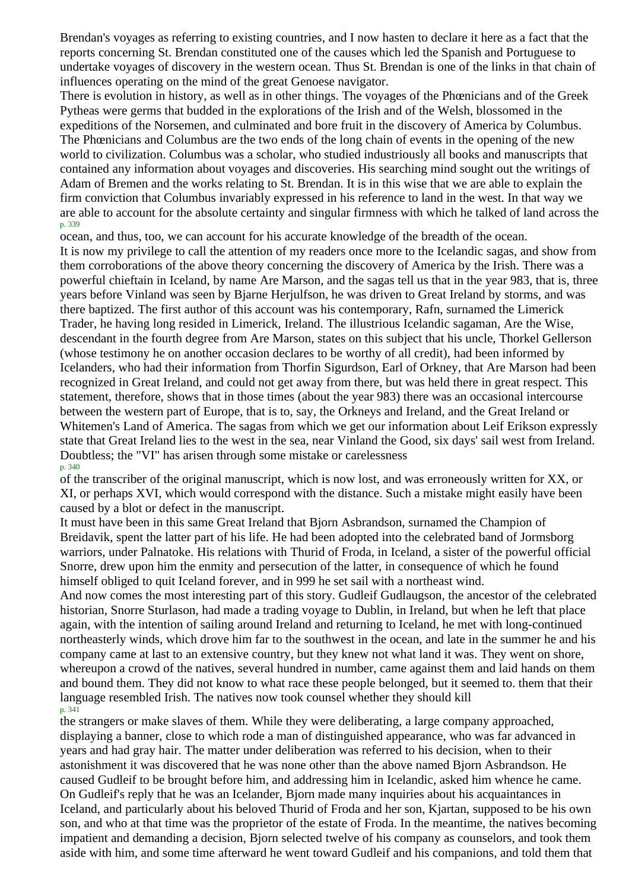Brendan's voyages as referring to existing countries, and I now hasten to declare it here as a fact that the reports concerning St. Brendan constituted one of the causes which led the Spanish and Portuguese to undertake voyages of discovery in the western ocean. Thus St. Brendan is one of the links in that chain of influences operating on the mind of the great Genoese navigator.

There is evolution in history, as well as in other things. The voyages of the Phœnicians and of the Greek Pytheas were germs that budded in the explorations of the Irish and of the Welsh, blossomed in the expeditions of the Norsemen, and culminated and bore fruit in the discovery of America by Columbus. The Phœnicians and Columbus are the two ends of the long chain of events in the opening of the new world to civilization. Columbus was a scholar, who studied industriously all books and manuscripts that contained any information about voyages and discoveries. His searching mind sought out the writings of Adam of Bremen and the works relating to St. Brendan. It is in this wise that we are able to explain the firm conviction that Columbus invariably expressed in his reference to land in the west. In that way we are able to account for the absolute certainty and singular firmness with which he talked of land across the p. 339

ocean, and thus, too, we can account for his accurate knowledge of the breadth of the ocean. It is now my privilege to call the attention of my readers once more to the Icelandic sagas, and show from them corroborations of the above theory concerning the discovery of America by the Irish. There was a powerful chieftain in Iceland, by name Are Marson, and the sagas tell us that in the year 983, that is, three years before Vinland was seen by Bjarne Herjulfson, he was driven to Great Ireland by storms, and was there baptized. The first author of this account was his contemporary, Rafn, surnamed the Limerick Trader, he having long resided in Limerick, Ireland. The illustrious Icelandic sagaman, Are the Wise, descendant in the fourth degree from Are Marson, states on this subject that his uncle, Thorkel Gellerson (whose testimony he on another occasion declares to be worthy of all credit), had been informed by Icelanders, who had their information from Thorfin Sigurdson, Earl of Orkney, that Are Marson had been recognized in Great Ireland, and could not get away from there, but was held there in great respect. This statement, therefore, shows that in those times (about the year 983) there was an occasional intercourse between the western part of Europe, that is to, say, the Orkneys and Ireland, and the Great Ireland or Whitemen's Land of America. The sagas from which we get our information about Leif Erikson expressly state that Great Ireland lies to the west in the sea, near Vinland the Good, six days' sail west from Ireland. Doubtless; the "VI" has arisen through some mistake or carelessness p. 340

of the transcriber of the original manuscript, which is now lost, and was erroneously written for XX, or XI, or perhaps XVI, which would correspond with the distance. Such a mistake might easily have been caused by a blot or defect in the manuscript.

It must have been in this same Great Ireland that Bjorn Asbrandson, surnamed the Champion of Breidavik, spent the latter part of his life. He had been adopted into the celebrated band of Jormsborg warriors, under Palnatoke. His relations with Thurid of Froda, in Iceland, a sister of the powerful official Snorre, drew upon him the enmity and persecution of the latter, in consequence of which he found himself obliged to quit Iceland forever, and in 999 he set sail with a northeast wind.

And now comes the most interesting part of this story. Gudleif Gudlaugson, the ancestor of the celebrated historian, Snorre Sturlason, had made a trading voyage to Dublin, in Ireland, but when he left that place again, with the intention of sailing around Ireland and returning to Iceland, he met with long-continued northeasterly winds, which drove him far to the southwest in the ocean, and late in the summer he and his company came at last to an extensive country, but they knew not what land it was. They went on shore, whereupon a crowd of the natives, several hundred in number, came against them and laid hands on them and bound them. They did not know to what race these people belonged, but it seemed to. them that their language resembled Irish. The natives now took counsel whether they should kill p. 341

the strangers or make slaves of them. While they were deliberating, a large company approached, displaying a banner, close to which rode a man of distinguished appearance, who was far advanced in years and had gray hair. The matter under deliberation was referred to his decision, when to their astonishment it was discovered that he was none other than the above named Bjorn Asbrandson. He caused Gudleif to be brought before him, and addressing him in Icelandic, asked him whence he came. On Gudleif's reply that he was an Icelander, Bjorn made many inquiries about his acquaintances in Iceland, and particularly about his beloved Thurid of Froda and her son, Kjartan, supposed to be his own son, and who at that time was the proprietor of the estate of Froda. In the meantime, the natives becoming impatient and demanding a decision, Bjorn selected twelve of his company as counselors, and took them aside with him, and some time afterward he went toward Gudleif and his companions, and told them that